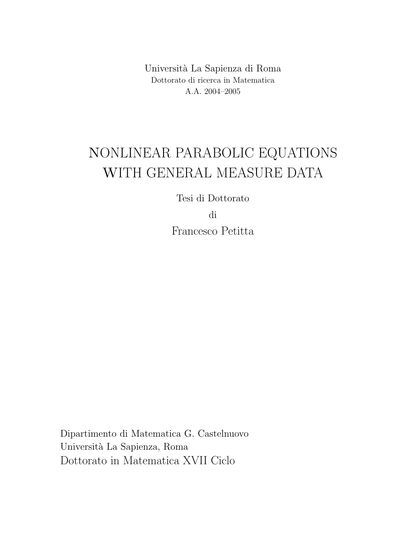Universit`a La Sapienza di Roma Dottorato di ricerca in Matematica A.A. 2004–2005

# NONLINEAR PARABOLIC EQUATIONS WITH GENERAL MEASURE DATA

Tesi di Dottorato

di

Francesco Petitta

Dipartimento di Matematica G. Castelnuovo Universit`a La Sapienza, Roma Dottorato in Matematica XVII Ciclo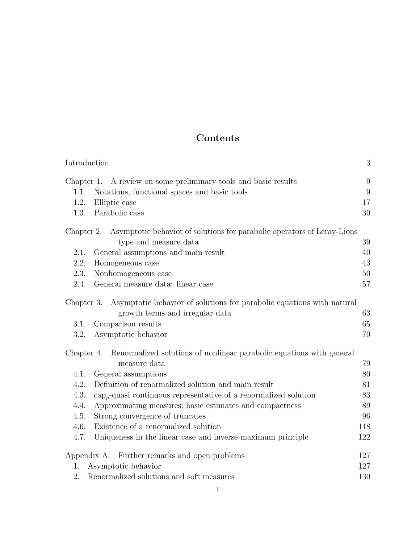# Contents

| Introduction                                                                         | $\sqrt{3}$       |
|--------------------------------------------------------------------------------------|------------------|
| Chapter 1. A review on some preliminary tools and basic results                      | 9                |
| Notations, functional spaces and basic tools<br>1.1.                                 | $\boldsymbol{9}$ |
| Elliptic case<br>1.2.                                                                | 17               |
| Parabolic case<br>1.3.                                                               | 30               |
| Chapter 2. Asymptotic behavior of solutions for parabolic operators of Leray-Lions   |                  |
| type and measure data                                                                | 39               |
| General assumptions and main result<br>2.1.                                          | 40               |
| 2.2.<br>Homogeneous case                                                             | 43               |
| 2.3.<br>Nonhomogeneous case                                                          | 50               |
| General measure data: linear case<br>2.4.                                            | 57               |
| Asymptotic behavior of solutions for parabolic equations with natural<br>Chapter 3.  |                  |
| growth terms and irregular data                                                      | 63               |
| Comparison results<br>3.1.                                                           | 65               |
| 3.2.<br>Asymptotic behavior                                                          | 70               |
| Renormalized solutions of nonlinear parabolic equations with general<br>Chapter 4.   |                  |
| measure data                                                                         | 79               |
| General assumptions<br>4.1.                                                          | 80               |
| Definition of renormalized solution and main result<br>4.2.                          | 81               |
| 4.3.<br>$\text{cap}_{p}$ -quasi continuous representative of a renormalized solution | 83               |
| Approximating measures; basic estimates and compactness<br>4.4.                      | 89               |
| 4.5.<br>Strong convergence of truncates                                              | 96               |
| Existence of a renormalized solution<br>4.6.                                         | 118              |
| 4.7.<br>Uniqueness in the linear case and inverse maximum principle                  | 122              |
| Appendix A. Further remarks and open problems                                        | 127              |
| Asymptotic behavior<br>1.                                                            | 127              |
| 2.<br>Renormalized solutions and soft measures                                       | 130              |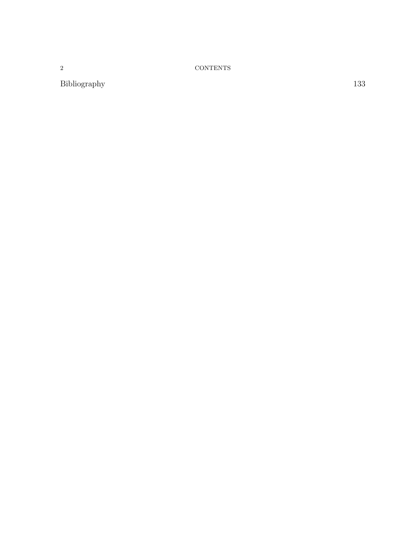2 CONTENTS

Bibliography 133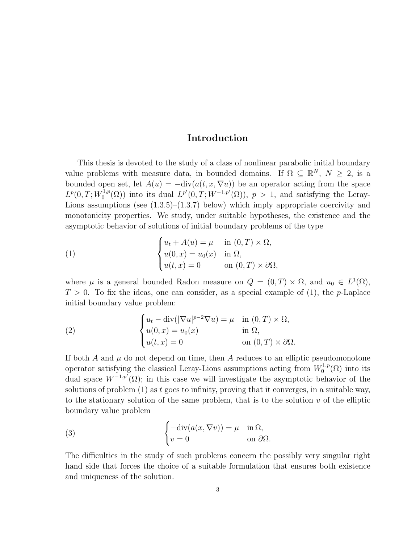# Introduction

This thesis is devoted to the study of a class of nonlinear parabolic initial boundary value problems with measure data, in bounded domains. If  $\Omega \subseteq \mathbb{R}^N$ ,  $N \geq 2$ , is a bounded open set, let  $A(u) = -\text{div}(a(t, x, \nabla u))$  be an operator acting from the space  $L^p(0,T;W_0^{1,p})$  $L^{1,p}(\Omega)$  into its dual  $L^{p'}(0,T;W^{-1,p'}(\Omega))$ ,  $p>1$ , and satisfying the Leray-Lions assumptions (see  $(1.3.5)$ – $(1.3.7)$  below) which imply appropriate coercivity and monotonicity properties. We study, under suitable hypotheses, the existence and the asymptotic behavior of solutions of initial boundary problems of the type

(1) 
$$
\begin{cases} u_t + A(u) = \mu & \text{in } (0, T) \times \Omega, \\ u(0, x) = u_0(x) & \text{in } \Omega, \\ u(t, x) = 0 & \text{on } (0, T) \times \partial\Omega, \end{cases}
$$

where  $\mu$  is a general bounded Radon measure on  $Q = (0, T) \times \Omega$ , and  $u_0 \in L^1(\Omega)$ ,  $T > 0$ . To fix the ideas, one can consider, as a special example of (1), the p-Laplace initial boundary value problem:

(2) 
$$
\begin{cases} u_t - \operatorname{div}(|\nabla u|^{p-2} \nabla u) = \mu & \text{in } (0, T) \times \Omega, \\ u(0, x) = u_0(x) & \text{in } \Omega, \\ u(t, x) = 0 & \text{on } (0, T) \times \partial \Omega. \end{cases}
$$

If both  $A$  and  $\mu$  do not depend on time, then  $A$  reduces to an elliptic pseudomonotone operator satisfying the classical Leray-Lions assumptions acting from  $W_0^{1,p}$  $C_0^{1,p}(\Omega)$  into its dual space  $W^{-1,p'}(\Omega)$ ; in this case we will investigate the asymptotic behavior of the solutions of problem  $(1)$  as t goes to infinity, proving that it converges, in a suitable way, to the stationary solution of the same problem, that is to the solution  $v$  of the elliptic boundary value problem

(3) 
$$
\begin{cases}\n-\text{div}(a(x,\nabla v)) = \mu & \text{in } \Omega, \\
v = 0 & \text{on } \partial\Omega.\n\end{cases}
$$

The difficulties in the study of such problems concern the possibly very singular right hand side that forces the choice of a suitable formulation that ensures both existence and uniqueness of the solution.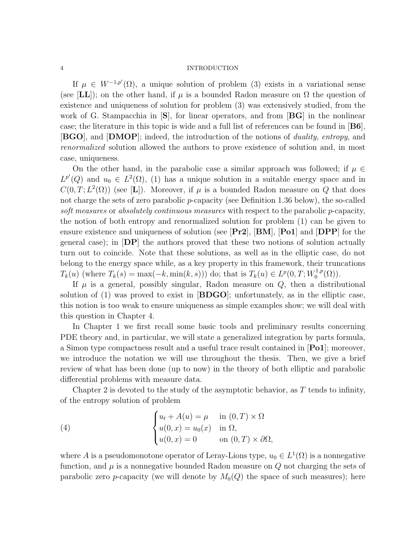If  $\mu \in W^{-1,p'}(\Omega)$ , a unique solution of problem (3) exists in a variational sense (see [LL]); on the other hand, if  $\mu$  is a bounded Radon measure on  $\Omega$  the question of existence and uniqueness of solution for problem (3) was extensively studied, from the work of G. Stampacchia in  $|\mathbf{S}|$ , for linear operators, and from  $|\mathbf{B} \mathbf{G}|$  in the nonlinear case; the literature in this topic is wide and a full list of references can be found in  $|\mathbf{B6}|$ , **[BGO]**, and **[DMOP]**; indeed, the introduction of the notions of *duality, entropy*, and renormalized solution allowed the authors to prove existence of solution and, in most case, uniqueness.

On the other hand, in the parabolic case a similar approach was followed; if  $\mu \in$  $L^{p'}(Q)$  and  $u_0 \in L^2(\Omega)$ , (1) has a unique solution in a suitable energy space and in  $C(0,T;L^2(\Omega))$  (see [L]). Moreover, if  $\mu$  is a bounded Radon measure on Q that does not charge the sets of zero parabolic  $p$ -capacity (see Definition 1.36 below), the so-called soft measures or absolutely continuous measures with respect to the parabolic p-capacity, the notion of both entropy and renormalized solution for problem (1) can be given to ensure existence and uniqueness of solution (see  $\left[\mathbf{Pr2}\right]$ ,  $\left[\mathbf{BM}\right]$ ,  $\left[\mathbf{Pol}\right]$  and  $\left[\mathbf{DPP}\right]$  for the general case); in  $\left| \mathbf{DP} \right|$  the authors proved that these two notions of solution actually turn out to coincide. Note that these solutions, as well as in the elliptic case, do not belong to the energy space while, as a key property in this framework, their truncations  $T_k(u)$  (where  $T_k(s) = \max(-k, \min(k, s))$ ) do; that is  $T_k(u) \in L^p(0, T; W_0^{1,p})$  $\binom{1,p}{0}$ .

If  $\mu$  is a general, possibly singular, Radon measure on  $Q$ , then a distributional solution of (1) was proved to exist in  $[B\text{DGO}]$ ; unfortunately, as in the elliptic case, this notion is too weak to ensure uniqueness as simple examples show; we will deal with this question in Chapter 4.

In Chapter 1 we first recall some basic tools and preliminary results concerning PDE theory and, in particular, we will state a generalized integration by parts formula, a Simon type compactness result and a useful trace result contained in [Po1]; moreover, we introduce the notation we will use throughout the thesis. Then, we give a brief review of what has been done (up to now) in the theory of both elliptic and parabolic differential problems with measure data.

Chapter 2 is devoted to the study of the asymptotic behavior, as  $T$  tends to infinity, of the entropy solution of problem

(4) 
$$
\begin{cases} u_t + A(u) = \mu & \text{in } (0, T) \times \Omega \\ u(0, x) = u_0(x) & \text{in } \Omega, \\ u(0, x) = 0 & \text{on } (0, T) \times \partial\Omega, \end{cases}
$$

where A is a pseudomonotone operator of Leray-Lions type,  $u_0 \in L^1(\Omega)$  is a nonnegative function, and  $\mu$  is a nonnegative bounded Radon measure on  $Q$  not charging the sets of parabolic zero *p*-capacity (we will denote by  $M_0(Q)$  the space of such measures); here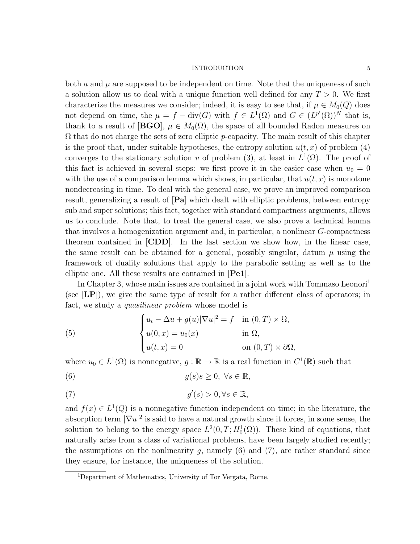both  $a$  and  $\mu$  are supposed to be independent on time. Note that the uniqueness of such a solution allow us to deal with a unique function well defined for any  $T > 0$ . We first characterize the measures we consider; indeed, it is easy to see that, if  $\mu \in M_0(Q)$  does not depend on time, the  $\mu = f - \text{div}(G)$  with  $f \in L^1(\Omega)$  and  $G \in (L^{p'}(\Omega))^N$  that is, thank to a result of [BGO],  $\mu \in M_0(\Omega)$ , the space of all bounded Radon measures on  $\Omega$  that do not charge the sets of zero elliptic p-capacity. The main result of this chapter is the proof that, under suitable hypotheses, the entropy solution  $u(t, x)$  of problem (4) converges to the stationary solution v of problem (3), at least in  $L^1(\Omega)$ . The proof of this fact is achieved in several steps: we first prove it in the easier case when  $u_0 = 0$ with the use of a comparison lemma which shows, in particular, that  $u(t, x)$  is monotone nondecreasing in time. To deal with the general case, we prove an improved comparison result, generalizing a result of [Pa] which dealt with elliptic problems, between entropy sub and super solutions; this fact, together with standard compactness arguments, allows us to conclude. Note that, to treat the general case, we also prove a technical lemma that involves a homogenization argument and, in particular, a nonlinear G-compactness theorem contained in [CDD]. In the last section we show how, in the linear case, the same result can be obtained for a general, possibly singular, datum  $\mu$  using the framework of duality solutions that apply to the parabolic setting as well as to the elliptic one. All these results are contained in [Pe1].

In Chapter 3, whose main issues are contained in a joint work with Tommaso Leonori<sup>1</sup> (see [LP]), we give the same type of result for a rather different class of operators; in fact, we study a *quasilinear problem* whose model is

(5) 
$$
\begin{cases} u_t - \Delta u + g(u) |\nabla u|^2 = f & \text{in } (0, T) \times \Omega, \\ u(0, x) = u_0(x) & \text{in } \Omega, \\ u(t, x) = 0 & \text{on } (0, T) \times \partial \Omega, \end{cases}
$$

where  $u_0 \in L^1(\Omega)$  is nonnegative,  $g : \mathbb{R} \to \mathbb{R}$  is a real function in  $C^1(\mathbb{R})$  such that

(6) 
$$
g(s)s \geq 0, \ \forall s \in \mathbb{R},
$$

(7) 
$$
g'(s) > 0, \forall s \in \mathbb{R},
$$

and  $f(x) \in L^1(Q)$  is a nonnegative function independent on time; in the literature, the absorption term  $|\nabla u|^2$  is said to have a natural growth since it forces, in some sense, the solution to belong to the energy space  $L^2(0,T; H_0^1(\Omega))$ . These kind of equations, that naturally arise from a class of variational problems, have been largely studied recently; the assumptions on the nonlinearity  $g$ , namely  $(6)$  and  $(7)$ , are rather standard since they ensure, for instance, the uniqueness of the solution.

<sup>1</sup>Department of Mathematics, University of Tor Vergata, Rome.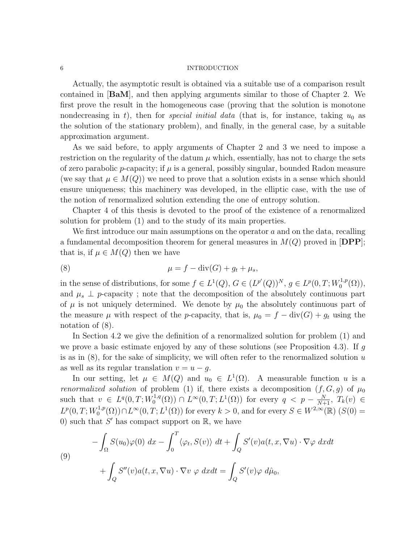Actually, the asymptotic result is obtained via a suitable use of a comparison result contained in [BaM], and then applying arguments similar to those of Chapter 2. We first prove the result in the homogeneous case (proving that the solution is monotone nondecreasing in t), then for *special initial data* (that is, for instance, taking  $u_0$  as the solution of the stationary problem), and finally, in the general case, by a suitable approximation argument.

As we said before, to apply arguments of Chapter 2 and 3 we need to impose a restriction on the regularity of the datum  $\mu$  which, essentially, has not to charge the sets of zero parabolic *p*-capacity; if  $\mu$  is a general, possibly singular, bounded Radon measure (we say that  $\mu \in M(Q)$ ) we need to prove that a solution exists in a sense which should ensure uniqueness; this machinery was developed, in the elliptic case, with the use of the notion of renormalized solution extending the one of entropy solution.

Chapter 4 of this thesis is devoted to the proof of the existence of a renormalized solution for problem (1) and to the study of its main properties.

We first introduce our main assumptions on the operator  $a$  and on the data, recalling a fundamental decomposition theorem for general measures in  $M(Q)$  proved in  $[DPP]$ ; that is, if  $\mu \in M(Q)$  then we have

$$
\mu = f - \operatorname{div}(G) + g_t + \mu_s,
$$

in the sense of distributions, for some  $f \in L^1(Q)$ ,  $G \in (L^{p'}(Q))^N$ ,  $g \in L^p(0,T;W_0^{1,p})$  $\mathcal{L}_0^{1,p}(\Omega)$ ), and  $\mu_s \perp p$ -capacity; note that the decomposition of the absolutely continuous part of  $\mu$  is not uniquely determined. We denote by  $\mu_0$  the absolutely continuous part of the measure  $\mu$  with respect of the p-capacity, that is,  $\mu_0 = f - \text{div}(G) + g_t$  using the notation of (8).

In Section 4.2 we give the definition of a renormalized solution for problem (1) and we prove a basic estimate enjoyed by any of these solutions (see Proposition 4.3). If  $g$ is as in  $(8)$ , for the sake of simplicity, we will often refer to the renormalized solution u as well as its regular translation  $v = u - g$ .

In our setting, let  $\mu \in M(Q)$  and  $u_0 \in L^1(\Omega)$ . A measurable function u is a renormalized solution of problem (1) if, there exists a decomposition  $(f, G, g)$  of  $\mu_0$ such that  $v \in L^q(0,T;W_0^{1,q})$  $L_0^{-1,q}(\Omega)$  ∩  $L^{\infty}(0,T; L^1(\Omega))$  for every  $q \le p - \frac{N}{N+1}$ ,  $T_k(v) \in$  $L^p(0,T;W_0^{1,p})$  $L_0^{1,p}(\Omega)$   $\cap$   $L^{\infty}(0,T; L^1(\Omega))$  for every  $k > 0$ , and for every  $S \in W^{2,\infty}(\mathbb{R})$   $(S(0) =$ 0) such that  $S'$  has compact support on  $\mathbb R$ , we have

(9)  
\n
$$
-\int_{\Omega} S(u_0)\varphi(0) dx - \int_0^T \langle \varphi_t, S(v) \rangle dt + \int_Q S'(v)a(t, x, \nabla u) \cdot \nabla \varphi dx dt
$$
\n
$$
+\int_Q S''(v)a(t, x, \nabla u) \cdot \nabla v \varphi dx dt = \int_Q S'(v)\varphi d\hat{\mu}_0,
$$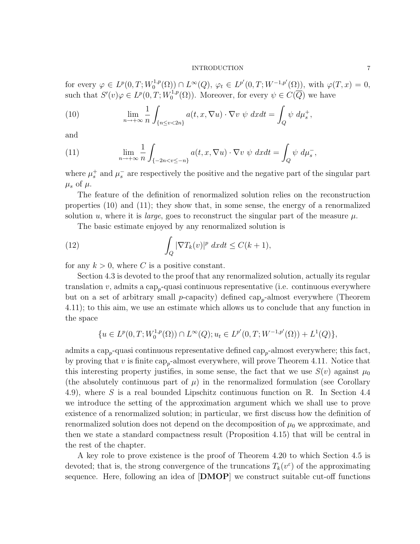for every  $\varphi \in L^p(0,T;W_0^{1,p})$  $L^{1,p}(\Omega) \cap L^{\infty}(Q), \varphi_t \in L^{p'}(0,T;W^{-1,p'}(\Omega)), \text{ with } \varphi(T,x) = 0,$ such that  $S'(v)\varphi \in L^p(0,T;W_0^{1,p})$  $O_0^{1,p}(\Omega)$ . Moreover, for every  $\psi \in C(\overline{Q})$  we have

(10) 
$$
\lim_{n \to +\infty} \frac{1}{n} \int_{\{n \le v < 2n\}} a(t, x, \nabla u) \cdot \nabla v \, \psi \, dx dt = \int_Q \psi \, d\mu_s^+,
$$

and

(11) 
$$
\lim_{n \to +\infty} \frac{1}{n} \int_{\{-2n < v \leq -n\}} a(t, x, \nabla u) \cdot \nabla v \, \psi \, dx dt = \int_Q \psi \, d\mu_s^-,
$$

where  $\mu_s^+$  and  $\mu_s^-$  are respectively the positive and the negative part of the singular part  $\mu_s$  of  $\mu$ .

The feature of the definition of renormalized solution relies on the reconstruction properties (10) and (11); they show that, in some sense, the energy of a renormalized solution u, where it is *large*, goes to reconstruct the singular part of the measure  $\mu$ .

The basic estimate enjoyed by any renormalized solution is

(12) 
$$
\int_{Q} |\nabla T_{k}(v)|^{p} dx dt \leq C(k+1),
$$

for any  $k > 0$ , where C is a positive constant.

Section 4.3 is devoted to the proof that any renormalized solution, actually its regular translation  $v$ , admits a cap<sub>p</sub>-quasi continuous representative (i.e. continuous everywhere but on a set of arbitrary small  $p$ -capacity) defined cap<sub>p</sub>-almost everywhere (Theorem 4.11); to this aim, we use an estimate which allows us to conclude that any function in the space

$$
\{u \in L^p(0,T;W_0^{1,p}(\Omega)) \cap L^{\infty}(Q); u_t \in L^{p'}(0,T;W^{-1,p'}(\Omega)) + L^1(Q)\},\
$$

admits a cap<sub>p</sub>-quasi continuous representative defined  $\text{cap}_{p}$ -almost everywhere; this fact, by proving that v is finite  $\text{cap}_{p}$ -almost everywhere, will prove Theorem 4.11. Notice that this interesting property justifies, in some sense, the fact that we use  $S(v)$  against  $\mu_0$ (the absolutely continuous part of  $\mu$ ) in the renormalized formulation (see Corollary 4.9), where S is a real bounded Lipschitz continuous function on R. In Section 4.4 we introduce the setting of the approximation argument which we shall use to prove existence of a renormalized solution; in particular, we first discuss how the definition of renormalized solution does not depend on the decomposition of  $\mu_0$  we approximate, and then we state a standard compactness result (Proposition 4.15) that will be central in the rest of the chapter.

A key role to prove existence is the proof of Theorem 4.20 to which Section 4.5 is devoted; that is, the strong convergence of the truncations  $T_k(v^{\varepsilon})$  of the approximating sequence. Here, following an idea of  $[DMOP]$  we construct suitable cut-off functions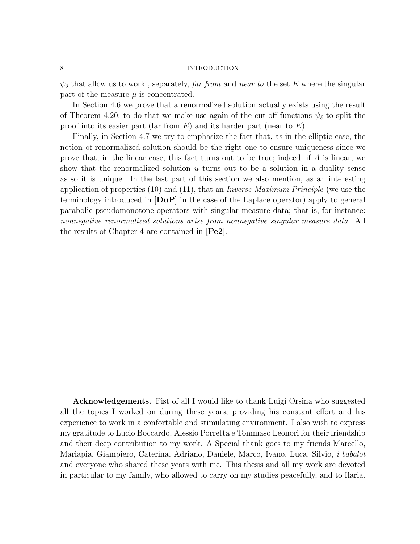$\psi_{\delta}$  that allow us to work, separately, far from and near to the set E where the singular part of the measure  $\mu$  is concentrated.

In Section 4.6 we prove that a renormalized solution actually exists using the result of Theorem 4.20; to do that we make use again of the cut-off functions  $\psi_{\delta}$  to split the proof into its easier part (far from  $E$ ) and its harder part (near to  $E$ ).

Finally, in Section 4.7 we try to emphasize the fact that, as in the elliptic case, the notion of renormalized solution should be the right one to ensure uniqueness since we prove that, in the linear case, this fact turns out to be true; indeed, if A is linear, we show that the renormalized solution  $u$  turns out to be a solution in a duality sense as so it is unique. In the last part of this section we also mention, as an interesting application of properties  $(10)$  and  $(11)$ , that an *Inverse Maximum Principle* (we use the terminology introduced in  $[DuP]$  in the case of the Laplace operator) apply to general parabolic pseudomonotone operators with singular measure data; that is, for instance: nonnegative renormalized solutions arise from nonnegative singular measure data. All the results of Chapter 4 are contained in [Pe2].

Acknowledgements. Fist of all I would like to thank Luigi Orsina who suggested all the topics I worked on during these years, providing his constant effort and his experience to work in a confortable and stimulating environment. I also wish to express my gratitude to Lucio Boccardo, Alessio Porretta e Tommaso Leonori for their friendship and their deep contribution to my work. A Special thank goes to my friends Marcello, Mariapia, Giampiero, Caterina, Adriano, Daniele, Marco, Ivano, Luca, Silvio, i babalot and everyone who shared these years with me. This thesis and all my work are devoted in particular to my family, who allowed to carry on my studies peacefully, and to Ilaria.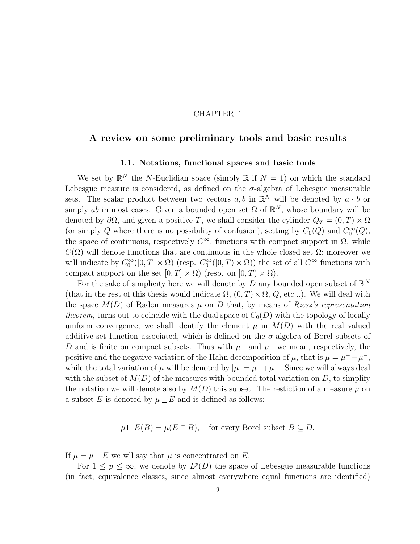# CHAPTER 1

# A review on some preliminary tools and basic results

# 1.1. Notations, functional spaces and basic tools

We set by  $\mathbb{R}^N$  the N-Euclidian space (simply  $\mathbb{R}$  if  $N = 1$ ) on which the standard Lebesgue measure is considered, as defined on the  $\sigma$ -algebra of Lebesgue measurable sets. The scalar product between two vectors  $a, b$  in  $\mathbb{R}^N$  will be denoted by  $a \cdot b$  or simply ab in most cases. Given a bounded open set  $\Omega$  of  $\mathbb{R}^N$ , whose boundary will be denoted by  $\partial\Omega$ , and given a positive T, we shall consider the cylinder  $Q_T = (0, T) \times \Omega$ (or simply Q where there is no possibility of confusion), setting by  $C_0(Q)$  and  $C_0^{\infty}(Q)$ , the space of continuous, respectively  $C^{\infty}$ , functions with compact support in  $\Omega$ , while  $C(\overline{\Omega})$  will denote functions that are continuous in the whole closed set  $\overline{\Omega}$ ; moreover we will indicate by  $C_0^{\infty}([0,T] \times \Omega)$  (resp.  $C_0^{\infty}([0,T] \times \Omega)$ ) the set of all  $C^{\infty}$  functions with compact support on the set  $[0, T] \times \Omega$  (resp. on  $[0, T] \times \Omega$ ).

For the sake of simplicity here we will denote by D any bounded open subset of  $\mathbb{R}^N$ (that in the rest of this thesis would indicate  $\Omega$ ,  $(0, T) \times \Omega$ ,  $Q$ , etc...). We will deal with the space  $M(D)$  of Radon measures  $\mu$  on D that, by means of Riesz's representation theorem, turns out to coincide with the dual space of  $C_0(D)$  with the topology of locally uniform convergence; we shall identify the element  $\mu$  in  $M(D)$  with the real valued additive set function associated, which is defined on the  $\sigma$ -algebra of Borel subsets of D and is finite on compact subsets. Thus with  $\mu^+$  and  $\mu^-$  we mean, respectively, the positive and the negative variation of the Hahn decomposition of  $\mu$ , that is  $\mu = \mu^+ - \mu^-$ , while the total variation of  $\mu$  will be denoted by  $|\mu| = \mu^+ + \mu^-$ . Since we will always deal with the subset of  $M(D)$  of the measures with bounded total variation on D, to simplify the notation we will denote also by  $M(D)$  this subset. The restiction of a measure  $\mu$  on a subset E is denoted by  $\mu \sqcup E$  and is defined as follows:

$$
\mu \sqcup E(B) = \mu(E \cap B), \quad \text{for every Borel subset } B \subseteq D.
$$

If  $\mu = \mu \sqcup E$  we will say that  $\mu$  is concentrated on E.

For  $1 \leq p \leq \infty$ , we denote by  $L^p(D)$  the space of Lebesgue measurable functions (in fact, equivalence classes, since almost everywhere equal functions are identified)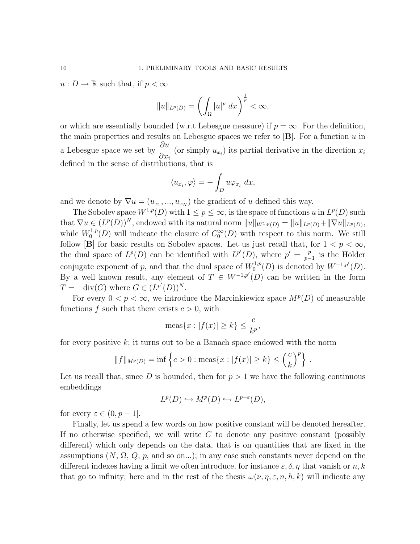$u: D \to \mathbb{R}$  such that, if  $p < \infty$ 

$$
||u||_{L^p(D)} = \left(\int_{\Omega} |u|^p \ dx\right)^{\frac{1}{p}} < \infty,
$$

or which are essentially bounded (w.r.t Lebesgue measure) if  $p = \infty$ . For the definition, the main properties and results on Lebesgue spaces we refer to  $[\mathbf{B}]$ . For a function u in a Lebesgue space we set by  $\frac{\partial u}{\partial x}$  $\frac{\partial u}{\partial x_i}$  (or simply  $u_{x_i}$ ) its partial derivative in the direction  $x_i$ defined in the sense of distributions, that is

$$
\langle u_{x_i}, \varphi \rangle = - \int_D u \varphi_{x_i} \, dx,
$$

and we denote by  $\nabla u = (u_{x_1},...,u_{x_N})$  the gradient of u defined this way.

The Sobolev space  $W^{1,p}(D)$  with  $1 \leq p \leq \infty$ , is the space of functions u in  $L^p(D)$  such that  $\nabla u \in (L^p(D))^N$ , endowed with its natural norm  $||u||_{W^{1,p}(D)} = ||u||_{L^p(D)} + ||\nabla u||_{L^p(D)}$ , while  $W_0^{1,p}$  $C_0^{1,p}(D)$  will indicate the closure of  $C_0^{\infty}(D)$  with respect to this norm. We still follow [B] for basic results on Sobolev spaces. Let us just recall that, for  $1 < p < \infty$ , the dual space of  $L^p(D)$  can be identified with  $L^{p'}(D)$ , where  $p' = \frac{p}{n-1}$  $\frac{p}{p-1}$  is the Hölder conjugate exponent of p, and that the dual space of  $W_0^{1,p}$  $V_0^{1,p}(D)$  is denoted by  $W^{-1,p'}(D)$ . By a well known result, any element of  $T \in W^{-1,p'}(D)$  can be written in the form  $T = -\text{div}(G)$  where  $G \in (L^{p'}(D))^N$ .

For every  $0 < p < \infty$ , we introduce the Marcinkiewicz space  $M^p(D)$  of measurable functions f such that there exists  $c > 0$ , with

$$
\text{meas}\{x : |f(x)| \ge k\} \le \frac{c}{k^p},
$$

for every positive k; it turns out to be a Banach space endowed with the norm

$$
||f||_{M^{p}(D)} = \inf \left\{ c > 0 : \text{meas}\{x : |f(x)| \ge k\} \le \left(\frac{c}{k}\right)^{p}\right\}.
$$

Let us recall that, since D is bounded, then for  $p > 1$  we have the following continuous embeddings

$$
L^p(D) \hookrightarrow M^p(D) \hookrightarrow L^{p-\varepsilon}(D),
$$

for every  $\varepsilon \in (0, p-1]$ .

Finally, let us spend a few words on how positive constant will be denoted hereafter. If no otherwise specified, we will write  $C$  to denote any positive constant (possibly different) which only depends on the data, that is on quantities that are fixed in the assumptions  $(N, \Omega, Q, p, \text{ and so on...})$ ; in any case such constants never depend on the different indexes having a limit we often introduce, for instance  $\varepsilon, \delta, \eta$  that vanish or n, k that go to infinity; here and in the rest of the thesis  $\omega(\nu, \eta, \varepsilon, n, h, k)$  will indicate any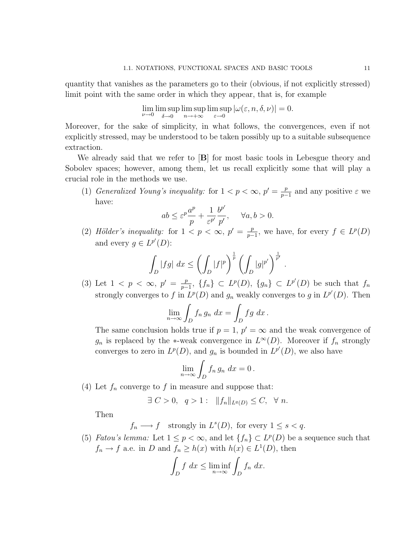quantity that vanishes as the parameters go to their (obvious, if not explicitly stressed) limit point with the same order in which they appear, that is, for example

$$
\lim_{\nu \to 0} \limsup_{\delta \to 0} \limsup_{n \to +\infty} \limsup_{\varepsilon \to 0} |\omega(\varepsilon, n, \delta, \nu)| = 0.
$$

Moreover, for the sake of simplicity, in what follows, the convergences, even if not explicitly stressed, may be understood to be taken possibly up to a suitable subsequence extraction.

We already said that we refer to  $[B]$  for most basic tools in Lebesgue theory and Sobolev spaces; however, among them, let us recall explicitly some that will play a crucial role in the methods we use.

(1) Generalized Young's inequality: for  $1 < p < \infty$ ,  $p' = \frac{p}{n-1}$  $\frac{p}{p-1}$  and any positive  $\varepsilon$  we have:  $\overline{\phantom{a}}$ 

$$
ab \le \varepsilon^p \frac{a^p}{p} + \frac{1}{\varepsilon^{p'}} \frac{b^{p'}}{p'}, \quad \forall a, b > 0.
$$

(2) Hölder's inequality: for  $1 < p < \infty$ ,  $p' = \frac{p}{n-1}$  $\frac{p}{p-1}$ , we have, for every  $f \in L^p(D)$ and every  $g \in L^{p'}(D)$ :

$$
\int_{D} |fg| \ dx \le \left( \int_{D} |f|^{p} \right)^{\frac{1}{p}} \left( \int_{D} |g|^{p'} \right)^{\frac{1}{p'}}.
$$

(3) Let  $1 < p < \infty$ ,  $p' = \frac{p}{n-1}$  $\frac{p}{p-1}$ ,  $\{f_n\} \subset L^p(D)$ ,  $\{g_n\} \subset L^{p'}(D)$  be such that  $f_n$ strongly converges to f in  $L^p(D)$  and  $g_n$  weakly converges to g in  $L^{p'}(D)$ . Then

$$
\lim_{n \to \infty} \int_D f_n g_n \, dx = \int_D f g \, dx \, .
$$

The same conclusion holds true if  $p = 1$ ,  $p' = \infty$  and the weak convergence of  $g_n$  is replaced by the \*-weak convergence in  $L^{\infty}(D)$ . Moreover if  $f_n$  strongly converges to zero in  $L^p(D)$ , and  $g_n$  is bounded in  $L^{p'}(D)$ , we also have

$$
\lim_{n\to\infty}\int_D f_n\,g_n\,dx=0\,.
$$

(4) Let  $f_n$  converge to f in measure and suppose that:

$$
\exists C > 0, q > 1: ||f_n||_{L^q(D)} \leq C, \forall n.
$$

Then

$$
f_n \longrightarrow f
$$
 strongly in  $L^s(D)$ , for every  $1 \le s < q$ .

(5) *Fatou's lemma:* Let  $1 \leq p < \infty$ , and let  $\{f_n\} \subset L^p(D)$  be a sequence such that  $f_n \to f$  a.e. in D and  $f_n \geq h(x)$  with  $h(x) \in L^1(D)$ , then

$$
\int_D f \ dx \le \liminf_{n \to \infty} \int_D f_n \ dx.
$$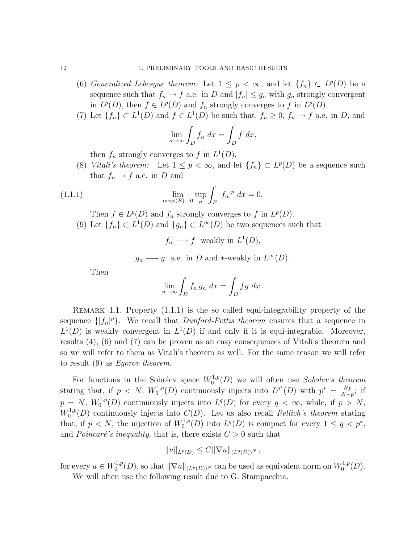- (6) Generalized Lebesgue theorem: Let  $1 \leq p < \infty$ , and let  $\{f_n\} \subset L^p(D)$  be a sequence such that  $f_n \to f$  a.e. in D and  $|f_n| \le g_n$  with  $g_n$  strongly convergent in  $L^p(D)$ , then  $f \in L^p(D)$  and  $f_n$  strongly converges to f in  $L^p(D)$ .
- (7) Let  $\{f_n\} \subset L^1(D)$  and  $f \in L^1(D)$  be such that,  $f_n \geq 0$ ,  $f_n \to f$  a.e. in D, and

$$
\lim_{n \to \infty} \int_D f_n \, dx = \int_D f \, dx,
$$

then  $f_n$  strongly converges to f in  $L^1(D)$ .

(8) Vitali's theorem: Let  $1 \leq p < \infty$ , and let  $\{f_n\} \subset L^p(D)$  be a sequence such that  $f_n \to f$  a.e. in D and

(1.1.1) 
$$
\lim_{\text{meas}(E)\to 0} \sup_n \int_E |f_n|^p \ dx = 0.
$$

Then  $f \in L^p(D)$  and  $f_n$  strongly converges to f in  $L^p(D)$ .

(9) Let  $\{f_n\} \subset L^1(D)$  and  $\{g_n\} \subset L^{\infty}(D)$  be two sequences such that

 $f_n \longrightarrow f$  weakly in  $L^1(D)$ ,

$$
g_n \longrightarrow g
$$
 a.e. in *D* and \*-weakly in  $L^{\infty}(D)$ .

Then

$$
\lim_{n \to \infty} \int_D f_n g_n \, dx = \int_D f g \, dx \, .
$$

REMARK 1.1. Property  $(1.1.1)$  is the so called equi-integrability property of the sequence  $\{|f_n|^p\}$ . We recall that *Dunford-Pettis theorem* ensures that a sequence in  $L^1(D)$  is weakly convergent in  $L^1(D)$  if and only if it is equi-integrable. Moreover, results (4), (6) and (7) can be proven as an easy consequences of Vitali's theorem and so we will refer to them as Vitali's theorem as well. For the same reason we will refer to result (9) as Egorov theorem.

For functions in the Sobolev space  $W_0^{1,p}$  $S_0^{1,p}(D)$  we will often use Sobolev's theorem stating that, if  $p \ll N$ ,  $W_0^{1,p}$  $L^{1,p}(D)$  continuously injects into  $L^{p^*}(D)$  with  $p^* = \frac{Np}{N-1}$  $\frac{Np}{N-p}$ ; if  $p = N, W_0^{1,p}$  $L_0^{1,p}(D)$  continuously injects into  $L^q(D)$  for every  $q < \infty$ , while, if  $p > N$ ,  $W_0^{1,p}$  $C^{1,p}(D)$  continuously injects into  $C(\overline{D})$ . Let us also recall *Rellich's theorem* stating that, if  $p < N$ , the injection of  $W_0^{1,p}$  $L^{1,p}(D)$  into  $L^q(D)$  is compact for every  $1 \leq q < p^*$ , and *Poincaré's inequality*, that is, there exists  $C > 0$  such that

$$
||u||_{L^p(D)} \leq C||\nabla u||_{(L^p(D))^N},
$$

for every  $u \in W_0^{1,p}$  $\mathbb{C}^{1,p}_0(D),$  so that  $\|\nabla u\|_{(L^p(D))^N}$  can be used as equivalent norm on  $W_0^{1,p}$  $_{0}^{1,p}(D).$ 

We will often use the following result due to G. Stampacchia.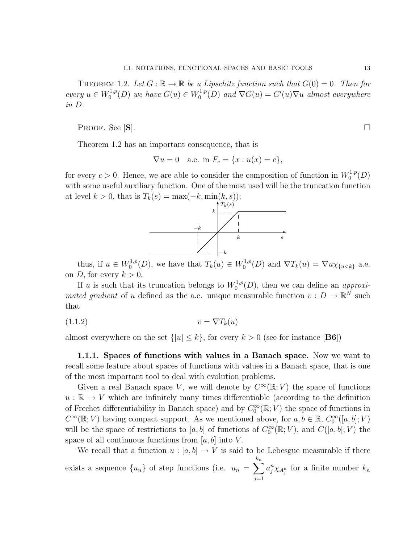THEOREM 1.2. Let  $G : \mathbb{R} \to \mathbb{R}$  be a Lipschitz function such that  $G(0) = 0$ . Then for every  $u \in W_0^{1,p}$  $C_0^{1,p}(D)$  we have  $G(u) \in W_0^{1,p}$  $C_0^{1,p}(D)$  and  $\nabla G(u) = G'(u)\nabla u$  almost everywhere in D.

Proof. See  $[\mathbf{S}]$ .

Theorem 1.2 has an important consequence, that is

$$
\nabla u = 0
$$
 a.e. in  $F_c = \{x : u(x) = c\},\$ 

for every  $c > 0$ . Hence, we are able to consider the composition of function in  $W_0^{1,p}$  $_{0}^{1,p}(D)$ with some useful auxiliary function. One of the most used will be the truncation function at level  $k > 0$ , that is  $T_k(s) = \max(-k, \min(k, s));$ 



thus, if  $u \in W_0^{1,p}$  $U_0^{1,p}(D)$ , we have that  $T_k(u) \in W_0^{1,p}$  $U_0^{1,p}(D)$  and  $\nabla T_k(u) = \nabla u \chi_{\{u < k\}}$  a.e. on D, for every  $k > 0$ .

If u is such that its truncation belongs to  $W_0^{1,p}$  $O_0^{1,p}(D)$ , then we can define an *approxi*mated gradient of u defined as the a.e. unique measurable function  $v : D \to \mathbb{R}^N$  such that

$$
(1.1.2) \t\t v = \nabla T_k(u)
$$

almost everywhere on the set  $\{|u| \leq k\}$ , for every  $k > 0$  (see for instance [**B6**])

1.1.1. Spaces of functions with values in a Banach space. Now we want to recall some feature about spaces of functions with values in a Banach space, that is one of the most important tool to deal with evolution problems.

Given a real Banach space V, we will denote by  $C^{\infty}(\mathbb{R}; V)$  the space of functions  $u : \mathbb{R} \to V$  which are infinitely many times differentiable (according to the definition of Frechet differentiability in Banach space) and by  $C_0^{\infty}(\mathbb{R}; V)$  the space of functions in  $C^{\infty}(\mathbb{R}; V)$  having compact support. As we mentioned above, for  $a, b \in \mathbb{R}$ ,  $C_0^{\infty}([a, b]; V)$ will be the space of restrictions to  $[a, b]$  of functions of  $C_0^{\infty}(\mathbb{R}; V)$ , and  $C([a, b]; V)$  the space of all continuous functions from  $[a, b]$  into V.

We recall that a function  $u : [a, b] \to V$  is said to be Lebesgue measurable if there exists a sequence  $\{u_n\}$  of step functions (i.e.  $u_n = \sum$  $k_n$  $j=1$  $a_j^n \chi_{A_j^n}$  for a finite number  $k_n$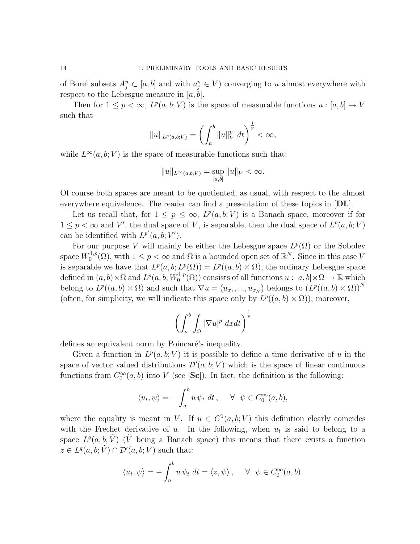of Borel subsets  $A_j^n \subset [a, b]$  and with  $a_j^n \in V$ ) converging to u almost everywhere with respect to the Lebesgue measure in  $[a, b]$ .

Then for  $1 \leq p < \infty$ ,  $L^p(a, b; V)$  is the space of measurable functions  $u : [a, b] \to V$ such that

$$
||u||_{L^p(a,b;V)} = \left(\int_a^b ||u||_V^p \ dt\right)^{\frac{1}{p}} < \infty,
$$

while  $L^{\infty}(a, b; V)$  is the space of measurable functions such that:

$$
||u||_{L^{\infty}(a,b;V)} = \sup_{[a,b]} ||u||_V < \infty.
$$

Of course both spaces are meant to be quotiented, as usual, with respect to the almost everywhere equivalence. The reader can find a presentation of these topics in  $|\mathbf{DL}|$ .

Let us recall that, for  $1 \leq p \leq \infty$ ,  $L^p(a, b; V)$  is a Banach space, moreover if for  $1 \leq p < \infty$  and V', the dual space of V, is separable, then the dual space of  $L^p(a, b; V)$ can be identified with  $L^{p'}(a, b; V')$ .

For our purpose V will mainly be either the Lebesgue space  $L^p(\Omega)$  or the Sobolev space  $W_0^{1,p}$  $C_0^{1,p}(\Omega)$ , with  $1 \leq p < \infty$  and  $\Omega$  is a bounded open set of  $\mathbb{R}^N$ . Since in this case V is separable we have that  $L^p(a,b; L^p(\Omega)) = L^p((a,b) \times \Omega)$ , the ordinary Lebesgue space defined in  $(a, b) \times \Omega$  and  $L^p(a, b; W_0^{1,p})$  $\chi_0^{1,p}(\Omega)$  consists of all functions  $u : [a, b] \times \Omega \to \mathbb{R}$  which belong to  $L^p((a, b) \times \Omega)$  and such that  $\nabla u = (u_{x_1}, ..., u_{x_N})$  belongs to  $(L^p((a, b) \times \Omega))^N$ (often, for simplicity, we will indicate this space only by  $L^p((a, b) \times \Omega)$ ); moreover,

$$
\left(\int_a^b \int_{\Omega} |\nabla u|^p \ dx dt\right)^{\frac{1}{p}}
$$

defines an equivalent norm by Poincaré's inequality.

Given a function in  $L^p(a, b; V)$  it is possible to define a time derivative of u in the space of vector valued distributions  $\mathcal{D}'(a, b; V)$  which is the space of linear continuous functions from  $C_0^{\infty}(a, b)$  into V (see [Sc]). In fact, the definition is the following:

$$
\langle u_t, \psi \rangle = -\int_a^b u \, \psi_t \, dt \,, \quad \forall \ \psi \in C_0^{\infty}(a, b),
$$

where the equality is meant in V. If  $u \in C^1(a, b; V)$  this definition clearly coincides with the Frechet derivative of  $u$ . In the following, when  $u_t$  is said to belong to a space  $L^q(a, b; \tilde{V})$  ( $\tilde{V}$  being a Banach space) this means that there exists a function  $z \in L^q(a, b; \tilde{V}) \cap \mathcal{D}'(a, b; V)$  such that:

$$
\langle u_t, \psi \rangle = -\int_a^b u \, \psi_t \, dt = \langle z, \psi \rangle \,, \quad \forall \ \psi \in C_0^{\infty}(a, b).
$$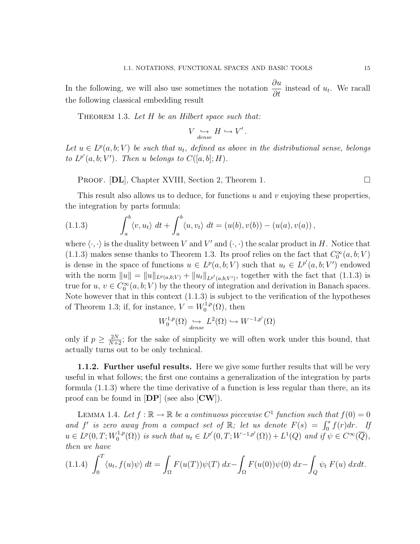In the following, we will also use sometimes the notation  $\frac{\partial u}{\partial x}$  $\frac{\partial u}{\partial t}$  instead of  $u_t$ . We racall the following classical embedding result

THEOREM 1.3. Let  $H$  be an Hilbert space such that:

$$
V \underset{dense}{\hookrightarrow} H \hookrightarrow V'
$$

.

Let  $u \in L^p(a, b; V)$  be such that  $u_t$ , defined as above in the distributional sense, belongs to  $L^{p'}(a, b; V')$ . Then u belongs to  $C([a, b]; H)$ .

PROOF.  $[DL]$ , Chapter XVIII, Section 2, Theorem 1.

This result also allows us to deduce, for functions u and v enjoying these properties, the integration by parts formula:

(1.1.3) 
$$
\int_a^b \langle v, u_t \rangle dt + \int_a^b \langle u, v_t \rangle dt = (u(b), v(b)) - (u(a), v(a)),
$$

where  $\langle \cdot, \cdot \rangle$  is the duality between V and V' and  $(\cdot, \cdot)$  the scalar product in H. Notice that (1.1.3) makes sense thanks to Theorem 1.3. Its proof relies on the fact that  $C_0^{\infty}(a, b; V)$ is dense in the space of functions  $u \in L^p(a, b; V)$  such that  $u_t \in L^{p'}(a, b; V')$  endowed with the norm  $||u|| = ||u||_{L^p(a,b;V)} + ||u_t||_{L^{p'}(a,b;V')}$ , together with the fact that (1.1.3) is true for  $u, v \in C_0^{\infty}(a, b; V)$  by the theory of integration and derivation in Banach spaces. Note however that in this context (1.1.3) is subject to the verification of the hypotheses of Theorem 1.3; if, for instance,  $V = W_0^{1,p}$  $\mathfrak{c}_0^{1,p}(\Omega)$ , then

$$
W_0^{1,p}(\Omega) \underset{dense}{\hookrightarrow} L^2(\Omega) \hookrightarrow W^{-1,p'}(\Omega)
$$

only if  $p \geq \frac{2N}{N+2}$ ; for the sake of simplicity we will often work under this bound, that actually turns out to be only technical.

**1.1.2. Further useful results.** Here we give some further results that will be very useful in what follows; the first one contains a generalization of the integration by parts formula (1.1.3) where the time derivative of a function is less regular than there, an its proof can be found in  $[DP]$  (see also  $[CW]$ ).

LEMMA 1.4. Let  $f : \mathbb{R} \to \mathbb{R}$  be a continuous piecewise  $C^1$  function such that  $f(0) = 0$ and f' is zero away from a compact set of  $\mathbb{R}$ ; let us denote  $F(s) = \int_0^s f(r) dr$ . If  $u \in L^p(0,T;W_0^{1,p})$  $L_0^{1,p}(\Omega)$  is such that  $u_t \in L^{p'}(0,T;W^{-1,p'}(\Omega)) + L^1(Q)$  and if  $\psi \in C^{\infty}(\overline{Q}),$ then we have

$$
(1.1.4) \int_0^T \langle u_t, f(u)\psi \rangle dt = \int_{\Omega} F(u(T))\psi(T) dx - \int_{\Omega} F(u(0))\psi(0) dx - \int_Q \psi_t F(u) dx dt.
$$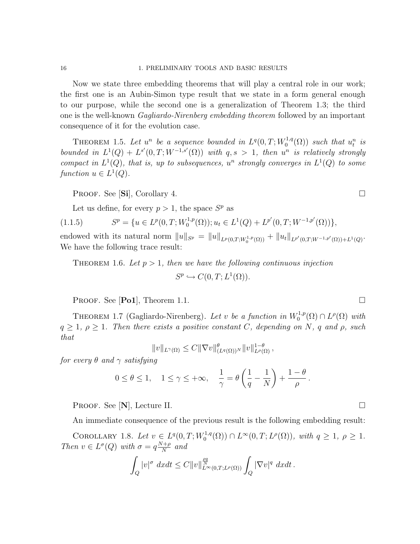Now we state three embedding theorems that will play a central role in our work; the first one is an Aubin-Simon type result that we state in a form general enough to our purpose, while the second one is a generalization of Theorem 1.3; the third one is the well-known Gagliardo-Nirenberg embedding theorem followed by an important consequence of it for the evolution case.

THEOREM 1.5. Let  $u^n$  be a sequence bounded in  $L^q(0,T;W_0^{1,q})$  $\chi_0^{1,q}(\Omega)$  such that  $u_t^n$  is bounded in  $L^1(Q) + L^{s'}(0,T;W^{-1,s'}(\Omega))$  with  $q,s > 1$ , then  $u^n$  is relatively strongly compact in  $L^1(Q)$ , that is, up to subsequences,  $u^n$  strongly converges in  $L^1(Q)$  to some function  $u \in L^1(Q)$ .

PROOF. See [Si], Corollary 4.

Let us define, for every  $p > 1$ , the space  $S^p$  as

(1.1.5) 
$$
S^{p} = \{ u \in L^{p}(0,T;W_{0}^{1,p}(\Omega)) ; u_{t} \in L^{1}(Q) + L^{p'}(0,T;W^{-1,p'}(\Omega)) \},
$$

endowed with its natural norm  $||u||_{S^p} = ||u||_{L^p(0,T;W_0^{1,p}(\Omega))} + ||u_t||_{L^{p'}(0,T;W^{-1,p'}(\Omega)) + L^1(Q)}$ . We have the following trace result:

THEOREM 1.6. Let  $p > 1$ , then we have the following continuous injection  $S^p \hookrightarrow C(0,T;L^1(\Omega)).$ 

**PROOF.** See [Po1], Theorem 1.1.

THEOREM 1.7 (Gagliardo-Nirenberg). Let v be a function in  $W_0^{1,p}$  $L^{1,p}(\Omega) \cap L^{\rho}(\Omega)$  with  $q \geq 1$ ,  $\rho \geq 1$ . Then there exists a positive constant C, depending on N, q and  $\rho$ , such that

$$
||v||_{L^{\gamma}(\Omega)} \leq C||\nabla v||^{\theta}_{(L^{q}(\Omega))^{N}}||v||^{1-\theta}_{L^{\rho}(\Omega)},
$$

for every  $\theta$  and  $\gamma$  satisfying

$$
0 \le \theta \le 1, \quad 1 \le \gamma \le +\infty, \quad \frac{1}{\gamma} = \theta \left( \frac{1}{q} - \frac{1}{N} \right) + \frac{1 - \theta}{\rho}.
$$

PROOF. See  $[N]$ , Lecture II.  $\Box$ 

An immediate consequence of the previous result is the following embedding result:

COROLLARY 1.8. Let  $v \in L^{q}(0,T;W_0^{1,q})$  $L^{1,q}(\Omega) \cap L^{\infty}(0,T; L^{\rho}(\Omega)), \text{ with } q \geq 1, \ \rho \geq 1.$ Then  $v \in L^{\sigma}(Q)$  with  $\sigma = q \frac{N+\rho}{N}$  $\frac{(+\rho)}{N}$  and

$$
\int_{Q} |v|^{\sigma} dx dt \leq C \|v\|_{L^{\infty}(0,T;L^{\rho}(\Omega))}^{\frac{\rho q}{N}} \int_{Q} |\nabla v|^{q} dx dt.
$$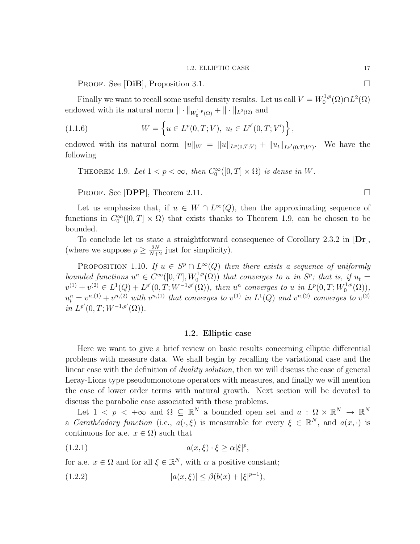PROOF. See [DiB], Proposition 3.1.

Finally we want to recall some useful density results. Let us call  $V = W_0^{1,p}$  $L^{1,p}(\Omega)\cap L^2(\Omega)$ endowed with its natural norm  $\|\cdot\|_{W_0^{1,p}(\Omega)} + \|\cdot\|_{L^2(\Omega)}$  and

(1.1.6) 
$$
W = \left\{ u \in L^p(0, T; V), \ u_t \in L^{p'}(0, T; V') \right\},
$$

endowed with its natural norm  $||u||_W = ||u||_{L^p(0,T;V)} + ||u_t||_{L^{p'}(0,T;V')}$ . We have the following

THEOREM 1.9. Let  $1 < p < \infty$ , then  $C_0^{\infty}([0, T] \times \Omega)$  is dense in W.

PROOF. See [DPP], Theorem 2.11.

Let us emphasize that, if  $u \in W \cap L^{\infty}(Q)$ , then the approximating sequence of functions in  $C_0^{\infty}([0,T] \times \Omega)$  that exists thanks to Theorem 1.9, can be chosen to be bounded.

To conclude let us state a straightforward consequence of Corollary 2.3.2 in [Dr], (where we suppose  $p \geq \frac{2N}{N+2}$  just for simplicity).

PROPOSITION 1.10. If  $u \in S^p \cap L^{\infty}(Q)$  then there exists a sequence of uniformly bounded functions  $u^n \in C^{\infty}([0,T],W_0^{1,p}(\Omega))$  that converges to u in  $S^p$ ; that is, if  $u_t =$  $v^{(1)} + v^{(2)} \in L^1(Q) + L^{p'}(0,T;W^{-1,p'}(\Omega))$ , then  $u^n$  converges to u in  $L^p(0,T;W_0^{1,p'}(0))$  $\binom{1,p}{0}$ ,  $u_t^n = v^{n,(1)} + v^{n,(2)}$  with  $v^{n,(1)}$  that converges to  $v^{(1)}$  in  $L^1(Q)$  and  $v^{n,(2)}$  converges to  $v^{(2)}$ in  $L^{p'}(0,T;W^{-1,p'}(\Omega)).$ 

# 1.2. Elliptic case

Here we want to give a brief review on basic results concerning elliptic differential problems with measure data. We shall begin by recalling the variational case and the linear case with the definition of *duality solution*, then we will discuss the case of general Leray-Lions type pseudomonotone operators with measures, and finally we will mention the case of lower order terms with natural growth. Next section will be devoted to discuss the parabolic case associated with these problems.

Let  $1 \leq p \leq +\infty$  and  $\Omega \subseteq \mathbb{R}^N$  a bounded open set and  $a : \Omega \times \mathbb{R}^N \to \mathbb{R}^N$ a *Carathéodory function* (i.e.,  $a(\cdot, \xi)$  is measurable for every  $\xi \in \mathbb{R}^N$ , and  $a(x, \cdot)$  is continuous for a.e.  $x \in \Omega$ ) such that

$$
(1.2.1) \t\t a(x,\xi) \cdot \xi \ge \alpha |\xi|^p,
$$

for a.e.  $x \in \Omega$  and for all  $\xi \in \mathbb{R}^N$ , with  $\alpha$  a positive constant;

(1.2.2) 
$$
|a(x,\xi)| \le \beta(b(x) + |\xi|^{p-1}),
$$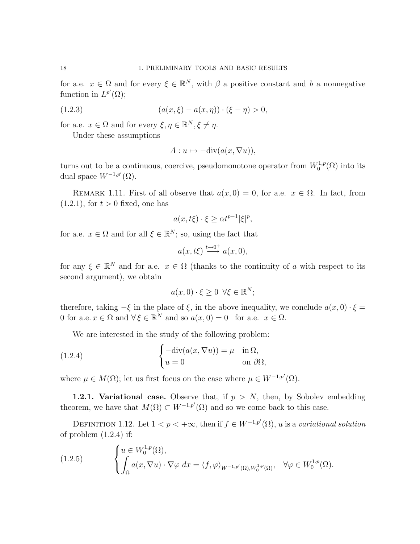for a.e.  $x \in \Omega$  and for every  $\xi \in \mathbb{R}^N$ , with  $\beta$  a positive constant and b a nonnegative function in  $L^{p'}(\Omega)$ ;

(1.2.3) 
$$
(a(x,\xi) - a(x,\eta)) \cdot (\xi - \eta) > 0,
$$

for a.e.  $x \in \Omega$  and for every  $\xi, \eta \in \mathbb{R}^N, \xi \neq \eta$ .

Under these assumptions

$$
A: u \mapsto -\mathrm{div}(a(x,\nabla u)),
$$

turns out to be a continuous, coercive, pseudomonotone operator from  $W_0^{1,p}$  $\mathcal{O}^{1,p}(\Omega)$  into its dual space  $W^{-1,p'}(\Omega)$ .

REMARK 1.11. First of all observe that  $a(x, 0) = 0$ , for a.e.  $x \in \Omega$ . In fact, from  $(1.2.1)$ , for  $t > 0$  fixed, one has

$$
a(x, t\xi) \cdot \xi \ge \alpha t^{p-1} |\xi|^p,
$$

for a.e.  $x \in \Omega$  and for all  $\xi \in \mathbb{R}^N$ ; so, using the fact that

$$
a(x, t\xi) \stackrel{t \to 0^+}{\longrightarrow} a(x, 0),
$$

for any  $\xi \in \mathbb{R}^N$  and for a.e.  $x \in \Omega$  (thanks to the continuity of a with respect to its second argument), we obtain

$$
a(x,0)\cdot\xi\geq 0 \ \forall \xi\in\mathbb{R}^N;
$$

therefore, taking  $-\xi$  in the place of  $\xi$ , in the above inequality, we conclude  $a(x, 0) \cdot \xi =$ 0 for a.e.  $x \in \Omega$  and  $\forall \xi \in \mathbb{R}^N$  and so  $a(x, 0) = 0$  for a.e.  $x \in \Omega$ .

We are interested in the study of the following problem:

(1.2.4) 
$$
\begin{cases}\n-\text{div}(a(x,\nabla u)) = \mu & \text{in } \Omega, \\
u = 0 & \text{on } \partial\Omega,\n\end{cases}
$$

where  $\mu \in M(\Omega)$ ; let us first focus on the case where  $\mu \in W^{-1,p'}(\Omega)$ .

**1.2.1. Variational case.** Observe that, if  $p > N$ , then, by Sobolev embedding theorem, we have that  $M(\Omega) \subset W^{-1,p'}(\Omega)$  and so we come back to this case.

DEFINITION 1.12. Let  $1 < p < +\infty$ , then if  $f \in W^{-1,p'}(\Omega)$ , u is a variational solution of problem  $(1.2.4)$  if:

(1.2.5) 
$$
\begin{cases} u \in W_0^{1,p}(\Omega), \\ \int_{\Omega} a(x, \nabla u) \cdot \nabla \varphi \, dx = \langle f, \varphi \rangle_{W^{-1,p'}(\Omega), W_0^{1,p}(\Omega)}, \quad \forall \varphi \in W_0^{1,p}(\Omega). \end{cases}
$$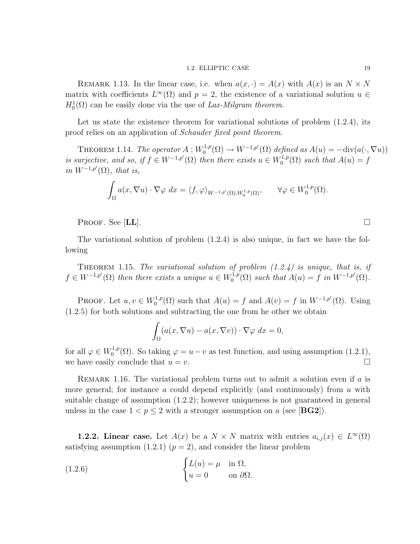# 1.2. ELLIPTIC CASE 19

REMARK 1.13. In the linear case, i.e. when  $a(x, \cdot) = A(x)$  with  $A(x)$  is an  $N \times N$ matrix with coefficients  $L^{\infty}(\Omega)$  and  $p = 2$ , the existence of a variational solution  $u \in$  $H_0^1(\Omega)$  can be easily done via the use of Lax-Milgram theorem.

Let us state the existence theorem for variational solutions of problem  $(1.2.4)$ , its proof relies on an application of Schauder fixed point theorem.

THEOREM 1.14. The operator  $A: W_0^{1,p}$  $\chi_0^{1,p}(\Omega) \to W^{-1,p'}(\Omega)$  defined as  $A(u) = -\text{div}(a(\cdot, \nabla u))$ is surjective, and so, if  $f \in W^{-1,p'}(\Omega)$  then there exists  $u \in W_0^{1,p'}$  $C_0^{1,p}(\Omega)$  such that  $A(u) = f$ in  $W^{-1,p'}(\Omega)$ , that is,

$$
\int_{\Omega} a(x, \nabla u) \cdot \nabla \varphi \, dx = \langle f, \varphi \rangle_{W^{-1,p'}(\Omega), W_0^{1,p}(\Omega)}, \qquad \forall \varphi \in W_0^{1,p}(\Omega).
$$

PROOF. See  $|{\bf LL}|$ .

The variational solution of problem (1.2.4) is also unique, in fact we have the following

THEOREM 1.15. The variational solution of problem  $(1.2.4)$  is unique, that is, if  $f \in W^{-1,p'}(\Omega)$  then there exists a unique  $u \in W_0^{1,p'}$  $L_0^{1,p}(\Omega)$  such that  $A(u) = f$  in  $W^{-1,p'}(\Omega)$ .

PROOF. Let  $u, v \in W_0^{1,p}$  $C_0^{1,p}(\Omega)$  such that  $A(u) = f$  and  $A(v) = f$  in  $W^{-1,p'}(\Omega)$ . Using (1.2.5) for both solutions and subtracting the one from he other we obtain

$$
\int_{\Omega} (a(x, \nabla u) - a(x, \nabla v)) \cdot \nabla \varphi \, dx = 0,
$$

for all  $\varphi \in W_0^{1,p}$  $v_0^{1,p}(\Omega)$ . So taking  $\varphi = u - v$  as test function, and using assumption (1.2.1), we have easily conclude that  $u = v$ .

REMARK 1.16. The variational problem turns out to admit a solution even if  $a$  is more general; for instance a could depend explicitly (and continuously) from  $u$  with suitable change of assumption (1.2.2); however uniqueness is not guaranteed in general unless in the case  $1 < p \leq 2$  with a stronger assumption on a (see [BG2]).

**1.2.2.** Linear case. Let  $A(x)$  be a  $N \times N$  matrix with entries  $a_{i,j}(x) \in L^{\infty}(\Omega)$ satisfying assumption (1.2.1) ( $p = 2$ ), and consider the linear problem

(1.2.6) 
$$
\begin{cases} L(u) = \mu & \text{in } \Omega, \\ u = 0 & \text{on } \partial \Omega. \end{cases}
$$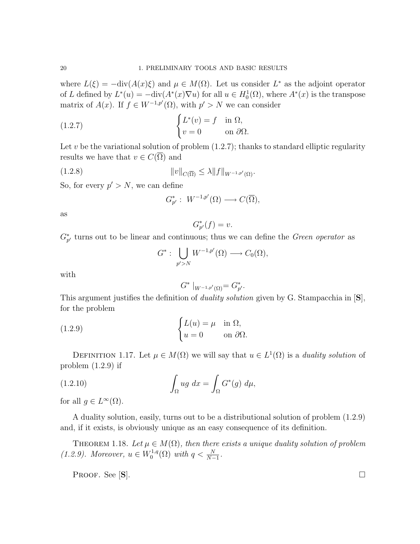where  $L(\xi) = -\text{div}(A(x)\xi)$  and  $\mu \in M(\Omega)$ . Let us consider  $L^*$  as the adjoint operator of L defined by  $L^*(u) = -\text{div}(A^*(x)\nabla u)$  for all  $u \in H_0^1(\Omega)$ , where  $A^*(x)$  is the transpose matrix of  $A(x)$ . If  $f \in W^{-1,p'}(\Omega)$ , with  $p' > N$  we can consider

(1.2.7) 
$$
\begin{cases} L^*(v) = f & \text{in } \Omega, \\ v = 0 & \text{on } \partial\Omega. \end{cases}
$$

Let v be the variational solution of problem  $(1.2.7)$ ; thanks to standard elliptic regularity results we have that  $v \in C(\overline{\Omega})$  and

$$
||v||_{C(\overline{\Omega})} \le \lambda ||f||_{W^{-1,p'}(\Omega)}.
$$

So, for every  $p' > N$ , we can define

$$
G_{p'}^*:\ W^{-1,p'}(\Omega)\longrightarrow C(\overline{\Omega}),
$$

as

$$
G_{p'}^*(f) = v.
$$

 $G_{p'}^*$  turns out to be linear and continuous; thus we can define the *Green operator* as

$$
G^*:\bigcup_{p'>N}W^{-1,p'}(\Omega)\longrightarrow C_0(\Omega),
$$

with

$$
G^* \mid_{W^{-1,p'}(\Omega)} = G_{p'}^*.
$$

This argument justifies the definition of *duality solution* given by G. Stampacchia in [S], for the problem

(1.2.9) 
$$
\begin{cases} L(u) = \mu & \text{in } \Omega, \\ u = 0 & \text{on } \partial \Omega. \end{cases}
$$

DEFINITION 1.17. Let  $\mu \in M(\Omega)$  we will say that  $u \in L^1(\Omega)$  is a *duality solution* of problem (1.2.9) if

(1.2.10) 
$$
\int_{\Omega} ug \ dx = \int_{\Omega} G^*(g) \ d\mu,
$$

for all  $g \in L^{\infty}(\Omega)$ .

A duality solution, easily, turns out to be a distributional solution of problem (1.2.9) and, if it exists, is obviously unique as an easy consequence of its definition.

THEOREM 1.18. Let  $\mu \in M(\Omega)$ , then there exists a unique duality solution of problem  $(1.2.9)$ . Moreover,  $u \in W_0^{1,q}$  $t_0^{1,q}(\Omega)$  with  $q < \frac{N}{N-1}$ .

Proof. See  $|\mathbf{S}|$ .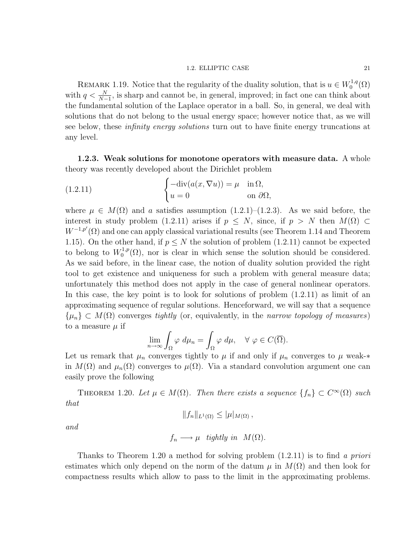### 1.2. ELLIPTIC CASE 21

REMARK 1.19. Notice that the regularity of the duality solution, that is  $u \in W_0^{1,q}$  $\zeta^{1,q}_0(\Omega)$ with  $q < \frac{N}{N-1}$ , is sharp and cannot be, in general, improved; in fact one can think about the fundamental solution of the Laplace operator in a ball. So, in general, we deal with solutions that do not belong to the usual energy space; however notice that, as we will see below, these *infinity energy solutions* turn out to have finite energy truncations at any level.

1.2.3. Weak solutions for monotone operators with measure data. A whole theory was recently developed about the Dirichlet problem

(1.2.11) 
$$
\begin{cases} -\operatorname{div}(a(x,\nabla u)) = \mu & \text{in } \Omega, \\ u = 0 & \text{on } \partial \Omega, \end{cases}
$$

where  $\mu \in M(\Omega)$  and a satisfies assumption (1.2.1)–(1.2.3). As we said before, the interest in study problem (1.2.11) arises if  $p \leq N$ , since, if  $p > N$  then  $M(\Omega) \subset$  $W^{-1,p'}(\Omega)$  and one can apply classical variational results (see Theorem 1.14 and Theorem 1.15). On the other hand, if  $p \leq N$  the solution of problem (1.2.11) cannot be expected to belong to  $W_0^{1,p}$  $0^{(1,p)}(0)$ , nor is clear in which sense the solution should be considered. As we said before, in the linear case, the notion of duality solution provided the right tool to get existence and uniqueness for such a problem with general measure data; unfortunately this method does not apply in the case of general nonlinear operators. In this case, the key point is to look for solutions of problem  $(1.2.11)$  as limit of an approximating sequence of regular solutions. Henceforward, we will say that a sequence  $\{\mu_n\} \subset M(\Omega)$  converges tightly (or, equivalently, in the narrow topology of measures) to a measure  $\mu$  if

$$
\lim_{n \to \infty} \int_{\Omega} \varphi \, d\mu_n = \int_{\Omega} \varphi \, d\mu, \quad \forall \varphi \in C(\overline{\Omega}).
$$

Let us remark that  $\mu_n$  converges tightly to  $\mu$  if and only if  $\mu_n$  converges to  $\mu$  weak-\* in  $M(\Omega)$  and  $\mu_n(\Omega)$  converges to  $\mu(\Omega)$ . Via a standard convolution argument one can easily prove the following

THEOREM 1.20. Let  $\mu \in M(\Omega)$ . Then there exists a sequence  $\{f_n\} \subset C^{\infty}(\Omega)$  such that

$$
||f_n||_{L^1(\Omega)} \leq |\mu|_{M(\Omega)},
$$

and

$$
f_n \longrightarrow \mu
$$
 tightly in  $M(\Omega)$ .

Thanks to Theorem 1.20 a method for solving problem  $(1.2.11)$  is to find a priori estimates which only depend on the norm of the datum  $\mu$  in  $M(\Omega)$  and then look for compactness results which allow to pass to the limit in the approximating problems.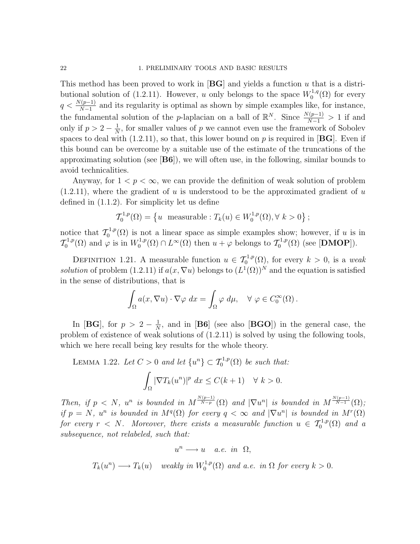This method has been proved to work in  $[\overline{BG}]$  and yields a function u that is a distributional solution of (1.2.11). However, u only belongs to the space  $W_0^{1,q}$  $\chi_0^{1,q}(\Omega)$  for every  $q < \frac{N(p-1)}{N-1}$  and its regularity is optimal as shown by simple examples like, for instance, the fundamental solution of the *p*-laplacian on a ball of  $\mathbb{R}^N$ . Since  $\frac{N(p-1)}{N-1} > 1$  if and only if  $p > 2 - \frac{1}{N}$  $\frac{1}{N}$ , for smaller values of p we cannot even use the framework of Sobolev spaces to deal with  $(1.2.11)$ , so that, this lower bound on p is required in [BG]. Even if this bound can be overcome by a suitable use of the estimate of the truncations of the approximating solution (see  $[B6]$ ), we will often use, in the following, similar bounds to avoid technicalities.

Anyway, for  $1 < p < \infty$ , we can provide the definition of weak solution of problem  $(1.2.11)$ , where the gradient of u is understood to be the approximated gradient of u defined in (1.1.2). For simplicity let us define

$$
\mathcal{T}_0^{1,p}(\Omega) = \left\{ u \text{ measurable} : T_k(u) \in W_0^{1,p}(\Omega), \forall k > 0 \right\};
$$

notice that  $\mathcal{T}_0^{1,p}$  $\zeta_0^{1,p}(\Omega)$  is not a linear space as simple examples show; however, if u is in  $\mathcal{T}^{1,p}_0$  $\mathcal{O}_0^{-1,p}(\Omega)$  and  $\varphi$  is in  $W_0^{1,p}$  $\chi_0^{1,p}(\Omega) \cap L^{\infty}(\Omega)$  then  $u + \varphi$  belongs to  $\mathcal{T}_0^{1,p}$  $\mathcal{C}_0^{1,p}(\Omega)$  (see [DMOP]).

DEFINITION 1.21. A measurable function  $u \in \mathcal{T}_0^{1,p}(\Omega)$ , for every  $k > 0$ , is a weak solution of problem (1.2.11) if  $a(x, \nabla u)$  belongs to  $(L^1(\Omega))^N$  and the equation is satisfied in the sense of distributions, that is

$$
\int_{\Omega} a(x, \nabla u) \cdot \nabla \varphi \, dx = \int_{\Omega} \varphi \, d\mu, \quad \forall \varphi \in C_0^{\infty}(\Omega).
$$

In [BG], for  $p > 2 - \frac{1}{N}$  $\frac{1}{N}$ , and in [B6] (see also [BGO]) in the general case, the problem of existence of weak solutions of (1.2.11) is solved by using the following tools, which we here recall being key results for the whole theory.

LEMMA 1.22. Let  $C > 0$  and let  $\{u^n\} \subset \mathcal{T}_0^{1,p}(\Omega)$  be such that: Z Ω  $|\nabla T_k(u^n)|^p dx \leq C(k+1) \quad \forall k > 0.$ 

Then, if  $p \leq N$ ,  $u^n$  is bounded in  $M^{\frac{N(p-1)}{N-p}}(\Omega)$  and  $|\nabla u^n|$  is bounded in  $M^{\frac{N(p-1)}{N-1}}(\Omega)$ ; if  $p = N$ ,  $u^n$  is bounded in  $M<sup>q</sup>(\Omega)$  for every  $q < \infty$  and  $|\nabla u^n|$  is bounded in  $M<sup>r</sup>(\Omega)$ for every  $r < N$ . Moreover, there exists a measurable function  $u \in \mathcal{T}_0^{1,p}(\Omega)$  and a subsequence, not relabeled, such that:

$$
u^{n} \longrightarrow u \quad a.e. \text{ in } \Omega,
$$
  

$$
T_{k}(u^{n}) \longrightarrow T_{k}(u) \quad weakly \text{ in } W_{0}^{1,p}(\Omega) \text{ and a.e. in } \Omega \text{ for every } k > 0.
$$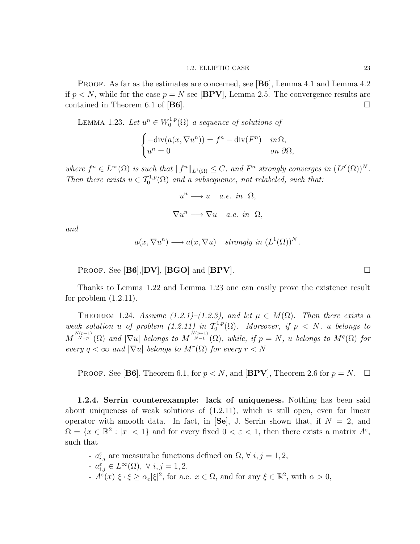PROOF. As far as the estimates are concerned, see [B6], Lemma 4.1 and Lemma 4.2 if  $p < N$ , while for the case  $p = N$  see [BPV], Lemma 2.5. The convergence results are contained in Theorem 6.1 of [B6].

LEMMA 1.23. Let  $u^n \in W_0^{1,p}$  $\mathcal{O}_0^{1,p}(\Omega)$  a sequence of solutions of

$$
\begin{cases}\n-\text{div}(a(x,\nabla u^n)) = f^n - \text{div}(F^n) & \text{in } \Omega, \\
u^n = 0 & \text{on } \partial\Omega,\n\end{cases}
$$

where  $f^n \in L^{\infty}(\Omega)$  is such that  $||f^n||_{L^1(\Omega)} \leq C$ , and  $F^n$  strongly converges in  $(L^{p'}(\Omega))^N$ . Then there exists  $u \in \mathcal{T}_0^{1,p}(\Omega)$  and a subsequence, not relabeled, such that:

 $u^n \longrightarrow u$  a.e. in  $\Omega$ ,

$$
\nabla u^n \longrightarrow \nabla u \quad a.e. \text{ in } \Omega,
$$

and

$$
a(x, \nabla u^n) \longrightarrow a(x, \nabla u)
$$
 strongly in  $(L^1(\Omega))^N$ .

PROOF. See  $[B6], [DV]$ ,  $[BGO]$  and  $[BPV]$ .

Thanks to Lemma 1.22 and Lemma 1.23 one can easily prove the existence result for problem  $(1.2.11)$ .

THEOREM 1.24. Assume (1.2.1)–(1.2.3), and let  $\mu \in M(\Omega)$ . Then there exists a weak solution u of problem  $(1.2.11)$  in  $\mathcal{T}_0^{1,p}$  $C_0^{1,p}(\Omega)$ . Moreover, if  $p \langle N, u \rangle$  belongs to  $M^{\frac{N(p-1)}{N-p}}(\Omega)$  and  $|\nabla u|$  belongs to  $M^{\frac{N(p-1)}{N-1}}(\Omega)$ , while, if  $p = N$ , u belongs to  $M^q(\Omega)$  for every  $q < \infty$  and  $|\nabla u|$  belongs to  $M^r(\Omega)$  for every  $r < N$ 

**PROOF.** See [**B6**], Theorem 6.1, for  $p < N$ , and [**BPV**], Theorem 2.6 for  $p = N$ .  $\Box$ 

1.2.4. Serrin counterexample: lack of uniqueness. Nothing has been said about uniqueness of weak solutions of (1.2.11), which is still open, even for linear operator with smooth data. In fact, in  $\text{[Se]}$ , J. Serrin shown that, if  $N = 2$ , and  $\Omega = \{x \in \mathbb{R}^2 : |x| < 1\}$  and for every fixed  $0 < \varepsilon < 1$ , then there exists a matrix  $A^\varepsilon$ , such that

- $a_{i,j}^{\varepsilon}$  are measurabe functions defined on  $\Omega$ ,  $\forall i, j = 1, 2$ ,
- $a_{i,j}^{\varepsilon} \in L^{\infty}(\Omega), \ \forall \ i,j=1,2,$
- $A^{\tilde{\varepsilon}}(x) \xi \cdot \xi \ge \alpha_{\varepsilon} |\xi|^2$ , for a.e.  $x \in \Omega$ , and for any  $\xi \in \mathbb{R}^2$ , with  $\alpha > 0$ ,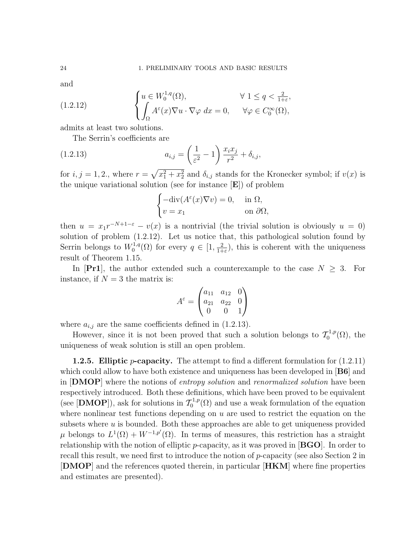and

(1.2.12) 
$$
\begin{cases} u \in W_0^{1,q}(\Omega), & \forall 1 \le q < \frac{2}{1+\varepsilon}, \\ \int_{\Omega} A^{\varepsilon}(x) \nabla u \cdot \nabla \varphi \, dx = 0, & \forall \varphi \in C_0^{\infty}(\Omega), \end{cases}
$$

admits at least two solutions.

The Serrin's coefficients are

(1.2.13) 
$$
a_{i,j} = \left(\frac{1}{\varepsilon^2} - 1\right) \frac{x_i x_j}{r^2} + \delta_{i,j},
$$

for  $i, j = 1, 2$ ., where  $r = \sqrt{x_1^2 + x_2^2}$  and  $\delta_{i,j}$  stands for the Kronecker symbol; if  $v(x)$  is the unique variational solution (see for instance [E]) of problem

$$
\begin{cases}\n-\text{div}(A^{\varepsilon}(x)\nabla v) = 0, & \text{in } \Omega, \\
v = x_1 & \text{on } \partial\Omega,\n\end{cases}
$$

then  $u = x_1 r^{-N+1-\epsilon} - v(x)$  is a nontrivial (the trivial solution is obviously  $u = 0$ ) solution of problem (1.2.12). Let us notice that, this pathological solution found by Serrin belongs to  $W_0^{1,q}$  $q_0^{-1,q}(\Omega)$  for every  $q \in [1, \frac{2}{1+1}]$  $\frac{2}{1+\epsilon}$ , this is coherent with the uniqueness result of Theorem 1.15.

In [Pr1], the author extended such a counterexample to the case  $N \geq 3$ . For instance, if  $N = 3$  the matrix is:

$$
A^{\varepsilon} = \begin{pmatrix} a_{11} & a_{12} & 0 \\ a_{21} & a_{22} & 0 \\ 0 & 0 & 1 \end{pmatrix}
$$

where  $a_{i,j}$  are the same coefficients defined in (1.2.13).

However, since it is not been proved that such a solution belongs to  $\mathcal{T}_0^{1,p}$  $_{0}^{-1,p}(\Omega)$ , the uniqueness of weak solution is still an open problem.

**1.2.5.** Elliptic *p*-capacity. The attempt to find a different formulation for  $(1.2.11)$ which could allow to have both existence and uniqueness has been developed in [**B6**] and in **[DMOP**] where the notions of *entropy solution* and *renormalized solution* have been respectively introduced. Both these definitions, which have been proved to be equivalent (see [DMOP]), ask for solutions in  $\mathcal{T}_0^{1,p}$  $C_0^{1,p}(\Omega)$  and use a weak formulation of the equation where nonlinear test functions depending on  $u$  are used to restrict the equation on the subsets where  $u$  is bounded. Both these approaches are able to get uniqueness provided  $\mu$  belongs to  $L^1(\Omega) + W^{-1,p'}(\Omega)$ . In terms of measures, this restriction has a straight relationship with the notion of elliptic p-capacity, as it was proved in  $[BGO]$ . In order to recall this result, we need first to introduce the notion of p-capacity (see also Section 2 in [DMOP] and the references quoted therein, in particular [HKM] where fine properties and estimates are presented).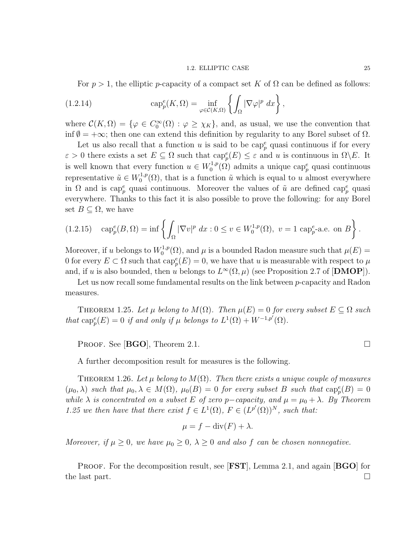For  $p > 1$ , the elliptic p-capacity of a compact set K of  $\Omega$  can be defined as follows:

(1.2.14) 
$$
\operatorname{cap}_p^e(K,\Omega) = \inf_{\varphi \in \mathcal{C}(K,\Omega)} \left\{ \int_{\Omega} |\nabla \varphi|^p \ dx \right\},
$$

where  $\mathcal{C}(K,\Omega) = \{ \varphi \in C_0^{\infty}(\Omega) : \varphi \geq \chi_K \}$ , and, as usual, we use the convention that inf  $\emptyset = +\infty$ ; then one can extend this definition by regularity to any Borel subset of  $\Omega$ .

Let us also recall that a function u is said to be  $\text{cap}_p^e$  quasi continuous if for every  $\varepsilon > 0$  there exists a set  $E \subseteq \Omega$  such that  $\text{cap}_p^e(E) \leq \varepsilon$  and u is continuous in  $\Omega \backslash E$ . It is well known that every function  $u \in W_0^{1,p}$  $C_0^{1,p}(\Omega)$  admits a unique cap<sup>e</sup> quasi continuous representative  $\tilde{u} \in W_0^{1,p}$  $\tilde{u}^{(1,p)}(0)$ , that is a function  $\tilde{u}$  which is equal to u almost everywhere in  $\Omega$  and is cap<sub>p</sub><sup>e</sup> quasi continuous. Moreover the values of  $\tilde{u}$  are defined cap<sub>p</sub><sup>e</sup> quasi everywhere. Thanks to this fact it is also possible to prove the following: for any Borel set  $B \subseteq \Omega$ , we have

(1.2.15) 
$$
\text{cap}_{p}^{e}(B,\Omega) = \inf \left\{ \int_{\Omega} |\nabla v|^{p} dx : 0 \le v \in W_{0}^{1,p}(\Omega), v = 1 \text{ cap}_{p}^{e}\text{-a.e. on } B \right\}.
$$

Moreover, if u belongs to  $W_0^{1,p}$  $\mu_0^{(1,p)}(\Omega)$ , and  $\mu$  is a bounded Radon measure such that  $\mu(E) =$ 0 for every  $E \subset \Omega$  such that  $\text{cap}_p^e(E) = 0$ , we have that u is measurable with respect to  $\mu$ and, if u is also bounded, then u belongs to  $L^{\infty}(\Omega,\mu)$  (see Proposition 2.7 of [DMOP]).

Let us now recall some fundamental results on the link between *p*-capacity and Radon measures.

THEOREM 1.25. Let  $\mu$  belong to  $M(\Omega)$ . Then  $\mu(E) = 0$  for every subset  $E \subset \Omega$  such that  $\text{cap}_p^e(E) = 0$  if and only if  $\mu$  belongs to  $L^1(\Omega) + W^{-1,p'}(\Omega)$ .

PROOF. See [BGO], Theorem 2.1.  $\Box$ 

A further decomposition result for measures is the following.

THEOREM 1.26. Let  $\mu$  belong to  $M(\Omega)$ . Then there exists a unique couple of measures  $(\mu_0, \lambda)$  such that  $\mu_0, \lambda \in M(\Omega)$ ,  $\mu_0(B) = 0$  for every subset B such that  $\text{cap}_p^e(B) = 0$ while  $\lambda$  is concentrated on a subset E of zero p-capacity, and  $\mu = \mu_0 + \lambda$ . By Theorem 1.25 we then have that there exist  $f \in L^1(\Omega)$ ,  $F \in (L^{p'}(\Omega))^N$ , such that:

$$
\mu = f - \operatorname{div}(F) + \lambda.
$$

Moreover, if  $\mu \geq 0$ , we have  $\mu_0 \geq 0$ ,  $\lambda \geq 0$  and also f can be chosen nonnegative.

PROOF. For the decomposition result, see [FST], Lemma 2.1, and again [BGO] for the last part.  $\square$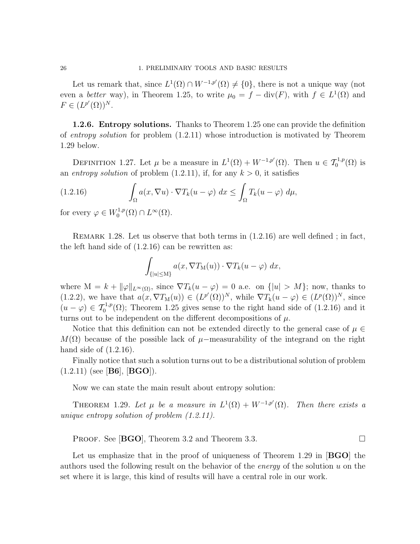Let us remark that, since  $L^1(\Omega) \cap W^{-1,p'}(\Omega) \neq \{0\}$ , there is not a unique way (not even a *better* way), in Theorem 1.25, to write  $\mu_0 = f - \text{div}(F)$ , with  $f \in L^1(\Omega)$  and  $F \in (L^{p'}(\Omega))^N$ .

1.2.6. Entropy solutions. Thanks to Theorem 1.25 one can provide the definition of entropy solution for problem (1.2.11) whose introduction is motivated by Theorem 1.29 below.

DEFINITION 1.27. Let  $\mu$  be a measure in  $L^1(\Omega) + W^{-1,p'}(\Omega)$ . Then  $u \in \mathcal{T}_0^{1,p}(\Omega)$  is an entropy solution of problem  $(1.2.11)$ , if, for any  $k > 0$ , it satisfies

(1.2.16) 
$$
\int_{\Omega} a(x, \nabla u) \cdot \nabla T_k(u - \varphi) dx \leq \int_{\Omega} T_k(u - \varphi) d\mu,
$$

for every  $\varphi \in W_0^{1,p}$  $L^{1,p}(\Omega) \cap L^{\infty}(\Omega).$ 

REMARK 1.28. Let us observe that both terms in  $(1.2.16)$  are well defined; in fact, the left hand side of (1.2.16) can be rewritten as:

$$
\int_{\{|u| \le M\}} a(x, \nabla T_{M}(u)) \cdot \nabla T_{k}(u - \varphi) dx,
$$

where  $M = k + ||\varphi||_{L^{\infty}(\Omega)}$ , since  $\nabla T_k(u - \varphi) = 0$  a.e. on  $\{|u| > M\}$ ; now, thanks to (1.2.2), we have that  $a(x, \nabla T_{M}(u)) \in (L^{p'}(\Omega))^{N}$ , while  $\nabla T_{k}(u - \varphi) \in (L^{p}(\Omega))^{N}$ , since  $(u - \varphi) \in \mathcal{T}_0^{1,p}(\Omega)$ ; Theorem 1.25 gives sense to the right hand side of (1.2.16) and it turns out to be independent on the different decompositions of  $\mu$ .

Notice that this definition can not be extended directly to the general case of  $\mu \in$  $M(\Omega)$  because of the possible lack of  $\mu$ −measurability of the integrand on the right hand side of (1.2.16).

Finally notice that such a solution turns out to be a distributional solution of problem  $(1.2.11)$  (see [**B6**], [**BGO**]).

Now we can state the main result about entropy solution:

THEOREM 1.29. Let  $\mu$  be a measure in  $L^1(\Omega) + W^{-1,p'}(\Omega)$ . Then there exists a unique entropy solution of problem (1.2.11).

PROOF. See [**BGO**], Theorem 3.2 and Theorem 3.3.

Let us emphasize that in the proof of uniqueness of Theorem 1.29 in **BGO** the authors used the following result on the behavior of the energy of the solution  $u$  on the set where it is large, this kind of results will have a central role in our work.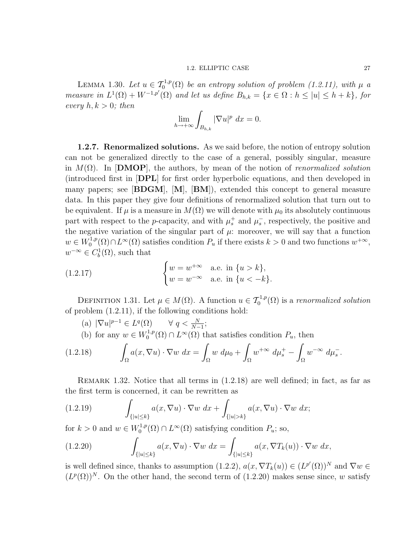# 1.2. ELLIPTIC CASE 27

LEMMA 1.30. Let  $u \in \mathcal{T}_0^{1,p}(\Omega)$  be an entropy solution of problem (1.2.11), with  $\mu$  a measure in  $L^1(\Omega) + W^{-1,p'}(\Omega)$  and let us define  $B_{h,k} = \{x \in \Omega : h \leq |u| \leq h + k\}$ , for every  $h, k > 0$ ; then

$$
\lim_{h \to +\infty} \int_{B_{h,k}} |\nabla u|^p \ dx = 0.
$$

1.2.7. Renormalized solutions. As we said before, the notion of entropy solution can not be generalized directly to the case of a general, possibly singular, measure in  $M(\Omega)$ . In **[DMOP**], the authors, by mean of the notion of *renormalized solution* (introduced first in [DPL] for first order hyperbolic equations, and then developed in many papers; see  $[B\text{DGM}], [M], [BM],$  extended this concept to general measure data. In this paper they give four definitions of renormalized solution that turn out to be equivalent. If  $\mu$  is a measure in  $M(\Omega)$  we will denote with  $\mu_0$  its absolutely continuous part with respect to the *p*-capacity, and with  $\mu_s^+$  and  $\mu_s^-$ , respectively, the positive and the negative variation of the singular part of  $\mu$ : moreover, we will say that a function  $w \in W_0^{1,p}$  $C_0^{1,p}(\Omega) \cap L^{\infty}(\Omega)$  satisfies condition  $P_u$  if there exists  $k > 0$  and two functions  $w^{+\infty}$ ,  $w^{-\infty} \in C_b^1(\Omega)$ , such that

(1.2.17) 
$$
\begin{cases} w = w^{+\infty} & \text{a.e. in } \{u > k\}, \\ w = w^{-\infty} & \text{a.e. in } \{u < -k\}. \end{cases}
$$

DEFINITION 1.31. Let  $\mu \in M(\Omega)$ . A function  $u \in \mathcal{T}_0^{1,p}(\Omega)$  is a renormalized solution of problem (1.2.11), if the following conditions hold:

(a)  $|\nabla u|^{p-1} \in L^q(\Omega) \quad \forall q < \frac{N}{N-1};$ (b) for any  $w \in W_0^{1,p}$  $L^{1,p}(\Omega) \cap L^{\infty}(\Omega)$  that satisfies condition  $P_u$ , then  $(1.2.18)$ Ω  $a(x,\nabla u)\cdot \nabla w\ dx =$ Ω  $w \, d\mu_0 +$ Ω  $w^{+\infty} d\mu_s^+ -$ Ω  $w^{-\infty} d\mu_s^-$ .

Remark 1.32. Notice that all terms in (1.2.18) are well defined; in fact, as far as the first term is concerned, it can be rewritten as

(1.2.19) 
$$
\int_{\{|u| \le k\}} a(x, \nabla u) \cdot \nabla w \, dx + \int_{\{|u| > k\}} a(x, \nabla u) \cdot \nabla w \, dx;
$$

for  $k > 0$  and  $w \in W_0^{1,p}$  $L^{1,p}(\Omega) \cap L^{\infty}(\Omega)$  satisfying condition  $P_u$ ; so,

(1.2.20) 
$$
\int_{\{|u| \le k\}} a(x, \nabla u) \cdot \nabla w \, dx = \int_{\{|u| \le k\}} a(x, \nabla T_k(u)) \cdot \nabla w \, dx,
$$

is well defined since, thanks to assumption (1.2.2),  $a(x, \nabla T_k(u)) \in (L^{p'}(\Omega))^N$  and  $\nabla w \in$  $(L^p(\Omega))^N$ . On the other hand, the second term of (1.2.20) makes sense since, w satisfy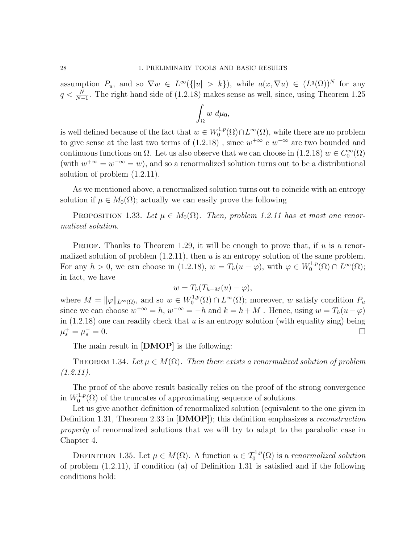assumption  $P_u$ , and so  $\nabla w \in L^{\infty}(\{|u| > k\})$ , while  $a(x, \nabla u) \in (L^q(\Omega))^N$  for any  $q < \frac{N}{N-1}$ . The right hand side of (1.2.18) makes sense as well, since, using Theorem 1.25

$$
\int_{\Omega} w \ d\mu_0,
$$

is well defined because of the fact that  $w \in W_0^{1,p}$  $L^{1,p}(\Omega) \cap L^{\infty}(\Omega)$ , while there are no problem to give sense at the last two terms of  $(1.2.18)$ , since  $w^{+\infty}$  e  $w^{-\infty}$  are two bounded and continuous functions on  $\Omega$ . Let us also observe that we can choose in (1.2.18)  $w \in C_0^{\infty}(\Omega)$ (with  $w^{+\infty} = w^{-\infty} = w$ ), and so a renormalized solution turns out to be a distributional solution of problem (1.2.11).

As we mentioned above, a renormalized solution turns out to coincide with an entropy solution if  $\mu \in M_0(\Omega)$ ; actually we can easily prove the following

PROPOSITION 1.33. Let  $\mu \in M_0(\Omega)$ . Then, problem 1.2.11 has at most one renormalized solution.

**PROOF.** Thanks to Theorem 1.29, it will be enough to prove that, if u is a renormalized solution of problem  $(1.2.11)$ , then u is an entropy solution of the same problem. For any  $h > 0$ , we can choose in (1.2.18),  $w = T_h(u - \varphi)$ , with  $\varphi \in W_0^{1,p}$  $L^{1,p}(\Omega) \cap L^{\infty}(\Omega);$ in fact, we have

$$
w = T_h(T_{h+M}(u) - \varphi),
$$

where  $M = ||\varphi||_{L^{\infty}(\Omega)}$ , and so  $w \in W_0^{1,p}$  $U_0^{1,p}(\Omega) \cap L^{\infty}(\Omega)$ ; moreover, w satisfy condition  $P_u$ since we can choose  $w^{+\infty} = h$ ,  $w^{-\infty} = -h$  and  $k = h + M$ . Hence, using  $w = T_h(u - \varphi)$ in  $(1.2.18)$  one can readily check that u is an entropy solution (with equality sing) being  $\mu_s^+ = \mu_s^$  $s<sub>s</sub> = 0.$ 

The main result in  $[DMOP]$  is the following:

THEOREM 1.34. Let  $\mu \in M(\Omega)$ . Then there exists a renormalized solution of problem  $(1.2.11).$ 

The proof of the above result basically relies on the proof of the strong convergence in  $W_0^{1,p}$  $0^{(1,p)}(0)$  of the truncates of approximating sequence of solutions.

Let us give another definition of renormalized solution (equivalent to the one given in Definition 1.31, Theorem 2.33 in [DMOP]); this definition emphasizes a reconstruction property of renormalized solutions that we will try to adapt to the parabolic case in Chapter 4.

DEFINITION 1.35. Let  $\mu \in M(\Omega)$ . A function  $u \in \mathcal{T}_0^{1,p}(\Omega)$  is a renormalized solution of problem (1.2.11), if condition (a) of Definition 1.31 is satisfied and if the following conditions hold: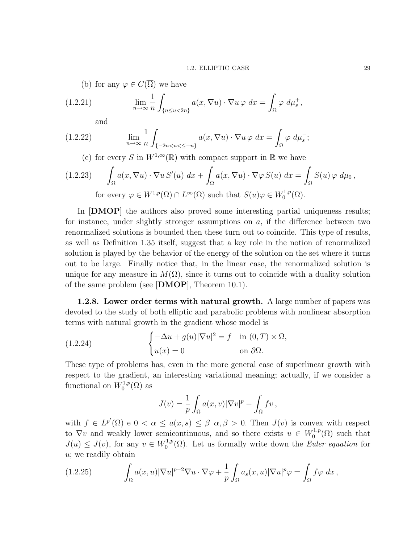(b) for any  $\varphi \in C(\overline{\Omega})$  we have

(1.2.21) 
$$
\lim_{n \to \infty} \frac{1}{n} \int_{\{n \le u < 2n\}} a(x, \nabla u) \cdot \nabla u \varphi \, dx = \int_{\Omega} \varphi \, d\mu_s^+,
$$

and

(1.2.22) 
$$
\lim_{n \to \infty} \frac{1}{n} \int_{\{-2n < u < \leq -n\}} a(x, \nabla u) \cdot \nabla u \varphi \, dx = \int_{\Omega} \varphi \, d\mu_s^-;
$$

(c) for every S in  $W^{1,\infty}(\mathbb{R})$  with compact support in  $\mathbb R$  we have

$$
(1.2.23) \int_{\Omega} a(x, \nabla u) \cdot \nabla u S'(u) dx + \int_{\Omega} a(x, \nabla u) \cdot \nabla \varphi S(u) dx = \int_{\Omega} S(u) \varphi d\mu_0,
$$
  
for every  $\varphi \in W^{1,p}(\Omega) \cap L^{\infty}(\Omega)$  such that  $S(u)\varphi \in W_0^{1,p}(\Omega)$ .

In [DMOP] the authors also proved some interesting partial uniqueness results; for instance, under slightly stronger assumptions on  $a$ , if the difference between two renormalized solutions is bounded then these turn out to coincide. This type of results, as well as Definition 1.35 itself, suggest that a key role in the notion of renormalized solution is played by the behavior of the energy of the solution on the set where it turns out to be large. Finally notice that, in the linear case, the renormalized solution is unique for any measure in  $M(\Omega)$ , since it turns out to coincide with a duality solution of the same problem (see [DMOP], Theorem 10.1).

1.2.8. Lower order terms with natural growth. A large number of papers was devoted to the study of both elliptic and parabolic problems with nonlinear absorption terms with natural growth in the gradient whose model is

(1.2.24) 
$$
\begin{cases} -\Delta u + g(u) |\nabla u|^2 = f & \text{in } (0, T) \times \Omega, \\ u(x) = 0 & \text{on } \partial \Omega. \end{cases}
$$

These type of problems has, even in the more general case of superlinear growth with respect to the gradient, an interesting variational meaning; actually, if we consider a functional on  $W_0^{1,p}$  $_{0}^{\mathfrak{c1,p}}(\Omega)$  as

$$
J(v) = \frac{1}{p} \int_{\Omega} a(x, v) |\nabla v|^p - \int_{\Omega} f v,
$$

with  $f \in L^{p'}(\Omega)$  e  $0 < \alpha \leq a(x, s) \leq \beta \alpha, \beta > 0$ . Then  $J(v)$  is convex with respect to  $\nabla v$  and weakly lower semicontinuous, and so there exists  $u \in W_0^{1,p}$  $L_0^{1,p}(\Omega)$  such that  $J(u) \leq J(v)$ , for any  $v \in W_0^{1,p}$  $\mathcal{L}_{0}^{1,p}(\Omega)$ . Let us formally write down the *Euler equation* for u; we readily obtain

(1.2.25) 
$$
\int_{\Omega} a(x, u) |\nabla u|^{p-2} \nabla u \cdot \nabla \varphi + \frac{1}{p} \int_{\Omega} a_s(x, u) |\nabla u|^p \varphi = \int_{\Omega} f \varphi \ dx,
$$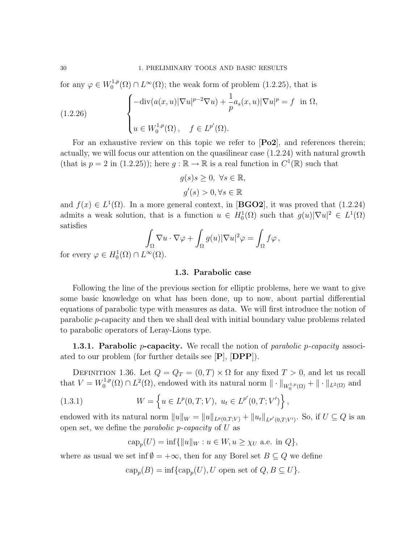for any  $\varphi \in W_0^{1,p}$  $L_0^{1,p}(\Omega) \cap L^{\infty}(\Omega)$ ; the weak form of problem (1.2.25), that is

(1.2.26) 
$$
\begin{cases}\n-\text{div}(a(x,u)|\nabla u|^{p-2}\nabla u) + \frac{1}{p}a_s(x,u)|\nabla u|^p = f & \text{in } \Omega, \\
u \in W_0^{1,p}(\Omega), \quad f \in L^{p'}(\Omega).\n\end{cases}
$$

For an exhaustive review on this topic we refer to  $\mathbf{Po2}$ , and references therein; actually, we will focus our attention on the quasilinear case (1.2.24) with natural growth (that is  $p = 2$  in (1.2.25)); here  $g : \mathbb{R} \to \mathbb{R}$  is a real function in  $C^1(\mathbb{R})$  such that

$$
g(s)s \ge 0, \ \forall s \in \mathbb{R},
$$
  

$$
g'(s) > 0, \forall s \in \mathbb{R}
$$

and  $f(x) \in L^1(\Omega)$ . In a more general context, in [**BGO2**], it was proved that (1.2.24) admits a weak solution, that is a function  $u \in H_0^1(\Omega)$  such that  $g(u)|\nabla u|^2 \in L^1(\Omega)$ satisfies

$$
\int_{\Omega} \nabla u \cdot \nabla \varphi + \int_{\Omega} g(u) |\nabla u|^2 \varphi = \int_{\Omega} f \varphi,
$$

for every  $\varphi \in H_0^1(\Omega) \cap L^\infty(\Omega)$ .

# 1.3. Parabolic case

Following the line of the previous section for elliptic problems, here we want to give some basic knowledge on what has been done, up to now, about partial differential equations of parabolic type with measures as data. We will first introduce the notion of parabolic p-capacity and then we shall deal with initial boundary value problems related to parabolic operators of Leray-Lions type.

**1.3.1. Parabolic p-capacity.** We recall the notion of *parabolic p-capacity* associated to our problem (for further details see [P], [DPP]).

DEFINITION 1.36. Let  $Q = Q_T = (0, T) \times \Omega$  for any fixed  $T > 0$ , and let us recall that  $V = W_0^{1,p}$  $\int_0^{1,p}(\Omega) \cap L^2(\Omega)$ , endowed with its natural norm  $\|\cdot\|_{W_0^{1,p}(\Omega)} + \|\cdot\|_{L^2(\Omega)}$  and

(1.3.1) 
$$
W = \left\{ u \in L^p(0, T; V), \ u_t \in L^{p'}(0, T; V') \right\}
$$

endowed with its natural norm  $||u||_W = ||u||_{L^p(0,T;V)} + ||u_t||_{L^{p'}(0,T;V')}$ . So, if  $U \subseteq Q$  is an open set, we define the *parabolic p-capacity* of  $U$  as

,

$$
\operatorname{cap}_p(U) = \inf \{ ||u||_W : u \in W, u \ge \chi_U \text{ a.e. in } Q \},
$$

where as usual we set inf  $\emptyset = +\infty$ , then for any Borel set  $B \subseteq Q$  we define

$$
cap_p(B) = inf\{cap_p(U), U \text{ open set of } Q, B \subseteq U\}.
$$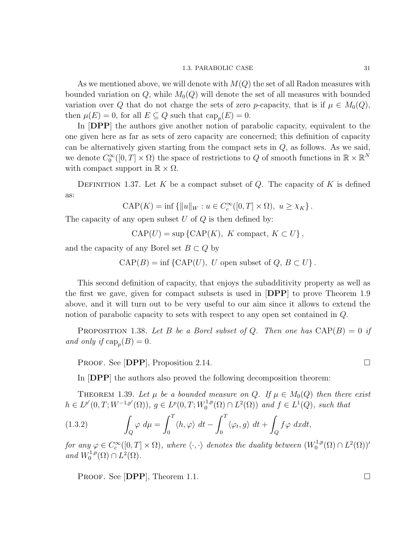## 1.3. PARABOLIC CASE 31

As we mentioned above, we will denote with  $M(Q)$  the set of all Radon measures with bounded variation on  $Q$ , while  $M_0(Q)$  will denote the set of all measures with bounded variation over Q that do not charge the sets of zero p-capacity, that is if  $\mu \in M_0(Q)$ , then  $\mu(E) = 0$ , for all  $E \subseteq Q$  such that  $\text{cap}_p(E) = 0$ .

In [DPP] the authors give another notion of parabolic capacity, equivalent to the one given here as far as sets of zero capacity are concerned; this definition of capacity can be alternatively given starting from the compact sets in  $Q$ , as follows. As we said, we denote  $C_0^{\infty}([0,T] \times \Omega)$  the space of restrictions to Q of smooth functions in  $\mathbb{R} \times \mathbb{R}^N$ with compact support in  $\mathbb{R} \times \Omega$ .

DEFINITION 1.37. Let K be a compact subset of  $Q$ . The capacity of K is defined as:

$$
\text{CAP}(K) = \inf \{ ||u||_W : u \in C_c^{\infty}([0, T] \times \Omega), \ u \ge \chi_K \}.
$$

The capacity of any open subset  $U$  of  $Q$  is then defined by:

 $CAP(U) = \sup \{CAP(K), K \text{ compact}, K \subset U\},$ 

and the capacity of any Borel set  $B \subset Q$  by

 $CAP(B) = \inf \{CAP(U), U \text{ open subset of } Q, B \subset U \}.$ 

This second definition of capacity, that enjoys the subadditivity property as well as the first we gave, given for compact subsets is used in [DPP] to prove Theorem 1.9 above, and it will turn out to be very useful to our aim since it allows to extend the notion of parabolic capacity to sets with respect to any open set contained in Q.

**PROPOSITION** 1.38. Let B be a Borel subset of Q. Then one has  $CAP(B) = 0$  if and only if  $\text{cap}_p(B) = 0$ .

PROOF. See [DPP], Proposition 2.14.

In [DPP] the authors also proved the following decomposition theorem:

THEOREM 1.39. Let  $\mu$  be a bounded measure on Q. If  $\mu \in M_0(Q)$  then there exist  $h \in L^{p'}(0,T;W^{-1,p'}(\Omega)), g \in L^p(0,T;W_0^{1,p'}).$  $L^{1,p}(\Omega) \cap L^2(\Omega)$  and  $f \in L^1(Q)$ , such that

(1.3.2) 
$$
\int_{Q} \varphi \, d\mu = \int_{0}^{T} \langle h, \varphi \rangle \, dt - \int_{0}^{T} \langle \varphi_{t}, g \rangle \, dt + \int_{Q} f \varphi \, dxdt,
$$

for any  $\varphi \in C_c^{\infty}([0,T] \times \Omega)$ , where  $\langle \cdot, \cdot \rangle$  denotes the duality between  $(W_0^{1,p})$  $L^{1,p}(\Omega)\cap L^2(\Omega)$ <sup>'</sup> and  $W_0^{1,p}$  $L^{1,p}(\Omega)\cap L^2(\Omega)$ .

PROOF. See [DPP], Theorem 1.1.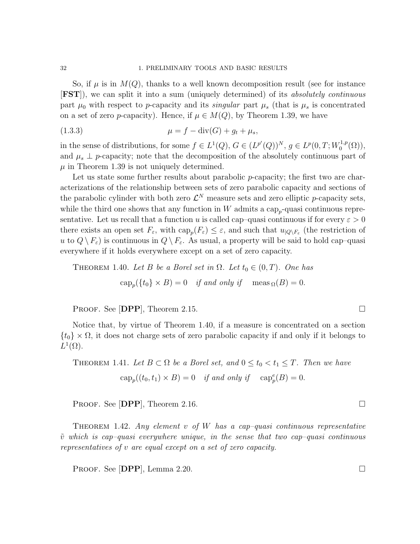So, if  $\mu$  is in  $M(Q)$ , thanks to a well known decomposition result (see for instance [FST]), we can split it into a sum (uniquely determined) of its absolutely continuous part  $\mu_0$  with respect to p-capacity and its *singular* part  $\mu_s$  (that is  $\mu_s$  is concentrated on a set of zero p-capacity). Hence, if  $\mu \in M(Q)$ , by Theorem 1.39, we have

(1.3.3) 
$$
\mu = f - \text{div}(G) + g_t + \mu_s,
$$

in the sense of distributions, for some  $f \in L^1(Q)$ ,  $G \in (L^{p'}(Q))^N$ ,  $g \in L^p(0,T;W_0^{1,p})$  $\mathcal{L}_0^{1,p}(\Omega)$ ), and  $\mu_s \perp p$ -capacity; note that the decomposition of the absolutely continuous part of  $\mu$  in Theorem 1.39 is not uniquely determined.

Let us state some further results about parabolic *p*-capacity; the first two are characterizations of the relationship between sets of zero parabolic capacity and sections of the parabolic cylinder with both zero  $\mathcal{L}^N$  measure sets and zero elliptic p-capacity sets, while the third one shows that any function in  $W$  admits a cap<sub>p</sub>-quasi continuous representative. Let us recall that a function u is called cap–quasi continuous if for every  $\varepsilon > 0$ there exists an open set  $F_{\varepsilon}$ , with  $\text{cap}_{p}(F_{\varepsilon}) \leq \varepsilon$ , and such that  $u_{|Q\setminus F_{\varepsilon}}$  (the restriction of u to  $Q \backslash F_{\varepsilon}$  is continuous in  $Q \backslash F_{\varepsilon}$ . As usual, a property will be said to hold cap–quasi everywhere if it holds everywhere except on a set of zero capacity.

THEOREM 1.40. Let B be a Borel set in  $\Omega$ . Let  $t_0 \in (0, T)$ . One has

$$
cap_p({t_0} \times B) = 0 \quad \text{if and only if} \quad meas_\Omega(B) = 0.
$$

PROOF. See  $[DPP]$ , Theorem 2.15.

Notice that, by virtue of Theorem 1.40, if a measure is concentrated on a section  ${t_0} \times \Omega$ , it does not charge sets of zero parabolic capacity if and only if it belongs to  $L^1(\Omega)$ .

THEOREM 1.41. Let  $B \subset \Omega$  be a Borel set, and  $0 \le t_0 < t_1 \le T$ . Then we have  $\text{cap}_{p}((t_0, t_1) \times B) = 0$  if and only if  $\text{cap}_{p}^{e}(B) = 0$ .

PROOF. See  $[{\bf DPP}]$ , Theorem 2.16.

THEOREM 1.42. Any element v of W has a cap-quasi continuous representative  $\tilde{v}$  which is cap-quasi everywhere unique, in the sense that two cap-quasi continuous representatives of v are equal except on a set of zero capacity.

PROOF. See  $[{\bf DPP}]$ , Lemma 2.20.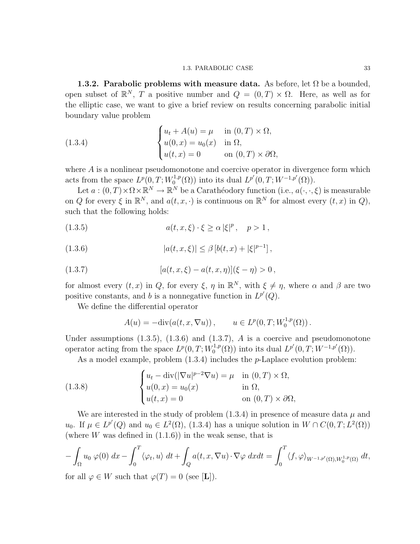1.3.2. Parabolic problems with measure data. As before, let  $\Omega$  be a bounded, open subset of  $\mathbb{R}^N$ , T a positive number and  $Q = (0, T) \times \Omega$ . Here, as well as for the elliptic case, we want to give a brief review on results concerning parabolic initial boundary value problem

(1.3.4) 
$$
\begin{cases} u_t + A(u) = \mu & \text{in } (0, T) \times \Omega, \\ u(0, x) = u_0(x) & \text{in } \Omega, \\ u(t, x) = 0 & \text{on } (0, T) \times \partial\Omega, \end{cases}
$$

where A is a nonlinear pseudomonotone and coercive operator in divergence form which acts from the space  $L^p(0,T;W_0^{1,p})$  $L^{1,p}(\Omega)$  into its dual  $L^{p'}(0,T;W^{-1,p'}(\Omega)).$ 

Let  $a:(0,T)\times\Omega\times\mathbb{R}^N\to\mathbb{R}^N$  be a Carathéodory function (i.e.,  $a(\cdot,\cdot,\xi)$ ) is measurable on Q for every  $\xi$  in  $\mathbb{R}^N$ , and  $a(t, x, \cdot)$  is continuous on  $\mathbb{R}^N$  for almost every  $(t, x)$  in Q, such that the following holds:

(1.3.5) 
$$
a(t, x, \xi) \cdot \xi \ge \alpha |\xi|^p, \quad p > 1,
$$

(1.3.6) 
$$
|a(t, x, \xi)| \leq \beta \left[ b(t, x) + |\xi|^{p-1} \right],
$$

(1.3.7) 
$$
[a(t, x, \xi) - a(t, x, \eta)](\xi - \eta) > 0,
$$

for almost every  $(t, x)$  in Q, for every  $\xi$ ,  $\eta$  in  $\mathbb{R}^N$ , with  $\xi \neq \eta$ , where  $\alpha$  and  $\beta$  are two positive constants, and b is a nonnegative function in  $L^{p'}(Q)$ .

We define the differential operator

$$
A(u) = -\mathrm{div}(a(t, x, \nabla u)), \qquad u \in L^{p}(0, T; W_0^{1, p}(\Omega)).
$$

Under assumptions  $(1.3.5)$ ,  $(1.3.6)$  and  $(1.3.7)$ , A is a coercive and pseudomonotone operator acting from the space  $L^p(0,T;W_0^{1,p})$  $L^{1,p}(\Omega)$  into its dual  $L^{p'}(0,T;W^{-1,p'}(\Omega)).$ 

As a model example, problem  $(1.3.4)$  includes the *p*-Laplace evolution problem:

(1.3.8) 
$$
\begin{cases} u_t - \operatorname{div}(|\nabla u|^{p-2} \nabla u) = \mu & \text{in } (0, T) \times \Omega, \\ u(0, x) = u_0(x) & \text{in } \Omega, \\ u(t, x) = 0 & \text{on } (0, T) \times \partial\Omega, \end{cases}
$$

We are interested in the study of problem  $(1.3.4)$  in presence of measure data  $\mu$  and u<sub>0</sub>. If  $\mu \in L^{p'}(Q)$  and  $u_0 \in L^2(\Omega)$ , (1.3.4) has a unique solution in  $W \cap C(0,T; L^2(\Omega))$ (where  $W$  was defined in  $(1.1.6)$ ) in the weak sense, that is

$$
-\int_{\Omega} u_0 \varphi(0) dx - \int_0^T \langle \varphi_t, u \rangle dt + \int_Q a(t, x, \nabla u) \cdot \nabla \varphi dx dt = \int_0^T \langle f, \varphi \rangle_{W^{-1,p'}(\Omega), W_0^{1,p}(\Omega)} dt,
$$

for all  $\varphi \in W$  such that  $\varphi(T) = 0$  (see [L]).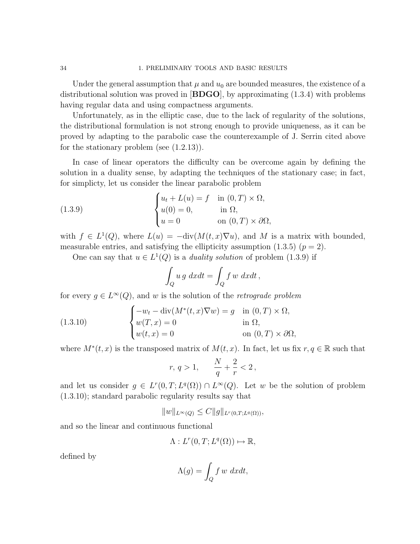Under the general assumption that  $\mu$  and  $u_0$  are bounded measures, the existence of a distributional solution was proved in  $[B\text{DGO}]$ , by approximating  $(1.3.4)$  with problems having regular data and using compactness arguments.

Unfortunately, as in the elliptic case, due to the lack of regularity of the solutions, the distributional formulation is not strong enough to provide uniqueness, as it can be proved by adapting to the parabolic case the counterexample of J. Serrin cited above for the stationary problem (see (1.2.13)).

In case of linear operators the difficulty can be overcome again by defining the solution in a duality sense, by adapting the techniques of the stationary case; in fact, for simplicty, let us consider the linear parabolic problem

(1.3.9) 
$$
\begin{cases} u_t + L(u) = f & \text{in } (0, T) \times \Omega, \\ u(0) = 0, & \text{in } \Omega, \\ u = 0 & \text{on } (0, T) \times \partial\Omega, \end{cases}
$$

with  $f \in L^1(Q)$ , where  $L(u) = -\text{div}(M(t,x)\nabla u)$ , and M is a matrix with bounded, measurable entries, and satisfying the ellipticity assumption  $(1.3.5)$   $(p = 2)$ .

One can say that  $u \in L^1(Q)$  is a *duality solution* of problem (1.3.9) if

$$
\int_{Q} u g \, dx dt = \int_{Q} f w \, dx dt,
$$

for every  $g \in L^{\infty}(Q)$ , and w is the solution of the retrograde problem

(1.3.10) 
$$
\begin{cases}\n-w_t - \operatorname{div}(M^*(t, x)\nabla w) = g & \text{in } (0, T) \times \Omega, \\
w(T, x) = 0 & \text{in } \Omega, \\
w(t, x) = 0 & \text{on } (0, T) \times \partial\Omega,\n\end{cases}
$$

where  $M^*(t, x)$  is the transposed matrix of  $M(t, x)$ . In fact, let us fix  $r, q \in \mathbb{R}$  such that

$$
r,\,q>1,\qquad \frac{N}{q}+\frac{2}{r}<2\,,
$$

and let us consider  $g \in L^r(0,T;L^q(\Omega)) \cap L^{\infty}(Q)$ . Let w be the solution of problem (1.3.10); standard parabolic regularity results say that

$$
||w||_{L^{\infty}(Q)} \leq C||g||_{L^{r}(0,T;L^{q}(\Omega))},
$$

and so the linear and continuous functional

$$
\Lambda: L^r(0,T;L^q(\Omega)) \mapsto \mathbb{R},
$$

defined by

$$
\Lambda(g) = \int_Q f \, w \, dxdt,
$$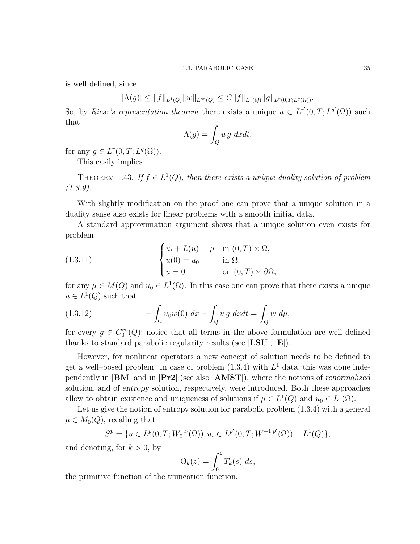is well defined, since

 $|\Lambda(g)| \leq ||f||_{L^1(Q)} ||w||_{L^{\infty}(Q)} \leq C ||f||_{L^1(Q)} ||g||_{L^r(0,T;L^q(\Omega))}.$ 

So, by Riesz's representation theorem there exists a unique  $u \in L^{r'}(0,T; L^{q'}(\Omega))$  such that

$$
\Lambda(g) = \int_Q u \, g \, dxdt,
$$

for any  $g \in L^r(0,T;L^q(\Omega))$ .

This easily implies

THEOREM 1.43. If  $f \in L^1(Q)$ , then there exists a unique duality solution of problem  $(1.3.9).$ 

With slightly modification on the proof one can prove that a unique solution in a duality sense also exists for linear problems with a smooth initial data.

A standard approximation argument shows that a unique solution even exists for problem

(1.3.11) 
$$
\begin{cases} u_t + L(u) = \mu & \text{in } (0, T) \times \Omega, \\ u(0) = u_0 & \text{in } \Omega, \\ u = 0 & \text{on } (0, T) \times \partial\Omega, \end{cases}
$$

for any  $\mu \in M(Q)$  and  $u_0 \in L^1(\Omega)$ . In this case one can prove that there exists a unique  $u \in L^1(Q)$  such that

(1.3.12) 
$$
- \int_{\Omega} u_0 w(0) \, dx + \int_{Q} u \, g \, dx dt = \int_{Q} w \, d\mu,
$$

for every  $g \in C_0^{\infty}(Q)$ ; notice that all terms in the above formulation are well defined thanks to standard parabolic regularity results (see [LSU], [E]).

However, for nonlinear operators a new concept of solution needs to be defined to get a well-posed problem. In case of problem  $(1.3.4)$  with  $L<sup>1</sup>$  data, this was done independently in [BM] and in [Pr2] (see also [AMST]), where the notions of renormalized solution, and of entropy solution, respectively, were introduced. Both these approaches allow to obtain existence and uniqueness of solutions if  $\mu \in L^1(Q)$  and  $u_0 \in L^1(\Omega)$ .

Let us give the notion of entropy solution for parabolic problem  $(1.3.4)$  with a general  $\mu \in M_0(Q)$ , recalling that

$$
S^{p} = \{ u \in L^{p}(0,T;W_0^{1,p}(\Omega)); u_t \in L^{p'}(0,T;W^{-1,p'}(\Omega)) + L^{1}(Q) \},\
$$

and denoting, for  $k > 0$ , by

$$
\Theta_k(z) = \int_0^z T_k(s) \ ds,
$$

the primitive function of the truncation function.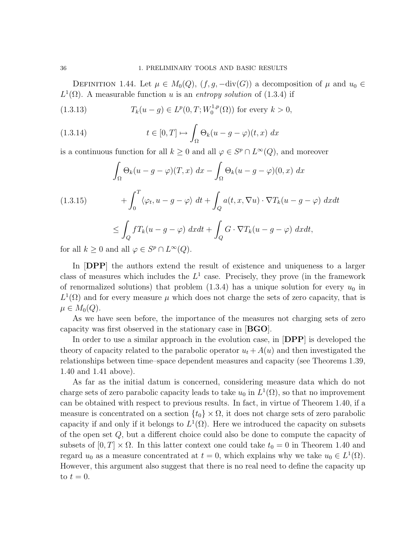DEFINITION 1.44. Let  $\mu \in M_0(Q)$ ,  $(f, g, -\text{div}(G))$  a decomposition of  $\mu$  and  $u_0 \in$  $L^1(\Omega)$ . A measurable function u is an entropy solution of (1.3.4) if

(1.3.13) 
$$
T_k(u - g) \in L^p(0, T; W_0^{1,p}(\Omega)) \text{ for every } k > 0,
$$

(1.3.14) 
$$
t \in [0, T] \mapsto \int_{\Omega} \Theta_k(u - g - \varphi)(t, x) dx
$$

is a continuous function for all  $k \geq 0$  and all  $\varphi \in S^p \cap L^{\infty}(Q)$ , and moreover

$$
\int_{\Omega} \Theta_k(u - g - \varphi)(T, x) dx - \int_{\Omega} \Theta_k(u - g - \varphi)(0, x) dx
$$
\n
$$
+ \int_0^T \langle \varphi_t, u - g - \varphi \rangle dt + \int_Q a(t, x, \nabla u) \cdot \nabla T_k(u - g - \varphi) dx dt
$$
\n
$$
\leq \int_Q f T_k(u - g - \varphi) dx dt + \int_Q G \cdot \nabla T_k(u - g - \varphi) dx dt,
$$

for all  $k \geq 0$  and all  $\varphi \in S^p \cap L^{\infty}(Q)$ .

In [DPP] the authors extend the result of existence and uniqueness to a larger class of measures which includes the  $L^1$  case. Precisely, they prove (in the framework of renormalized solutions) that problem  $(1.3.4)$  has a unique solution for every  $u_0$  in  $L^1(\Omega)$  and for every measure  $\mu$  which does not charge the sets of zero capacity, that is  $\mu \in M_0(Q)$ .

As we have seen before, the importance of the measures not charging sets of zero capacity was first observed in the stationary case in [BGO].

In order to use a similar approach in the evolution case, in **DPP** is developed the theory of capacity related to the parabolic operator  $u_t + A(u)$  and then investigated the relationships between time–space dependent measures and capacity (see Theorems 1.39, 1.40 and 1.41 above).

As far as the initial datum is concerned, considering measure data which do not charge sets of zero parabolic capacity leads to take  $u_0$  in  $L^1(\Omega)$ , so that no improvement can be obtained with respect to previous results. In fact, in virtue of Theorem 1.40, if a measure is concentrated on a section  $\{t_0\} \times \Omega$ , it does not charge sets of zero parabolic capacity if and only if it belongs to  $L^1(\Omega)$ . Here we introduced the capacity on subsets of the open set Q, but a different choice could also be done to compute the capacity of subsets of  $[0, T] \times \Omega$ . In this latter context one could take  $t_0 = 0$  in Theorem 1.40 and regard  $u_0$  as a measure concentrated at  $t = 0$ , which explains why we take  $u_0 \in L^1(\Omega)$ . However, this argument also suggest that there is no real need to define the capacity up to  $t=0$ .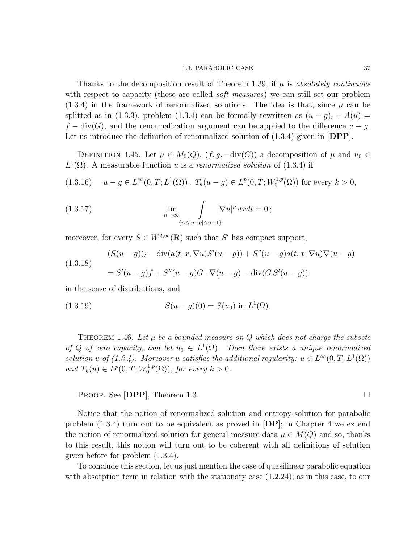#### 1.3. PARABOLIC CASE 37

Thanks to the decomposition result of Theorem 1.39, if  $\mu$  is absolutely continuous with respect to capacity (these are called *soft measures*) we can still set our problem  $(1.3.4)$  in the framework of renormalized solutions. The idea is that, since  $\mu$  can be splitted as in (1.3.3), problem (1.3.4) can be formally rewritten as  $(u - g)_t + A(u) =$  $f - \text{div}(G)$ , and the renormalization argument can be applied to the difference  $u - g$ . Let us introduce the definition of renormalized solution of  $(1.3.4)$  given in  $[DPP]$ .

DEFINITION 1.45. Let  $\mu \in M_0(Q)$ ,  $(f, g, -\text{div}(G))$  a decomposition of  $\mu$  and  $u_0 \in$  $L^1(\Omega)$ . A measurable function u is a renormalized solution of (1.3.4) if

$$
(1.3.16) \t u - g \in L^{\infty}(0, T; L^{1}(\Omega)), T_{k}(u - g) \in L^{p}(0, T; W_{0}^{1, p}(\Omega)) \text{ for every } k > 0,
$$

(1.3.17) 
$$
\lim_{n \to \infty} \int_{\{n \le |u-g| \le n+1\}} |\nabla u|^p dx dt = 0;
$$

moreover, for every  $S \in W^{2,\infty}(\mathbf{R})$  such that S' has compact support,

(1.3.18)  
\n
$$
(S(u-g))_t - \text{div}(a(t, x, \nabla u)S'(u-g)) + S''(u-g)a(t, x, \nabla u)\nabla(u-g)
$$
\n
$$
= S'(u-g)f + S''(u-g)G \cdot \nabla(u-g) - \text{div}(GS'(u-g))
$$

in the sense of distributions, and

(1.3.19) 
$$
S(u - g)(0) = S(u_0) \text{ in } L^1(\Omega).
$$

THEOREM 1.46. Let  $\mu$  be a bounded measure on Q which does not charge the subsets of Q of zero capacity, and let  $u_0 \in L^1(\Omega)$ . Then there exists a unique renormalized solution u of (1.3.4). Moreover u satisfies the additional regularity:  $u \in L^{\infty}(0,T; L^{1}(\Omega))$ and  $T_k(u) \in L^p(0,T;W_0^{1,p})$  $\mathcal{O}_0^{1,p}(\Omega)$ , for every  $k > 0$ .

PROOF. See **[DPP**], Theorem 1.3.

Notice that the notion of renormalized solution and entropy solution for parabolic problem  $(1.3.4)$  turn out to be equivalent as proved in  $[DP]$ ; in Chapter 4 we extend the notion of renormalized solution for general measure data  $\mu \in M(Q)$  and so, thanks to this result, this notion will turn out to be coherent with all definitions of solution given before for problem (1.3.4).

To conclude this section, let us just mention the case of quasilinear parabolic equation with absorption term in relation with the stationary case (1.2.24); as in this case, to our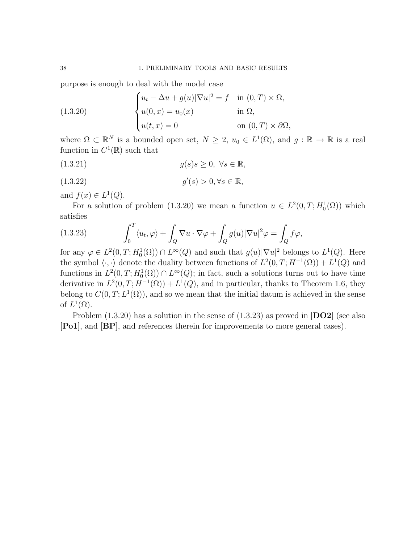purpose is enough to deal with the model case

(1.3.20) 
$$
\begin{cases} u_t - \Delta u + g(u) |\nabla u|^2 = f & \text{in } (0, T) \times \Omega, \\ u(0, x) = u_0(x) & \text{in } \Omega, \\ u(t, x) = 0 & \text{on } (0, T) \times \partial \Omega, \end{cases}
$$

where  $\Omega \subset \mathbb{R}^N$  is a bounded open set,  $N \geq 2$ ,  $u_0 \in L^1(\Omega)$ , and  $g: \mathbb{R} \to \mathbb{R}$  is a real function in  $C^1(\mathbb{R})$  such that

$$
(1.3.21) \t\t g(s)s \ge 0, \ \forall s \in \mathbb{R},
$$

$$
(1.3.22) \t\t g'(s) > 0, \forall s \in \mathbb{R},
$$

and  $f(x) \in L^1(Q)$ .

For a solution of problem (1.3.20) we mean a function  $u \in L^2(0,T; H_0^1(\Omega))$  which satisfies

(1.3.23) 
$$
\int_0^T \langle u_t, \varphi \rangle + \int_Q \nabla u \cdot \nabla \varphi + \int_Q g(u) |\nabla u|^2 \varphi = \int_Q f \varphi,
$$

for any  $\varphi \in L^2(0,T;H_0^1(\Omega)) \cap L^{\infty}(Q)$  and such that  $g(u)|\nabla u|^2$  belongs to  $L^1(Q)$ . Here the symbol  $\langle \cdot, \cdot \rangle$  denote the duality between functions of  $L^2(0,T; H^{-1}(\Omega)) + L^1(Q)$  and functions in  $L^2(0,T;H_0^1(\Omega)) \cap L^{\infty}(Q)$ ; in fact, such a solutions turns out to have time derivative in  $L^2(0,T;H^{-1}(\Omega)) + L^1(Q)$ , and in particular, thanks to Theorem 1.6, they belong to  $C(0,T; L^1(\Omega))$ , and so we mean that the initial datum is achieved in the sense of  $L^1(\Omega)$ .

Problem  $(1.3.20)$  has a solution in the sense of  $(1.3.23)$  as proved in  $[DO2]$  (see also [Po1], and [BP], and references therein for improvements to more general cases).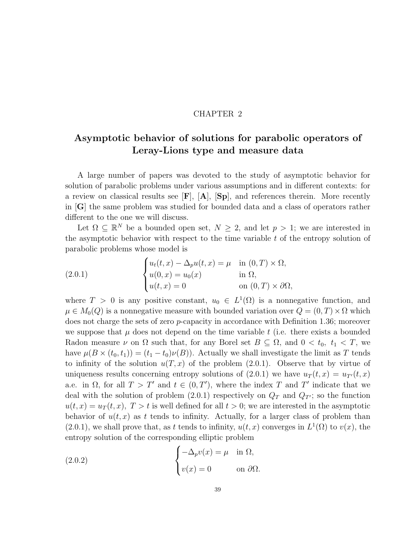## CHAPTER 2

# Asymptotic behavior of solutions for parabolic operators of Leray-Lions type and measure data

A large number of papers was devoted to the study of asymptotic behavior for solution of parabolic problems under various assumptions and in different contexts: for a review on classical results see  $[F], [A], [Sp],$  and references therein. More recently in [G] the same problem was studied for bounded data and a class of operators rather different to the one we will discuss.

Let  $\Omega \subseteq \mathbb{R}^N$  be a bounded open set,  $N \geq 2$ , and let  $p > 1$ ; we are interested in the asymptotic behavior with respect to the time variable  $t$  of the entropy solution of parabolic problems whose model is

(2.0.1) 
$$
\begin{cases} u_t(t,x) - \Delta_p u(t,x) = \mu & \text{in } (0,T) \times \Omega, \\ u(0,x) = u_0(x) & \text{in } \Omega, \\ u(t,x) = 0 & \text{on } (0,T) \times \partial\Omega, \end{cases}
$$

where  $T > 0$  is any positive constant,  $u_0 \in L^1(\Omega)$  is a nonnegative function, and  $\mu \in M_0(Q)$  is a nonnegative measure with bounded variation over  $Q = (0, T) \times \Omega$  which does not charge the sets of zero p-capacity in accordance with Definition 1.36; moreover we suppose that  $\mu$  does not depend on the time variable t (i.e. there exists a bounded Radon measure  $\nu$  on  $\Omega$  such that, for any Borel set  $B \subseteq \Omega$ , and  $0 < t_0$ ,  $t_1 < T$ , we have  $\mu(B \times (t_0, t_1)) = (t_1 - t_0)\nu(B)$ . Actually we shall investigate the limit as T tends to infinity of the solution  $u(T, x)$  of the problem (2.0.1). Observe that by virtue of uniqueness results concerning entropy solutions of  $(2.0.1)$  we have  $u_T(t, x) = u_{T}(t, x)$ a.e. in  $\Omega$ , for all  $T > T'$  and  $t \in (0, T')$ , where the index T and T' indicate that we deal with the solution of problem (2.0.1) respectively on  $Q_T$  and  $Q_{T}$ ; so the function  $u(t, x) = u_T(t, x), T > t$  is well defined for all  $t > 0$ ; we are interested in the asymptotic behavior of  $u(t, x)$  as t tends to infinity. Actually, for a larger class of problem than  $(2.0.1)$ , we shall prove that, as t tends to infinity,  $u(t, x)$  converges in  $L^1(\Omega)$  to  $v(x)$ , the entropy solution of the corresponding elliptic problem

(2.0.2) 
$$
\begin{cases} -\Delta_p v(x) = \mu & \text{in } \Omega, \\ v(x) = 0 & \text{on } \partial \Omega. \end{cases}
$$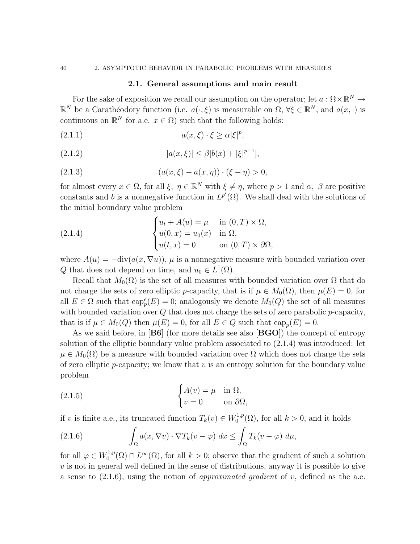## 2.1. General assumptions and main result

For the sake of exposition we recall our assumption on the operator; let  $a : \Omega \times \mathbb{R}^N \to$  $\mathbb{R}^N$  be a Carathéodory function (i.e.  $a(\cdot,\xi)$  is measurable on  $\Omega, \forall \xi \in \mathbb{R}^N$ , and  $a(x, \cdot)$  is continuous on  $\mathbb{R}^N$  for a.e.  $x \in \Omega$ ) such that the following holds:

$$
(2.1.1) \t\t a(x,\xi) \cdot \xi \ge \alpha |\xi|^p,
$$

(2.1.2) 
$$
|a(x,\xi)| \leq \beta [b(x) + |\xi|^{p-1}],
$$

(2.1.3) 
$$
(a(x,\xi) - a(x,\eta)) \cdot (\xi - \eta) > 0,
$$

for almost every  $x \in \Omega$ , for all  $\xi, \eta \in \mathbb{R}^N$  with  $\xi \neq \eta$ , where  $p > 1$  and  $\alpha, \beta$  are positive constants and b is a nonnegative function in  $L^{p'}(\Omega)$ . We shall deal with the solutions of the initial boundary value problem

(2.1.4) 
$$
\begin{cases} u_t + A(u) = \mu & \text{in } (0, T) \times \Omega, \\ u(0, x) = u_0(x) & \text{in } \Omega, \\ u(t, x) = 0 & \text{on } (0, T) \times \partial\Omega, \end{cases}
$$

where  $A(u) = -\text{div}(a(x, \nabla u))$ ,  $\mu$  is a nonnegative measure with bounded variation over Q that does not depend on time, and  $u_0 \in L^1(\Omega)$ .

Recall that  $M_0(\Omega)$  is the set of all measures with bounded variation over  $\Omega$  that do not charge the sets of zero elliptic p-capacity, that is if  $\mu \in M_0(\Omega)$ , then  $\mu(E) = 0$ , for all  $E \in \Omega$  such that  $\text{cap}_p^e(E) = 0$ ; analogously we denote  $M_0(Q)$  the set of all measures with bounded variation over  $Q$  that does not charge the sets of zero parabolic  $p$ -capacity, that is if  $\mu \in M_0(Q)$  then  $\mu(E) = 0$ , for all  $E \in Q$  such that  $\text{cap}_p(E) = 0$ .

As we said before, in  $[B6]$  (for more details see also  $[BGO]$ ) the concept of entropy solution of the elliptic boundary value problem associated to (2.1.4) was introduced: let  $\mu \in M_0(\Omega)$  be a measure with bounded variation over  $\Omega$  which does not charge the sets of zero elliptic p-capacity; we know that  $v$  is an entropy solution for the boundary value problem

(2.1.5) 
$$
\begin{cases} A(v) = \mu & \text{in } \Omega, \\ v = 0 & \text{on } \partial\Omega, \end{cases}
$$

if v is finite a.e., its truncated function  $T_k(v) \in W_0^{1,p}$  $\mathcal{O}_0^{1,p}(\Omega)$ , for all  $k > 0$ , and it holds

(2.1.6) 
$$
\int_{\Omega} a(x, \nabla v) \cdot \nabla T_k(v - \varphi) dx \leq \int_{\Omega} T_k(v - \varphi) d\mu,
$$

for all  $\varphi \in W_0^{1,p}$  $C_0^{1,p}(\Omega) \cap L^{\infty}(\Omega)$ , for all  $k > 0$ ; observe that the gradient of such a solution  $v$  is not in general well defined in the sense of distributions, anyway it is possible to give a sense to  $(2.1.6)$ , using the notion of *approximated gradient* of v, defined as the a.e.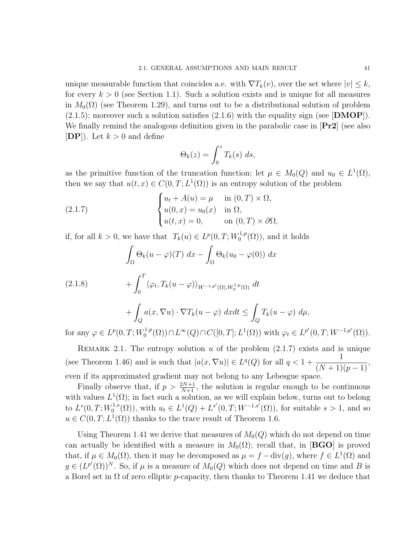unique measurable function that coincides a.e. with  $\nabla T_k(v)$ , over the set where  $|v| \leq k$ , for every  $k > 0$  (see Section 1.1). Such a solution exists and is unique for all measures in  $M_0(\Omega)$  (see Theorem 1.29), and turns out to be a distributional solution of problem  $(2.1.5)$ ; moreover such a solution satisfies  $(2.1.6)$  with the equality sign (see [DMOP]). We finally remind the analogous definition given in the parabolic case in  $\left[\mathbf{Pr2}\right]$  (see also  $[DP]$ . Let  $k > 0$  and define

$$
\Theta_k(z) = \int_0^z T_k(s) \ ds,
$$

as the primitive function of the truncation function; let  $\mu \in M_0(Q)$  and  $u_0 \in L^1(\Omega)$ , then we say that  $u(t, x) \in C(0, T; L^{1}(\Omega))$  is an entropy solution of the problem

(2.1.7) 
$$
\begin{cases} u_t + A(u) = \mu & \text{in } (0, T) \times \Omega, \\ u(0, x) = u_0(x) & \text{in } \Omega, \\ u(t, x) = 0, & \text{on } (0, T) \times \partial\Omega, \end{cases}
$$

if, for all  $k > 0$ , we have that  $T_k(u) \in L^p(0,T;W_0^{1,p})$  $L_0^{1,p}(\Omega)$ , and it holds

$$
\int_{\Omega} \Theta_k(u - \varphi)(T) dx - \int_{\Omega} \Theta_k(u_0 - \varphi(0)) dx
$$
\n
$$
+ \int_0^T \langle \varphi_t, T_k(u - \varphi) \rangle_{W^{-1,p'}(\Omega), W_0^{1,p}(\Omega)} dt
$$
\n
$$
+ \int_Q a(x, \nabla u) \cdot \nabla T_k(u - \varphi) dx dt \le \int_Q T_k(u - \varphi) d\mu,
$$
\nfor any  $\varphi \in L^p(\Omega, T; W^{1,p}(\Omega)) \cap L^\infty(\Omega) \cap C([0, T]; L^1(\Omega))$  with  $\varphi \in L^{p'}(\Omega, T; W^{-1,p'}(\Omega))$ 

for any  $\varphi \in L^p(0,T;W_0^{1,p})$  $L^{1,p}(\Omega) \cap L^{\infty}(Q) \cap C([0,T]; L^{1}(\Omega))$  with  $\varphi_t \in L^{p'}(0,T; W^{-1,p'}(\Omega)).$ 

REMARK 2.1. The entropy solution u of the problem  $(2.1.7)$  exists and is unique (see Theorem 1.46) and is such that  $|a(x, \nabla u)| \in L^q(Q)$  for all  $q < 1 +$ 1  $\frac{1}{(N+1)(p-1)},$ even if its approximated gradient may not belong to any Lebesgue space.

Finally observe that, if  $p > \frac{2N+1}{N+1}$ , the solution is regular enough to be continuous with values  $L^1(\Omega)$ ; in fact such a solution, as we will explain below, turns out to belong to  $L^s(0,T;W_0^{1,s})$  $U_0^{1,s}(\Omega)$ , with  $u_t \in L^1(Q) + L^{s'}(0,T;W^{-1,s'}(\Omega))$ , for suitable  $s > 1$ , and so  $u \in C(0, T; L^1(\Omega))$  thanks to the trace result of Theorem 1.6.

Using Theorem 1.41 we derive that measures of  $M_0(Q)$  which do not depend on time can actually be identified with a measure in  $M_0(\Omega)$ ; recall that, in [BGO] is proved that, if  $\mu \in M_0(\Omega)$ , then it may be decomposed as  $\mu = f - \text{div}(g)$ , where  $f \in L^1(\Omega)$  and  $g \in (L^{p'}(\Omega))^N$ . So, if  $\mu$  is a measure of  $M_0(Q)$  which does not depend on time and B is a Borel set in  $\Omega$  of zero elliptic p-capacity, then thanks to Theorem 1.41 we deduce that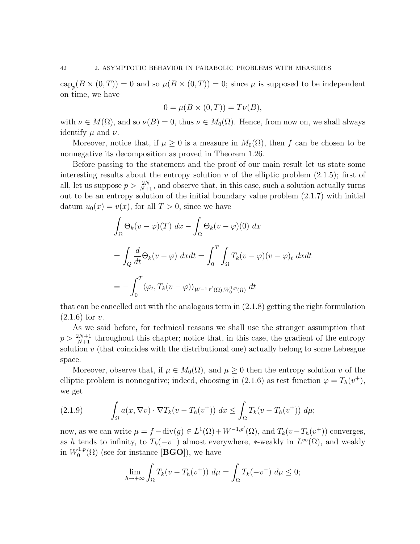$\text{cap}_p(B \times (0,T)) = 0$  and so  $\mu(B \times (0,T)) = 0$ ; since  $\mu$  is supposed to be independent on time, we have

$$
0 = \mu(B \times (0, T)) = T\nu(B),
$$

with  $\nu \in M(\Omega)$ , and so  $\nu(B) = 0$ , thus  $\nu \in M_0(\Omega)$ . Hence, from now on, we shall always identify  $\mu$  and  $\nu$ .

Moreover, notice that, if  $\mu \geq 0$  is a measure in  $M_0(\Omega)$ , then f can be chosen to be nonnegative its decomposition as proved in Theorem 1.26.

Before passing to the statement and the proof of our main result let us state some interesting results about the entropy solution v of the elliptic problem  $(2.1.5)$ ; first of all, let us suppose  $p > \frac{2N}{N+1}$ , and observe that, in this case, such a solution actually turns out to be an entropy solution of the initial boundary value problem (2.1.7) with initial datum  $u_0(x) = v(x)$ , for all  $T > 0$ , since we have

$$
\int_{\Omega} \Theta_k(v - \varphi)(T) dx - \int_{\Omega} \Theta_k(v - \varphi)(0) dx
$$
  
= 
$$
\int_{Q} \frac{d}{dt} \Theta_k(v - \varphi) dx dt = \int_{0}^{T} \int_{\Omega} T_k(v - \varphi)(v - \varphi)_t dx dt
$$
  
= 
$$
- \int_{0}^{T} \langle \varphi_t, T_k(v - \varphi) \rangle_{W^{-1,p'}(\Omega), W_0^{1,p}(\Omega)} dt
$$

that can be cancelled out with the analogous term in (2.1.8) getting the right formulation  $(2.1.6)$  for v.

As we said before, for technical reasons we shall use the stronger assumption that  $p > \frac{2N+1}{N+1}$  throughout this chapter; notice that, in this case, the gradient of the entropy solution  $v$  (that coincides with the distributional one) actually belong to some Lebesgue space.

Moreover, observe that, if  $\mu \in M_0(\Omega)$ , and  $\mu \geq 0$  then the entropy solution v of the elliptic problem is nonnegative; indeed, choosing in (2.1.6) as test function  $\varphi = T_h(v^+),$ we get

(2.1.9) 
$$
\int_{\Omega} a(x, \nabla v) \cdot \nabla T_k(v - T_h(v^+)) dx \leq \int_{\Omega} T_k(v - T_h(v^+)) d\mu;
$$

now, as we can write  $\mu = f - \text{div}(g) \in L^1(\Omega) + W^{-1,p'}(\Omega)$ , and  $T_k(v - T_h(v^+))$  converges, as h tends to infinity, to  $T_k(-v^-)$  almost everywhere, \*-weakly in  $L^{\infty}(\Omega)$ , and weakly in  $W_0^{1,p}$  $\mathcal{O}_0^{1,p}(\Omega)$  (see for instance [BGO]), we have

$$
\lim_{h \to +\infty} \int_{\Omega} T_k(v - T_h(v^+)) \ d\mu = \int_{\Omega} T_k(-v^-) \ d\mu \le 0;
$$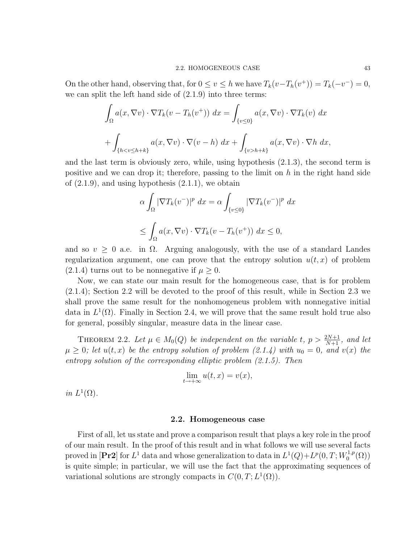On the other hand, observing that, for  $0 \le v \le h$  we have  $T_k(v - T_h(v^+)) = T_k(-v^-) = 0$ , we can split the left hand side of (2.1.9) into three terms:

$$
\int_{\Omega} a(x, \nabla v) \cdot \nabla T_k(v - T_h(v^+)) dx = \int_{\{v \le 0\}} a(x, \nabla v) \cdot \nabla T_k(v) dx
$$

$$
+ \int_{\{h < v \le h + k\}} a(x, \nabla v) \cdot \nabla (v - h) dx + \int_{\{v > h + k\}} a(x, \nabla v) \cdot \nabla h dx,
$$

and the last term is obviously zero, while, using hypothesis (2.1.3), the second term is positive and we can drop it; therefore, passing to the limit on  $h$  in the right hand side of  $(2.1.9)$ , and using hypothesis  $(2.1.1)$ , we obtain

$$
\alpha \int_{\Omega} |\nabla T_k(v^-)|^p dx = \alpha \int_{\{v \le 0\}} |\nabla T_k(v^-)|^p dx
$$
  

$$
\le \int_{\Omega} a(x, \nabla v) \cdot \nabla T_k(v - T_h(v^+)) dx \le 0,
$$

and so  $v \geq 0$  a.e. in  $\Omega$ . Arguing analogously, with the use of a standard Landes regularization argument, one can prove that the entropy solution  $u(t, x)$  of problem  $(2.1.4)$  turns out to be nonnegative if  $\mu \geq 0$ .

Now, we can state our main result for the homogeneous case, that is for problem (2.1.4); Section 2.2 will be devoted to the proof of this result, while in Section 2.3 we shall prove the same result for the nonhomogeneus problem with nonnegative initial data in  $L^1(\Omega)$ . Finally in Section 2.4, we will prove that the same result hold true also for general, possibly singular, measure data in the linear case.

THEOREM 2.2. Let  $\mu \in M_0(Q)$  be independent on the variable t,  $p > \frac{2N+1}{N+1}$ , and let  $\mu \geq 0$ ; let  $u(t,x)$  be the entropy solution of problem (2.1.4) with  $u_0 = 0$ , and  $v(x)$  the entropy solution of the corresponding elliptic problem (2.1.5). Then

$$
\lim_{t \to +\infty} u(t, x) = v(x),
$$

in  $L^1(\Omega)$ .

#### 2.2. Homogeneous case

First of all, let us state and prove a comparison result that plays a key role in the proof of our main result. In the proof of this result and in what follows we will use several facts proved in [Pr2] for  $L^1$  data and whose generalization to data in  $L^1(Q)+L^p(0,T;W_0^{1,p})$  $\binom{1,p}{0}$ is quite simple; in particular, we will use the fact that the approximating sequences of variational solutions are strongly compacts in  $C(0, T; L^1(\Omega))$ .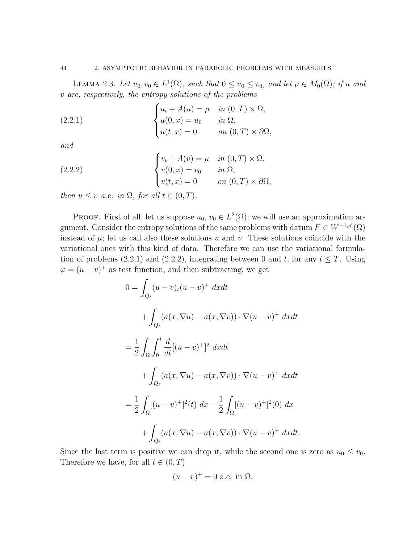LEMMA 2.3. Let  $u_0, v_0 \in L^1(\Omega)$ , such that  $0 \le u_0 \le v_0$ , and let  $\mu \in M_0(\Omega)$ ; if u and v are, respectively, the entropy solutions of the problems

(2.2.1) 
$$
\begin{cases} u_t + A(u) = \mu & \text{in } (0, T) \times \Omega, \\ u(0, x) = u_0 & \text{in } \Omega, \\ u(t, x) = 0 & \text{on } (0, T) \times \partial\Omega, \end{cases}
$$

and

(2.2.2) 
$$
\begin{cases} v_t + A(v) = \mu & \text{in } (0, T) \times \Omega, \\ v(0, x) = v_0 & \text{in } \Omega, \\ v(t, x) = 0 & \text{on } (0, T) \times \partial\Omega, \end{cases}
$$

then  $u \leq v$  a.e. in  $\Omega$ , for all  $t \in (0, T)$ .

**PROOF.** First of all, let us suppose  $u_0, v_0 \in L^2(\Omega)$ ; we will use an approximation argument. Consider the entropy solutions of the same problems with datum  $F \in W^{-1,p'}(\Omega)$ instead of  $\mu$ ; let us call also these solutions u and v. These solutions coincide with the variational ones with this kind of data. Therefore we can use the variational formulation of problems (2.2.1) and (2.2.2), integrating between 0 and t, for any  $t \leq T$ . Using  $\varphi = (u - v)^+$  as test function, and then subtracting, we get

$$
0 = \int_{Q_t} (u - v)_t (u - v)^+ dx dt
$$
  
+ 
$$
\int_{Q_t} (a(x, \nabla u) - a(x, \nabla v)) \cdot \nabla (u - v)^+ dx dt
$$
  
= 
$$
\frac{1}{2} \int_{\Omega} \int_0^t \frac{d}{dt} [(u - v)^+]^2 dx dt
$$
  
+ 
$$
\int_{Q_t} (a(x, \nabla u) - a(x, \nabla v)) \cdot \nabla (u - v)^+ dx dt
$$
  
= 
$$
\frac{1}{2} \int_{\Omega} [(u - v)^+]^2(t) dx - \frac{1}{2} \int_{\Omega} [(u - v)^+]^2(0) dx
$$
  
+ 
$$
\int_{Q_t} (a(x, \nabla u) - a(x, \nabla v)) \cdot \nabla (u - v)^+ dx dt.
$$

Since the last term is positive we can drop it, while the second one is zero as  $u_0 \le v_0$ . Therefore we have, for all  $t \in (0, T)$ 

$$
(u-v)^+ = 0
$$
 a.e. in  $\Omega$ ,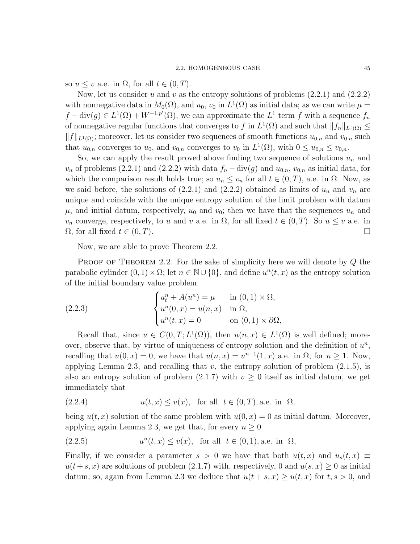so  $u \leq v$  a.e. in  $\Omega$ , for all  $t \in (0, T)$ .

Now, let us consider u and v as the entropy solutions of problems  $(2.2.1)$  and  $(2.2.2)$ with nonnegative data in  $M_0(\Omega)$ , and  $u_0$ ,  $v_0$  in  $L^1(\Omega)$  as initial data; as we can write  $\mu =$  $f - \text{div}(g) \in L^1(\Omega) + W^{-1,p'}(\Omega)$ , we can approximate the  $L^1$  term f with a sequence  $f_n$ of nonnegative regular functions that converges to f in  $L^1(\Omega)$  and such that  $||f_n||_{L^1(\Omega)} \le$  $||f||_{L^1(\Omega)}$ ; moreover, let us consider two sequences of smooth functions  $u_{0,n}$  and  $v_{0,n}$  such that  $u_{0,n}$  converges to  $u_0$ , and  $v_{0,n}$  converges to  $v_0$  in  $L^1(\Omega)$ , with  $0 \le u_{0,n} \le v_{0,n}$ .

So, we can apply the result proved above finding two sequence of solutions  $u_n$  and  $v_n$  of problems (2.2.1) and (2.2.2) with data  $f_n - div(g)$  and  $u_{0,n}$ ,  $v_{0,n}$  as initial data, for which the comparison result holds true; so  $u_n \le v_n$  for all  $t \in (0, T)$ , a.e. in  $\Omega$ . Now, as we said before, the solutions of  $(2.2.1)$  and  $(2.2.2)$  obtained as limits of  $u_n$  and  $v_n$  are unique and coincide with the unique entropy solution of the limit problem with datum  $\mu$ , and initial datum, respectively,  $u_0$  and  $v_0$ ; then we have that the sequences  $u_n$  and  $v_n$  converge, respectively, to u and v a.e. in  $\Omega$ , for all fixed  $t \in (0,T)$ . So  $u \le v$  a.e. in  $\Omega$ , for all fixed  $t \in (0, T)$ .

Now, we are able to prove Theorem 2.2.

**PROOF OF THEOREM 2.2.** For the sake of simplicity here we will denote by  $Q$  the parabolic cylinder  $(0, 1) \times \Omega$ ; let  $n \in \mathbb{N} \cup \{0\}$ , and define  $u^{n}(t, x)$  as the entropy solution of the initial boundary value problem

(2.2.3) 
$$
\begin{cases} u_t^n + A(u^n) = \mu & \text{in } (0,1) \times \Omega, \\ u^n(0,x) = u(n,x) & \text{in } \Omega, \\ u^n(t,x) = 0 & \text{on } (0,1) \times \partial\Omega, \end{cases}
$$

Recall that, since  $u \in C(0,T; L^1(\Omega))$ , then  $u(n,x) \in L^1(\Omega)$  is well defined; moreover, observe that, by virtue of uniqueness of entropy solution and the definition of  $u^n$ , recalling that  $u(0, x) = 0$ , we have that  $u(n, x) = u^{n-1}(1, x)$  a.e. in  $\Omega$ , for  $n \ge 1$ . Now, applying Lemma 2.3, and recalling that  $v$ , the entropy solution of problem  $(2.1.5)$ , is also an entropy solution of problem  $(2.1.7)$  with  $v \ge 0$  itself as initial datum, we get immediately that

(2.2.4) 
$$
u(t,x) \le v(x), \text{ for all } t \in (0,T), \text{a.e. in } \Omega,
$$

being  $u(t, x)$  solution of the same problem with  $u(0, x) = 0$  as initial datum. Moreover, applying again Lemma 2.3, we get that, for every  $n \geq 0$ 

(2.2.5) 
$$
u^{n}(t, x) \le v(x)
$$
, for all  $t \in (0, 1)$ , a.e. in  $\Omega$ ,

Finally, if we consider a parameter  $s > 0$  we have that both  $u(t, x)$  and  $u_s(t, x) \equiv$  $u(t+s, x)$  are solutions of problem (2.1.7) with, respectively, 0 and  $u(s, x) \ge 0$  as initial datum; so, again from Lemma 2.3 we deduce that  $u(t + s, x) > u(t, x)$  for  $t, s > 0$ , and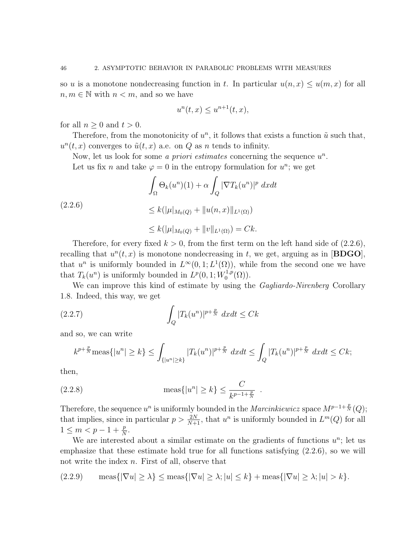so u is a monotone nondecreasing function in t. In particular  $u(n, x) \le u(m, x)$  for all  $n, m \in \mathbb{N}$  with  $n < m$ , and so we have

$$
u^{n}(t,x) \le u^{n+1}(t,x),
$$

for all  $n > 0$  and  $t > 0$ .

Therefore, from the monotonicity of  $u^n$ , it follows that exists a function  $\tilde{u}$  such that,  $u<sup>n</sup>(t, x)$  converges to  $\tilde{u}(t, x)$  a.e. on Q as n tends to infinity.

Now, let us look for some *a priori estimates* concerning the sequence  $u^n$ . Let us fix n and take  $\varphi = 0$  in the entropy formulation for  $u^n$ ; we get

$$
\int_{\Omega} \Theta_k(u^n)(1) + \alpha \int_Q |\nabla T_k(u^n)|^p \ dx dt
$$
  
(2.2.6)  

$$
\leq k(|\mu|_{M_0(Q)} + \|u(n, x)\|_{L^1(\Omega)})
$$
  

$$
\leq k(|\mu|_{M_0(Q)} + \|v\|_{L^1(\Omega)}) = Ck.
$$

Therefore, for every fixed  $k > 0$ , from the first term on the left hand side of  $(2.2.6)$ , recalling that  $u^n(t, x)$  is monotone nondecreasing in t, we get, arguing as in [BDGO], that  $u^n$  is uniformly bounded in  $L^{\infty}(0,1;L^1(\Omega))$ , while from the second one we have that  $T_k(u^n)$  is uniformly bounded in  $L^p(0, 1; W_0^{1,p})$  $\binom{1,p}{0}$ .

We can improve this kind of estimate by using the *Gagliardo-Nirenberg* Corollary 1.8. Indeed, this way, we get

(2.2.7) 
$$
\int_{Q} |T_{k}(u^{n})|^{p+\frac{p}{N}} dx dt \leq Ck
$$

and so, we can write

$$
k^{p+\frac{p}{N}}\text{meas}\{|u^n|\geq k\}\leq \int_{\{|u^n|\geq k\}}|T_k(u^n)|^{p+\frac{p}{N}}\ dxdt\leq \int_Q|T_k(u^n)|^{p+\frac{p}{N}}\ dxdt\leq Ck;
$$

then,

(2.2.8) 
$$
\text{meas}\{|u^n| \ge k\} \le \frac{C}{k^{p-1+\frac{p}{N}}}.
$$

Therefore, the sequence  $u^n$  is uniformly bounded in the *Marcinkiewicz* space  $M^{p-1+\frac{p}{N}}(Q)$ ; that implies, since in particular  $p > \frac{2N}{N+1}$ , that  $u^n$  is uniformly bounded in  $L^m(Q)$  for all  $1 \leq m < p - 1 + \frac{p}{N}$ .

We are interested about a similar estimate on the gradients of functions  $u^n$ ; let us emphasize that these estimate hold true for all functions satisfying (2.2.6), so we will not write the index n. First of all, observe that

$$
(2.2.9) \quad \text{meas}\{|\nabla u| \ge \lambda\} \le \text{meas}\{|\nabla u| \ge \lambda; |u| \le k\} + \text{meas}\{|\nabla u| \ge \lambda; |u| > k\}.
$$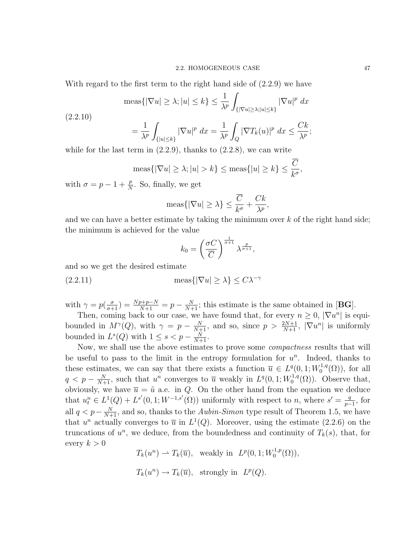With regard to the first term to the right hand side of (2.2.9) we have

$$
\operatorname{meas}\{|\nabla u| \ge \lambda; |u| \le k\} \le \frac{1}{\lambda^p} \int_{\{|\nabla u| \ge \lambda; |u| \le k\}} |\nabla u|^p dx
$$

(2.2.10)

$$
= \frac{1}{\lambda^p} \int_{\{|u| \le k\}} |\nabla u|^p \ dx = \frac{1}{\lambda^p} \int_Q |\nabla T_k(u)|^p \ dx \le \frac{Ck}{\lambda^p};
$$

while for the last term in  $(2.2.9)$ , thanks to  $(2.2.8)$ , we can write

$$
\operatorname{meas}\{|\nabla u| \ge \lambda; |u| > k\} \le \operatorname{meas}\{|u| \ge k\} \le \frac{\overline{C}}{k^{\sigma}},
$$

with  $\sigma = p - 1 + \frac{p}{N}$ . So, finally, we get

$$
\text{meas}\{|\nabla u| \ge \lambda\} \le \frac{\overline{C}}{k^{\sigma}} + \frac{Ck}{\lambda^p}
$$

,

and we can have a better estimate by taking the minimum over  $k$  of the right hand side; the minimum is achieved for the value

$$
k_0 = \left(\frac{\sigma C}{\overline{C}}\right)^{\frac{1}{\sigma+1}} \lambda^{\frac{p}{\sigma+1}},
$$

and so we get the desired estimate

(2.2.11) 
$$
\operatorname{meas}\{|\nabla u| \ge \lambda\} \le C\lambda^{-\gamma}
$$

with  $\gamma = p(\frac{\sigma}{\sigma+1}) = \frac{Np+p-N}{N+1} = p - \frac{N}{N+1}$ ; this estimate is the same obtained in [**BG**].

Then, coming back to our case, we have found that, for every  $n \geq 0$ ,  $|\nabla u^n|$  is equibounded in  $M^{\gamma}(Q)$ , with  $\gamma = p - \frac{N}{N+1}$ , and so, since  $p > \frac{2N+1}{N+1}$ ,  $|\nabla u^n|$  is uniformly bounded in  $L^s(Q)$  with  $1 \leq s < p - \frac{N}{N+1}$ .

Now, we shall use the above estimates to prove some compactness results that will be useful to pass to the limit in the entropy formulation for  $u^n$ . Indeed, thanks to these estimates, we can say that there exists a function  $\overline{u} \in L^q(0,1;W_0^{1,q})$  $\mathfrak{g}_0^{\cdot 1,q}(\Omega)$ , for all  $q < p - \frac{N}{N+1}$ , such that u<sup>n</sup> converges to  $\overline{u}$  weakly in  $L^q(0, 1; W_0^{1,q})$  $C_0^{1,q}(\Omega)$ . Observe that, obviously, we have  $\overline{u} = \tilde{u}$  a.e. in Q. On the other hand from the equation we deduce that  $u_t^n \in L^1(Q) + L^{s'}(0, 1; W^{-1,s'}(\Omega))$  uniformly with respect to n, where  $s' = \frac{q}{p-1}$  $\frac{q}{p-1}$ , for all  $q < p - \frac{N}{N+1}$ , and so, thanks to the *Aubin-Simon* type result of Theorem 1.5, we have that  $u^n$  actually converges to  $\overline{u}$  in  $L^1(Q)$ . Moreover, using the estimate (2.2.6) on the truncations of  $u^n$ , we deduce, from the boundedness and continuity of  $T_k(s)$ , that, for every  $k > 0$ 

 $T_k(u^n) \rightharpoonup T_k(\overline{u}), \text{ weakly in } L^p(0, 1; W_0^{1,p})$  $\binom{1,p}{0}$ ,  $T_k(u^n) \to T_k(\overline{u}), \text{ strongly in } L^p(Q).$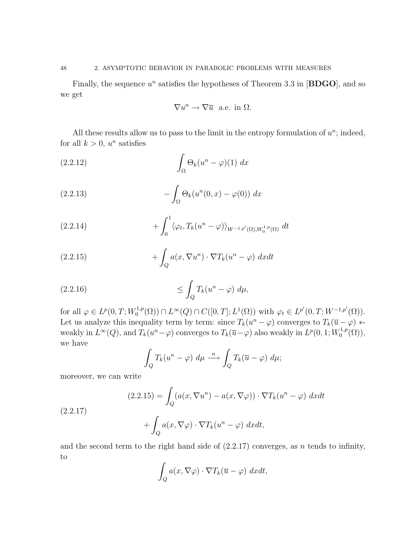Finally, the sequence  $u^n$  satisfies the hypotheses of Theorem 3.3 in [BDGO], and so we get

$$
\nabla u^n \to \nabla \overline{u} \text{ a.e. in } \Omega.
$$

All these results allow us to pass to the limit in the entropy formulation of  $u^n$ ; indeed, for all  $k > 0$ ,  $u^n$  satisfies

(2.2.12) 
$$
\int_{\Omega} \Theta_k(u^n - \varphi)(1) \ dx
$$

(2.2.13) 
$$
-\int_{\Omega} \Theta_k(u^n(0,x) - \varphi(0)) dx
$$

(2.2.14) 
$$
+ \int_0^1 \langle \varphi_t, T_k(u^n - \varphi) \rangle_{W^{-1,p'}(\Omega), W_0^{1,p}(\Omega)} \, dt
$$

(2.2.15) 
$$
+ \int_{Q} a(x, \nabla u^{n}) \cdot \nabla T_{k}(u^{n} - \varphi) dx dt
$$

$$
(2.2.16) \t\t \t\t \leq \int_Q T_k(u^n - \varphi) \ d\mu,
$$

for all  $\varphi \in L^p(0,T;W_0^{1,p})$  $C^{1,p}(\Omega) \cap L^{\infty}(Q) \cap C([0,T]; L^1(\Omega))$  with  $\varphi_t \in L^{p'}(0,T; W^{-1,p'}(\Omega)).$ Let us analyze this inequality term by term: since  $T_k(u^n - \varphi)$  converges to  $T_k(\overline{u} - \varphi)$  \* weakly in  $L^{\infty}(Q)$ , and  $T_k(u^n-\varphi)$  converges to  $T_k(\overline{u}-\varphi)$  also weakly in  $L^p(0,1;W_0^{1,p})$  $\mathfrak{a}_{0}^{\cdot 1,p}(\Omega)),$ we have

$$
\int_{Q} T_{k}(u^{n} - \varphi) d\mu \stackrel{n}{\longrightarrow} \int_{Q} T_{k}(\overline{u} - \varphi) d\mu;
$$

moreover, we can write

(2.2.17)  
\n
$$
(2.2.15) = \int_{Q} (a(x, \nabla u^{n}) - a(x, \nabla \varphi)) \cdot \nabla T_{k}(u^{n} - \varphi) dx dt + \int_{Q} a(x, \nabla \varphi) \cdot \nabla T_{k}(u^{n} - \varphi) dx dt,
$$

and the second term to the right hand side of  $(2.2.17)$  converges, as n tends to infinity, to

$$
\int_{Q} a(x, \nabla \varphi) \cdot \nabla T_{k}(\overline{u} - \varphi) \, dxdt,
$$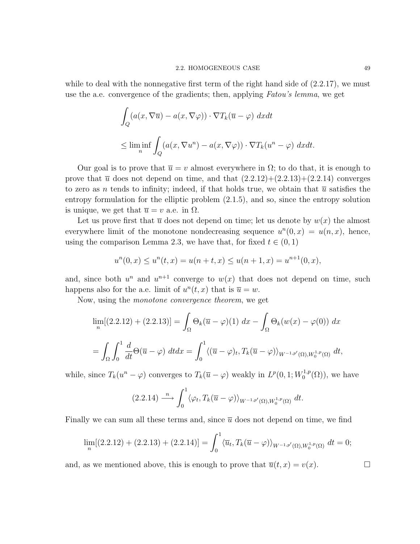while to deal with the nonnegative first term of the right hand side of  $(2.2.17)$ , we must use the a.e. convergence of the gradients; then, applying Fatou's lemma, we get

$$
\int_{Q} (a(x, \nabla \overline{u}) - a(x, \nabla \varphi)) \cdot \nabla T_{k}(\overline{u} - \varphi) \, dxdt
$$
\n
$$
\leq \liminf_{n} \int_{Q} (a(x, \nabla u^{n}) - a(x, \nabla \varphi)) \cdot \nabla T_{k}(u^{n} - \varphi) \, dxdt.
$$

Our goal is to prove that  $\overline{u} = v$  almost everywhere in  $\Omega$ ; to do that, it is enough to prove that  $\bar{u}$  does not depend on time, and that  $(2.2.12)+(2.2.13)+(2.2.14)$  converges to zero as n tends to infinity; indeed, if that holds true, we obtain that  $\bar{u}$  satisfies the entropy formulation for the elliptic problem (2.1.5), and so, since the entropy solution is unique, we get that  $\overline{u} = v$  a.e. in  $\Omega$ .

Let us prove first that  $\overline{u}$  does not depend on time; let us denote by  $w(x)$  the almost everywhere limit of the monotone nondecreasing sequence  $u^n(0, x) = u(n, x)$ , hence, using the comparison Lemma 2.3, we have that, for fixed  $t \in (0, 1)$ 

$$
u^{n}(0,x) \le u^{n}(t,x) = u(n+t,x) \le u(n+1,x) = u^{n+1}(0,x),
$$

and, since both  $u^n$  and  $u^{n+1}$  converge to  $w(x)$  that does not depend on time, such happens also for the a.e. limit of  $u^n(t, x)$  that is  $\overline{u} = w$ .

Now, using the monotone convergence theorem, we get

$$
\lim_{n} [(2.2.12) + (2.2.13)] = \int_{\Omega} \Theta_k(\overline{u} - \varphi)(1) dx - \int_{\Omega} \Theta_k(w(x) - \varphi(0)) dx
$$

$$
= \int_{\Omega} \int_0^1 \frac{d}{dt} \Theta(\overline{u} - \varphi) dt dx = \int_0^1 \langle (\overline{u} - \varphi)_t, T_k(\overline{u} - \varphi) \rangle_{W^{-1,p'}(\Omega), W_0^{1,p}(\Omega)} dt,
$$

while, since  $T_k(u^n - \varphi)$  converges to  $T_k(\overline{u} - \varphi)$  weakly in  $L^p(0, 1; W_0^{1,p})$  $\binom{1,p}{0}$ , we have

$$
(2.2.14) \xrightarrow{n} \int_0^1 \langle \varphi_t, T_k(\overline{u} - \varphi) \rangle_{W^{-1,p'}(\Omega),W_0^{1,p}(\Omega)} dt.
$$

Finally we can sum all these terms and, since  $\bar{u}$  does not depend on time, we find

$$
\lim_{n} [(2.2.12) + (2.2.13) + (2.2.14)] = \int_0^1 \langle \overline{u}_t, T_k(\overline{u} - \varphi) \rangle_{W^{-1,p'}(\Omega), W_0^{1,p}(\Omega)} dt = 0;
$$

and, as we mentioned above, this is enough to prove that  $\overline{u}(t, x) = v(x)$ .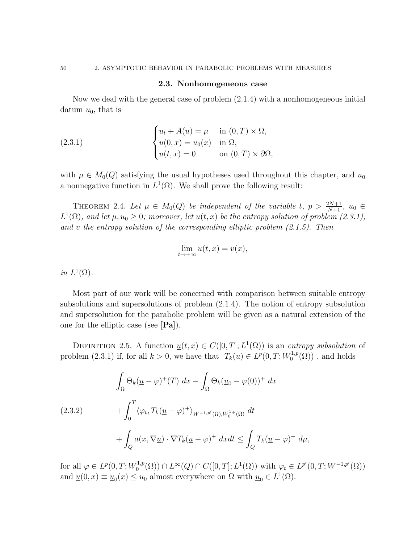#### 2.3. Nonhomogeneous case

Now we deal with the general case of problem (2.1.4) with a nonhomogeneous initial datum  $u_0$ , that is

(2.3.1) 
$$
\begin{cases} u_t + A(u) = \mu & \text{in } (0, T) \times \Omega, \\ u(0, x) = u_0(x) & \text{in } \Omega, \\ u(t, x) = 0 & \text{on } (0, T) \times \partial\Omega, \end{cases}
$$

with  $\mu \in M_0(Q)$  satisfying the usual hypotheses used throughout this chapter, and  $u_0$ a nonnegative function in  $L^1(\Omega)$ . We shall prove the following result:

THEOREM 2.4. Let  $\mu \in M_0(Q)$  be independent of the variable t,  $p > \frac{2N+1}{N+1}$ ,  $u_0 \in$  $L^1(\Omega)$ , and let  $\mu, u_0 \geq 0$ ; moreover, let  $u(t, x)$  be the entropy solution of problem (2.3.1), and  $v$  the entropy solution of the corresponding elliptic problem  $(2.1.5)$ . Then

$$
\lim_{t \to +\infty} u(t, x) = v(x),
$$

in  $L^1(\Omega)$ .

Most part of our work will be concerned with comparison between suitable entropy subsolutions and supersolutions of problem (2.1.4). The notion of entropy subsolution and supersolution for the parabolic problem will be given as a natural extension of the one for the elliptic case (see  $[Pa]$ ).

DEFINITION 2.5. A function  $\underline{u}(t,x) \in C([0,T];L^1(\Omega))$  is an entropy subsolution of problem (2.3.1) if, for all  $k > 0$ , we have that  $T_k(\underline{u}) \in L^p(0,T;W_0^{1,p})$  $C^{1,p}_0(\Omega)$ , and holds

(2.3.2) 
$$
\int_{\Omega} \Theta_k(\underline{u} - \varphi)^+(T) dx - \int_{\Omega} \Theta_k(\underline{u}_0 - \varphi(0))^+ dx
$$

$$
+ \int_0^T \langle \varphi_t, T_k(\underline{u} - \varphi)^+ \rangle_{W^{-1,p'}(\Omega), W_0^{1,p}(\Omega)} dt
$$

$$
+ \int_Q a(x, \nabla \underline{u}) \cdot \nabla T_k(\underline{u} - \varphi)^+ dx dt \le \int_Q T_k(\underline{u} - \varphi)^+ d\mu,
$$

for all  $\varphi \in L^p(0,T;W_0^{1,p})$  $L^{1,p}(\Omega) \cap L^{\infty}(Q) \cap C([0,T]; L^{1}(\Omega))$  with  $\varphi_t \in L^{p'}(0,T; W^{-1,p'}(\Omega))$ and  $\underline{u}(0, x) \equiv \underline{u}_0(x) \le u_0$  almost everywhere on  $\Omega$  with  $\underline{u}_0 \in L^1(\Omega)$ .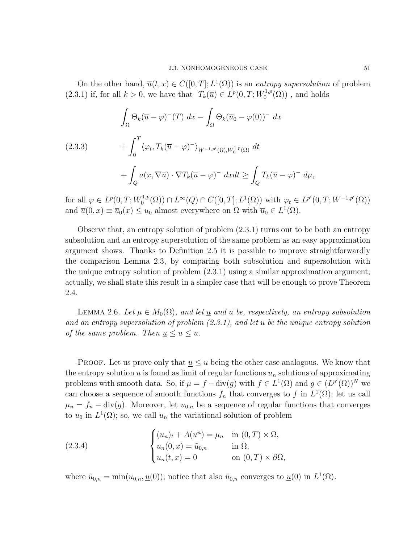On the other hand,  $\overline{u}(t, x) \in C([0, T]; L^1(\Omega))$  is an entropy supersolution of problem (2.3.1) if, for all  $k > 0$ , we have that  $T_k(\overline{u}) \in L^p(0,T;W_0^{1,p})$  $C^{1,p}_0(\Omega)$ , and holds

(2.3.3)  
\n
$$
\int_{\Omega} \Theta_k(\overline{u} - \varphi)^{-}(T) dx - \int_{\Omega} \Theta_k(\overline{u}_0 - \varphi(0))^{-} dx
$$
\n
$$
+ \int_{0}^{T} \langle \varphi_t, T_k(\overline{u} - \varphi)^{-} \rangle_{W^{-1,p'}(\Omega), W_0^{1,p}(\Omega)} dt
$$
\n
$$
+ \int_{Q} a(x, \nabla \overline{u}) \cdot \nabla T_k(\overline{u} - \varphi)^{-} dx dt \ge \int_{Q} T_k(\overline{u} - \varphi)^{-} d\mu,
$$

for all  $\varphi \in L^p(0,T;W_0^{1,p})$  $L^{1,p}(\Omega) \cap L^{\infty}(Q) \cap C([0,T]; L^{1}(\Omega))$  with  $\varphi_t \in L^{p'}(0,T; W^{-1,p'}(\Omega))$ and  $\overline{u}(0, x) \equiv \overline{u}_0(x) \le u_0$  almost everywhere on  $\Omega$  with  $\overline{u}_0 \in L^1(\Omega)$ .

Observe that, an entropy solution of problem (2.3.1) turns out to be both an entropy subsolution and an entropy supersolution of the same problem as an easy approximation argument shows. Thanks to Definition 2.5 it is possible to improve straightforwardly the comparison Lemma 2.3, by comparing both subsolution and supersolution with the unique entropy solution of problem (2.3.1) using a similar approximation argument; actually, we shall state this result in a simpler case that will be enough to prove Theorem 2.4.

LEMMA 2.6. Let  $\mu \in M_0(\Omega)$ , and let  $\underline{u}$  and  $\overline{u}$  be, respectively, an entropy subsolution and an entropy supersolution of problem (2.3.1), and let u be the unique entropy solution of the same problem. Then  $\underline{u} \leq u \leq \overline{u}$ .

**PROOF.** Let us prove only that  $u \leq u$  being the other case analogous. We know that the entropy solution  $u$  is found as limit of regular functions  $u_n$  solutions of approximating problems with smooth data. So, if  $\mu = f - \text{div}(g)$  with  $f \in L^1(\Omega)$  and  $g \in (L^{p'}(\Omega))^N$  we can choose a sequence of smooth functions  $f_n$  that converges to f in  $L^1(\Omega)$ ; let us call  $\mu_n = f_n - \text{div}(g)$ . Moreover, let  $u_{0,n}$  be a sequence of regular functions that converges to  $u_0$  in  $L^1(\Omega)$ ; so, we call  $u_n$  the variational solution of problem

(2.3.4) 
$$
\begin{cases} (u_n)_t + A(u^n) = \mu_n & \text{in } (0, T) \times \Omega, \\ u_n(0, x) = \tilde{u}_{0,n} & \text{in } \Omega, \\ u_n(t, x) = 0 & \text{on } (0, T) \times \partial\Omega, \end{cases}
$$

where  $\tilde{u}_{0,n} = \min(u_{0,n}, \underline{u}(0))$ ; notice that also  $\tilde{u}_{0,n}$  converges to  $\underline{u}(0)$  in  $L^1(\Omega)$ .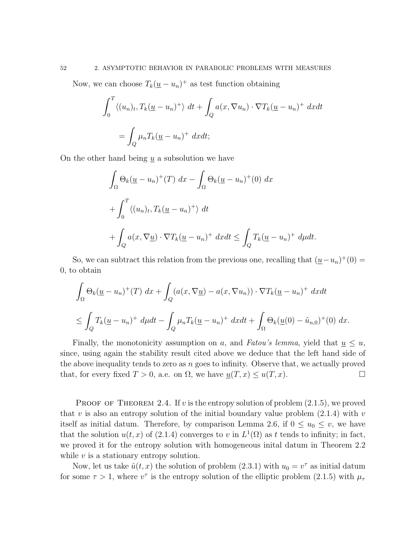Now, we can choose  $T_k(\underline{u}-u_n)^+$  as test function obtaining

$$
\int_0^T \langle (u_n)_t, T_k(\underline{u} - u_n)^+ \rangle dt + \int_Q a(x, \nabla u_n) \cdot \nabla T_k(\underline{u} - u_n)^+ dx dt
$$

$$
= \int_Q \mu_n T_k(\underline{u} - u_n)^+ dx dt;
$$

On the other hand being  $\underline{u}$  a subsolution we have

$$
\int_{\Omega} \Theta_k(\underline{u} - u_n)^+(T) \, dx - \int_{\Omega} \Theta_k(\underline{u} - u_n)^+(0) \, dx
$$
  
+ 
$$
\int_0^T \langle (u_n)_t, T_k(\underline{u} - u_n)^+ \rangle \, dt
$$
  
+ 
$$
\int_Q a(x, \nabla \underline{u}) \cdot \nabla T_k(\underline{u} - u_n)^+ \, dx dt \le \int_Q T_k(\underline{u} - u_n)^+ \, d\mu dt.
$$

So, we can subtract this relation from the previous one, recalling that  $(\underline{u}-u_n)^+(0)$ 0, to obtain

$$
\int_{\Omega} \Theta_k(\underline{u} - u_n)^+(T) \, dx + \int_Q (a(x, \nabla \underline{u}) - a(x, \nabla u_n)) \cdot \nabla T_k(\underline{u} - u_n)^+ \, dxdt
$$
\n
$$
\leq \int_Q T_k(\underline{u} - u_n)^+ \, d\mu dt - \int_Q \mu_n T_k(\underline{u} - u_n)^+ \, dxdt + \int_\Omega \Theta_k(\underline{u}(0) - \tilde{u}_{n,0})^+(0) \, dx.
$$

Finally, the monotonicity assumption on a, and Fatou's lemma, yield that  $u \leq u$ , since, using again the stability result cited above we deduce that the left hand side of the above inequality tends to zero as  $n$  goes to infinity. Observe that, we actually proved that, for every fixed  $T > 0$ , a.e. on  $\Omega$ , we have  $\underline{u}(T, x) \leq u(T, x)$ .

PROOF OF THEOREM 2.4. If v is the entropy solution of problem  $(2.1.5)$ , we proved that v is also an entropy solution of the initial boundary value problem  $(2.1.4)$  with v itself as initial datum. Therefore, by comparison Lemma 2.6, if  $0 \le u_0 \le v$ , we have that the solution  $u(t, x)$  of (2.1.4) converges to v in  $L^1(\Omega)$  as t tends to infinity; in fact, we proved it for the entropy solution with homogeneous inital datum in Theorem 2.2 while  $v$  is a stationary entropy solution.

Now, let us take  $\hat{u}(t, x)$  the solution of problem (2.3.1) with  $u_0 = v^{\tau}$  as initial datum for some  $\tau > 1$ , where  $v^{\tau}$  is the entropy solution of the elliptic problem (2.1.5) with  $\mu_{\tau}$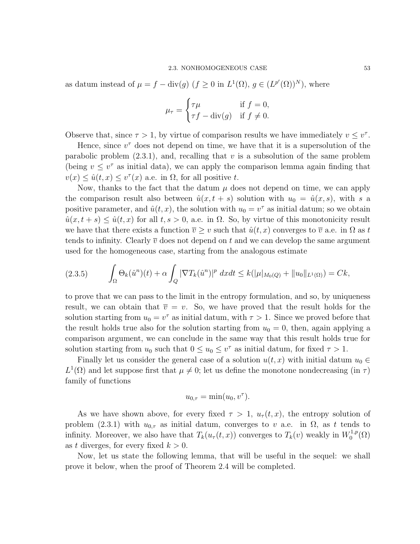as datum instead of  $\mu = f - \text{div}(g)$   $(f \geq 0 \text{ in } L^1(\Omega), g \in (L^{p'}(\Omega))^N)$ , where

$$
\mu_{\tau} = \begin{cases} \tau \mu & \text{if } f = 0, \\ \tau f - \text{div}(g) & \text{if } f \neq 0. \end{cases}
$$

Observe that, since  $\tau > 1$ , by virtue of comparison results we have immediately  $v \leq v^{\tau}$ .

Hence, since  $v^{\tau}$  does not depend on time, we have that it is a supersolution of the parabolic problem  $(2.3.1)$ , and, recalling that v is a subsolution of the same problem (being  $v \leq v^{\tau}$  as initial data), we can apply the comparison lemma again finding that  $v(x) \leq \hat{u}(t,x) \leq v^{\tau}(x)$  a.e. in  $\Omega$ , for all positive t.

Now, thanks to the fact that the datum  $\mu$  does not depend on time, we can apply the comparison result also between  $\hat{u}(x, t + s)$  solution with  $u_0 = \hat{u}(x, s)$ , with s a positive parameter, and  $\hat{u}(t, x)$ , the solution with  $u_0 = v^{\tau}$  as initial datum; so we obtain  $\hat{u}(x, t + s) \leq \hat{u}(t, x)$  for all  $t, s > 0$ , a.e. in  $\Omega$ . So, by virtue of this monotonicity result we have that there exists a function  $\overline{v} \geq v$  such that  $\hat{u}(t, x)$  converges to  $\overline{v}$  a.e. in  $\Omega$  as t tends to infinity. Clearly  $\overline{v}$  does not depend on t and we can develop the same argument used for the homogeneous case, starting from the analogous estimate

$$
(2.3.5) \qquad \int_{\Omega} \Theta_k(\hat{u}^n)(t) + \alpha \int_Q |\nabla T_k(\hat{u}^n)|^p \ dx dt \le k(|\mu|_{M_0(Q)} + \|u_0\|_{L^1(\Omega)}) = Ck,
$$

to prove that we can pass to the limit in the entropy formulation, and so, by uniqueness result, we can obtain that  $\overline{v} = v$ . So, we have proved that the result holds for the solution starting from  $u_0 = v^{\tau}$  as initial datum, with  $\tau > 1$ . Since we proved before that the result holds true also for the solution starting from  $u_0 = 0$ , then, again applying a comparison argument, we can conclude in the same way that this result holds true for solution starting from  $u_0$  such that  $0 \le u_0 \le v^{\tau}$  as initial datum, for fixed  $\tau > 1$ .

Finally let us consider the general case of a solution  $u(t, x)$  with initial datum  $u_0 \in$  $L^1(\Omega)$  and let suppose first that  $\mu \neq 0$ ; let us define the monotone nondecreasing (in  $\tau$ ) family of functions

$$
u_{0,\tau} = \min(u_0, v^\tau).
$$

As we have shown above, for every fixed  $\tau > 1$ ,  $u_{\tau}(t, x)$ , the entropy solution of problem (2.3.1) with  $u_{0,\tau}$  as initial datum, converges to v a.e. in  $\Omega$ , as t tends to infinity. Moreover, we also have that  $T_k(u_\tau(t,x))$  converges to  $T_k(v)$  weakly in  $W_0^{1,p}$  $\zeta_0^{1,p}(\Omega)$ as t diverges, for every fixed  $k > 0$ .

Now, let us state the following lemma, that will be useful in the sequel: we shall prove it below, when the proof of Theorem 2.4 will be completed.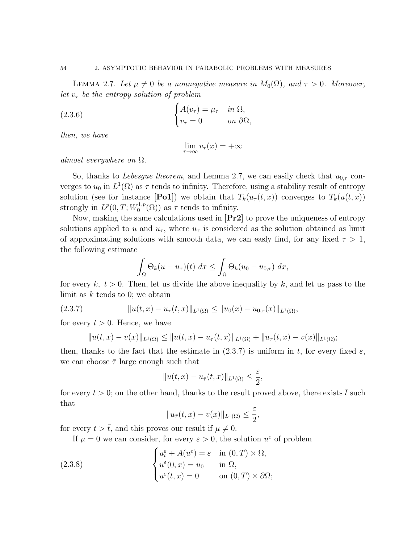### 54 2. ASYMPTOTIC BEHAVIOR IN PARABOLIC PROBLEMS WITH MEASURES

LEMMA 2.7. Let  $\mu \neq 0$  be a nonnegative measure in  $M_0(\Omega)$ , and  $\tau > 0$ . Moreover, let  $v_{\tau}$  be the entropy solution of problem

(2.3.6) 
$$
\begin{cases} A(v_{\tau}) = \mu_{\tau} & \text{in } \Omega, \\ v_{\tau} = 0 & \text{on } \partial \Omega, \end{cases}
$$

then, we have

$$
\lim_{\tau \to \infty} v_{\tau}(x) = +\infty
$$

almost everywhere on  $\Omega$ .

So, thanks to *Lebesgue theorem*, and Lemma 2.7, we can easily check that  $u_{0,\tau}$  converges to  $u_0$  in  $L^1(\Omega)$  as  $\tau$  tends to infinity. Therefore, using a stability result of entropy solution (see for instance [Po1]) we obtain that  $T_k(u_\tau(t,x))$  converges to  $T_k(u(t,x))$ strongly in  $L^p(0,T;W_0^{1,p})$  $\tau_0^{1,p}(\Omega)$  as  $\tau$  tends to infinity.

Now, making the same calculations used in [Pr2] to prove the uniqueness of entropy solutions applied to u and  $u_{\tau}$ , where  $u_{\tau}$  is considered as the solution obtained as limit of approximating solutions with smooth data, we can easly find, for any fixed  $\tau > 1$ , the following estimate

$$
\int_{\Omega} \Theta_k(u - u_\tau)(t) \ dx \leq \int_{\Omega} \Theta_k(u_0 - u_{0,\tau}) \ dx,
$$

for every  $k, t > 0$ . Then, let us divide the above inequality by k, and let us pass to the limit as  $k$  tends to 0; we obtain

(2.3.7) 
$$
||u(t,x)-u_{\tau}(t,x)||_{L^{1}(\Omega)} \leq ||u_{0}(x)-u_{0,\tau}(x)||_{L^{1}(\Omega)},
$$

for every  $t > 0$ . Hence, we have

$$
||u(t,x)-v(x)||_{L^1(\Omega)} \leq ||u(t,x)-u_\tau(t,x)||_{L^1(\Omega)} + ||u_\tau(t,x)-v(x)||_{L^1(\Omega)};
$$

then, thanks to the fact that the estimate in (2.3.7) is uniform in t, for every fixed  $\varepsilon$ , we can choose  $\bar{\tau}$  large enough such that

$$
||u(t,x) - u_{\bar{\tau}}(t,x)||_{L^1(\Omega)} \leq \frac{\varepsilon}{2},
$$

for every  $t > 0$ ; on the other hand, thanks to the result proved above, there exists  $\bar{t}$  such that

$$
||u_{\bar{\tau}}(t,x) - v(x)||_{L^1(\Omega)} \le \frac{\varepsilon}{2},
$$

for every  $t > \overline{t}$ , and this proves our result if  $\mu \neq 0$ .

If  $\mu = 0$  we can consider, for every  $\varepsilon > 0$ , the solution  $u^{\varepsilon}$  of problem

(2.3.8) 
$$
\begin{cases} u_t^{\varepsilon} + A(u^{\varepsilon}) = \varepsilon & \text{in } (0, T) \times \Omega, \\ u^{\varepsilon}(0, x) = u_0 & \text{in } \Omega, \\ u^{\varepsilon}(t, x) = 0 & \text{on } (0, T) \times \partial\Omega; \end{cases}
$$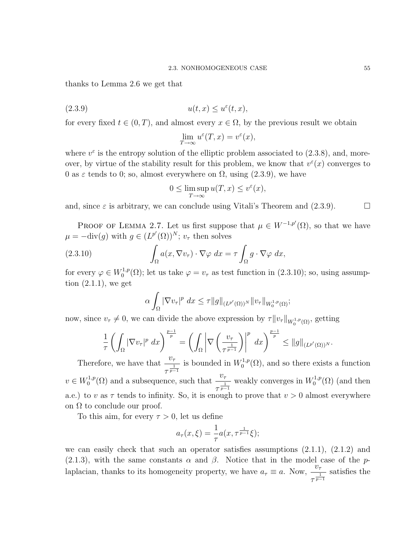thanks to Lemma 2.6 we get that

$$
(2.3.9) \t\t u(t,x) \le u^{\varepsilon}(t,x),
$$

for every fixed  $t \in (0, T)$ , and almost every  $x \in \Omega$ , by the previous result we obtain

$$
\lim_{T \to \infty} u^{\varepsilon}(T, x) = v^{\varepsilon}(x),
$$

where  $v^{\varepsilon}$  is the entropy solution of the elliptic problem associated to (2.3.8), and, moreover, by virtue of the stability result for this problem, we know that  $v^{\varepsilon}(x)$  converges to 0 as  $\varepsilon$  tends to 0; so, almost everywhere on  $\Omega$ , using (2.3.9), we have

$$
0 \le \limsup_{T \to \infty} u(T, x) \le v^{\varepsilon}(x),
$$

and, since  $\varepsilon$  is arbitrary, we can conclude using Vitali's Theorem and (2.3.9).

PROOF OF LEMMA 2.7. Let us first suppose that  $\mu \in W^{-1,p'}(\Omega)$ , so that we have  $\mu = -\text{div}(g)$  with  $g \in (L^{p'}(\Omega))^{N}$ ;  $v_{\tau}$  then solves

(2.3.10) 
$$
\int_{\Omega} a(x, \nabla v_{\tau}) \cdot \nabla \varphi \, dx = \tau \int_{\Omega} g \cdot \nabla \varphi \, dx,
$$

for every  $\varphi \in W_0^{1,p}$  $\mathcal{O}_0^{1,p}(\Omega)$ ; let us take  $\varphi = v_\tau$  as test function in (2.3.10); so, using assumption  $(2.1.1)$ , we get

$$
\alpha \int_{\Omega} |\nabla v_{\tau}|^p dx \leq \tau ||g||_{(L^{p'}(\Omega))^N} ||v_{\tau}||_{W_0^{1,p}(\Omega)};
$$

now, since  $v_{\tau} \neq 0$ , we can divide the above expression by  $\tau \|v_{\tau}\|_{W_0^{1,p}(\Omega)}$ , getting

$$
\frac{1}{\tau}\left(\int_{\Omega}|\nabla v_{\tau}|^p\ dx\right)^{\frac{p-1}{p}}=\left(\int_{\Omega}\left|\nabla\left(\frac{v_{\tau}}{\tau^{\frac{1}{p-1}}}\right)\right|^p\ dx\right)^{\frac{p-1}{p}}\leq\|g\|_{(L^{p'}(\Omega))^N}.
$$

Therefore, we have that  $\frac{v_{\tau}}{1}$  $rac{v_{\tau}}{\tau^{\frac{1}{p-1}}}$  is bounded in  $W_0^{1,p}$  $\mathcal{O}_0^{1,p}(\Omega)$ , and so there exists a function  $v \in W_0^{1,p}$  $v_0^{1,p}(\Omega)$  and a subsequence, such that  $\frac{v_{\tau}}{1}$  $rac{v_{\tau}}{\tau^{\frac{1}{p-1}}}$  weakly converges in  $W_0^{1,p}$  $L_0^{1,p}(\Omega)$  (and then a.e.) to v as  $\tau$  tends to infinity. So, it is enough to prove that  $v > 0$  almost everywhere on  $\Omega$  to conclude our proof.

To this aim, for every  $\tau > 0$ , let us define

$$
a_{\tau}(x,\xi) = \frac{1}{\tau} a(x, \tau^{\frac{1}{p-1}} \xi);
$$

we can easily check that such an operator satisfies assumptions (2.1.1), (2.1.2) and (2.1.3), with the same constants  $\alpha$  and  $\beta$ . Notice that in the model case of the plaplacian, thanks to its homogeneity property, we have  $a_{\tau} \equiv a$ . Now,  $\frac{v_{\tau}}{1}$  $\frac{1}{\tau^{\frac{1}{p-1}}}$  satisfies the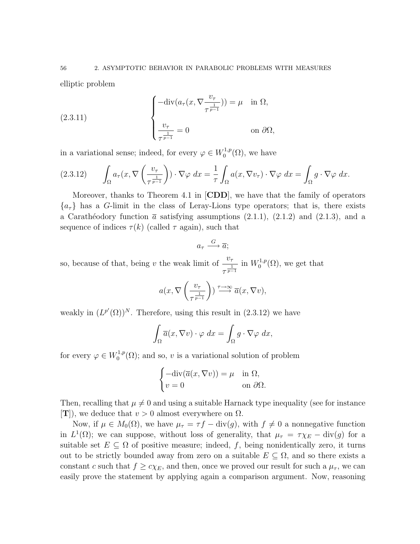elliptic problem

(2.3.11) 
$$
\begin{cases}\n-\text{div}(a_{\tau}(x, \nabla \frac{v_{\tau}}{\tau^{\frac{1}{p-1}}})) = \mu & \text{in } \Omega, \\
\frac{v_{\tau}}{\tau^{\frac{1}{p-1}}} = 0 & \text{on } \partial \Omega,\n\end{cases}
$$

in a variational sense; indeed, for every  $\varphi \in W_0^{1,p}$  $\mathfrak{c}_0^{1,p}(\Omega)$ , we have

$$
(2.3.12) \qquad \int_{\Omega} a_{\tau}(x, \nabla \left(\frac{v_{\tau}}{\tau^{\frac{1}{p-1}}}\right)) \cdot \nabla \varphi \, dx = \frac{1}{\tau} \int_{\Omega} a(x, \nabla v_{\tau}) \cdot \nabla \varphi \, dx = \int_{\Omega} g \cdot \nabla \varphi \, dx.
$$

Moreover, thanks to Theorem 4.1 in  $\text{[CDD]}$ , we have that the family of operators  ${a<sub>τ</sub>}$  has a G-limit in the class of Leray-Lions type operators; that is, there exists a Carathéodory function  $\bar{a}$  satisfying assumptions (2.1.1), (2.1.2) and (2.1.3), and a sequence of indices  $\tau(k)$  (called  $\tau$  again), such that

$$
a_{\tau} \xrightarrow{G} \overline{a};
$$

so, because of that, being v the weak limit of  $\frac{v_7}{1}$  $\frac{v_{\tau}}{\tau^{\frac{1}{p-1}}}$  in  $W_0^{1,p}$  $L_0^{1,p}(\Omega)$ , we get that

$$
a(x, \nabla \left(\frac{v_{\tau}}{\tau^{\frac{1}{p-1}}}\right)) \xrightarrow{\tau \to \infty} \overline{a}(x, \nabla v),
$$

weakly in  $(L^{p'}(\Omega))^N$ . Therefore, using this result in  $(2.3.12)$  we have

$$
\int_{\Omega} \overline{a}(x, \nabla v) \cdot \varphi \, dx = \int_{\Omega} g \cdot \nabla \varphi \, dx,
$$

for every  $\varphi \in W_0^{1,p}$  $C_0^{1,p}(\Omega)$ ; and so, v is a variational solution of problem

$$
\begin{cases}\n-\text{div}(\overline{a}(x,\nabla v)) = \mu & \text{in } \Omega, \\
v = 0 & \text{on } \partial\Omega.\n\end{cases}
$$

Then, recalling that  $\mu \neq 0$  and using a suitable Harnack type inequality (see for instance  $[T]$ , we deduce that  $v > 0$  almost everywhere on  $\Omega$ .

Now, if  $\mu \in M_0(\Omega)$ , we have  $\mu_{\tau} = \tau f - \text{div}(g)$ , with  $f \neq 0$  a nonnegative function in  $L^1(\Omega)$ ; we can suppose, without loss of generality, that  $\mu_{\tau} = \tau \chi_E - \text{div}(g)$  for a suitable set  $E \subseteq \Omega$  of positive measure; indeed, f, being nonidentically zero, it turns out to be strictly bounded away from zero on a suitable  $E \subseteq \Omega$ , and so there exists a constant c such that  $f \geq c \chi_E$ , and then, once we proved our result for such a  $\mu_{\tau}$ , we can easily prove the statement by applying again a comparison argument. Now, reasoning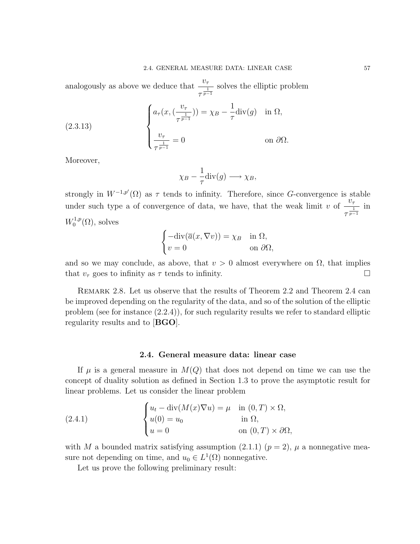analogously as above we deduce that  $\frac{v_7}{1}$  $\frac{c_{\tau}}{\tau^{\frac{1}{p-1}}}$  solves the elliptic problem

(2.3.13) 
$$
\begin{cases} a_{\tau}(x, (\frac{v_{\tau}}{\tau^{\frac{1}{p-1}}})) = \chi_B - \frac{1}{\tau} \operatorname{div}(g) & \text{in } \Omega, \\ \frac{v_{\tau}}{\tau^{\frac{1}{p-1}}} = 0 & \text{on } \partial \Omega. \end{cases}
$$

Moreover,

$$
\chi_B - \frac{1}{\tau} \text{div}(g) \longrightarrow \chi_B,
$$

strongly in  $W^{-1,p'}(\Omega)$  as  $\tau$  tends to infinity. Therefore, since G-convergence is stable under such type a of convergence of data, we have, that the weak limit v of  $\frac{v_{\tau}}{1}$  $\frac{c_{\tau}}{\tau^{\frac{1}{p-1}}}$  in  $W_0^{1,p}$  $\sigma_0^{1,p}(\Omega)$ , solves

$$
\begin{cases}\n-\text{div}(\overline{a}(x,\nabla v)) = \chi_B & \text{in } \Omega, \\
v = 0 & \text{on } \partial\Omega,\n\end{cases}
$$

and so we may conclude, as above, that  $v > 0$  almost everywhere on  $\Omega$ , that implies that  $v_{\tau}$  goes to infinity as  $\tau$  tends to infinity.

REMARK 2.8. Let us observe that the results of Theorem 2.2 and Theorem 2.4 can be improved depending on the regularity of the data, and so of the solution of the elliptic problem (see for instance (2.2.4)), for such regularity results we refer to standard elliptic regularity results and to [BGO].

## 2.4. General measure data: linear case

If  $\mu$  is a general measure in  $M(Q)$  that does not depend on time we can use the concept of duality solution as defined in Section 1.3 to prove the asymptotic result for linear problems. Let us consider the linear problem

(2.4.1) 
$$
\begin{cases} u_t - \operatorname{div}(M(x)\nabla u) = \mu & \text{in } (0,T) \times \Omega, \\ u(0) = u_0 & \text{in } \Omega, \\ u = 0 & \text{on } (0,T) \times \partial\Omega, \end{cases}
$$

with M a bounded matrix satisfying assumption (2.1.1)  $(p = 2)$ ,  $\mu$  a nonnegative measure not depending on time, and  $u_0 \in L^1(\Omega)$  nonnegative.

Let us prove the following preliminary result: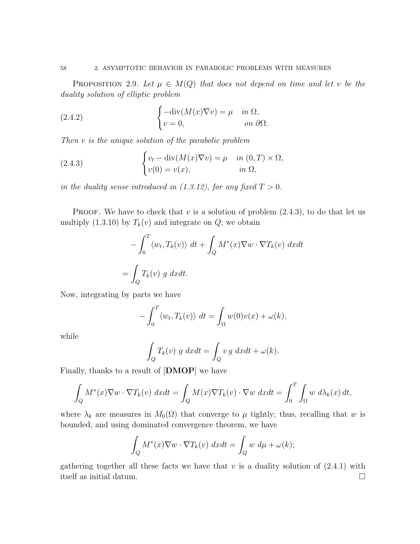### 58 2. ASYMPTOTIC BEHAVIOR IN PARABOLIC PROBLEMS WITH MEASURES

PROPOSITION 2.9. Let  $\mu \in M(Q)$  that does not depend on time and let v be the duality solution of elliptic problem

(2.4.2) 
$$
\begin{cases}\n-\text{div}(M(x)\nabla v) = \mu & \text{in } \Omega, \\
v = 0, & \text{on } \partial\Omega.\n\end{cases}
$$

Then v is the unique solution of the parabolic problem

(2.4.3) 
$$
\begin{cases} v_t - \operatorname{div}(M(x)\nabla v) = \mu & \text{in } (0,T) \times \Omega, \\ v(0) = v(x), & \text{in } \Omega, \end{cases}
$$

in the duality sense introduced in  $(1.3.12)$ , for any fixed  $T > 0$ .

**PROOF.** We have to check that v is a solution of problem  $(2.4.3)$ , to do that let us multiply (1.3.10) by  $T_k(v)$  and integrate on  $Q$ ; we obtain

$$
-\int_0^T \langle w_t, T_k(v) \rangle dt + \int_Q M^*(x) \nabla w \cdot \nabla T_k(v) dx dt
$$
  
= 
$$
\int_Q T_k(v) g dx dt.
$$

Now, integrating by parts we have

$$
-\int_0^T \langle w_t, T_k(v) \rangle dt = \int_{\Omega} w(0)v(x) + \omega(k),
$$

while

$$
\int_{Q} T_{k}(v) g dx dt = \int_{Q} v g dx dt + \omega(k).
$$

Finally, thanks to a result of [DMOP] we have

$$
\int_{Q} M^{*}(x)\nabla w \cdot \nabla T_{k}(v) dx dt = \int_{Q} M(x)\nabla T_{k}(v) \cdot \nabla w dx dt = \int_{0}^{T} \int_{\Omega} w d\lambda_{k}(x) dt,
$$

where  $\lambda_k$  are measures in  $M_0(\Omega)$  that converge to  $\mu$  tightly; thus, recalling that w is bounded, and using dominated convergence theorem, we have

$$
\int_{Q} M^{*}(x) \nabla w \cdot \nabla T_{k}(v) dx dt = \int_{Q} w d\mu + \omega(k);
$$

gathering together all these facts we have that  $v$  is a duality solution of  $(2.4.1)$  with itself as initial datum.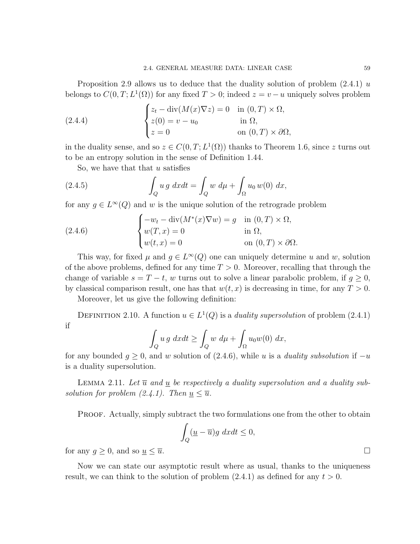Proposition 2.9 allows us to deduce that the duality solution of problem  $(2.4.1)$  u belongs to  $C(0,T; L^1(\Omega))$  for any fixed  $T > 0$ ; indeed  $z = v - u$  uniquely solves problem

(2.4.4) 
$$
\begin{cases} z_t - \operatorname{div}(M(x)\nabla z) = 0 & \text{in } (0,T) \times \Omega, \\ z(0) = v - u_0 & \text{in } \Omega, \\ z = 0 & \text{on } (0,T) \times \partial\Omega, \end{cases}
$$

in the duality sense, and so  $z \in C(0,T; L^1(\Omega))$  thanks to Theorem 1.6, since z turns out to be an entropy solution in the sense of Definition 1.44.

So, we have that that  $u$  satisfies

(2.4.5) 
$$
\int_{Q} u g \, dx dt = \int_{Q} w \, d\mu + \int_{\Omega} u_0 \, w(0) \, dx,
$$

for any  $g \in L^{\infty}(Q)$  and w is the unique solution of the retrograde problem

(2.4.6) 
$$
\begin{cases}\n-w_t - \operatorname{div}(M^*(x)\nabla w) = g & \text{in } (0, T) \times \Omega, \\
w(T, x) = 0 & \text{in } \Omega, \\
w(t, x) = 0 & \text{on } (0, T) \times \partial\Omega.\n\end{cases}
$$

This way, for fixed  $\mu$  and  $g \in L^{\infty}(Q)$  one can uniquely determine u and w, solution of the above problems, defined for any time  $T > 0$ . Moreover, recalling that through the change of variable  $s = T - t$ , w turns out to solve a linear parabolic problem, if  $q \ge 0$ , by classical comparison result, one has that  $w(t, x)$  is decreasing in time, for any  $T > 0$ .

Moreover, let us give the following definition:

DEFINITION 2.10. A function  $u \in L^1(Q)$  is a *duality supersolution* of problem (2.4.1) if

$$
\int_{Q} u g \ dx dt \ge \int_{Q} w \ d\mu + \int_{\Omega} u_0 w(0) \ dx,
$$

for any bounded  $g \geq 0$ , and w solution of (2.4.6), while u is a *duality subsolution* if  $-u$ is a duality supersolution.

LEMMA 2.11. Let  $\overline{u}$  and u be respectively a duality supersolution and a duality subsolution for problem  $(2.4.1)$ . Then  $u < \overline{u}$ .

PROOF. Actually, simply subtract the two formulations one from the other to obtain

$$
\int_{Q} (\underline{u} - \overline{u}) g \ dx dt \le 0,
$$

for any  $g \ge 0$ , and so  $\underline{u} \le \overline{u}$ .

Now we can state our asymptotic result where as usual, thanks to the uniqueness result, we can think to the solution of problem  $(2.4.1)$  as defined for any  $t > 0$ .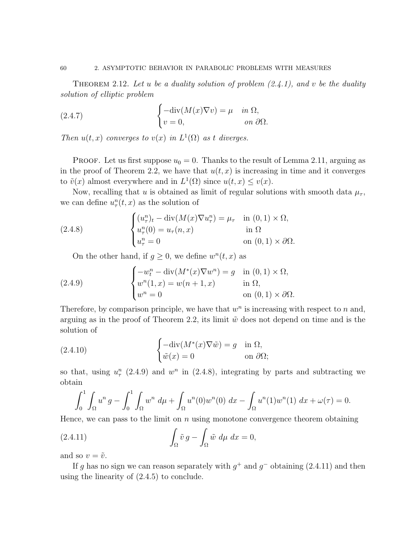THEOREM 2.12. Let u be a duality solution of problem  $(2.4.1)$ , and v be the duality solution of elliptic problem

(2.4.7) 
$$
\begin{cases} -\operatorname{div}(M(x)\nabla v) = \mu & \text{in } \Omega, \\ v = 0, & \text{on } \partial\Omega. \end{cases}
$$

Then  $u(t, x)$  converges to  $v(x)$  in  $L^1(\Omega)$  as t diverges.

**PROOF.** Let us first suppose  $u_0 = 0$ . Thanks to the result of Lemma 2.11, arguing as in the proof of Theorem 2.2, we have that  $u(t, x)$  is increasing in time and it converges to  $\tilde{v}(x)$  almost everywhere and in  $L^1(\Omega)$  since  $u(t, x) \leq v(x)$ .

Now, recalling that u is obtained as limit of regular solutions with smooth data  $\mu_{\tau}$ , we can define  $u_\tau^n(t,x)$  as the solution of

(2.4.8) 
$$
\begin{cases} (u_{\tau}^n)_t - \operatorname{div}(M(x)\nabla u_{\tau}^n) = \mu_{\tau} & \text{in } (0,1) \times \Omega, \\ u_{\tau}^n(0) = u_{\tau}(n,x) & \text{in } \Omega \\ u_{\tau}^n = 0 & \text{on } (0,1) \times \partial\Omega. \end{cases}
$$

On the other hand, if  $g \geq 0$ , we define  $w^n(t, x)$  as

(2.4.9) 
$$
\begin{cases}\n-w_t^n - \operatorname{div}(M^*(x)\nabla w^n) = g & \text{in } (0,1) \times \Omega, \\
w^n(1,x) = w(n+1,x) & \text{in } \Omega, \\
w^n = 0 & \text{on } (0,1) \times \partial\Omega.\n\end{cases}
$$

Therefore, by comparison principle, we have that  $w<sup>n</sup>$  is increasing with respect to n and, arguing as in the proof of Theorem 2.2, its limit  $\tilde{w}$  does not depend on time and is the solution of

(2.4.10) 
$$
\begin{cases} -\text{div}(M^*(x)\nabla \tilde{w}) = g & \text{in } \Omega, \\ \tilde{w}(x) = 0 & \text{on } \partial \Omega; \end{cases}
$$

so that, using  $u_\tau^n$  (2.4.9) and  $w^n$  in (2.4.8), integrating by parts and subtracting we obtain

$$
\int_0^1 \int_{\Omega} u^n g - \int_0^1 \int_{\Omega} w^n d\mu + \int_{\Omega} u^n(0) w^n(0) dx - \int_{\Omega} u^n(1) w^n(1) dx + \omega(\tau) = 0.
$$

Hence, we can pass to the limit on  $n$  using monotone convergence theorem obtaining

(2.4.11) 
$$
\int_{\Omega} \tilde{v} g - \int_{\Omega} \tilde{w} d\mu dx = 0,
$$

and so  $v = \tilde{v}$ .

If g has no sign we can reason separately with  $g^+$  and  $g^-$  obtaining (2.4.11) and then using the linearity of (2.4.5) to conclude.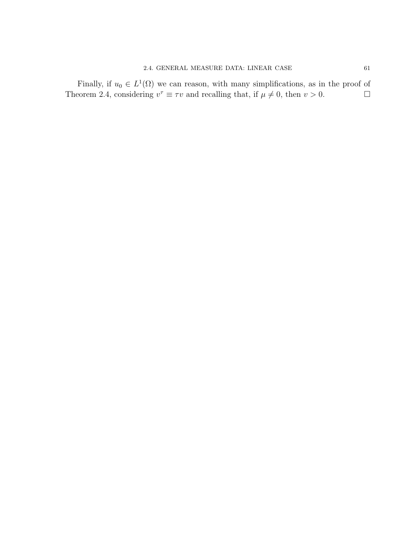Finally, if  $u_0 \in L^1(\Omega)$  we can reason, with many simplifications, as in the proof of Theorem 2.4, considering  $v^{\tau} \equiv \tau v$  and recalling that, if  $\mu \neq 0$ , then  $v > 0$ .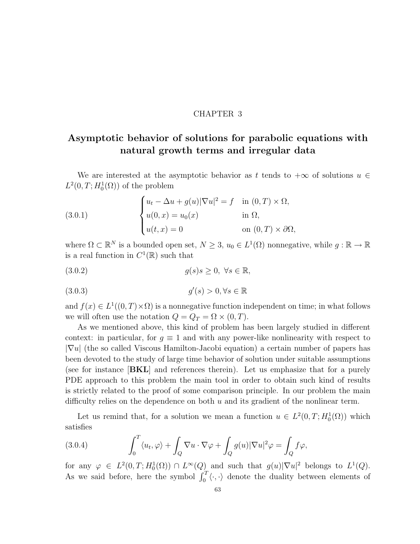## CHAPTER 3

# Asymptotic behavior of solutions for parabolic equations with natural growth terms and irregular data

We are interested at the asymptotic behavior as t tends to  $+\infty$  of solutions  $u \in$  $L^2(0,T;H^1_0(\Omega))$  of the problem

(3.0.1) 
$$
\begin{cases} u_t - \Delta u + g(u) |\nabla u|^2 = f & \text{in } (0, T) \times \Omega, \\ u(0, x) = u_0(x) & \text{in } \Omega, \\ u(t, x) = 0 & \text{on } (0, T) \times \partial \Omega, \end{cases}
$$

where  $\Omega \subset \mathbb{R}^N$  is a bounded open set,  $N \geq 3$ ,  $u_0 \in L^1(\Omega)$  nonnegative, while  $g: \mathbb{R} \to \mathbb{R}$ is a real function in  $C^1(\mathbb{R})$  such that

$$
(3.0.2) \t\t g(s)s \ge 0, \ \forall s \in \mathbb{R},
$$

$$
(3.0.3) \t\t g'(s) > 0, \forall s \in \mathbb{R}
$$

and  $f(x) \in L^1((0,T) \times \Omega)$  is a nonnegative function independent on time; in what follows we will often use the notation  $Q = Q_T = \Omega \times (0, T)$ .

As we mentioned above, this kind of problem has been largely studied in different context: in particular, for  $g \equiv 1$  and with any power-like nonlinearity with respect to  $|\nabla u|$  (the so called Viscous Hamilton-Jacobi equation) a certain number of papers has been devoted to the study of large time behavior of solution under suitable assumptions (see for instance **[BKL**] and references therein). Let us emphasize that for a purely PDE approach to this problem the main tool in order to obtain such kind of results is strictly related to the proof of some comparison principle. In our problem the main difficulty relies on the dependence on both  $u$  and its gradient of the nonlinear term.

Let us remind that, for a solution we mean a function  $u \in L^2(0,T; H_0^1(\Omega))$  which satisfies

(3.0.4) 
$$
\int_0^T \langle u_t, \varphi \rangle + \int_Q \nabla u \cdot \nabla \varphi + \int_Q g(u) |\nabla u|^2 \varphi = \int_Q f \varphi,
$$

for any  $\varphi \in L^2(0,T;H_0^1(\Omega)) \cap L^{\infty}(Q)$  and such that  $g(u)|\nabla u|^2$  belongs to  $L^1(Q)$ . As we said before, here the symbol  $\int_0^T \langle \cdot, \cdot \rangle$  denote the duality between elements of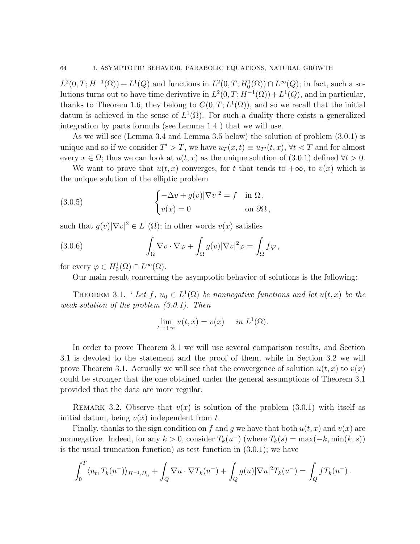$L^2(0,T;H^{-1}(\Omega)) + L^1(Q)$  and functions in  $L^2(0,T;H_0^1(\Omega)) \cap L^{\infty}(Q)$ ; in fact, such a solutions turns out to have time derivative in  $L^2(0,T;H^{-1}(\Omega)) + L^1(Q)$ , and in particular, thanks to Theorem 1.6, they belong to  $C(0,T;L^1(\Omega))$ , and so we recall that the initial datum is achieved in the sense of  $L^1(\Omega)$ . For such a duality there exists a generalized integration by parts formula (see Lemma 1.4 ) that we will use.

As we will see (Lemma 3.4 and Lemma 3.5 below) the solution of problem (3.0.1) is unique and so if we consider  $T' > T$ , we have  $u_T(x,t) \equiv u_{T'}(t,x)$ ,  $\forall t < T$  and for almost every  $x \in \Omega$ ; thus we can look at  $u(t, x)$  as the unique solution of (3.0.1) defined  $\forall t > 0$ .

We want to prove that  $u(t, x)$  converges, for t that tends to  $+\infty$ , to  $v(x)$  which is the unique solution of the elliptic problem

(3.0.5) 
$$
\begin{cases} -\Delta v + g(v) |\nabla v|^2 = f & \text{in } \Omega, \\ v(x) = 0 & \text{on } \partial \Omega, \end{cases}
$$

such that  $g(v)|\nabla v|^2 \in L^1(\Omega)$ ; in other words  $v(x)$  satisfies

(3.0.6) 
$$
\int_{\Omega} \nabla v \cdot \nabla \varphi + \int_{\Omega} g(v) |\nabla v|^2 \varphi = \int_{\Omega} f \varphi,
$$

for every  $\varphi \in H_0^1(\Omega) \cap L^\infty(\Omega)$ .

Our main result concerning the asymptotic behavior of solutions is the following:

THEOREM 3.1. 'Let  $f, u_0 \in L^1(\Omega)$  be nonnegative functions and let  $u(t, x)$  be the weak solution of the problem (3.0.1). Then

$$
\lim_{t \to +\infty} u(t, x) = v(x) \quad \text{in } L^1(\Omega).
$$

In order to prove Theorem 3.1 we will use several comparison results, and Section 3.1 is devoted to the statement and the proof of them, while in Section 3.2 we will prove Theorem 3.1. Actually we will see that the convergence of solution  $u(t, x)$  to  $v(x)$ could be stronger that the one obtained under the general assumptions of Theorem 3.1 provided that the data are more regular.

REMARK 3.2. Observe that  $v(x)$  is solution of the problem (3.0.1) with itself as initial datum, being  $v(x)$  independent from t.

Finally, thanks to the sign condition on f and g we have that both  $u(t, x)$  and  $v(x)$  are nonnegative. Indeed, for any  $k > 0$ , consider  $T_k(u^-)$  (where  $T_k(s) = \max(-k, \min(k, s))$ is the usual truncation function) as test function in (3.0.1); we have

$$
\int_0^T \langle u_t, T_k(u^-) \rangle_{H^{-1}, H_0^1} + \int_Q \nabla u \cdot \nabla T_k(u^-) + \int_Q g(u) |\nabla u|^2 T_k(u^-) = \int_Q f T_k(u^-) .
$$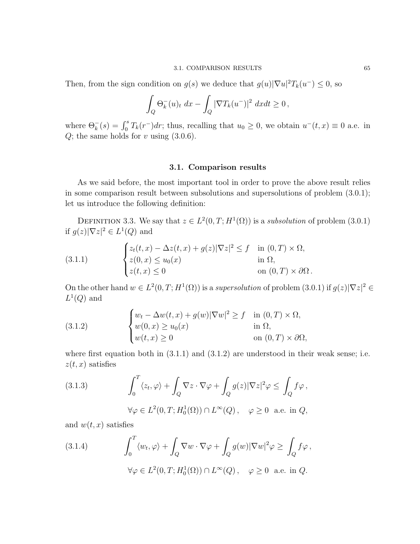### 3.1. COMPARISON RESULTS 65

Then, from the sign condition on  $g(s)$  we deduce that  $g(u)|\nabla u|^2 T_k(u^-) \leq 0$ , so

$$
\int_{Q} \Theta_k^{-}(u)_t dx - \int_{Q} |\nabla T_k(u^-)|^2 dx dt \ge 0,
$$

where  $\Theta_k^{-}(s) = \int_0^s T_k(r^{-}) dr$ ; thus, recalling that  $u_0 \geq 0$ , we obtain  $u^{-}(t, x) \equiv 0$  a.e. in  $Q$ ; the same holds for  $v$  using  $(3.0.6)$ .

## 3.1. Comparison results

As we said before, the most important tool in order to prove the above result relies in some comparison result between subsolutions and supersolutions of problem (3.0.1); let us introduce the following definition:

DEFINITION 3.3. We say that  $z \in L^2(0,T;H^1(\Omega))$  is a *subsolution* of problem (3.0.1) if  $g(z)|\nabla z|^2 \in L^1(Q)$  and

(3.1.1) 
$$
\begin{cases} z_t(t,x) - \Delta z(t,x) + g(z) |\nabla z|^2 \le f & \text{in } (0,T) \times \Omega, \\ z(0,x) \le u_0(x) & \text{in } \Omega, \\ z(t,x) \le 0 & \text{on } (0,T) \times \partial\Omega. \end{cases}
$$

On the other hand  $w \in L^2(0,T;H^1(\Omega))$  is a supersolution of problem  $(3.0.1)$  if  $g(z)|\nabla z|^2 \in$  $L^1(Q)$  and

(3.1.2) 
$$
\begin{cases} w_t - \Delta w(t, x) + g(w) |\nabla w|^2 \ge f & \text{in } (0, T) \times \Omega, \\ w(0, x) \ge u_0(x) & \text{in } \Omega, \\ w(t, x) \ge 0 & \text{on } (0, T) \times \partial\Omega, \end{cases}
$$

where first equation both in  $(3.1.1)$  and  $(3.1.2)$  are understood in their weak sense; i.e.  $z(t, x)$  satisfies

(3.1.3) 
$$
\int_0^T \langle z_t, \varphi \rangle + \int_Q \nabla z \cdot \nabla \varphi + \int_Q g(z) |\nabla z|^2 \varphi \le \int_Q f \varphi,
$$

$$
\forall \varphi \in L^2(0, T; H_0^1(\Omega)) \cap L^\infty(Q), \quad \varphi \ge 0 \text{ a.e. in } Q,
$$

and  $w(t, x)$  satisfies

(3.1.4) 
$$
\int_0^T \langle w_t, \varphi \rangle + \int_Q \nabla w \cdot \nabla \varphi + \int_Q g(w) |\nabla w|^2 \varphi \ge \int_Q f \varphi,
$$
  

$$
\forall \varphi \in L^2(0, T; H_0^1(\Omega)) \cap L^\infty(Q), \quad \varphi \ge 0 \text{ a.e. in } Q.
$$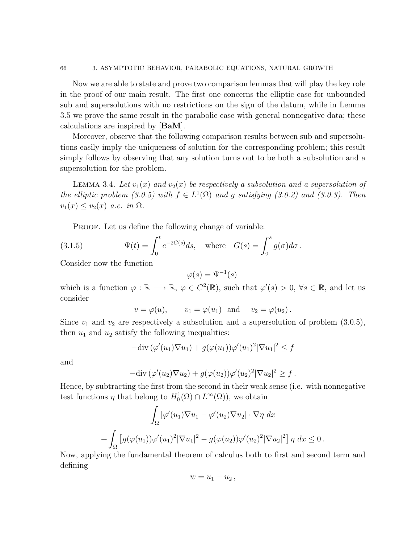Now we are able to state and prove two comparison lemmas that will play the key role in the proof of our main result. The first one concerns the elliptic case for unbounded sub and supersolutions with no restrictions on the sign of the datum, while in Lemma 3.5 we prove the same result in the parabolic case with general nonnegative data; these calculations are inspired by [BaM].

Moreover, observe that the following comparison results between sub and supersolutions easily imply the uniqueness of solution for the corresponding problem; this result simply follows by observing that any solution turns out to be both a subsolution and a supersolution for the problem.

LEMMA 3.4. Let  $v_1(x)$  and  $v_2(x)$  be respectively a subsolution and a supersolution of the elliptic problem (3.0.5) with  $f \in L^1(\Omega)$  and g satisfying (3.0.2) and (3.0.3). Then  $v_1(x) \le v_2(x)$  a.e. in  $\Omega$ .

PROOF. Let us define the following change of variable:

(3.1.5) 
$$
\Psi(t) = \int_0^t e^{-2G(s)} ds, \text{ where } G(s) = \int_0^s g(\sigma) d\sigma.
$$

Consider now the function

$$
\varphi(s) = \Psi^{-1}(s)
$$

which is a function  $\varphi : \mathbb{R} \longrightarrow \mathbb{R}, \varphi \in C^2(\mathbb{R})$ , such that  $\varphi'(s) > 0, \forall s \in \mathbb{R}$ , and let us consider

$$
v = \varphi(u)
$$
,  $v_1 = \varphi(u_1)$  and  $v_2 = \varphi(u_2)$ .

Since  $v_1$  and  $v_2$  are respectively a subsolution and a supersolution of problem  $(3.0.5)$ , then  $u_1$  and  $u_2$  satisfy the following inequalities:

$$
-\text{div}(\varphi'(u_1)\nabla u_1) + g(\varphi(u_1))\varphi'(u_1)^2|\nabla u_1|^2 \leq f
$$

and

$$
-\mathrm{div}(\varphi'(u_2)\nabla u_2)+g(\varphi(u_2))\varphi'(u_2)^2|\nabla u_2|^2\geq f.
$$

Hence, by subtracting the first from the second in their weak sense (i.e. with nonnegative test functions  $\eta$  that belong to  $H_0^1(\Omega) \cap L^{\infty}(\Omega)$ , we obtain

$$
\int_{\Omega} \left[ \varphi'(u_1) \nabla u_1 - \varphi'(u_2) \nabla u_2 \right] \cdot \nabla \eta \, dx
$$
  
+ 
$$
\int_{\Omega} \left[ g(\varphi(u_1)) \varphi'(u_1)^2 |\nabla u_1|^2 - g(\varphi(u_2)) \varphi'(u_2)^2 |\nabla u_2|^2 \right] \eta \, dx \le 0.
$$

Now, applying the fundamental theorem of calculus both to first and second term and defining

$$
w=u_1-u_2\,,
$$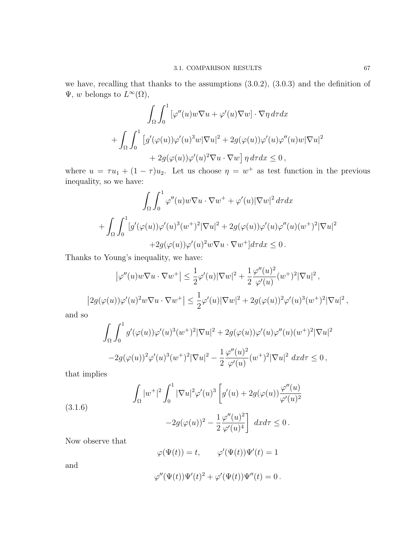we have, recalling that thanks to the assumptions (3.0.2), (3.0.3) and the definition of  $\Psi, w$  belongs to  $L^{\infty}(\Omega)$ ,

$$
\int_{\Omega} \int_0^1 [\varphi''(u) w \nabla u + \varphi'(u) \nabla w] \cdot \nabla \eta \, d\tau dx
$$
  
+ 
$$
\int_{\Omega} \int_0^1 [g'(\varphi(u)) \varphi'(u)^3 w | \nabla u|^2 + 2g(\varphi(u)) \varphi'(u) \varphi''(u) w | \nabla u|^2
$$
  
+ 
$$
2g(\varphi(u)) \varphi'(u)^2 \nabla u \cdot \nabla w \big] \eta \, d\tau dx \le 0,
$$

where  $u = \tau u_1 + (1 - \tau)u_2$ . Let us choose  $\eta = w^+$  as test function in the previous inequality, so we have:

$$
\int_{\Omega} \int_0^1 \varphi''(u) w \nabla u \cdot \nabla w^+ + \varphi'(u) |\nabla w|^2 d\tau dx
$$
  
+ 
$$
\int_{\Omega} \int_0^1 [g'(\varphi(u))\varphi'(u)^3 (w^+)^2 |\nabla u|^2 + 2g(\varphi(u))\varphi'(u)\varphi''(u)(w^+)^2 |\nabla u|^2
$$
  
+2g(\varphi(u))\varphi'(u)^2 w \nabla u \cdot \nabla w^+] d\tau dx \le 0.

Thanks to Young's inequality, we have:

$$
\left|\varphi''(u)w\nabla u \cdot \nabla w^+\right| \leq \frac{1}{2}\varphi'(u)|\nabla w|^2 + \frac{1}{2}\frac{\varphi''(u)^2}{\varphi'(u)}(w^+)^2|\nabla u|^2,
$$
  

$$
\left|2g(\varphi(u))\varphi'(u)^2w\nabla u \cdot \nabla w^+\right| \leq \frac{1}{2}\varphi'(u)|\nabla w|^2 + 2g(\varphi(u))^2\varphi'(u)^3(w^+)^2|\nabla u|^2,
$$

and so

$$
\int_{\Omega} \int_0^1 g'(\varphi(u))\varphi'(u)^3 (w^+)^2 |\nabla u|^2 + 2g(\varphi(u))\varphi'(u)\varphi''(u)(w^+)^2 |\nabla u|^2
$$
  

$$
-2g(\varphi(u))^2 \varphi'(u)^3 (w^+)^2 |\nabla u|^2 - \frac{1}{2} \frac{\varphi''(u)^2}{\varphi'(u)} (w^+)^2 |\nabla u|^2 dx d\tau \le 0,
$$

that implies

(3.1.6) Z Ω |w +| 2 Z <sup>1</sup> 0 |∇u| 2ϕ 0 (u) 3 g 0 (u) + 2g(ϕ(u)) <sup>ϕ</sup> <sup>00</sup>(u) ϕ0 (u) 2 1 ϕ <sup>00</sup>(u) 2 

$$
-2g(\varphi(u))^2 - \frac{1}{2} \frac{\varphi''(u)^2}{\varphi'(u)^4} \bigg] dx d\tau \leq 0.
$$

Now observe that

$$
\varphi(\Psi(t)) = t, \qquad \varphi'(\Psi(t))\Psi'(t) = 1
$$

and

$$
\varphi''(\Psi(t))\Psi'(t)^2 + \varphi'(\Psi(t))\Psi''(t) = 0.
$$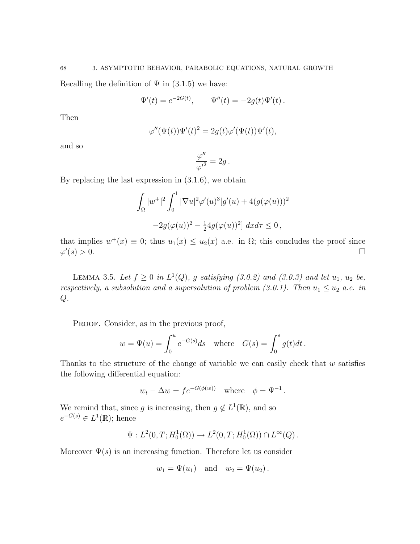Recalling the definition of  $\Psi$  in (3.1.5) we have:

$$
\Psi'(t) = e^{-2G(t)}, \qquad \Psi''(t) = -2g(t)\Psi'(t).
$$

Then

$$
\varphi''(\Psi(t))\Psi'(t)^2 = 2g(t)\varphi'(\Psi(t))\Psi'(t),
$$

and so

$$
\frac{\varphi''}{\varphi'^2} = 2g \, .
$$

By replacing the last expression in (3.1.6), we obtain

$$
\int_{\Omega} |w^{+}|^{2} \int_{0}^{1} |\nabla u|^{2} \varphi'(u)^{3} [g'(u) + 4(g(\varphi(u)))^{2}
$$

$$
-2g(\varphi(u))^{2} - \frac{1}{2}4g(\varphi(u))^{2}] dxd\tau \leq 0,
$$

that implies  $w^+(x) \equiv 0$ ; thus  $u_1(x) \le u_2(x)$  a.e. in  $\Omega$ ; this concludes the proof since  $\varphi'$  $(s) > 0.$ 

LEMMA 3.5. Let  $f \geq 0$  in  $L^1(Q)$ , g satisfying (3.0.2) and (3.0.3) and let  $u_1$ ,  $u_2$  be, respectively, a subsolution and a supersolution of problem  $(3.0.1)$ . Then  $u_1 \le u_2$  a.e. in  $Q$ .

PROOF. Consider, as in the previous proof,

$$
w = \Psi(u) = \int_0^u e^{-G(s)} ds \quad \text{where} \quad G(s) = \int_0^s g(t) dt.
$$

Thanks to the structure of the change of variable we can easily check that  $w$  satisfies the following differential equation:

$$
w_t - \Delta w = f e^{-G(\phi(w))}
$$
 where  $\phi = \Psi^{-1}$ .

We remind that, since g is increasing, then  $g \notin L^1(\mathbb{R})$ , and so  $e^{-G(s)} \in L^1(\mathbb{R})$ ; hence

$$
\Psi: L^2(0,T; H_0^1(\Omega)) \to L^2(0,T; H_0^1(\Omega)) \cap L^{\infty}(Q)
$$
.

Moreover  $\Psi(s)$  is an increasing function. Therefore let us consider

$$
w_1 = \Psi(u_1)
$$
 and  $w_2 = \Psi(u_2)$ .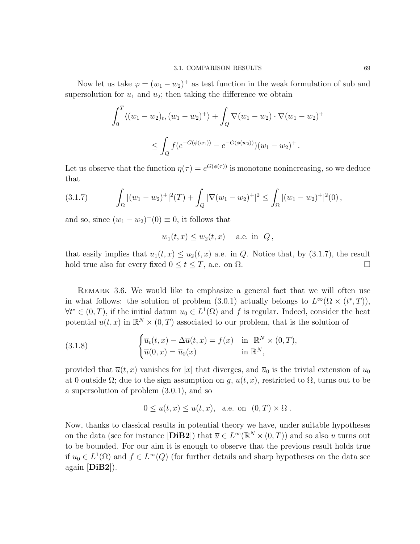Now let us take  $\varphi = (w_1 - w_2)^+$  as test function in the weak formulation of sub and supersolution for  $u_1$  and  $u_2$ ; then taking the difference we obtain

$$
\int_0^T \langle (w_1 - w_2)_t, (w_1 - w_2)^+ \rangle + \int_Q \nabla (w_1 - w_2) \cdot \nabla (w_1 - w_2)^+ \leq \int_Q f(e^{-G(\phi(w_1))} - e^{-G(\phi(w_2))})(w_1 - w_2)^+.
$$

Let us observe that the function  $\eta(\tau) = e^{G(\phi(\tau))}$  is monotone nonincreasing, so we deduce that

$$
(3.1.7) \qquad \int_{\Omega} |(w_1 - w_2)^{+}|^2(T) + \int_{Q} |\nabla (w_1 - w_2)^{+}|^2 \le \int_{\Omega} |(w_1 - w_2)^{+}|^2(0),
$$

and so, since  $(w_1 - w_2)^{+}(0) \equiv 0$ , it follows that

$$
w_1(t,x) \le w_2(t,x) \quad \text{a.e. in } Q,
$$

that easily implies that  $u_1(t, x) \leq u_2(t, x)$  a.e. in Q. Notice that, by (3.1.7), the result hold true also for every fixed  $0 \le t \le T$ , a.e. on  $\Omega$ .

Remark 3.6. We would like to emphasize a general fact that we will often use in what follows: the solution of problem (3.0.1) actually belongs to  $L^{\infty}(\Omega \times (t^*,T)),$  $\forall t^* \in (0, T)$ , if the initial datum  $u_0 \in L^1(\Omega)$  and f is regular. Indeed, consider the heat potential  $\overline{u}(t, x)$  in  $\mathbb{R}^N \times (0, T)$  associated to our problem, that is the solution of

(3.1.8) 
$$
\begin{cases} \overline{u}_t(t,x) - \Delta \overline{u}(t,x) = f(x) & \text{in } \mathbb{R}^N \times (0,T), \\ \overline{u}(0,x) = \overline{u}_0(x) & \text{in } \mathbb{R}^N, \end{cases}
$$

provided that  $\overline{u}(t, x)$  vanishes for |x| that diverges, and  $\overline{u}_0$  is the trivial extension of  $u_0$ at 0 outside  $\Omega$ ; due to the sign assumption on g,  $\overline{u}(t, x)$ , restricted to  $\Omega$ , turns out to be a supersolution of problem (3.0.1), and so

$$
0 \le u(t, x) \le \overline{u}(t, x)
$$
, a.e. on  $(0, T) \times \Omega$ .

Now, thanks to classical results in potential theory we have, under suitable hypotheses on the data (see for instance [DiB2]) that  $\overline{u} \in L^{\infty}(\mathbb{R}^{N} \times (0,T))$  and so also u turns out to be bounded. For our aim it is enough to observe that the previous result holds true if  $u_0 \in L^1(\Omega)$  and  $f \in L^{\infty}(Q)$  (for further details and sharp hypotheses on the data see again [DiB2]).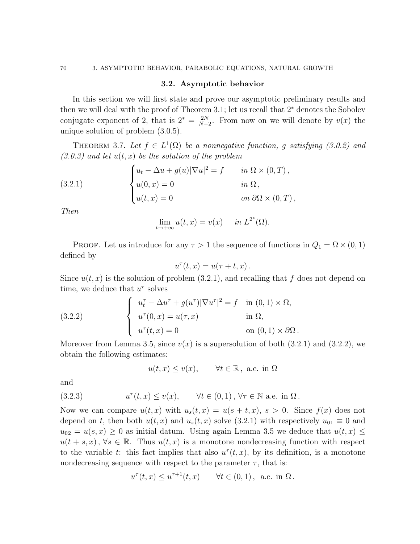#### 3.2. Asymptotic behavior

In this section we will first state and prove our asymptotic preliminary results and then we will deal with the proof of Theorem 3.1; let us recall that 2<sup>∗</sup> denotes the Sobolev conjugate exponent of 2, that is  $2^* = \frac{2N}{N-1}$  $\frac{2N}{N-2}$ . From now on we will denote by  $v(x)$  the unique solution of problem (3.0.5).

THEOREM 3.7. Let  $f \in L^1(\Omega)$  be a nonnegative function, g satisfying (3.0.2) and  $(3.0.3)$  and let  $u(t, x)$  be the solution of the problem

(3.2.1) 
$$
\begin{cases} u_t - \Delta u + g(u) |\nabla u|^2 = f & \text{in } \Omega \times (0, T), \\ u(0, x) = 0 & \text{in } \Omega, \\ u(t, x) = 0 & \text{on } \partial \Omega \times (0, T), \end{cases}
$$

Then

$$
\lim_{t \to +\infty} u(t, x) = v(x) \quad in \ L^{2^*}(\Omega).
$$

PROOF. Let us introduce for any  $\tau > 1$  the sequence of functions in  $Q_1 = \Omega \times (0,1)$ defined by

$$
u^{\tau}(t,x) = u(\tau + t, x).
$$

Since  $u(t, x)$  is the solution of problem (3.2.1), and recalling that f does not depend on time, we deduce that  $u^{\tau}$  solves

(3.2.2) 
$$
\begin{cases} u_t^{\tau} - \Delta u^{\tau} + g(u^{\tau}) |\nabla u^{\tau}|^2 = f & \text{in } (0, 1) \times \Omega, \\ u^{\tau}(0, x) = u(\tau, x) & \text{in } \Omega, \\ u^{\tau}(t, x) = 0 & \text{on } (0, 1) \times \partial \Omega. \end{cases}
$$

Moreover from Lemma 3.5, since  $v(x)$  is a supersolution of both (3.2.1) and (3.2.2), we obtain the following estimates:

$$
u(t, x) \le v(x)
$$
,  $\forall t \in \mathbb{R}$ , a.e. in  $\Omega$ 

and

(3.2.3) 
$$
u^{\tau}(t,x) \le v(x), \quad \forall t \in (0,1), \forall \tau \in \mathbb{N} \text{ a.e. in } \Omega.
$$

Now we can compare  $u(t, x)$  with  $u_s(t, x) = u(s + t, x), s > 0$ . Since  $f(x)$  does not depend on t, then both  $u(t, x)$  and  $u_s(t, x)$  solve (3.2.1) with respectively  $u_{01} \equiv 0$  and  $u_{02} = u(s, x) \geq 0$  as initial datum. Using again Lemma 3.5 we deduce that  $u(t, x) \leq$  $u(t+s,x)$ ,  $\forall s \in \mathbb{R}$ . Thus  $u(t,x)$  is a monotone nondecreasing function with respect to the variable t: this fact implies that also  $u^{\tau}(t, x)$ , by its definition, is a monotone nondecreasing sequence with respect to the parameter  $\tau$ , that is:

$$
u^{\tau}(t,x) \le u^{\tau+1}(t,x) \quad \forall t \in (0,1), \text{ a.e. in } \Omega.
$$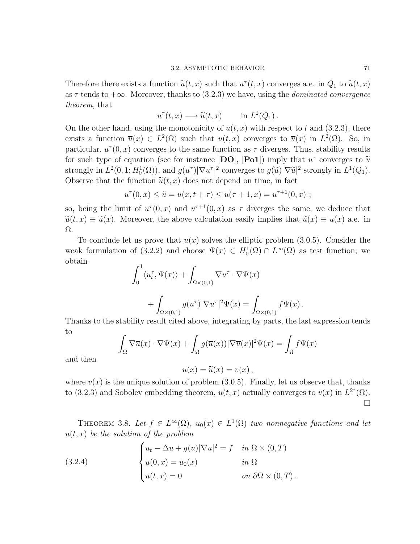Therefore there exists a function  $\tilde{u}(t, x)$  such that  $u^{\tau}(t, x)$  converges a.e. in  $Q_1$  to  $\tilde{u}(t, x)$ as  $\tau$  tends to  $+\infty$ . Moreover, thanks to (3.2.3) we have, using the *dominated convergence* theorem, that

$$
u^{\tau}(t,x) \longrightarrow \widetilde{u}(t,x) \quad \text{in } L^{2}(Q_{1}).
$$

On the other hand, using the monotonicity of  $u(t, x)$  with respect to t and (3.2.3), there exists a function  $\overline{u}(x) \in L^2(\Omega)$  such that  $u(t,x)$  converges to  $\overline{u}(x)$  in  $L^2(\Omega)$ . So, in particular,  $u^{\tau}(0, x)$  converges to the same function as  $\tau$  diverges. Thus, stability results for such type of equation (see for instance  $[DQ]$ ,  $[Po1]$ ) imply that  $u^{\tau}$  converges to  $\tilde{u}$ <br>strengty in  $L^2(0, 1, H^1(\Omega))$  and  $g(u^{\tau})|\nabla u^{\tau}|^2$  converges to  $g(\tilde{u})|\nabla \tilde{u}|^2$  strengty in  $L^1(\Omega)$ strongly in  $L^2(0, 1; H_0^1(\Omega))$ , and  $g(u^{\tau})|\nabla u^{\tau}|^2$  converges to  $g(\tilde{u})|\nabla \tilde{u}|^2$  strongly in  $L^1(Q_1)$ .<br>Observe that the function  $\tilde{\omega}(t, x)$  deserted spend on time, in fact Observe that the function  $\tilde{u}(t, x)$  does not depend on time, in fact

$$
u^{\tau}(0, x) \le \tilde{u} = u(x, t + \tau) \le u(\tau + 1, x) = u^{\tau + 1}(0, x) ;
$$

so, being the limit of  $u^{\tau}(0, x)$  and  $u^{\tau+1}(0, x)$  as  $\tau$  diverges the same, we deduce that  $\tilde{u}(t, x) \equiv \tilde{u}(x)$ . Moreover, the above calculation easily implies that  $\tilde{u}(x) \equiv \overline{u}(x)$  a.e. in Ω.

To conclude let us prove that  $\overline{u}(x)$  solves the elliptic problem (3.0.5). Consider the weak formulation of (3.2.2) and choose  $\Psi(x) \in H_0^1(\Omega) \cap L^{\infty}(\Omega)$  as test function; we obtain

$$
\int_0^1 \langle u_t^{\tau}, \Psi(x) \rangle + \int_{\Omega \times (0,1)} \nabla u^{\tau} \cdot \nabla \Psi(x) + \int_{\Omega \times (0,1)} g(u^{\tau}) |\nabla u^{\tau}|^2 \Psi(x) = \int_{\Omega \times (0,1)} f \Psi(x).
$$

Thanks to the stability result cited above, integrating by parts, the last expression tends to

$$
\int_{\Omega} \nabla \overline{u}(x) \cdot \nabla \Psi(x) + \int_{\Omega} g(\overline{u}(x)) |\nabla \overline{u}(x)|^2 \Psi(x) = \int_{\Omega} f \Psi(x)
$$

and then

$$
\overline{u}(x) = \widetilde{u}(x) = v(x),
$$

where  $v(x)$  is the unique solution of problem (3.0.5). Finally, let us observe that, thanks to (3.2.3) and Sobolev embedding theorem,  $u(t, x)$  actually converges to  $v(x)$  in  $L^{2^*}(\Omega)$ .  $\Box$ 

THEOREM 3.8. Let  $f \in L^{\infty}(\Omega)$ ,  $u_0(x) \in L^1(\Omega)$  two nonnegative functions and let  $u(t, x)$  be the solution of the problem

(3.2.4) 
$$
\begin{cases} u_t - \Delta u + g(u) |\nabla u|^2 = f & \text{in } \Omega \times (0, T) \\ u(0, x) = u_0(x) & \text{in } \Omega \\ u(t, x) = 0 & \text{on } \partial\Omega \times (0, T) . \end{cases}
$$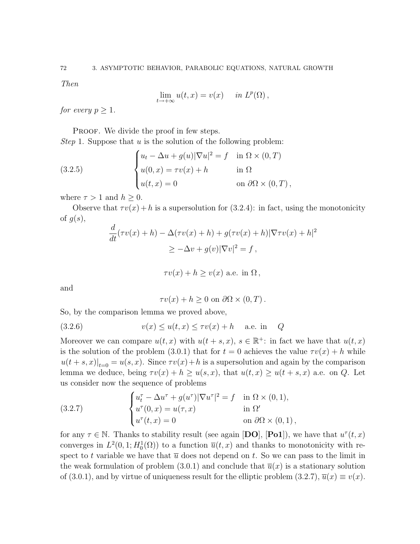Then

$$
\lim_{t \to +\infty} u(t, x) = v(x) \quad in \ L^p(\Omega),
$$

for every  $p \geq 1$ .

PROOF. We divide the proof in few steps. *Step* 1. Suppose that  $u$  is the solution of the following problem:

(3.2.5) 
$$
\begin{cases} u_t - \Delta u + g(u) |\nabla u|^2 = f & \text{in } \Omega \times (0, T) \\ u(0, x) = \tau v(x) + h & \text{in } \Omega \\ u(t, x) = 0 & \text{on } \partial \Omega \times (0, T) \,, \end{cases}
$$

where  $\tau > 1$  and  $h > 0$ .

Observe that  $\tau v(x) + h$  is a supersolution for (3.2.4): in fact, using the monotonicity of  $g(s)$ ,

$$
\frac{d}{dt}(\tau v(x) + h) - \Delta(\tau v(x) + h) + g(\tau v(x) + h)|\nabla \tau v(x) + h|^2
$$
  
\n
$$
\geq -\Delta v + g(v)|\nabla v|^2 = f,
$$

$$
\tau v(x) + h \ge v(x) \text{ a.e. in } \Omega,
$$

and

 $\tau v(x) + h \geq 0$  on  $\partial \Omega \times (0, T)$ .

So, by the comparison lemma we proved above,

(3.2.6) 
$$
v(x) \le u(t, x) \le \tau v(x) + h \quad \text{a.e. in} \quad Q
$$

Moreover we can compare  $u(t, x)$  with  $u(t + s, x)$ ,  $s \in \mathbb{R}^+$ : in fact we have that  $u(t, x)$ is the solution of the problem (3.0.1) that for  $t = 0$  achieves the value  $\tau v(x) + h$  while  $u(t+s,x)|_{t=0} = u(s,x)$ . Since  $\tau v(x) + h$  is a supersolution and again by the comparison lemma we deduce, being  $\tau v(x) + h \ge u(s, x)$ , that  $u(t, x) \ge u(t + s, x)$  a.e. on Q. Let us consider now the sequence of problems

(3.2.7) 
$$
\begin{cases} u_t^{\tau} - \Delta u^{\tau} + g(u^{\tau}) |\nabla u^{\tau}|^2 = f & \text{in } \Omega \times (0, 1), \\ u^{\tau}(0, x) = u(\tau, x) & \text{in } \Omega' \\ u^{\tau}(t, x) = 0 & \text{on } \partial\Omega \times (0, 1), \end{cases}
$$

for any  $\tau \in \mathbb{N}$ . Thanks to stability result (see again [DO], [Po1]), we have that  $u^{\tau}(t, x)$ converges in  $L^2(0,1; H_0^1(\Omega))$  to a function  $\overline{u}(t, x)$  and thanks to monotonicity with respect to t variable we have that  $\overline{u}$  does not depend on t. So we can pass to the limit in the weak formulation of problem (3.0.1) and conclude that  $\overline{u}(x)$  is a stationary solution of (3.0.1), and by virtue of uniqueness result for the elliptic problem (3.2.7),  $\overline{u}(x) \equiv v(x)$ .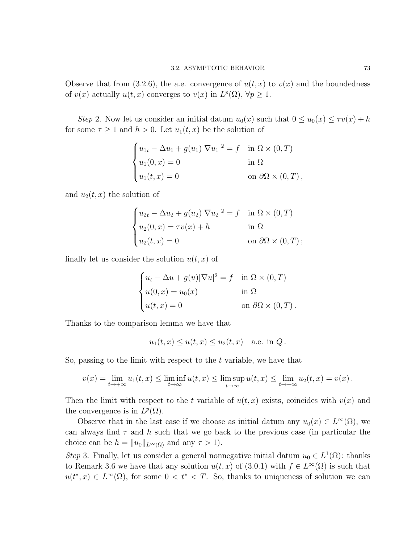Observe that from (3.2.6), the a.e. convergence of  $u(t, x)$  to  $v(x)$  and the boundedness of  $v(x)$  actually  $u(t, x)$  converges to  $v(x)$  in  $L^p(\Omega)$ ,  $\forall p \geq 1$ .

Step 2. Now let us consider an initial datum  $u_0(x)$  such that  $0 \le u_0(x) \le \tau v(x) + h$ for some  $\tau \geq 1$  and  $h > 0$ . Let  $u_1(t, x)$  be the solution of

$$
\begin{cases} u_{1t} - \Delta u_1 + g(u_1) |\nabla u_1|^2 = f & \text{in } \Omega \times (0, T) \\ u_1(0, x) = 0 & \text{in } \Omega \\ u_1(t, x) = 0 & \text{on } \partial \Omega \times (0, T) \,, \end{cases}
$$

and  $u_2(t, x)$  the solution of

$$
\begin{cases}\nu_{2t} - \Delta u_2 + g(u_2)|\nabla u_2|^2 = f & \text{in } \Omega \times (0, T) \\
u_2(0, x) = \tau v(x) + h & \text{in } \Omega \\
u_2(t, x) = 0 & \text{on } \partial\Omega \times (0, T) ;\n\end{cases}
$$

finally let us consider the solution  $u(t, x)$  of

$$
\begin{cases} u_t - \Delta u + g(u) |\nabla u|^2 = f & \text{in } \Omega \times (0, T) \\ u(0, x) = u_0(x) & \text{in } \Omega \\ u(t, x) = 0 & \text{on } \partial\Omega \times (0, T) . \end{cases}
$$

Thanks to the comparison lemma we have that

$$
u_1(t,x) \le u(t,x) \le u_2(t,x) \quad \text{a.e. in } Q.
$$

So, passing to the limit with respect to the  $t$  variable, we have that

$$
v(x) = \lim_{t \to +\infty} u_1(t,x) \le \liminf_{t \to \infty} u(t,x) \le \limsup_{t \to \infty} u(t,x) \le \lim_{t \to +\infty} u_2(t,x) = v(x) .
$$

Then the limit with respect to the t variable of  $u(t, x)$  exists, coincides with  $v(x)$  and the convergence is in  $L^p(\Omega)$ .

Observe that in the last case if we choose as initial datum any  $u_0(x) \in L^{\infty}(\Omega)$ , we can always find  $\tau$  and h such that we go back to the previous case (in particular the choice can be  $h = ||u_0||_{L^{\infty}(\Omega)}$  and any  $\tau > 1$ .

Step 3. Finally, let us consider a general nonnegative initial datum  $u_0 \in L^1(\Omega)$ : thanks to Remark 3.6 we have that any solution  $u(t, x)$  of  $(3.0.1)$  with  $f \in L^{\infty}(\Omega)$  is such that  $u(t^*,x) \in L^{\infty}(\Omega)$ , for some  $0 < t^* < T$ . So, thanks to uniqueness of solution we can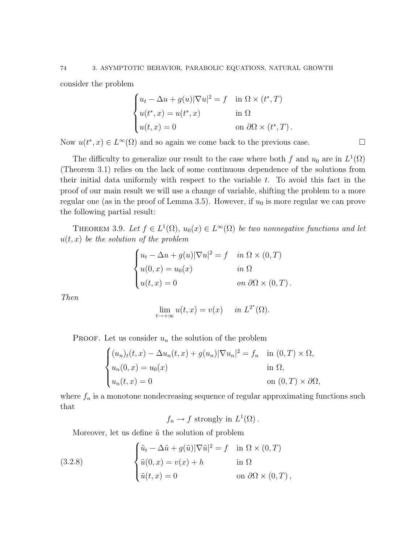consider the problem

$$
\begin{cases} u_t - \Delta u + g(u) |\nabla u|^2 = f & \text{in } \Omega \times (t^*, T) \\ u(t^*, x) = u(t^*, x) & \text{in } \Omega \\ u(t, x) = 0 & \text{on } \partial\Omega \times (t^*, T) \,. \end{cases}
$$

Now  $u(t^*, x) \in L^{\infty}(\Omega)$  and so again we come back to the previous case.

The difficulty to generalize our result to the case where both f and  $u_0$  are in  $L^1(\Omega)$ (Theorem 3.1) relies on the lack of some continuous dependence of the solutions from their initial data uniformly with respect to the variable  $t$ . To avoid this fact in the proof of our main result we will use a change of variable, shifting the problem to a more regular one (as in the proof of Lemma 3.5). However, if  $u_0$  is more regular we can prove the following partial result:

THEOREM 3.9. Let  $f \in L^1(\Omega)$ ,  $u_0(x) \in L^{\infty}(\Omega)$  be two nonnegative functions and let  $u(t, x)$  be the solution of the problem

$$
\begin{cases}\n u_t - \Delta u + g(u)|\nabla u|^2 = f & \text{in } \Omega \times (0, T) \\
 u(0, x) = u_0(x) & \text{in } \Omega \\
 u(t, x) = 0 & \text{on } \partial\Omega \times (0, T)\n\end{cases}
$$

Then

$$
\lim_{t \to +\infty} u(t, x) = v(x) \quad \text{in } L^{2^*}(\Omega).
$$

PROOF. Let us consider  $u_n$  the solution of the problem

$$
\begin{cases}\n(u_n)_t(t,x) - \Delta u_n(t,x) + g(u_n)|\nabla u_n|^2 = f_n & \text{in } (0,T) \times \Omega, \\
u_n(0,x) = u_0(x) & \text{in } \Omega, \\
u_n(t,x) = 0 & \text{on } (0,T) \times \partial\Omega,\n\end{cases}
$$

where  $f_n$  is a monotone nondecreasing sequence of regular approximating functions such that

 $f_n \to f$  strongly in  $L^1(\Omega)$ .

Moreover, let us define  $\tilde{u}$  the solution of problem

(3.2.8) 
$$
\begin{cases} \tilde{u}_t - \Delta \tilde{u} + g(\tilde{u}) |\nabla \tilde{u}|^2 = f & \text{in } \Omega \times (0, T) \\ \tilde{u}(0, x) = v(x) + h & \text{in } \Omega \\ \tilde{u}(t, x) = 0 & \text{on } \partial \Omega \times (0, T) \,, \end{cases}
$$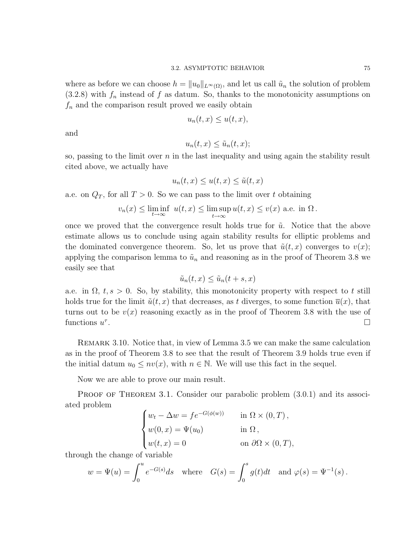where as before we can choose  $h = ||u_0||_{L^{\infty}(\Omega)}$ , and let us call  $\tilde{u}_n$  the solution of problem  $(3.2.8)$  with  $f_n$  instead of f as datum. So, thanks to the monotonicity assumptions on  $f_n$  and the comparison result proved we easily obtain

$$
u_n(t,x) \le u(t,x),
$$

and

$$
u_n(t,x) \le \tilde{u}_n(t,x);
$$

so, passing to the limit over  $n$  in the last inequality and using again the stability result cited above, we actually have

$$
u_n(t,x) \le u(t,x) \le \tilde{u}(t,x)
$$

a.e. on  $Q_T$ , for all  $T > 0$ . So we can pass to the limit over t obtaining

$$
v_n(x) \le \liminf_{t \to \infty} u(t, x) \le \limsup_{t \to \infty} u(t, x) \le v(x)
$$
 a.e. in  $\Omega$ .

once we proved that the convergence result holds true for  $\tilde{u}$ . Notice that the above estimate allows us to conclude using again stability results for elliptic problems and the dominated convergence theorem. So, let us prove that  $\tilde{u}(t, x)$  converges to  $v(x)$ ; applying the comparison lemma to  $\tilde{u}_n$  and reasoning as in the proof of Theorem 3.8 we easily see that

$$
\tilde{u}_n(t,x) \le \tilde{u}_n(t+s,x)
$$

a.e. in  $\Omega$ ,  $t, s > 0$ . So, by stability, this monotonicity property with respect to t still holds true for the limit  $\tilde{u}(t, x)$  that decreases, as t diverges, to some function  $\overline{u}(x)$ , that turns out to be  $v(x)$  reasoning exactly as in the proof of Theorem 3.8 with the use of functions  $u^{\tau}$ .

Remark 3.10. Notice that, in view of Lemma 3.5 we can make the same calculation as in the proof of Theorem 3.8 to see that the result of Theorem 3.9 holds true even if the initial datum  $u_0 \le nv(x)$ , with  $n \in \mathbb{N}$ . We will use this fact in the sequel.

Now we are able to prove our main result.

PROOF OF THEOREM 3.1. Consider our parabolic problem  $(3.0.1)$  and its associated problem

$$
\begin{cases}\nw_t - \Delta w = f e^{-G(\phi(w))} & \text{in } \Omega \times (0, T), \\
w(0, x) = \Psi(u_0) & \text{in } \Omega, \\
w(t, x) = 0 & \text{on } \partial\Omega \times (0, T),\n\end{cases}
$$

through the change of variable

$$
w = \Psi(u) = \int_0^u e^{-G(s)} ds
$$
 where  $G(s) = \int_0^s g(t) dt$  and  $\varphi(s) = \Psi^{-1}(s)$ .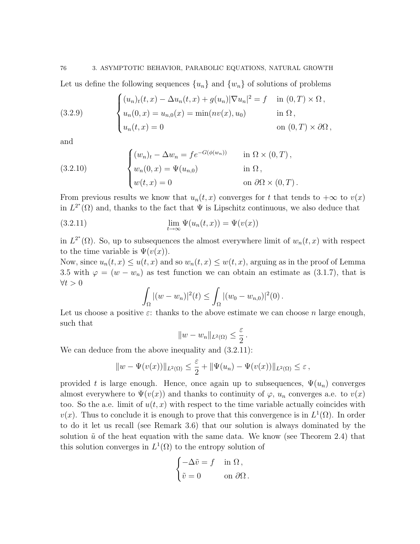76 3. ASYMPTOTIC BEHAVIOR, PARABOLIC EQUATIONS, NATURAL GROWTH

Let us define the following sequences  $\{u_n\}$  and  $\{w_n\}$  of solutions of problems

(3.2.9) 
$$
\begin{cases} (u_n)_t(t,x) - \Delta u_n(t,x) + g(u_n)|\nabla u_n|^2 = f & \text{in } (0,T) \times \Omega, \\ u_n(0,x) = u_{n,0}(x) = \min(nv(x), u_0) & \text{in } \Omega, \\ u_n(t,x) = 0 & \text{on } (0,T) \times \partial\Omega, \end{cases}
$$

and

(3.2.10) 
$$
\begin{cases} (w_n)_t - \Delta w_n = f e^{-G(\phi(w_n))} & \text{in } \Omega \times (0, T), \\ w_n(0, x) = \Psi(u_{n,0}) & \text{in } \Omega, \\ w(t, x) = 0 & \text{on } \partial\Omega \times (0, T). \end{cases}
$$

From previous results we know that  $u_n(t, x)$  converges for t that tends to  $+\infty$  to  $v(x)$ in  $L^{2^*}(\Omega)$  and, thanks to the fact that  $\Psi$  is Lipschitz continuous, we also deduce that

(3.2.11) 
$$
\lim_{t \to \infty} \Psi(u_n(t,x)) = \Psi(v(x))
$$

in  $L^{2^*}(\Omega)$ . So, up to subsequences the almost everywhere limit of  $w_n(t,x)$  with respect to the time variable is  $\Psi(v(x))$ .

Now, since  $u_n(t, x) \leq u(t, x)$  and so  $w_n(t, x) \leq w(t, x)$ , arguing as in the proof of Lemma 3.5 with  $\varphi = (w - w_n)$  as test function we can obtain an estimate as (3.1.7), that is  $\forall t > 0$ 

$$
\int_{\Omega} |(w - w_n)|^2(t) \leq \int_{\Omega} |(w_0 - w_{n,0})|^2(0).
$$

Let us choose a positive  $\varepsilon$ : thanks to the above estimate we can choose n large enough, such that

$$
||w-w_n||_{L^2(\Omega)} \leq \frac{\varepsilon}{2}.
$$

We can deduce from the above inequality and  $(3.2.11)$ :

$$
||w - \Psi(v(x))||_{L^2(\Omega)} \leq \frac{\varepsilon}{2} + ||\Psi(u_n) - \Psi(v(x))||_{L^2(\Omega)} \leq \varepsilon,
$$

provided t is large enough. Hence, once again up to subsequences,  $\Psi(u_n)$  converges almost everywhere to  $\Psi(v(x))$  and thanks to continuity of  $\varphi$ ,  $u_n$  converges a.e. to  $v(x)$ too. So the a.e. limit of  $u(t, x)$  with respect to the time variable actually coincides with  $v(x)$ . Thus to conclude it is enough to prove that this convergence is in  $L^1(\Omega)$ . In order to do it let us recall (see Remark 3.6) that our solution is always dominated by the solution  $\tilde{u}$  of the heat equation with the same data. We know (see Theorem 2.4) that this solution converges in  $L^1(\Omega)$  to the entropy solution of

$$
\begin{cases}\n-\Delta \tilde{v} = f & \text{in } \Omega, \\
\tilde{v} = 0 & \text{on } \partial \Omega.\n\end{cases}
$$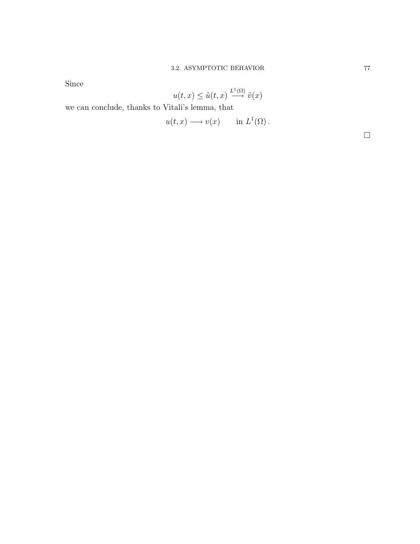Since

$$
u(t,x) \le \tilde{u}(t,x) \stackrel{L^1(\Omega)}{\longrightarrow} \tilde{v}(x)
$$

we can conclude, thanks to Vitali's lemma, that

$$
u(t,x) \longrightarrow v(x) \quad \text{in } L^1(\Omega) \, .
$$

 $\Box$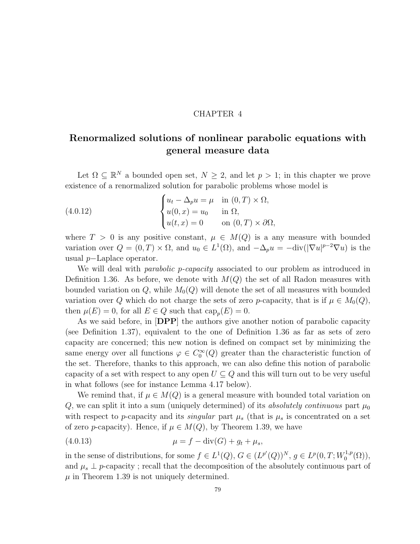### CHAPTER 4

# Renormalized solutions of nonlinear parabolic equations with general measure data

Let  $\Omega \subseteq \mathbb{R}^N$  a bounded open set,  $N \geq 2$ , and let  $p > 1$ ; in this chapter we prove existence of a renormalized solution for parabolic problems whose model is

(4.0.12) 
$$
\begin{cases} u_t - \Delta_p u = \mu & \text{in } (0, T) \times \Omega, \\ u(0, x) = u_0 & \text{in } \Omega, \\ u(t, x) = 0 & \text{on } (0, T) \times \partial\Omega, \end{cases}
$$

where  $T > 0$  is any positive constant,  $\mu \in M(Q)$  is a any measure with bounded variation over  $Q = (0, T) \times \Omega$ , and  $u_0 \in L^1(\Omega)$ , and  $-\Delta_p u = -\text{div}(|\nabla u|^{p-2} \nabla u)$  is the usual p−Laplace operator.

We will deal with *parabolic p-capacity* associated to our problem as introduced in Definition 1.36. As before, we denote with  $M(Q)$  the set of all Radon measures with bounded variation on  $Q$ , while  $M_0(Q)$  will denote the set of all measures with bounded variation over Q which do not charge the sets of zero p-capacity, that is if  $\mu \in M_0(Q)$ , then  $\mu(E) = 0$ , for all  $E \in Q$  such that  $\text{cap}_p(E) = 0$ .

As we said before, in [DPP] the authors give another notion of parabolic capacity (see Definition 1.37), equivalent to the one of Definition 1.36 as far as sets of zero capacity are concerned; this new notion is defined on compact set by minimizing the same energy over all functions  $\varphi \in C_0^{\infty}(Q)$  greater than the characteristic function of the set. Therefore, thanks to this approach, we can also define this notion of parabolic capacity of a set with respect to any open  $U \subseteq Q$  and this will turn out to be very useful in what follows (see for instance Lemma 4.17 below).

We remind that, if  $\mu \in M(Q)$  is a general measure with bounded total variation on Q, we can split it into a sum (uniquely determined) of its absolutely continuous part  $\mu_0$ with respect to p-capacity and its *singular* part  $\mu_s$  (that is  $\mu_s$  is concentrated on a set of zero *p*-capacity). Hence, if  $\mu \in M(Q)$ , by Theorem 1.39, we have

(4.0.13) 
$$
\mu = f - \text{div}(G) + g_t + \mu_s,
$$

in the sense of distributions, for some  $f \in L^1(Q)$ ,  $G \in (L^{p'}(Q))^N$ ,  $g \in L^p(0,T;W_0^{1,p})$  $\mathcal{L}_0^{1,p}(\Omega)$ ), and  $\mu_s \perp p$ -capacity; recall that the decomposition of the absolutely continuous part of  $\mu$  in Theorem 1.39 is not uniquely determined.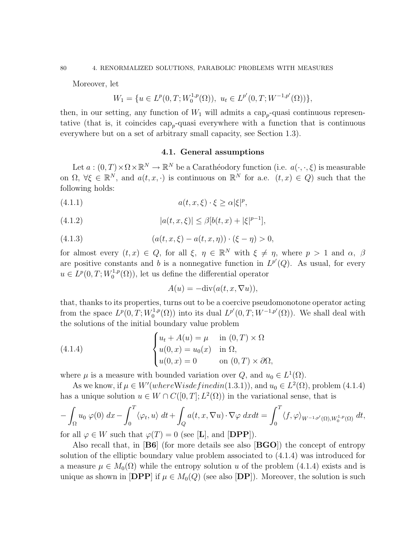Moreover, let

$$
W_1 = \{ u \in L^p(0, T; W_0^{1,p}(\Omega)), \ u_t \in L^{p'}(0, T; W^{-1,p'}(\Omega)) \},
$$

then, in our setting, any function of  $W_1$  will admits a cap<sub>p</sub>-quasi continuous representative (that is, it coincides  $\text{cap}_{p}$ -quasi everywhere with a function that is continuous everywhere but on a set of arbitrary small capacity, see Section 1.3).

### 4.1. General assumptions

Let  $a:(0,T)\times\Omega\times\mathbb{R}^N\to\mathbb{R}^N$  be a Carathéodory function (i.e.  $a(\cdot,\cdot,\xi)$ ) is measurable on  $\Omega, \forall \xi \in \mathbb{R}^N$ , and  $a(t, x, \cdot)$  is continuous on  $\mathbb{R}^N$  for a.e.  $(t, x) \in Q$ ) such that the following holds:

$$
(4.1.1) \t a(t, x, \xi) \cdot \xi \ge \alpha |\xi|^p,
$$

(4.1.2) 
$$
|a(t, x, \xi)| \leq \beta [b(t, x) + |\xi|^{p-1}],
$$

(4.1.3) 
$$
(a(t, x, \xi) - a(t, x, \eta)) \cdot (\xi - \eta) > 0,
$$

for almost every  $(t, x) \in Q$ , for all  $\xi, \eta \in \mathbb{R}^N$  with  $\xi \neq \eta$ , where  $p > 1$  and  $\alpha, \beta$ are positive constants and b is a nonnegative function in  $L^{p'}(Q)$ . As usual, for every  $u \in L^p(0,T;W_0^{1,p})$  $\binom{1,p}{0}$ , let us define the differential operator

$$
A(u) = -\mathrm{div}(a(t, x, \nabla u)),
$$

that, thanks to its properties, turns out to be a coercive pseudomonotone operator acting from the space  $L^p(0,T;W_0^{1,p})$  $L^{1,p}(\Omega)$  into its dual  $L^{p'}(0,T;W^{-1,p'}(\Omega))$ . We shall deal with the solutions of the initial boundary value problem

(4.1.4) 
$$
\begin{cases} u_t + A(u) = \mu & \text{in } (0, T) \times \Omega \\ u(0, x) = u_0(x) & \text{in } \Omega, \\ u(0, x) = 0 & \text{on } (0, T) \times \partial\Omega, \end{cases}
$$

where  $\mu$  is a measure with bounded variation over  $Q$ , and  $u_0 \in L^1(\Omega)$ .

As we know, if  $\mu \in W'(whereW is defined in (1.3.1)),$  and  $u_0 \in L^2(\Omega)$ , problem (4.1.4) has a unique solution  $u \in W \cap C([0,T]; L^2(\Omega))$  in the variational sense, that is

$$
-\int_{\Omega} u_0 \varphi(0) dx - \int_0^T \langle \varphi_t, u \rangle dt + \int_Q a(t, x, \nabla u) \cdot \nabla \varphi dx dt = \int_0^T \langle f, \varphi \rangle_{W^{-1,p'}(\Omega), W_0^{1,p}(\Omega)} dt,
$$

for all  $\varphi \in W$  such that  $\varphi(T) = 0$  (see [L], and [DPP]).

Also recall that, in  $[B6]$  (for more details see also  $[BGO]$ ) the concept of entropy solution of the elliptic boundary value problem associated to (4.1.4) was introduced for a measure  $\mu \in M_0(\Omega)$  while the entropy solution u of the problem (4.1.4) exists and is unique as shown in  $[DPP]$  if  $\mu \in M_0(Q)$  (see also  $[DP]$ ). Moreover, the solution is such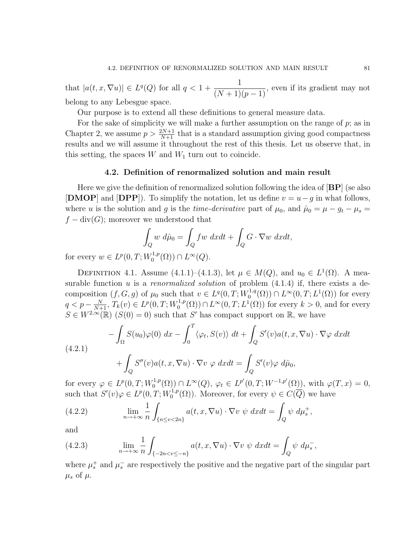that  $|a(t, x, \nabla u)| \in L^q(Q)$  for all  $q < 1 +$ 1  $\frac{1}{(N+1)(p-1)}$ , even if its gradient may not belong to any Lebesgue space.

Our purpose is to extend all these definitions to general measure data.

For the sake of simplicity we will make a further assumption on the range of  $p$ ; as in Chapter 2, we assume  $p > \frac{2N+1}{N+1}$  that is a standard assumption giving good compactness results and we will assume it throughout the rest of this thesis. Let us observe that, in this setting, the spaces  $W$  and  $W_1$  turn out to coincide.

### 4.2. Definition of renormalized solution and main result

Here we give the definition of renormalized solution following the idea of  $[BP]$  (se also [DMOP] and [DPP]). To simplify the notation, let us define  $v = u - g$  in what follows, where u is the solution and g is the *time-derivative* part of  $\mu_0$ , and  $\hat{\mu}_0 = \mu - g_t - \mu_s =$  $f - \text{div}(G)$ ; moreover we understood that

$$
\int_{Q} w \ d\hat{\mu}_0 = \int_{Q} fw \ dxdt + \int_{Q} G \cdot \nabla w \ dxdt,
$$

for every  $w \in L^p(0,T;W_0^{1,p})$  $L^{1,p}(\Omega)) \cap L^{\infty}(Q).$ 

DEFINITION 4.1. Assume (4.1.1)–(4.1.3), let  $\mu \in M(Q)$ , and  $u_0 \in L^1(\Omega)$ . A measurable function  $u$  is a *renormalized solution* of problem  $(4.1.4)$  if, there exists a decomposition  $(f, G, g)$  of  $\mu_0$  such that  $v \in L^q(0, T; W_0^{1,q})$  $L^{1,q}(\Omega) \cap L^{\infty}(0,T; L^{1}(\Omega))$  for every  $q < p - \frac{N}{N+1}, T_k(v) \in L^p(0,T;W_0^{1,p})$  $L_0^{1,p}(\Omega)$   $\cap$   $L^{\infty}(0,T; L^1(\Omega))$  for every  $k > 0$ , and for every  $S \in W^{2,\infty}(\mathbb{R})$   $(S(0) = 0)$  such that S' has compact support on  $\mathbb{R}$ , we have

(4.2.1)  
\n
$$
-\int_{\Omega} S(u_0)\varphi(0) dx - \int_0^T \langle \varphi_t, S(v) \rangle dt + \int_Q S'(v)a(t, x, \nabla u) \cdot \nabla \varphi dx dt
$$
\n
$$
+\int_Q S''(v)a(t, x, \nabla u) \cdot \nabla v \varphi dx dt = \int_Q S'(v)\varphi d\hat{\mu}_0,
$$

for every  $\varphi \in L^p(0,T;W_0^{1,p})$  $L^{1,p}(\Omega) \cap L^{\infty}(Q), \varphi_t \in L^{p'}(0,T;W^{-1,p'}(\Omega)), \text{ with } \varphi(T,x) = 0,$ such that  $S'(v)\varphi \in L^p(0,T;W_0^{1,p})$  $O_0^{1,p}(\Omega)$ . Moreover, for every  $\psi \in C(\overline{Q})$  we have

(4.2.2) 
$$
\lim_{n \to +\infty} \frac{1}{n} \int_{\{n \le v < 2n\}} a(t, x, \nabla u) \cdot \nabla v \, \psi \, dx dt = \int_Q \psi \, d\mu_s^+,
$$

and

(4.2.3) 
$$
\lim_{n \to +\infty} \frac{1}{n} \int_{\{-2n < v \leq -n\}} a(t, x, \nabla u) \cdot \nabla v \, \psi \, dx dt = \int_{Q} \psi \, d\mu_s^-,
$$

where  $\mu_s^+$  and  $\mu_s^-$  are respectively the positive and the negative part of the singular part  $\mu_s$  of  $\mu$ .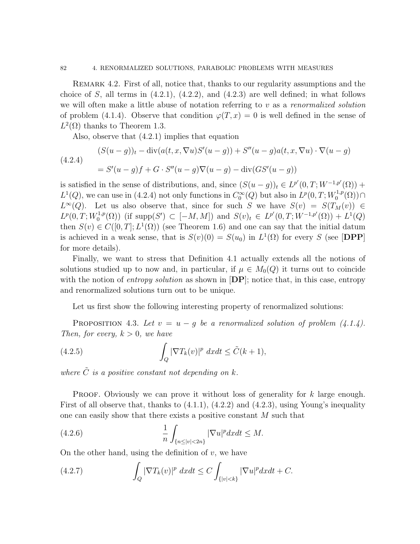Remark 4.2. First of all, notice that, thanks to our regularity assumptions and the choice of S, all terms in  $(4.2.1)$ ,  $(4.2.2)$ , and  $(4.2.3)$  are well defined; in what follows we will often make a little abuse of notation referring to  $v$  as a renormalized solution of problem (4.1.4). Observe that condition  $\varphi(T, x) = 0$  is well defined in the sense of  $L^2(\Omega)$  thanks to Theorem 1.3.

Also, observe that (4.2.1) implies that equation

(4.2.4)  
\n
$$
(S(u-g))_t - \text{div}(a(t, x, \nabla u)S'(u-g)) + S''(u-g)a(t, x, \nabla u) \cdot \nabla (u-g)
$$
\n
$$
= S'(u-g)f + G \cdot S''(u-g)\nabla (u-g) - \text{div}(GS'(u-g))
$$

is satisfied in the sense of distributions, and, since  $(S(u - g))_t \in L^{p'}(0,T;W^{-1,p'}(\Omega))$  +  $L^1(Q)$ , we can use in (4.2.4) not only functions in  $C_0^{\infty}(Q)$  but also in  $L^p(0,T;W_0^{1,p})$  $\bigcap_{0}^{1,p}(\Omega)\big) \cap$  $L^{\infty}(Q)$ . Let us also observe that, since for such S we have  $S(v) = S(T_M(v)) \in$  $L^p(0,T;W_0^{1,p})$ <sup>1,p</sup>(Ω)) (if supp(S') ⊂ [-M, M]) and  $S(v)_t$  ∈  $L^{p'}(0,T;W^{-1,p'}(\Omega)) + L^{1}(Q)$ then  $S(v) \in C([0,T]; L^1(\Omega))$  (see Theorem 1.6) and one can say that the initial datum is achieved in a weak sense, that is  $S(v)(0) = S(u_0)$  in  $L^1(\Omega)$  for every S (see [DPP] for more details).

Finally, we want to stress that Definition 4.1 actually extends all the notions of solutions studied up to now and, in particular, if  $\mu \in M_0(Q)$  it turns out to coincide with the notion of *entropy solution* as shown in  $[DP]$ ; notice that, in this case, entropy and renormalized solutions turn out to be unique.

Let us first show the following interesting property of renormalized solutions:

PROPOSITION 4.3. Let  $v = u - g$  be a renormalized solution of problem  $(4.1.4)$ . Then, for every,  $k > 0$ , we have

(4.2.5) 
$$
\int_{Q} |\nabla T_{k}(v)|^{p} dx dt \leq \tilde{C}(k+1),
$$

where  $\tilde{C}$  is a positive constant not depending on k.

PROOF. Obviously we can prove it without loss of generality for  $k$  large enough. First of all observe that, thanks to  $(4.1.1)$ ,  $(4.2.2)$  and  $(4.2.3)$ , using Young's inequality one can easily show that there exists a positive constant M such that

(4.2.6) 
$$
\frac{1}{n} \int_{\{n \le |v| < 2n\}} |\nabla u|^p dx dt \le M.
$$

On the other hand, using the definition of  $v$ , we have

(4.2.7) 
$$
\int_{Q} |\nabla T_{k}(v)|^{p} dx dt \leq C \int_{\{|v| < k\}} |\nabla u|^{p} dx dt + C.
$$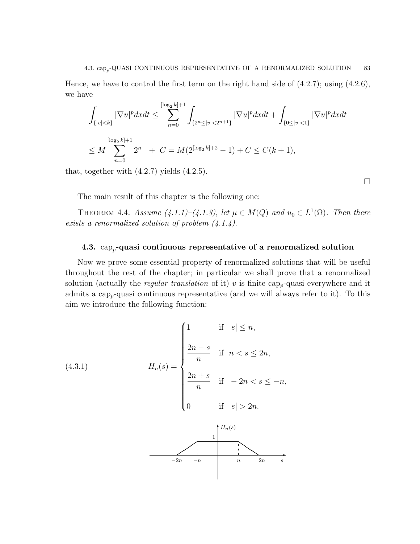Hence, we have to control the first term on the right hand side of  $(4.2.7)$ ; using  $(4.2.6)$ , we have

$$
\int_{\{|v|\n
$$
\le M \sum_{n=0}^{\lfloor \log_2 k \rfloor + 1} 2^n + C = M(2^{\lfloor \log_2 k \rfloor + 2} - 1) + C \le C(k+1),
$$
$$

that, together with  $(4.2.7)$  yields  $(4.2.5)$ .

 $\Box$ 

The main result of this chapter is the following one:

THEOREM 4.4. Assume  $(4.1.1)-(4.1.3)$ , let  $\mu \in M(Q)$  and  $u_0 \in L^1(\Omega)$ . Then there exists a renormalized solution of problem  $(4.1.4)$ .

## 4.3.  $\text{cap}_{p}$ -quasi continuous representative of a renormalized solution

Now we prove some essential property of renormalized solutions that will be useful throughout the rest of the chapter; in particular we shall prove that a renormalized solution (actually the *regular translation* of it) v is finite cap<sub>p</sub>-quasi everywhere and it admits a cap<sub>p</sub>-quasi continuous representative (and we will always refer to it). To this aim we introduce the following function:

 $-2n$   $-n$  n  $2n$  s

(4.3.1) 
$$
H_n(s) = \begin{cases} 1 & \text{if } |s| \le n, \\ \frac{2n - s}{n} & \text{if } n < s \le 2n, \\ \frac{2n + s}{n} & \text{if } -2n < s \le -n, \\ 0 & \text{if } |s| > 2n. \end{cases}
$$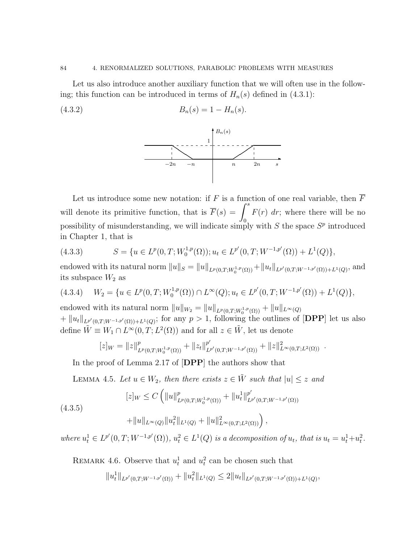#### 84 4. RENORMALIZED SOLUTIONS, PARABOLIC PROBLEMS WITH MEASURES

Let us also introduce another auxiliary function that we will often use in the following; this function can be introduced in terms of  $H_n(s)$  defined in (4.3.1):

$$
(4.3.2) \t\t Bn(s) = 1 - Hn(s).
$$



Let us introduce some new notation: if F is a function of one real variable, then  $\overline{F}$ will denote its primitive function, that is  $\overline{F}(s) = \int^s$ 0  $F(r)$  dr; where there will be no possibility of misunderstanding, we will indicate simply with  $S$  the space  $S<sup>p</sup>$  introduced in Chapter 1, that is

(4.3.3) 
$$
S = \{ u \in L^p(0,T;W_0^{1,p}(\Omega)) ; u_t \in L^{p'}(0,T;W^{-1,p'}(\Omega)) + L^1(Q) \},
$$

endowed with its natural norm  $||u||_S = ||u||_{L^p(0,T;W_0^{1,p}(\Omega))} + ||u_t||_{L^{p'}(0,T;W^{-1,p'}(\Omega)) + L^1(Q)}$ , and its subspace  $W_2$  as

$$
(4.3.4) \quad W_2 = \{ u \in L^p(0,T;W_0^{1,p}(\Omega)) \cap L^\infty(Q); u_t \in L^{p'}(0,T;W^{-1,p'}(\Omega)) + L^1(Q) \},
$$

endowed with its natural norm  $||u||_{W_2} = ||u||_{L^p(0,T;W_0^{1,p}(\Omega))} + ||u||_{L^{\infty}(Q)}$  $+ \|u_t\|_{L^{p'}(0,T;W^{-1,p'}(\Omega))+L^1(Q)}$ ; for any  $p > 1$ , following the outlines of [DPP] let us also define  $\tilde{W} \equiv W_1 \cap L^{\infty}(0,T;L^2(\Omega))$  and for all  $z \in \tilde{W}$ , let us denote

$$
[z]_W = ||z||^p_{L^p(0,T;W_0^{1,p}(\Omega))} + ||z_t||^{p'}_{L^{p'}(0,T;W^{-1,p'}(\Omega))} + ||z||^2_{L^{\infty}(0,T;L^2(\Omega))}.
$$

In the proof of Lemma 2.17 of [DPP] the authors show that

LEMMA 4.5. Let  $u \in W_2$ , then there exists  $z \in \tilde{W}$  such that  $|u| \leq z$  and

$$
[z]_W \le C \left( \|u\|_{L^p(0,T;W_0^{1,p}(\Omega))}^p + \|u_t^1\|_{L^{p'}(0,T;W^{-1,p'}(\Omega))}^{p'} \right)
$$

(4.3.5)

$$
+\|u\|_{L^{\infty}(Q)}\|u_t^2\|_{L^1(Q)}+\|u\|_{L^{\infty}(0,T;L^2(\Omega))}^2\right),
$$

where  $u_t^1 \in L^{p'}(0,T;W^{-1,p'}(\Omega))$ ,  $u_t^2 \in L^1(Q)$  is a decomposition of  $u_t$ , that is  $u_t = u_t^1 + u_t^2$ .

REMARK 4.6. Observe that  $u_t^1$  and  $u_t^2$  can be chosen such that

$$
||u_t^1||_{L^{p'}(0,T;W^{-1,p'}(\Omega))} + ||u_t^2||_{L^1(Q)} \leq 2||u_t||_{L^{p'}(0,T;W^{-1,p'}(\Omega)) + L^1(Q)},
$$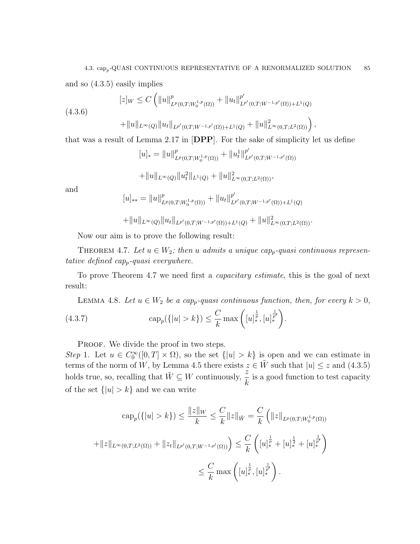and so (4.3.5) easily implies

$$
[z]_W \le C \left( \|u\|_{L^p(0,T;W_0^{1,p}(\Omega))}^p + \|u_t\|_{L^{p'}(0,T;W^{-1,p'}(\Omega)) + L^1(Q)}^{p'} \right)
$$
\n
$$
(4.3.6)
$$

$$
+||u||_{L^{\infty}(Q)}||u_t||_{L^{p'}(0,T;W^{-1,p'}(\Omega))+L^1(Q)}+||u||^2_{L^{\infty}(0,T;L^2(\Omega))}\bigg),
$$

that was a result of Lemma 2.17 in [DPP]. For the sake of simplicity let us define

$$
[u]_* = \|u\|_{L^p(0,T;W_0^{1,p}(\Omega))}^p + \|u_t^1\|_{L^{p'}(0,T;W^{-1,p'}(\Omega))}^{p'}
$$
  
+ 
$$
\|u\|_{L^{\infty}(Q)} \|u_t^2\|_{L^1(Q)} + \|u\|_{L^{\infty}(0,T;L^2(\Omega))}^2,
$$

and

$$
[u]_{**} = ||u||^p_{L^p(0,T;W_0^{1,p}(\Omega))} + ||u_t||^{p'}_{L^{p'}(0,T;W^{-1,p'}(\Omega))+L^1(Q)}
$$

 $+\|u\|_{L^{\infty}(Q)}\|u_t\|_{L^{p'}(0,T;W^{-1,p'}(\Omega))+L^1(Q)}+\|u\|_{L^{\infty}(0,T;L^2(\Omega))}^2.$ 

Now our aim is to prove the following result:

THEOREM 4.7. Let  $u \in W_2$ ; then u admits a unique cap<sub>p</sub>-quasi continuous representative defined cap-quasi everywhere.

To prove Theorem 4.7 we need first a *capacitary estimate*, this is the goal of next result:

LEMMA 4.8. Let  $u \in W_2$  be a cap<sub>p</sub>-quasi continuous function, then, for every  $k > 0$ ,

(4.3.7) 
$$
\qquad \qquad \text{cap}_{p}(\{|u| > k\}) \leq \frac{C}{k} \max\left([u]_{*}^{\frac{1}{p}}, [u]_{*}^{\frac{1}{p'}}\right).
$$

PROOF. We divide the proof in two steps.

Step 1. Let  $u \in C_0^{\infty}([0,T] \times \Omega)$ , so the set  $\{|u| > k\}$  is open and we can estimate in terms of the norm of W, by Lemma 4.5 there exists  $z \in \tilde{W}$  such that  $|u| \leq z$  and  $(4.3.5)$ holds true, so, recalling that  $\tilde{W} \subseteq W$  continuously,  $\frac{z}{i}$ k is a good function to test capacity of the set  $\{|u| > k\}$  and we can write

$$
\begin{aligned}\n\text{cap}_{p}(\{|u| > k\}) &\leq \frac{\|z\|_{W}}{k} \leq \frac{C}{k} \|z\|_{\tilde{W}} = \frac{C}{k} \left( \|z\|_{L^{p}(0,T;W_{0}^{1,p}(\Omega))}\right. \\
&\left. + \|z\|_{L^{\infty}(0,T;L^{2}(\Omega))} + \|z_{t}\|_{L^{p'}(0,T;W^{-1,p'}(\Omega))}\right) \leq \frac{C}{k} \left( [u]_{*}^{\frac{1}{p}} + [u]_{*}^{\frac{1}{2}} + [u]_{*}^{\frac{1}{p'}} \right) \\
&\leq \frac{C}{k} \max\left( [u]_{*}^{\frac{1}{p}}, [u]_{*}^{\frac{1}{p'}} \right).\n\end{aligned}
$$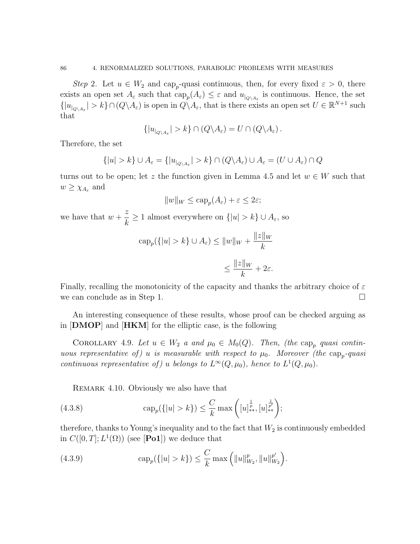Step 2. Let  $u \in W_2$  and cap<sub>p</sub>-quasi continuous, then, for every fixed  $\varepsilon > 0$ , there exists an open set  $A_{\varepsilon}$  such that  $\text{cap}_{p}(A_{\varepsilon}) \leq \varepsilon$  and  $u_{|_{Q\setminus A_{\varepsilon}}}$  is continuous. Hence, the set  $\{|u_{\vert_{Q\setminus A_{\varepsilon}}}| > k\} \cap (Q\setminus A_{\varepsilon})$  is open in  $Q\setminus A_{\varepsilon}$ , that is there exists an open set  $U \in \mathbb{R}^{N+1}$  such that

$$
\{|u_{|_{Q\backslash A_{\varepsilon}}}|>k\}\cap (Q\backslash A_{\varepsilon})=U\cap (Q\backslash A_{\varepsilon})\,.
$$

Therefore, the set

$$
\{|u| > k\} \cup A_{\varepsilon} = \{|u_{|_{Q \setminus A_{\varepsilon}}}| > k\} \cap (Q \setminus A_{\varepsilon}) \cup A_{\varepsilon} = (U \cup A_{\varepsilon}) \cap Q
$$

turns out to be open; let z the function given in Lemma 4.5 and let  $w \in W$  such that  $w \geq \chi_{A_{\varepsilon}}$  and

$$
||w||_W \leq \operatorname{cap}_p(A_\varepsilon) + \varepsilon \leq 2\varepsilon;
$$

we have that  $w +$ z  $\frac{\tilde{\lambda}}{k} \geq 1$  almost everywhere on  $\{|u| > k\} \cup A_{\varepsilon}$ , so

$$
\begin{aligned} \exp_p(\{|u| > k\} \cup A_\varepsilon) &\le \|w\|_W + \frac{\|z\|_W}{k} \\ &\le \frac{\|z\|_W}{k} + 2\varepsilon. \end{aligned}
$$

Finally, recalling the monotonicity of the capacity and thanks the arbitrary choice of  $\varepsilon$ we can conclude as in Step 1.

An interesting consequence of these results, whose proof can be checked arguing as in [DMOP] and [HKM] for the elliptic case, is the following

COROLLARY 4.9. Let  $u \in W_2$  a and  $\mu_0 \in M_0(Q)$ . Then, (the cap<sub>p</sub> quasi continuous representative of) u is measurable with respect to  $\mu_0$ . Moreover (the cap<sub>p</sub>-quasi continuous representative of) u belongs to  $L^{\infty}(Q, \mu_0)$ , hence to  $L^1(Q, \mu_0)$ .

REMARK 4.10. Obviously we also have that

(4.3.8) 
$$
\qquad \qquad \text{cap}_{p}(\{|u| > k\}) \leq \frac{C}{k} \max\left([u]_{**}^{\frac{1}{p}}, [u]_{**}^{\frac{1}{p'}}\right);
$$

therefore, thanks to Young's inequality and to the fact that  $W_2$  is continuously embedded in  $C([0,T];L^1(\Omega))$  (see [**Po1**]) we deduce that

(4.3.9) 
$$
\operatorname{cap}_p({\{|u| > k\}}) \leq \frac{C}{k} \max\left(\|u\|_{W_2}^p, \|u\|_{W_2}^{p'}\right).
$$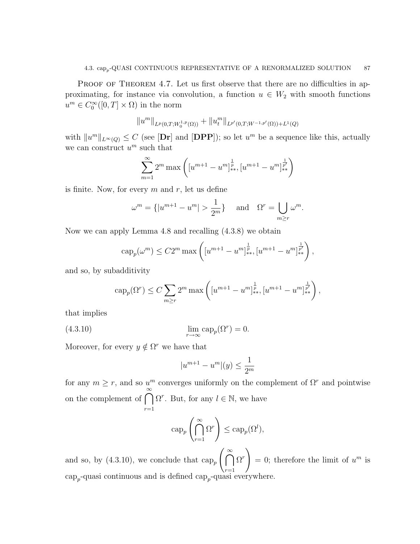PROOF OF THEOREM 4.7. Let us first observe that there are no difficulties in approximating, for instance via convolution, a function  $u \in W_2$  with smooth functions  $u^m \in C_0^{\infty}([0,T] \times \Omega)$  in the norm

$$
||u^m||_{L^p(0,T;W_0^{1,p}(\Omega))} + ||u_t^m||_{L^{p'}(0,T;W^{-1,p'}(\Omega)) + L^1(Q)}
$$

with  $||u^m||_{L^{\infty}(Q)} \leq C$  (see [Dr] and [DPP]); so let  $u^m$  be a sequence like this, actually we can construct  $u^m$  such that

$$
\sum_{m=1}^{\infty} 2^m \max \left( [u^{m+1} - u^m]_{**}^{\frac{1}{p}} , [u^{m+1} - u^m]_{**}^{\frac{1}{p'}} \right)
$$

is finite. Now, for every  $m$  and  $r$ , let us define

$$
\omega^m = \{|u^{m+1} - u^m| > \frac{1}{2^m}\}\quad \text{and} \quad \Omega^r = \bigcup_{m \ge r} \omega^m.
$$

Now we can apply Lemma 4.8 and recalling (4.3.8) we obtain

$$
cap_p(\omega^m) \le C2^m \max\left( [u^{m+1} - u^m]_{**}^{\frac{1}{p}}, [u^{m+1} - u^m]_{**}^{\frac{1}{p'}} \right),
$$

and so, by subadditivity

$$
cap_p(\Omega^r) \le C \sum_{m \ge r} 2^m \max \left( [u^{m+1} - u^m]_{**}^{\frac{1}{p}} , [u^{m+1} - u^m]_{**}^{\frac{1}{p'}} \right),
$$

that implies

(4.3.10) 
$$
\lim_{r \to \infty} \operatorname{cap}_p(\Omega^r) = 0.
$$

Moreover, for every  $y \notin \Omega^r$  we have that

$$
|u^{m+1} - u^m|(y) \le \frac{1}{2^m}
$$

for any  $m \geq r$ , and so  $u^m$  converges uniformly on the complement of  $\Omega^r$  and pointwise on the complement of  $\bigcap^{\infty}$  $r=1$  $\Omega^r$ . But, for any  $l \in \mathbb{N}$ , we have

$$
\operatorname{cap}_p\left(\bigcap_{r=1}^{\infty} \Omega^r\right) \leq \operatorname{cap}_p(\Omega^l),
$$

and so, by (4.3.10), we conclude that  $\exp_p \left( \bigcap_{n=1}^{\infty} \mathbb{I}_{2n} \right)$  $r=1$  $\Omega^r$  $= 0$ ; therefore the limit of  $u^m$  is  $\text{cap}_{p}$ -quasi continuous and is defined  $\text{cap}_{p}$ -quasi everywhere.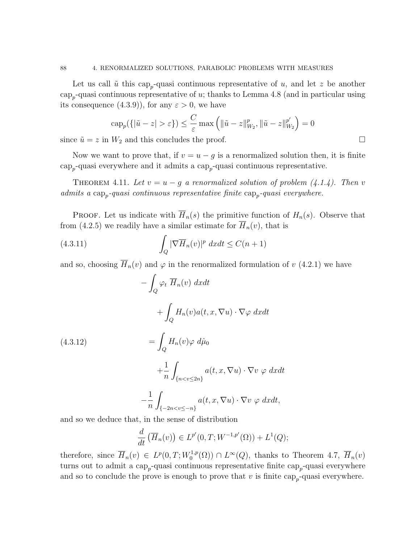Let us call  $\tilde{u}$  this cap<sub>p</sub>-quasi continuous representative of u, and let z be another  $\text{cap}_{p}$ -quasi continuous representative of u; thanks to Lemma 4.8 (and in particular using its consequence  $(4.3.9)$ , for any  $\varepsilon > 0$ , we have

$$
\operatorname{cap}_p(\{|\tilde{u}-z|>\varepsilon\}) \le \frac{C}{\varepsilon} \max\left(\|\tilde{u}-z\|_{W_2}^p, \|\tilde{u}-z\|_{W_2}^{p'}\right) = 0
$$

since  $\tilde{u} = z$  in  $W_2$  and this concludes the proof.

Now we want to prove that, if  $v = u - g$  is a renormalized solution then, it is finite cap<sup>p</sup> -quasi everywhere and it admits a cap<sup>p</sup> -quasi continuous representative.

THEOREM 4.11. Let  $v = u - g$  a renormalized solution of problem (4.1.4). Then v admits a  $\text{cap}_{p}$ -quasi continuous representative finite  $\text{cap}_{p}$ -quasi everywhere.

**PROOF.** Let us indicate with  $\overline{H}_n(s)$  the primitive function of  $H_n(s)$ . Observe that from (4.2.5) we readily have a similar estimate for  $H_n(v)$ , that is

(4.3.11) 
$$
\int_{Q} |\nabla \overline{H}_n(v)|^p \ dx dt \le C(n+1)
$$

and so, choosing  $\overline{H}_n(v)$  and  $\varphi$  in the renormalized formulation of v (4.2.1) we have

$$
-\int_{Q} \varphi_{t} \overline{H}_{n}(v) dxdt
$$
  
+ 
$$
\int_{Q} H_{n}(v)a(t, x, \nabla u) \cdot \nabla \varphi dxdt
$$
  
(4.3.12)  
= 
$$
\int_{Q} H_{n}(v)\varphi d\hat{\mu}_{0}
$$
  
+ 
$$
\frac{1}{n} \int_{\{n < v \le 2n\}} a(t, x, \nabla u) \cdot \nabla v \varphi dxdt
$$
  
- 
$$
\frac{1}{n} \int_{\{-2n < v \le -n\}} a(t, x, \nabla u) \cdot \nabla v \varphi dxdt,
$$

and so we deduce that, in the sense of distribution

$$
\frac{d}{dt}\left(\overline{H}_n(v)\right) \in L^{p'}(0,T;W^{-1,p'}(\Omega)) + L^1(Q);
$$

therefore, since  $\overline{H}_n(v) \in L^p(0,T;W_0^{1,p})$  $L^{1,p}(\Omega)$   $\cap$   $L^{\infty}(Q)$ , thanks to Theorem 4.7,  $\overline{H}_n(v)$ turns out to admit a  $\text{cap}_{p}$ -quasi continuous representative finite  $\text{cap}_{p}$ -quasi everywhere and so to conclude the prove is enough to prove that  $v$  is finite cap<sub>p</sub>-quasi everywhere.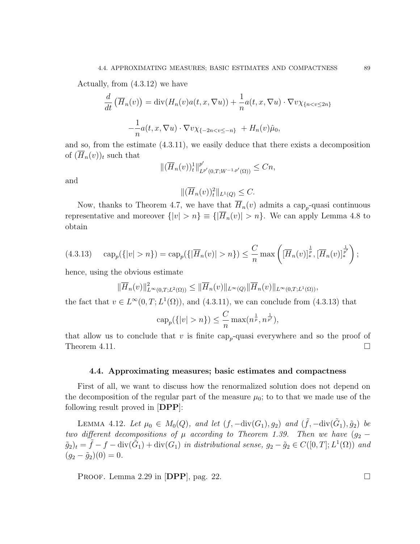Actually, from (4.3.12) we have

$$
\frac{d}{dt}\left(\overline{H}_n(v)\right) = \text{div}(H_n(v)a(t, x, \nabla u)) + \frac{1}{n}a(t, x, \nabla u) \cdot \nabla v \chi_{\{n < v \le 2n\}}-\frac{1}{n}a(t, x, \nabla u) \cdot \nabla v \chi_{\{-2n < v \le -n\}} + H_n(v)\hat{\mu}_0,
$$

and so, from the estimate (4.3.11), we easily deduce that there exists a decomposition of  $(\overline{H}_n(v))_t$  such that

$$
\|(\overline{H}_n(v))_t^1\|_{L^{p'}(0,T;W^{-1,p'}(\Omega))}^{p'}\leq Cn,
$$

and

$$
\|(\overline{H}_n(v))_t^2\|_{L^1(Q)} \leq C.
$$

Now, thanks to Theorem 4.7, we have that  $H_n(v)$  admits a cap<sub>p</sub>-quasi continuous representative and moreover  $\{|v| > n\} \equiv \{\overline{H}_n(v)| > n\}$ . We can apply Lemma 4.8 to obtain

$$
(4.3.13) \quad \text{cap}_{p}(\{|v| > n\}) = \text{cap}_{p}(\{|\overline{H}_{n}(v)| > n\}) \leq \frac{C}{n} \max\left([\overline{H}_{n}(v)]_{*}^{\frac{1}{p}}, [\overline{H}_{n}(v)]_{*}^{\frac{1}{p'}}\right);
$$

hence, using the obvious estimate

$$
\|\overline{H}_n(v)\|_{L^{\infty}(0,T;L^2(\Omega))}^2 \le \|\overline{H}_n(v)\|_{L^{\infty}(Q)} \|\overline{H}_n(v)\|_{L^{\infty}(0,T;L^1(\Omega))},
$$

the fact that  $v \in L^{\infty}(0,T; L^{1}(\Omega))$ , and (4.3.11), we can conclude from (4.3.13) that

$$
cap_p({\{|v| > n\}}) \leq \frac{C}{n} \max(n^{\frac{1}{p}}, n^{\frac{1}{p'}}),
$$

that allow us to conclude that v is finite  $\exp_p$ -quasi everywhere and so the proof of Theorem 4.11.  $\Box$ 

### 4.4. Approximating measures; basic estimates and compactness

First of all, we want to discuss how the renormalized solution does not depend on the decomposition of the regular part of the measure  $\mu_0$ ; to to that we made use of the following result proved in [DPP]:

LEMMA 4.12. Let  $\mu_0 \in M_0(Q)$ , and let  $(f, -\text{div}(G_1), g_2)$  and  $(\tilde{f}, -\text{div}(\tilde{G}_1), \tilde{g}_2)$  be two different decompositions of  $\mu$  according to Theorem 1.39. Then we have  $(g_2 (\tilde{g}_2)_t = \tilde{f} - f - \text{div}(\tilde{G}_1) + \text{div}(G_1)$  in distributional sense,  $g_2 - \tilde{g}_2 \in C([0,T];L^1(\Omega))$  and  $(g_2 - \tilde{g}_2)(0) = 0.$ 

PROOF. Lemma 2.29 in [DPP], pag. 22.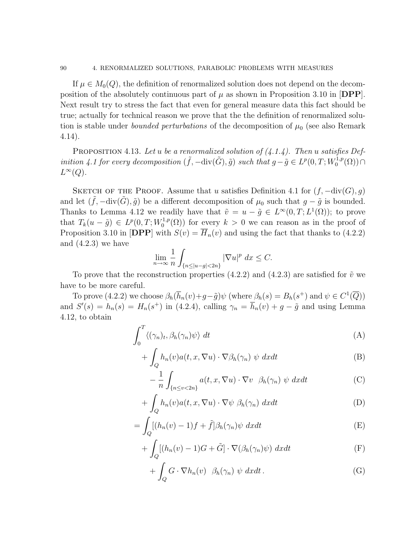If  $\mu \in M_0(Q)$ , the definition of renormalized solution does not depend on the decomposition of the absolutely continuous part of  $\mu$  as shown in Proposition 3.10 in [DPP]. Next result try to stress the fact that even for general measure data this fact should be true; actually for technical reason we prove that the the definition of renormalized solution is stable under *bounded perturbations* of the decomposition of  $\mu_0$  (see also Remark 4.14).

PROPOSITION 4.13. Let u be a renormalized solution of  $(4.1.4)$ . Then u satisfies Definition 4.1 for every decomposition  $(\tilde{f}, -\text{div}(\tilde{G}), \tilde{g})$  such that  $g - \tilde{g} \in L^p(0, T; W_0^{1,p})$  $\bigcap_{0}^{\cdot 1,p}(\Omega)\big) \cap$  $L^{\infty}(Q)$ .

SKETCH OF THE PROOF. Assume that u satisfies Definition 4.1 for  $(f, -div(G), g)$ and let  $(\tilde{f}, -\text{div}(\tilde{G}), \tilde{g})$  be a different decomposition of  $\mu_0$  such that  $g - \tilde{g}$  is bounded. Thanks to Lemma 4.12 we readily have that  $\tilde{v} = u - \tilde{g} \in L^{\infty}(0,T; L^{1}(\Omega))$ ; to prove that  $T_k(u - \tilde{g}) \in L^p(0,T;W_0^{1,p})$  $\binom{1,p}{0}$  for every  $k > 0$  we can reason as in the proof of Proposition 3.10 in [DPP] with  $S(v) = \overline{H}_n(v)$  and using the fact that thanks to (4.2.2) and (4.2.3) we have

$$
\lim_{n\to\infty}\frac{1}{n}\int_{\{n\leq |u-g|<2n\}}|\nabla u|^p~dx\leq C.
$$

To prove that the reconstruction properties  $(4.2.2)$  and  $(4.2.3)$  are satisfied for  $\tilde{v}$  we have to be more careful.

To prove (4.2.2) we choose  $\beta_h(\overline{h}_n(v)+g-\tilde{g})\psi$  (where  $\beta_h(s)=B_h(s^+)$  and  $\psi\in C^1(\overline{Q}))$ and  $S'(s) = h_n(s) = H_n(s^+)$  in (4.2.4), calling  $\gamma_n = \overline{h}_n(v) + g - \tilde{g}$  and using Lemma 4.12, to obtain

$$
\int_0^T \langle (\gamma_n)_t, \beta_h(\gamma_n) \psi \rangle \, dt \tag{A}
$$

$$
+ \int_{Q} h_n(v) a(t, x, \nabla u) \cdot \nabla \beta_h(\gamma_n) \psi \ dx dt \tag{B}
$$

$$
-\frac{1}{n}\int_{\{n\leq v<2n\}}a(t,x,\nabla u)\cdot\nabla v\cdot\beta_h(\gamma_n)\psi\,dxdt\tag{C}
$$

$$
+\int_{Q} h_n(v)a(t, x, \nabla u) \cdot \nabla \psi \beta_h(\gamma_n) dxdt \tag{D}
$$

$$
= \int_{Q} [(h_n(v) - 1)f + \tilde{f}]\beta_h(\gamma_n)\psi \ dx dt \tag{E}
$$

$$
+\int_{Q} [(h_{n}(v)-1)G+\tilde{G}] \cdot \nabla(\beta_{h}(\gamma_{n})\psi) dxdt \tag{F}
$$

$$
+\int_{Q} G \cdot \nabla h_{n}(v) \beta_{h}(\gamma_{n}) \psi dxdt . \tag{G}
$$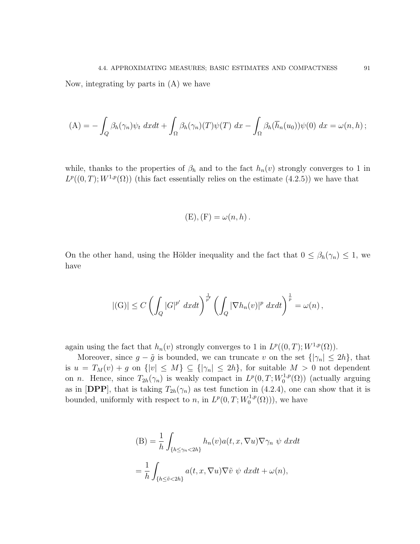Now, integrating by parts in (A) we have

$$
(A) = -\int_{Q} \beta_{h}(\gamma_{n}) \psi_{t} dxdt + \int_{\Omega} \beta_{h}(\gamma_{n})(T)\psi(T) dx - \int_{\Omega} \beta_{h}(\overline{h}_{n}(u_{0}))\psi(0) dx = \omega(n,h);
$$

while, thanks to the properties of  $\beta_h$  and to the fact  $h_n(v)$  strongly converges to 1 in  $L^p((0,T);W^{1,p}(\Omega))$  (this fact essentially relies on the estimate  $(4.2.5)$ ) we have that

$$
(E), (F) = \omega(n, h).
$$

On the other hand, using the Hölder inequality and the fact that  $0 \leq \beta_h(\gamma_n) \leq 1$ , we have

$$
|(G)| \leq C \left( \int_Q |G|^{p'} dx dt \right)^{\frac{1}{p'}} \left( \int_Q |\nabla h_n(v)|^p dx dt \right)^{\frac{1}{p}} = \omega(n),
$$

again using the fact that  $h_n(v)$  strongly converges to 1 in  $L^p((0,T);W^{1,p}(\Omega))$ .

Moreover, since  $g - \tilde{g}$  is bounded, we can truncate v on the set  $\{|\gamma_n| \leq 2h\}$ , that is  $u = T_M(v) + g$  on  $\{|v| \leq M\} \subseteq {\{|\gamma_n| \leq 2h\}}$ , for suitable  $M > 0$  not dependent on *n*. Hence, since  $T_{2h}(\gamma_n)$  is weakly compact in  $L^p(0,T;W_0^{1,p})$  $\binom{1,p}{0}$  (actually arguing as in [DPP], that is taking  $T_{2h}(\gamma_n)$  as test function in (4.2.4), one can show that it is bounded, uniformly with respect to n, in  $L^p(0,T;W_0^{1,p})$  $\binom{1,p}{0}$ ), we have

$$
(B) = \frac{1}{h} \int_{\{h \le \gamma_n < 2h\}} h_n(v) a(t, x, \nabla u) \nabla \gamma_n \ \psi \ dx dt
$$
\n
$$
= \frac{1}{h} \int_{\{h \le \tilde{v} < 2h\}} a(t, x, \nabla u) \nabla \tilde{v} \ \psi \ dx dt + \omega(n),
$$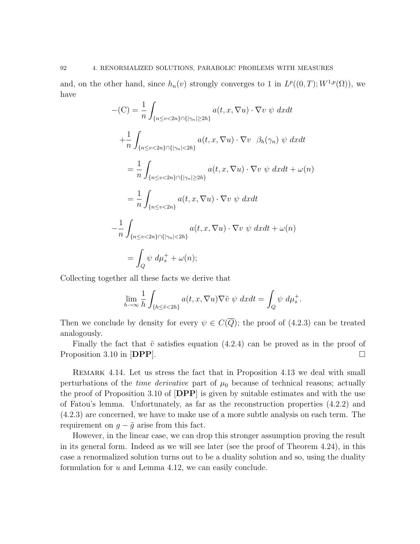and, on the other hand, since  $h_n(v)$  strongly converges to 1 in  $L^p((0,T);W^{1,p}(\Omega))$ , we have

$$
-(C) = \frac{1}{n} \int_{\{n \le v < 2n\} \cap \{|\gamma_n| \ge 2h\}} a(t, x, \nabla u) \cdot \nabla v \, \psi \, dxdt
$$
\n
$$
+ \frac{1}{n} \int_{\{n \le v < 2n\} \cap \{|\gamma_n| < 2h\}} a(t, x, \nabla u) \cdot \nabla v \, \beta_h(\gamma_n) \, \psi \, dxdt
$$
\n
$$
= \frac{1}{n} \int_{\{n \le v < 2n\} \cap \{|\gamma_n| \ge 2h\}} a(t, x, \nabla u) \cdot \nabla v \, \psi \, dxdt + \omega(n)
$$
\n
$$
= \frac{1}{n} \int_{\{n \le v < 2n\}} a(t, x, \nabla u) \cdot \nabla v \, \psi \, dxdt
$$
\n
$$
- \frac{1}{n} \int_{\{n \le v < 2n\} \cap \{|\gamma_n| < 2h\}} a(t, x, \nabla u) \cdot \nabla v \, \psi \, dxdt + \omega(n)
$$
\n
$$
= \int_{Q} \psi \, d\mu_s^+ + \omega(n);
$$

Collecting together all these facts we derive that

$$
\lim_{h \to \infty} \frac{1}{h} \int_{\{h \le \tilde{v} < 2h\}} a(t, x, \nabla u) \nabla \tilde{v} \, \psi \, dx dt = \int_{Q} \psi \, d\mu_s^+.
$$

Then we conclude by density for every  $\psi \in C(\overline{Q})$ ; the proof of (4.2.3) can be treated analogously.

Finally the fact that  $\tilde{v}$  satisfies equation (4.2.4) can be proved as in the proof of Proposition 3.10 in  $[{\bf DPP}]$ .

Remark 4.14. Let us stress the fact that in Proposition 4.13 we deal with small perturbations of the *time derivative* part of  $\mu_0$  because of technical reasons; actually the proof of Proposition 3.10 of [DPP] is given by suitable estimates and with the use of Fatou's lemma. Unfortunately, as far as the reconstruction properties (4.2.2) and (4.2.3) are concerned, we have to make use of a more subtle analysis on each term. The requirement on  $g - \tilde{g}$  arise from this fact.

However, in the linear case, we can drop this stronger assumption proving the result in its general form. Indeed as we will see later (see the proof of Theorem 4.24), in this case a renormalized solution turns out to be a duality solution and so, using the duality formulation for u and Lemma 4.12, we can easily conclude.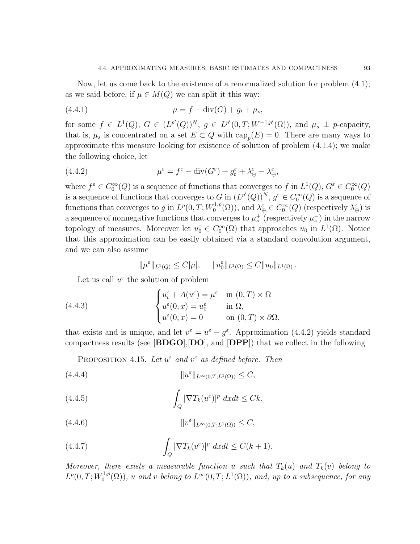Now, let us come back to the existence of a renormalized solution for problem (4.1); as we said before, if  $\mu \in M(Q)$  we can split it this way:

(4.4.1) 
$$
\mu = f - \text{div}(G) + g_t + \mu_s,
$$

for some  $f \in L^1(Q)$ ,  $G \in (L^{p'}(Q))^N$ ,  $g \in L^{p'}(0,T;W^{-1,p'}(\Omega))$ , and  $\mu_s \perp p$ -capacity, that is,  $\mu_s$  is concentrated on a set  $E \subset Q$  with  $\text{cap}_p(E) = 0$ . There are many ways to approximate this measure looking for existence of solution of problem (4.1.4); we make the following choice, let

(4.4.2) 
$$
\mu^{\varepsilon} = f^{\varepsilon} - \text{div}(G^{\varepsilon}) + g^{\varepsilon}_t + \lambda^{\varepsilon}_{\oplus} - \lambda^{\varepsilon}_{\ominus},
$$

where  $f^{\varepsilon} \in C_0^{\infty}(Q)$  is a sequence of functions that converges to f in  $L^1(Q)$ ,  $G^{\varepsilon} \in C_0^{\infty}(Q)$ is a sequence of functions that converges to G in  $(L^{p'}(Q))^{N}$ ,  $g^{\varepsilon} \in C_0^{\infty}(Q)$  is a sequence of functions that converges to g in  $L^p(0,T;W_0^{1,p})$  $O_0^{1,p}(\Omega)$ , and  $\lambda_{\oplus}^{\varepsilon} \in C_0^{\infty}(Q)$  (respectively  $\lambda_{\ominus}^{\varepsilon}$ ) is a sequence of nonnegative functions that converges to  $\mu_s^+$  (respectively  $\mu_s^-$ ) in the narrow topology of measures. Moreover let  $u_0 \in C_0^{\infty}(\Omega)$  that approaches  $u_0$  in  $L^1(\Omega)$ . Notice that this approximation can be easily obtained via a standard convolution argument, and we can also assume

$$
\|\mu^{\varepsilon}\|_{L^{1}(Q)} \leq C|\mu|, \quad \|u^{\varepsilon}_{0}\|_{L^{1}(\Omega)} \leq C\|u_{0}\|_{L^{1}(\Omega)}.
$$

Let us call  $u^{\varepsilon}$  the solution of problem

(4.4.3) 
$$
\begin{cases} u_t^{\varepsilon} + A(u^{\varepsilon}) = \mu^{\varepsilon} & \text{in } (0, T) \times \Omega \\ u^{\varepsilon}(0, x) = u_0^{\varepsilon} & \text{in } \Omega, \\ u^{\varepsilon}(0, x) = 0 & \text{on } (0, T) \times \partial\Omega, \end{cases}
$$

that exists and is unique, and let  $v^{\varepsilon} = u^{\varepsilon} - g^{\varepsilon}$ . Approximation (4.4.2) yields standard compactness results (see [BDGO],[DO], and [DPP]) that we collect in the following

PROPOSITION 4.15. Let  $u^{\varepsilon}$  and  $v^{\varepsilon}$  as defined before. Then

(4.4.4) ku ε kL∞(0,T;L1(Ω)) ≤ C,

(4.4.5) 
$$
\int_{Q} |\nabla T_{k}(u^{\varepsilon})|^{p} dx dt \leq C k,
$$

$$
(4.4.6) \t\t\t\t ||v^{\varepsilon}||_{L^{\infty}(0,T;L^{1}(\Omega))} \leq C,
$$

(4.4.7) 
$$
\int_{Q} |\nabla T_{k}(v^{\varepsilon})|^{p} dx dt \leq C(k+1).
$$

Moreover, there exists a measurable function u such that  $T_k(u)$  and  $T_k(v)$  belong to  $L^p(0,T;W_0^{1,p})$  $\mathcal{O}_0^{1,p}(\Omega)$ , u and v belong to  $L^{\infty}(0,T;L^1(\Omega))$ , and, up to a subsequence, for any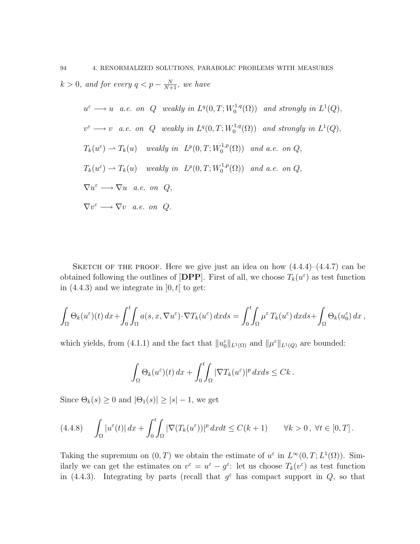94 4. RENORMALIZED SOLUTIONS, PARABOLIC PROBLEMS WITH MEASURES  $k > 0$ , and for every  $q < p - \frac{N}{N+1}$ , we have

$$
u^{\varepsilon} \longrightarrow u \quad a.e. \quad on \quad Q \quad weakly \quad in \ L^{q}(0,T; W_{0}^{1,q}(\Omega)) \quad and \, strongly \, in \ L^{1}(Q),
$$
\n
$$
v^{\varepsilon} \longrightarrow v \quad a.e. \quad on \quad Q \quad weakly \, in \ L^{q}(0,T; W_{0}^{1,q}(\Omega)) \quad and \, strongly \, in \ L^{1}(Q),
$$
\n
$$
T_{k}(u^{\varepsilon}) \longrightarrow T_{k}(u) \quad weakly \, in \ L^{p}(0,T; W_{0}^{1,p}(\Omega)) \quad and \, a.e. \, on \, Q,
$$
\n
$$
T_{k}(u^{\varepsilon}) \longrightarrow T_{k}(u) \quad weakly \, in \ L^{p}(0,T; W_{0}^{1,p}(\Omega)) \quad and \, a.e. \, on \, Q,
$$
\n
$$
\nabla u^{\varepsilon} \longrightarrow \nabla u \quad a.e. \, on \, Q,
$$
\n
$$
\nabla v^{\varepsilon} \longrightarrow \nabla v \quad a.e. \, on \, Q.
$$

SKETCH OF THE PROOF. Here we give just an idea on how  $(4.4.4)$ – $(4.4.7)$  can be obtained following the outlines of  $[DPP]$ . First of all, we choose  $T_k(u^{\varepsilon})$  as test function in  $(4.4.3)$  and we integrate in  $]0, t[$  to get:

$$
\int_{\Omega} \Theta_k(u^{\varepsilon})(t) dx + \int_0^t \int_{\Omega} a(s, x, \nabla u^{\varepsilon}) \cdot \nabla T_k(u^{\varepsilon}) dx ds = \int_0^t \int_{\Omega} \mu^{\varepsilon} T_k(u^{\varepsilon}) dx ds + \int_{\Omega} \Theta_k(u_0^{\varepsilon}) dx,
$$

which yields, from (4.1.1) and the fact that  $||u_0^{\varepsilon}||_{L^1(\Omega)}$  and  $||\mu^{\varepsilon}||_{L^1(Q)}$  are bounded:

$$
\int_{\Omega} \Theta_k(u^{\varepsilon})(t) dx + \int_0^t \int_{\Omega} |\nabla T_k(u^{\varepsilon})|^p dx ds \leq Ck.
$$

Since  $\Theta_k(s) \geq 0$  and  $|\Theta_1(s)| \geq |s| - 1$ , we get

$$
(4.4.8) \qquad \int_{\Omega} |u^{\varepsilon}(t)| \, dx + \int_0^t \int_{\Omega} |\nabla (T_k(u^{\varepsilon}))|^p \, dx dt \le C(k+1) \qquad \forall k > 0, \ \forall t \in [0, T].
$$

Taking the supremum on  $(0, T)$  we obtain the estimate of  $u^{\varepsilon}$  in  $L^{\infty}(0, T; L^{1}(\Omega))$ . Similarly we can get the estimates on  $v^{\varepsilon} = u^{\varepsilon} - g^{\varepsilon}$ : let us choose  $T_k(v^{\varepsilon})$  as test function in (4.4.3). Integrating by parts (recall that  $g^{\varepsilon}$  has compact support in  $Q$ , so that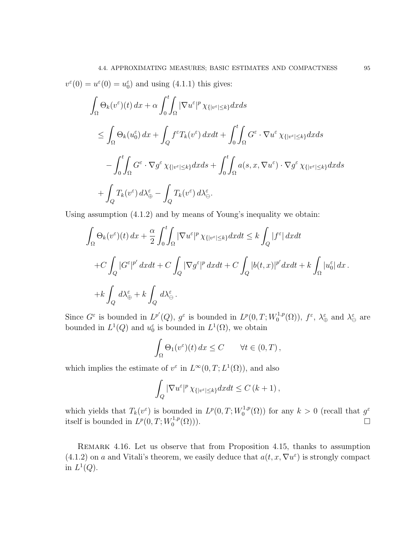$$
v^{\varepsilon}(0) = u^{\varepsilon}(0) = u^{\varepsilon}_{0} \text{ and using (4.1.1) this gives:}
$$
\n
$$
\int_{\Omega} \Theta_{k}(v^{\varepsilon})(t) dx + \alpha \int_{0}^{t} \int_{\Omega} |\nabla u^{\varepsilon}|^{p} \chi_{\{|v^{\varepsilon}| \leq k\}} dx ds
$$
\n
$$
\leq \int_{\Omega} \Theta_{k}(u^{\varepsilon}_{0}) dx + \int_{Q} f^{\varepsilon} T_{k}(v^{\varepsilon}) dx dt + \int_{0}^{t} \int_{\Omega} G^{\varepsilon} \cdot \nabla u^{\varepsilon} \chi_{\{|v^{\varepsilon}| \leq k\}} dx ds
$$
\n
$$
- \int_{0}^{t} \int_{\Omega} G^{\varepsilon} \cdot \nabla g^{\varepsilon} \chi_{\{|v^{\varepsilon}| \leq k\}} dx ds + \int_{0}^{t} \int_{\Omega} a(s, x, \nabla u^{\varepsilon}) \cdot \nabla g^{\varepsilon} \chi_{\{|v^{\varepsilon}| \leq k\}} dx ds
$$
\n
$$
+ \int_{Q} T_{k}(v^{\varepsilon}) d\lambda^{\varepsilon}_{\oplus} - \int_{Q} T_{k}(v^{\varepsilon}) d\lambda^{\varepsilon}_{\ominus}.
$$

Using assumption (4.1.2) and by means of Young's inequality we obtain:

$$
\int_{\Omega} \Theta_k(v^{\varepsilon})(t) dx + \frac{\alpha}{2} \int_0^t \int_{\Omega} |\nabla u^{\varepsilon}|^p \chi_{\{|v^{\varepsilon}| \le k\}} dx dt \le k \int_Q |f^{\varepsilon}| dx dt
$$
  
+
$$
+ C \int_Q |G^{\varepsilon}|^{p'} dx dt + C \int_Q |\nabla g^{\varepsilon}|^p dx dt + C \int_Q |b(t, x)|^{p'} dx dt + k \int_{\Omega} |u_0^{\varepsilon}| dx.
$$
  
+
$$
+ k \int_Q d\lambda_{\oplus}^{\varepsilon} + k \int_Q d\lambda_{\ominus}^{\varepsilon}.
$$

Since  $G^{\varepsilon}$  is bounded in  $L^{p'}(Q)$ ,  $g^{\varepsilon}$  is bounded in  $L^{p}(0,T;W_0^{1,p})$  $f_0^{1,p}(\Omega)$ ),  $f^{\varepsilon}$ ,  $\lambda_{\oplus}^{\varepsilon}$  and  $\lambda_{\ominus}^{\varepsilon}$  are bounded in  $L^1(Q)$  and  $u_0^{\varepsilon}$  is bounded in  $L^1(\Omega)$ , we obtain

$$
\int_{\Omega} \Theta_1(v^{\varepsilon})(t) dx \le C \qquad \forall t \in (0, T),
$$

which implies the estimate of  $v^{\varepsilon}$  in  $L^{\infty}(0,T; L^{1}(\Omega))$ , and also

$$
\int_{Q} |\nabla u^{\varepsilon}|^{p} \chi_{\{|v^{\varepsilon}| \leq k\}} dx dt \leq C (k+1),
$$

which yields that  $T_k(v^{\varepsilon})$  is bounded in  $L^p(0,T;W_0^{1,p})$  $\chi_0^{1,p}(\Omega)$  for any  $k > 0$  (recall that  $g^{\varepsilon}$ itself is bounded in  $L^p(0,T;W_0^{1,p})$  $\Box$ <sup>1,p</sup>( $\Omega$ ))).

Remark 4.16. Let us observe that from Proposition 4.15, thanks to assumption (4.1.2) on a and Vitali's theorem, we easily deduce that  $a(t, x, \nabla u^{\varepsilon})$  is strongly compact in  $L^1(Q)$ .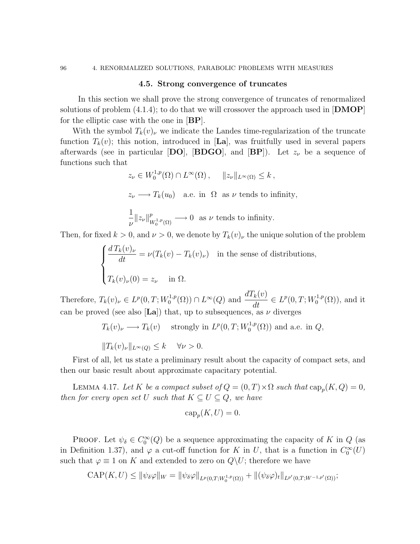### 4.5. Strong convergence of truncates

In this section we shall prove the strong convergence of truncates of renormalized solutions of problem  $(4.1.4)$ ; to do that we will crossover the approach used in  $[DMOP]$ for the elliptic case with the one in  $|BP|$ .

With the symbol  $T_k(v)$ , we indicate the Landes time-regularization of the truncate function  $T_k(v)$ ; this notion, introduced in [La], was fruitfully used in several papers afterwards (see in particular [DO], [BDGO], and [BP]). Let  $z_{\nu}$  be a sequence of functions such that

> $z_{\nu} \in W_0^{1,p}$  $\int_0^{1,p}(\Omega) \cap L^{\infty}(\Omega)$ ,  $||z_{\nu}||_{L^{\infty}(\Omega)} \leq k$ ,  $z_{\nu} \longrightarrow T_k(u_0)$  a.e. in  $\Omega$  as  $\nu$  tends to infinity, 1  $\frac{1}{\nu}\|z_\nu\|_V^p$  $\frac{p}{W_0^{1,p}(\Omega)} \longrightarrow 0$  as  $\nu$  tends to infinity.

Then, for fixed  $k > 0$ , and  $\nu > 0$ , we denote by  $T_k(v)_{\nu}$  the unique solution of the problem

$$
\begin{cases}\n\frac{d T_k(v)_\nu}{dt} = \nu(T_k(v) - T_k(v)_\nu) & \text{in the sense of distributions,} \\
T_k(v)_\nu(0) = z_\nu & \text{in } \Omega.\n\end{cases}
$$

Therefore,  $T_k(v)_{\nu} \in L^p(0,T;W_0^{1,p})$  $\frac{d^{1,p}(\Omega)}{dt}(Q) \cap L^{\infty}(Q)$  and  $\frac{d T_k(v)}{dt} \in L^p(0,T;W_0^{1,p})$  $\mathfrak{g}_0^{\mathfrak{1},p}(\Omega)$ , and it can be proved (see also [La]) that, up to subsequences, as  $\nu$  diverges

$$
T_k(v)_{\nu} \longrightarrow T_k(v)
$$
 strongly in  $L^p(0,T;W_0^{1,p}(\Omega))$  and a.e. in  $Q$ ,  
 $||T_k(v)_{\nu}||_{L^{\infty}(Q)} \le k \quad \forall \nu > 0.$ 

First of all, let us state a preliminary result about the capacity of compact sets, and then our basic result about approximate capacitary potential.

LEMMA 4.17. Let K be a compact subset of  $Q = (0, T) \times \Omega$  such that  $\text{cap}_p(K, Q) = 0$ , then for every open set U such that  $K \subseteq U \subseteq Q$ , we have

$$
\operatorname{cap}_p(K, U) = 0.
$$

PROOF. Let  $\psi_{\delta} \in C_0^{\infty}(Q)$  be a sequence approximating the capacity of K in Q (as in Definition 1.37), and  $\varphi$  a cut-off function for K in U, that is a function in  $C_0^{\infty}(U)$ such that  $\varphi \equiv 1$  on K and extended to zero on  $Q \backslash U$ ; therefore we have

$$
\text{CAP}(K, U) \leq \|\psi_{\delta}\varphi\|_{W} = \|\psi_{\delta}\varphi\|_{L^{p}(0,T;W_{0}^{1,p}(\Omega))} + \|(\psi_{\delta}\varphi)_{t}\|_{L^{p'}(0,T;W^{-1,p'}(\Omega))};
$$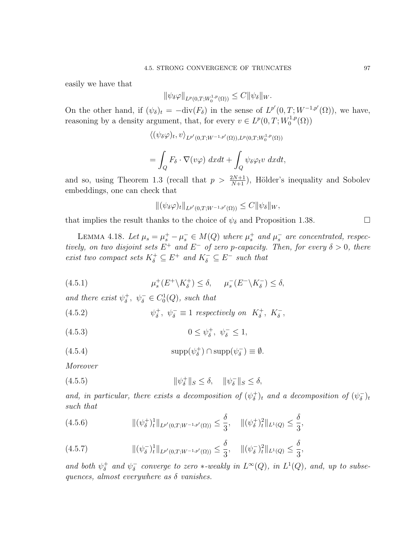easily we have that

 $\|\psi_{\delta}\varphi\|_{L^p(0,T;W_0^{1,p}(\Omega))} \leq C \|\psi_{\delta}\|_{W}.$ 

On the other hand, if  $(\psi_{\delta})_t = -\text{div}(F_{\delta})$  in the sense of  $L^{p'}(0,T;W^{-1,p'}(\Omega))$ , we have, reasoning by a density argument, that, for every  $v \in L^p(0,T;W_0^{1,p})$  $\binom{1,p}{0}$ 

$$
\langle (\psi_{\delta}\varphi)_t, v \rangle_{L^{p'}(0,T;W^{-1,p'}(\Omega)),L^p(0,T;W_0^{1,p}(\Omega))}
$$
  
= 
$$
\int_Q F_{\delta} \cdot \nabla(v\varphi) \ dx dt + \int_Q \psi_{\delta}\varphi_t v \ dx dt,
$$

and so, using Theorem 1.3 (recall that  $p > \frac{2N+1}{N+1}$ ), Hölder's inequality and Sobolev embeddings, one can check that

$$
\|(\psi_{\delta}\varphi)_{t}\|_{L^{p'}(0,T;W^{-1,p'}(\Omega))}\leq C\|\psi_{\delta}\|_{W},
$$

that implies the result thanks to the choice of  $\psi_{\delta}$  and Proposition 1.38.

LEMMA 4.18. Let  $\mu_s = \mu_s^+ - \mu_s^- \in M(Q)$  where  $\mu_s^+$  and  $\mu_s^-$  are concentrated, respectively, on two disjoint sets  $E^+$  and  $E^-$  of zero p-capacity. Then, for every  $\delta > 0$ , there exist two compact sets  $K_{\delta}^+ \subseteq E^+$  and  $K_{\delta}^- \subseteq E^-$  such that

 $(4.5.1)$  $\mu_s^+(E^+\setminus K_\delta^+) \leq \delta, \quad \mu_s^-(E^-\setminus K_\delta^-) \leq \delta,$ 

and there exist  $\psi_{\delta}^+$ <sup>+</sup>,  $\psi_{\delta}^- \in C_0^1(Q)$ , such that

 $(4.5.2)$ + <sup>+</sup>,  $\psi_{\delta}^- \equiv 1$  respectively on  $K_{\delta}^+$ ,  $K_{\delta}^-$ ,

(4.5.3) 
$$
0 \le \psi_{\delta}^+, \ \psi_{\delta}^- \le 1,
$$

(4.5.4) 
$$
\text{supp}(\psi_{\delta}^+) \cap \text{supp}(\psi_{\delta}^-) \equiv \emptyset.
$$

Moreover

(4.5.5) 
$$
\|\psi_{\delta}^{+}\|_{S} \leq \delta, \quad \|\psi_{\delta}^{-}\|_{S} \leq \delta,
$$

and, in particular, there exists a decomposition of  $(\psi_{\delta}^+)$  $(\psi_{\delta}^{+})_{t}$  and a decomposition of  $(\psi_{\delta}^{-})_{t}$  $(\overline{\delta})_t$ such that

$$
(4.5.6) \t\t\t\t\t\|(\psi_{\delta}^{+})_{t}^{1}\|_{L^{p'}(0,T;W^{-1,p'}(\Omega))} \leq \frac{\delta}{3}, \t\t\t\|(\psi_{\delta}^{+})_{t}^{2}\|_{L^{1}(Q)} \leq \frac{\delta}{3},
$$

$$
(4.5.7) \t\t\t\t\t\|\left(\psi_{\delta}^{-}\right)_{t}^{1}\|_{L^{p'}(0,T;W^{-1,p'}(\Omega))} \leq \frac{\delta}{3}, \t\t\t\|\left(\psi_{\delta}^{-}\right)_{t}^{2}\|_{L^{1}(Q)} \leq \frac{\delta}{3},
$$

and both  $\psi_{\delta}^+$  $\frac{1}{\delta}$  and  $\psi_{\delta}^ \bar{\delta}$  converge to zero  $*$ -weakly in  $L^{\infty}(Q)$ , in  $L^{1}(Q)$ , and, up to subsequences, almost everywhere as  $\delta$  vanishes.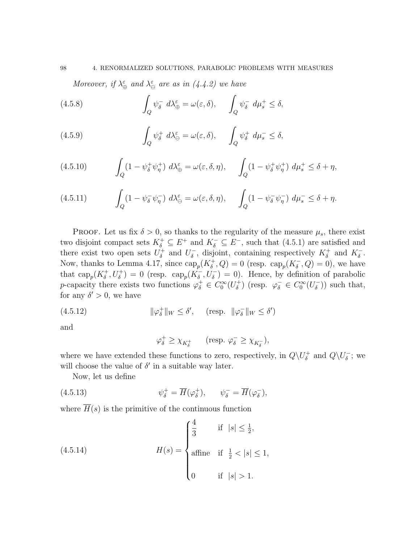Moreover, if  $\lambda_{\oplus}^{\varepsilon}$  and  $\lambda_{\ominus}^{\varepsilon}$  are as in (4.4.2) we have

(4.5.8) 
$$
\int_{Q} \psi_{\delta}^{-} d\lambda_{\oplus}^{\varepsilon} = \omega(\varepsilon, \delta), \qquad \int_{Q} \psi_{\delta}^{-} d\mu_{s}^{+} \leq \delta,
$$

(4.5.9) 
$$
\int_{Q} \psi_{\delta}^{+} d\lambda_{\Theta}^{\varepsilon} = \omega(\varepsilon, \delta), \qquad \int_{Q} \psi_{\delta}^{+} d\mu_{s}^{-} \leq \delta,
$$

(4.5.10) 
$$
\int_{Q} (1 - \psi_{\delta}^{+} \psi_{\eta}^{+}) d\lambda_{\oplus}^{\varepsilon} = \omega(\varepsilon, \delta, \eta), \qquad \int_{Q} (1 - \psi_{\delta}^{+} \psi_{\eta}^{+}) d\mu_{s}^{+} \leq \delta + \eta,
$$

(4.5.11) 
$$
\int_{Q} (1 - \psi_{\delta}^{-} \psi_{\eta}^{-}) d\lambda_{\ominus}^{\varepsilon} = \omega(\varepsilon, \delta, \eta), \qquad \int_{Q} (1 - \psi_{\delta}^{-} \psi_{\eta}^{-}) d\mu_{s}^{-} \leq \delta + \eta.
$$

PROOF. Let us fix  $\delta > 0$ , so thanks to the regularity of the measure  $\mu_s$ , there exist two disjoint compact sets  $K_{\delta}^+ \subseteq E^+$  and  $K_{\delta}^- \subseteq E^-$ , such that (4.5.1) are satisfied and there exist two open sets  $U_{\delta}^+$  $\delta^+$  and  $U_{\delta}^ \overline{\delta}$ , disjoint, containing respectively  $K_{\delta}^+$  and  $K_{\delta}^-$ . Now, thanks to Lemma 4.17, since  $\text{cap}_p(K^+_{\delta}, Q) = 0$  (resp.  $\text{cap}_p(K^-_{\delta}, Q) = 0$ ), we have that  $\text{cap}_p(K^+_{\delta}, U^+_{\delta}) = 0$  (resp.  $\text{cap}_p(K^-_{\delta}, U^-_{\delta}) = 0$ ). Hence, by definition of parabolic p-capacity there exists two functions  $\varphi_{\delta}^+ \in C_0^{\infty}(U_{\delta}^+)$ <sup> $\tau_{\delta}^{+}$ </sup>) (resp.  $\varphi_{\delta}^{-} \in C_{0}^{\infty}(U_{\delta}^{-})$  $\binom{-}{\delta}$ ) such that, for any  $\delta' > 0$ , we have

(4.5.12) 
$$
\|\varphi_{\delta}^{+}\|_{W} \leq \delta', \quad (\text{resp. } \|\varphi_{\delta}^{-}\|_{W} \leq \delta')
$$

and

$$
\varphi_{\delta}^{+} \geq \chi_{K_{\delta}^{+}} \qquad \text{(resp. } \varphi_{\delta}^{-} \geq \chi_{K_{\delta}^{-}}),
$$

where we have extended these functions to zero, respectively, in  $Q\backslash U^+_{\delta}$  $_\delta^+$  and  $Q\backslash U_\delta^ \overline{\delta}$ ; we will choose the value of  $\delta'$  in a suitable way later.

Now, let us define

(4.5.13) 
$$
\psi_{\delta}^{+} = \overline{H}(\varphi_{\delta}^{+}), \qquad \psi_{\delta}^{-} = \overline{H}(\varphi_{\delta}^{-}),
$$

where  $\overline{H}(s)$  is the primitive of the continuous function

(4.5.14) 
$$
H(s) = \begin{cases} \frac{4}{3} & \text{if } |s| \leq \frac{1}{2}, \\ \text{affine} & \text{if } \frac{1}{2} < |s| \leq 1, \\ 0 & \text{if } |s| > 1. \end{cases}
$$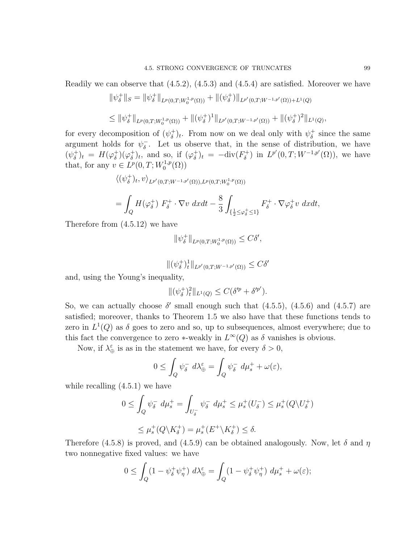$$
\begin{aligned} &\|\psi_{\delta}^{+}\|_{S}=\|\psi_{\delta}^{+}\|_{L^{p}(0,T;W_{0}^{1,p}(\Omega))}+\|(\psi_{\delta}^{+})\|_{L^{p'}(0,T;W^{-1,p'}(\Omega))+L^{1}(Q)}\\ &\leq \|\psi_{\delta}^{+}\|_{L^{p}(0,T;W_{0}^{1,p}(\Omega))}+\|(\psi_{\delta}^{+})^{1}\|_{L^{p'}(0,T;W^{-1,p'}(\Omega))}+\|(\psi_{\delta}^{+})^{2}\|_{L^{1}(Q)},\end{aligned}
$$

for every decomposition of  $(\psi_{\delta}^+)$  $(\delta)^{\dagger}_{\delta}$ )<sub>t</sub>. From now on we deal only with  $\psi^{\dagger}_{\delta}$  $\frac{1}{\delta}$  since the same argument holds for  $\psi_{\delta}^ \overline{\delta}$ . Let us observe that, in the sense of distribution, we have  $(\psi_{\delta}^+$  $(\varphi_{\delta}^{\dagger})_t = H(\varphi_{\delta}^{\dagger})$  $_{\delta}^{+})(\varphi_{\delta}^{+})$  $(\varphi_{\delta}^+)_{t}$ , and so, if  $(\varphi_{\delta}^+)$  $\int_{\delta}^{+}$ )<sub>t</sub> =  $-\text{div}(F_{\delta}^{+})$  $L^{p'}(0,T;W^{-1,p'}(\Omega))$ , we have that, for any  $v \in L^p(0,T;W_0^{1,p})$  $\binom{1,p}{0}$ 

$$
\langle (\psi_{\delta}^+)_t, v \rangle_{L^{p'}(0,T;W^{-1,p'}(\Omega)),L^p(0,T;W_0^{1,p}(\Omega))}
$$
  
= 
$$
\int_Q H(\varphi_{\delta}^+) F_{\delta}^+ \cdot \nabla v \, dxdt - \frac{8}{3} \int_{\{\frac{1}{2} \leq \varphi_{\delta}^+ \leq 1\}} F_{\delta}^+ \cdot \nabla \varphi_{\delta}^+ v \, dxdt,
$$

Therefore from (4.5.12) we have

$$
\|\psi_{\delta}^{+}\|_{L^{p}(0,T;W_{0}^{1,p}(\Omega))} \leq C\delta',
$$

$$
\|(\psi_{\delta}^{+})_{t}^{1}\|_{L^{p'}(0,T;W^{-1,p'}(\Omega))} \leq C\delta'
$$

and, using the Young's inequality,

$$
\|(\psi_{\delta}^+)_t^2\|_{L^1(Q)} \le C(\delta'^p + \delta'^{p'}).
$$

So, we can actually choose  $\delta'$  small enough such that  $(4.5.5)$ ,  $(4.5.6)$  and  $(4.5.7)$  are satisfied; moreover, thanks to Theorem 1.5 we also have that these functions tends to zero in  $L^1(Q)$  as  $\delta$  goes to zero and so, up to subsequences, almost everywhere; due to this fact the convergence to zero  $*$ -weakly in  $L^{\infty}(Q)$  as  $\delta$  vanishes is obvious.

Now, if  $\lambda_{\oplus}^{\varepsilon}$  is as in the statement we have, for every  $\delta > 0$ ,

$$
0 \leq \int_Q \psi_\delta^- d\lambda_\oplus^\varepsilon = \int_Q \psi_\delta^- d\mu_s^+ + \omega(\varepsilon),
$$

while recalling (4.5.1) we have

$$
0 \leq \int_Q \psi_\delta^- d\mu_s^+ = \int_{U_\delta^-} \psi_\delta^- d\mu_s^+ \leq \mu_s^+(U_\delta^-) \leq \mu_s^+(Q \backslash U_\delta^+)
$$
  

$$
\leq \mu_s^+(Q \backslash K_\delta^+) = \mu_s^+(E^+ \backslash K_\delta^+) \leq \delta.
$$

Therefore (4.5.8) is proved, and (4.5.9) can be obtained analogously. Now, let  $\delta$  and  $\eta$ two nonnegative fixed values: we have

$$
0 \leq \int_Q (1 - \psi_\delta^+ \psi_\eta^+) \ d\lambda_\oplus^\varepsilon = \int_Q (1 - \psi_\delta^+ \psi_\eta^+) \ d\mu_s^+ + \omega(\varepsilon);
$$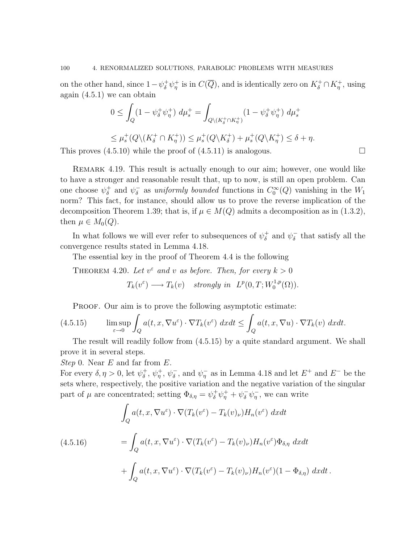on the other hand, since  $1-\psi^+_{\delta}\psi^+_{\eta}$  is in  $C(\overline{Q})$ , and is identically zero on  $K^+_{\delta} \cap K^+_{\eta}$ , using again  $(4.5.1)$  we can obtain

$$
0 \leq \int_Q (1 - \psi_\delta^+ \psi_\eta^+) \, d\mu_s^+ = \int_{Q \setminus (K_\delta^+ \cap K_\eta^+)} (1 - \psi_\delta^+ \psi_\eta^+) \, d\mu_s^+
$$

 $\leq \mu_s^+(Q\setminus (K_\delta^+\cap K_\eta^+))\leq \mu_s^+(Q\setminus K_\delta^+) + \mu_s^+(Q\setminus K_\eta^+) \leq \delta+\eta.$ This proves  $(4.5.10)$  while the proof of  $(4.5.11)$  is analogous.

Remark 4.19. This result is actually enough to our aim; however, one would like to have a stronger and reasonable result that, up to now, is still an open problem. Can one choose  $\psi_{\delta}^{+}$  $\phi_{\delta}^+$  and  $\psi_{\delta}^ \overline{\delta}$  as uniformly bounded functions in  $C_0^{\infty}(Q)$  vanishing in the  $W_1$ norm? This fact, for instance, should allow us to prove the reverse implication of the decomposition Theorem 1.39; that is, if  $\mu \in M(Q)$  admits a decomposition as in (1.3.2), then  $\mu \in M_0(Q)$ .

In what follows we will ever refer to subsequences of  $\psi_{\delta}^+$  $_{\delta}^{+}$  and  $\psi_{\delta}^{-}$  $\overline{\delta}$  that satisfy all the convergence results stated in Lemma 4.18.

The essential key in the proof of Theorem 4.4 is the following

THEOREM 4.20. Let 
$$
v^{\varepsilon}
$$
 and v as before. Then, for every  $k > 0$   
 $T_k(v^{\varepsilon}) \longrightarrow T_k(v)$  strongly in  $L^p(0,T;W_0^{1,p}(\Omega))$ .

PROOF. Our aim is to prove the following asymptotic estimate:

(4.5.15) 
$$
\limsup_{\varepsilon \to 0} \int_{Q} a(t, x, \nabla u^{\varepsilon}) \cdot \nabla T_{k}(v^{\varepsilon}) dx dt \leq \int_{Q} a(t, x, \nabla u) \cdot \nabla T_{k}(v) dx dt.
$$

The result will readily follow from (4.5.15) by a quite standard argument. We shall prove it in several steps.

Step 0. Near  $E$  and far from  $E$ .

For every  $\delta, \eta > 0$ , let  $\psi_{\delta}^+$  $\phi_{\eta}^{+}, \psi_{\eta}^{+}, \psi_{\delta}^{-}$  $\overline{\delta}$ , and  $\psi_{\eta}^-$  as in Lemma 4.18 and let  $E^+$  and  $E^-$  be the sets where, respectively, the positive variation and the negative variation of the singular part of  $\mu$  are concentrated; setting  $\Phi_{\delta,\eta} = \psi_{\delta}^+ \psi_{\eta}^+ + \psi_{\delta}^- \psi_{\eta}^-$ , we can write

$$
\int_{Q} a(t, x, \nabla u^{\varepsilon}) \cdot \nabla (T_{k}(v^{\varepsilon}) - T_{k}(v)_{\nu}) H_{n}(v^{\varepsilon}) \, dxdt
$$
\n
$$
= \int_{Q} a(t, x, \nabla u^{\varepsilon}) \cdot \nabla (T_{k}(v^{\varepsilon}) - T_{k}(v)_{\nu}) H_{n}(v^{\varepsilon}) \Phi_{\delta, \eta} \, dxdt
$$
\n
$$
+ \int_{Q} a(t, x, \nabla u^{\varepsilon}) \cdot \nabla (T_{k}(v^{\varepsilon}) - T_{k}(v)_{\nu}) H_{n}(v^{\varepsilon})(1 - \Phi_{\delta, \eta}) \, dxdt.
$$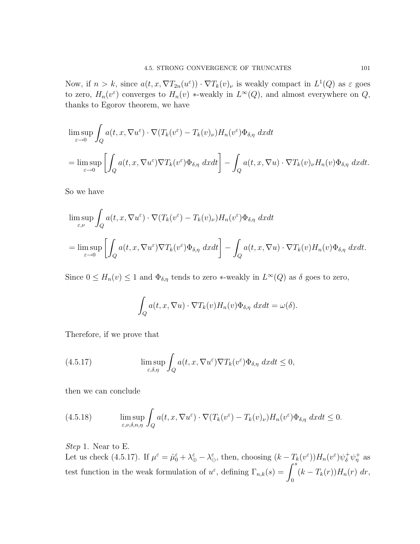Now, if  $n > k$ , since  $a(t, x, \nabla T_{2n}(u^{\varepsilon})) \cdot \nabla T_k(v)$ , is weakly compact in  $L^1(Q)$  as  $\varepsilon$  goes to zero,  $H_n(v^{\varepsilon})$  converges to  $H_n(v)$  \*-weakly in  $L^{\infty}(Q)$ , and almost everywhere on  $Q$ , thanks to Egorov theorem, we have

$$
\limsup_{\varepsilon \to 0} \int_{Q} a(t, x, \nabla u^{\varepsilon}) \cdot \nabla (T_{k}(v^{\varepsilon}) - T_{k}(v)_{\nu}) H_{n}(v^{\varepsilon}) \Phi_{\delta, \eta} dx dt
$$
\n
$$
= \limsup_{\varepsilon \to 0} \left[ \int_{Q} a(t, x, \nabla u^{\varepsilon}) \nabla T_{k}(v^{\varepsilon}) \Phi_{\delta, \eta} dx dt \right] - \int_{Q} a(t, x, \nabla u) \cdot \nabla T_{k}(v)_{\nu} H_{n}(v) \Phi_{\delta, \eta} dx dt.
$$

So we have

$$
\limsup_{\varepsilon,\nu} \int_{Q} a(t, x, \nabla u^{\varepsilon}) \cdot \nabla (T_{k}(v^{\varepsilon}) - T_{k}(v)_{\nu}) H_{n}(v^{\varepsilon}) \Phi_{\delta,\eta} dx dt
$$
\n
$$
= \limsup_{\varepsilon \to 0} \left[ \int_{Q} a(t, x, \nabla u^{\varepsilon}) \nabla T_{k}(v^{\varepsilon}) \Phi_{\delta,\eta} dx dt \right] - \int_{Q} a(t, x, \nabla u) \cdot \nabla T_{k}(v) H_{n}(v) \Phi_{\delta,\eta} dx dt.
$$

Since  $0 \le H_n(v) \le 1$  and  $\Phi_{\delta,\eta}$  tends to zero \*-weakly in  $L^{\infty}(Q)$  as  $\delta$  goes to zero,

$$
\int_{Q} a(t, x, \nabla u) \cdot \nabla T_{k}(v) H_{n}(v) \Phi_{\delta, \eta} dx dt = \omega(\delta).
$$

Therefore, if we prove that

(4.5.17) 
$$
\limsup_{\varepsilon,\delta,\eta} \int_{Q} a(t,x,\nabla u^{\varepsilon}) \nabla T_{k}(v^{\varepsilon}) \Phi_{\delta,\eta} dx dt \leq 0,
$$

then we can conclude

(4.5.18) 
$$
\limsup_{\varepsilon,\nu,\delta,n,\eta} \int_{Q} a(t,x,\nabla u^{\varepsilon}) \cdot \nabla (T_k(v^{\varepsilon}) - T_k(v)_{\nu}) H_n(v^{\varepsilon}) \Phi_{\delta,\eta} dx dt \leq 0.
$$

Step 1. Near to E.

Let us check (4.5.17). If  $\mu^{\varepsilon} = \hat{\mu}_0^{\varepsilon} + \lambda_{\oplus}^{\varepsilon} - \lambda_{\ominus}^{\varepsilon}$ , then, choosing  $(k - T_k(v^{\varepsilon}))H_n(v^{\varepsilon})\psi_{\delta}^{+}\psi_{\eta}^{+}$  as test function in the weak formulation of  $u^{\varepsilon}$ , defining  $\Gamma_{n,k}(s) = \int^s$ 0  $(k - T_k(r))H_n(r) dr,$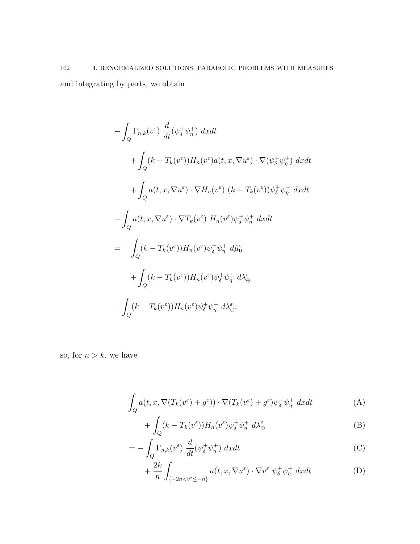$$
-\int_{Q} \Gamma_{n,k}(v^{\varepsilon}) \frac{d}{dt} (\psi_{\delta}^{+} \psi_{\eta}^{+}) dx dt
$$
  
+ 
$$
\int_{Q} (k - T_{k}(v^{\varepsilon})) H_{n}(v^{\varepsilon}) a(t, x, \nabla u^{\varepsilon}) \cdot \nabla (\psi_{\delta}^{+} \psi_{\eta}^{+}) dx dt
$$
  
+ 
$$
\int_{Q} a(t, x, \nabla u^{\varepsilon}) \cdot \nabla H_{n}(v^{\varepsilon}) (k - T_{k}(v^{\varepsilon})) \psi_{\delta}^{+} \psi_{\eta}^{+} dx dt
$$
  
- 
$$
\int_{Q} a(t, x, \nabla u^{\varepsilon}) \cdot \nabla T_{k}(v^{\varepsilon}) H_{n}(v^{\varepsilon}) \psi_{\delta}^{+} \psi_{\eta}^{+} dx dt
$$
  
= 
$$
\int_{Q} (k - T_{k}(v^{\varepsilon})) H_{n}(v^{\varepsilon}) \psi_{\delta}^{+} \psi_{\eta}^{+} d\mathcal{H}_{\oplus}^{\varepsilon}
$$
  
+ 
$$
\int_{Q} (k - T_{k}(v^{\varepsilon})) H_{n}(v^{\varepsilon}) \psi_{\delta}^{+} \psi_{\eta}^{+} d\lambda_{\oplus}^{\varepsilon}
$$
  
- 
$$
\int_{Q} (k - T_{k}(v^{\varepsilon})) H_{n}(v^{\varepsilon}) \psi_{\delta}^{+} \psi_{\eta}^{+} d\lambda_{\ominus}^{\varepsilon};
$$

so, for  $n > k$ , we have

$$
\int_{Q} a(t, x, \nabla (T_k(v^{\varepsilon}) + g^{\varepsilon})) \cdot \nabla (T_k(v^{\varepsilon}) + g^{\varepsilon}) \psi_{\delta}^{+} \psi_{\eta}^{+} dxdt \tag{A}
$$

$$
+\int_{Q} (k - T_k(v^{\varepsilon})) H_n(v^{\varepsilon}) \psi_{\delta}^{+} \psi_{\eta}^{+} d\lambda_{\oplus}^{\varepsilon} \tag{B}
$$

$$
= -\int_{Q} \Gamma_{n,k}(v^{\varepsilon}) \frac{d}{dt} (\psi_{\delta}^{+} \psi_{\eta}^{+}) dx dt \tag{C}
$$

$$
+\frac{2k}{n}\int_{\{-2n
$$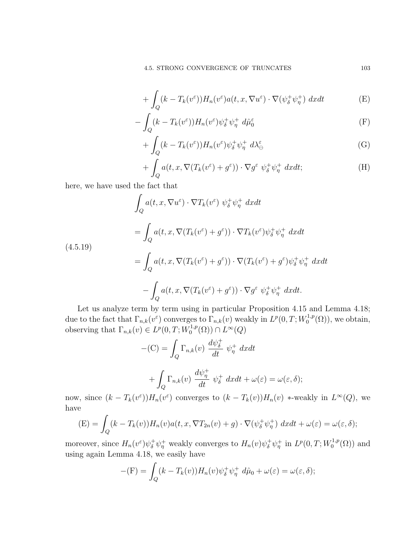+ 
$$
\int_{Q} (k - T_k(v^{\varepsilon})) H_n(v^{\varepsilon}) a(t, x, \nabla u^{\varepsilon}) \cdot \nabla (\psi_{\delta}^+ \psi_{\eta}^+) dx dt
$$
 (E)

$$
-\int_{Q} (k - T_k(v^{\varepsilon})) H_n(v^{\varepsilon}) \psi_{\delta}^{+} \psi_{\eta}^{+} d\hat{\mu}_0^{\varepsilon}
$$
 (F)

$$
+ \int_{Q} (k - T_k(v^{\varepsilon})) H_n(v^{\varepsilon}) \psi_{\delta}^{+} \psi_{\eta}^{+} d\lambda_{\ominus}^{\varepsilon}
$$
 (G)

$$
+ \int_{Q} a(t, x, \nabla (T_k(v^{\varepsilon}) + g^{\varepsilon})) \cdot \nabla g^{\varepsilon} \psi_{\delta}^{+} \psi_{\eta}^{+} dxdt; \tag{H}
$$

here, we have used the fact that

$$
\int_{Q} a(t, x, \nabla u^{\varepsilon}) \cdot \nabla T_{k}(v^{\varepsilon}) \psi_{\delta}^{+} \psi_{\eta}^{+} dx dt
$$
\n
$$
= \int_{Q} a(t, x, \nabla (T_{k}(v^{\varepsilon}) + g^{\varepsilon})) \cdot \nabla T_{k}(v^{\varepsilon}) \psi_{\delta}^{+} \psi_{\eta}^{+} dx dt
$$
\n
$$
= \int_{Q} a(t, x, \nabla (T_{k}(v^{\varepsilon}) + g^{\varepsilon})) \cdot \nabla (T_{k}(v^{\varepsilon}) + g^{\varepsilon}) \psi_{\delta}^{+} \psi_{\eta}^{+} dx dt
$$
\n
$$
- \int_{Q} a(t, x, \nabla (T_{k}(v^{\varepsilon}) + g^{\varepsilon})) \cdot \nabla g^{\varepsilon} \psi_{\delta}^{+} \psi_{\eta}^{+} dx dt.
$$

Let us analyze term by term using in particular Proposition 4.15 and Lemma 4.18; due to the fact that  $\Gamma_{n,k}(v^{\varepsilon})$  converges to  $\Gamma_{n,k}(v)$  weakly in  $L^p(0,T;W_0^{1,p})$  $\binom{1,p}{0}$ , we obtain, observing that  $\Gamma_{n,k}(v) \in L^p(0,T;W_0^{1,p})$  $L^{1,p}(\Omega)) \cap L^{\infty}(Q)$ 

$$
-(C) = \int_{Q} \Gamma_{n,k}(v) \frac{d\psi_{\delta}^{+}}{dt} \psi_{\eta}^{+} dx dt
$$

$$
+ \int_{Q} \Gamma_{n,k}(v) \frac{d\psi_{\eta}^{+}}{dt} \psi_{\delta}^{+} dx dt + \omega(\varepsilon) = \omega(\varepsilon, \delta);
$$

now, since  $(k - T_k(v^{\varepsilon}))H_n(v^{\varepsilon})$  converges to  $(k - T_k(v))H_n(v)$  \*-weakly in  $L^{\infty}(Q)$ , we have

$$
(E) = \int_Q (k - T_k(v)) H_n(v) a(t, x, \nabla T_{2n}(v) + g) \cdot \nabla (\psi_{\delta}^+ \psi_{\eta}^+) dx dt + \omega(\varepsilon) = \omega(\varepsilon, \delta);
$$

moreover, since  $H_n(v^{\varepsilon})\psi^+_{\delta}\psi^+_{\eta}$  weakly converges to  $H_n(v)\psi^+_{\delta}\psi^+_{\eta}$  in  $L^p(0,T;W^{1,p}_0)$  $\binom{1,p}{0}$  and using again Lemma 4.18, we easily have

$$
-(\mathbf{F}) = \int_Q (k - T_k(v)) H_n(v) \psi_\delta^+ \psi_\eta^+ d\hat{\mu}_0 + \omega(\varepsilon) = \omega(\varepsilon, \delta);
$$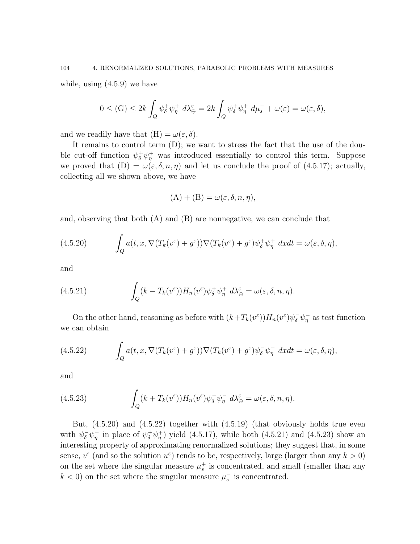while, using (4.5.9) we have

$$
0 \leq \text{(G)} \leq 2k \int_Q \psi_\delta^+ \psi_\eta^+ \ d\lambda_\ominus^\varepsilon = 2k \int_Q \psi_\delta^+ \psi_\eta^+ \ d\mu_s^- + \omega(\varepsilon) = \omega(\varepsilon, \delta),
$$

and we readily have that  $(H) = \omega(\varepsilon, \delta)$ .

It remains to control term (D); we want to stress the fact that the use of the double cut-off function  $\psi_{\delta}^{+}\psi_{\eta}^{+}$  was introduced essentially to control this term. Suppose we proved that  $(D) = \omega(\varepsilon, \delta, n, \eta)$  and let us conclude the proof of (4.5.17); actually, collecting all we shown above, we have

$$
(A) + (B) = \omega(\varepsilon, \delta, n, \eta),
$$

and, observing that both (A) and (B) are nonnegative, we can conclude that

(4.5.20) 
$$
\int_{Q} a(t, x, \nabla (T_k(v^{\varepsilon}) + g^{\varepsilon})) \nabla (T_k(v^{\varepsilon}) + g^{\varepsilon}) \psi_{\delta}^{+} \psi_{\eta}^{+} dx dt = \omega(\varepsilon, \delta, \eta),
$$

and

(4.5.21) 
$$
\int_{Q} (k - T_k(v^{\varepsilon})) H_n(v^{\varepsilon}) \psi_{\delta}^{+} \psi_{\eta}^{+} d\lambda_{\oplus}^{\varepsilon} = \omega(\varepsilon, \delta, n, \eta).
$$

On the other hand, reasoning as before with  $(k+T_k(v^{\epsilon}))H_n(v^{\epsilon})\psi_{\delta}^{-}\psi_{\eta}^{-}$  as test function we can obtain

(4.5.22) 
$$
\int_{Q} a(t, x, \nabla (T_k(v^{\varepsilon}) + g^{\varepsilon})) \nabla (T_k(v^{\varepsilon}) + g^{\varepsilon}) \psi_{\delta}^{-} \psi_{\eta}^{-} dx dt = \omega(\varepsilon, \delta, \eta),
$$

and

(4.5.23) 
$$
\int_{Q} (k + T_{k}(v^{\varepsilon})) H_{n}(v^{\varepsilon}) \psi_{\delta}^{-} \psi_{\eta}^{-} d\lambda_{\Theta}^{\varepsilon} = \omega(\varepsilon, \delta, n, \eta).
$$

But, (4.5.20) and (4.5.22) together with (4.5.19) (that obviously holds true even with  $\psi_{\delta}^{-} \psi_{\eta}^{-}$  in place of  $\psi_{\delta}^{+} \psi_{\eta}^{+}$  yield (4.5.17), while both (4.5.21) and (4.5.23) show an interesting property of approximating renormalized solutions; they suggest that, in some sense,  $v^{\varepsilon}$  (and so the solution  $u^{\varepsilon}$ ) tends to be, respectively, large (larger than any  $k > 0$ ) on the set where the singular measure  $\mu_s^+$  is concentrated, and small (smaller than any  $k < 0$ ) on the set where the singular measure  $\mu_s^-$  is concentrated.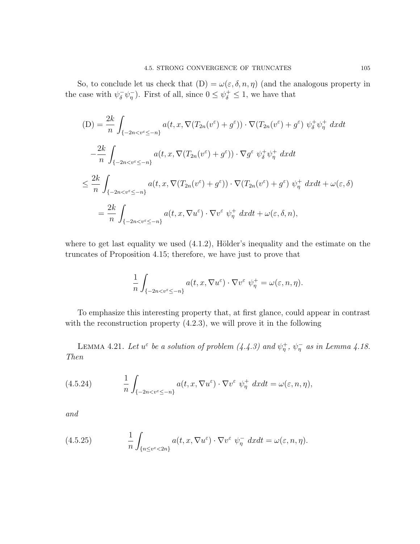So, to conclude let us check that  $(D) = \omega(\varepsilon, \delta, n, \eta)$  (and the analogous property in the case with  $\psi_{\delta}^{-} \psi_{\eta}^{-}$ ). First of all, since  $0 \leq \psi_{\delta}^{+} \leq 1$ , we have that

$$
(D) = \frac{2k}{n} \int_{\{-2n < v^{\varepsilon} \le -n\}} a(t, x, \nabla (T_{2n}(v^{\varepsilon}) + g^{\varepsilon})) \cdot \nabla (T_{2n}(v^{\varepsilon}) + g^{\varepsilon}) \psi_{\delta}^{+} \psi_{\eta}^{+} dx dt
$$
\n
$$
- \frac{2k}{n} \int_{\{-2n < v^{\varepsilon} \le -n\}} a(t, x, \nabla (T_{2n}(v^{\varepsilon}) + g^{\varepsilon})) \cdot \nabla g^{\varepsilon} \psi_{\delta}^{+} \psi_{\eta}^{+} dx dt
$$
\n
$$
\le \frac{2k}{n} \int_{\{-2n < v^{\varepsilon} \le -n\}} a(t, x, \nabla (T_{2n}(v^{\varepsilon}) + g^{\varepsilon})) \cdot \nabla (T_{2n}(v^{\varepsilon}) + g^{\varepsilon}) \psi_{\eta}^{+} dx dt + \omega(\varepsilon, \delta)
$$
\n
$$
= \frac{2k}{n} \int_{\{-2n < v^{\varepsilon} \le -n\}} a(t, x, \nabla u^{\varepsilon}) \cdot \nabla v^{\varepsilon} \psi_{\eta}^{+} dx dt + \omega(\varepsilon, \delta, n),
$$

where to get last equality we used  $(4.1.2)$ , Hölder's inequality and the estimate on the truncates of Proposition 4.15; therefore, we have just to prove that

$$
\frac{1}{n} \int_{\{-2n < v^{\varepsilon} \leq -n\}} a(t, x, \nabla u^{\varepsilon}) \cdot \nabla v^{\varepsilon} \psi_{\eta}^{+} = \omega(\varepsilon, n, \eta).
$$

To emphasize this interesting property that, at first glance, could appear in contrast with the reconstruction property  $(4.2.3)$ , we will prove it in the following

LEMMA 4.21. Let  $u^{\varepsilon}$  be a solution of problem  $(4.4.3)$  and  $\psi_{\eta}^{+}$ ,  $\psi_{\eta}^{-}$  as in Lemma 4.18. Then

(4.5.24) 
$$
\frac{1}{n} \int_{\{-2n < v^{\varepsilon} \leq -n\}} a(t, x, \nabla u^{\varepsilon}) \cdot \nabla v^{\varepsilon} \psi_{\eta}^{+} dx dt = \omega(\varepsilon, n, \eta),
$$

and

(4.5.25) 
$$
\frac{1}{n} \int_{\{n \le v^{\varepsilon} < 2n\}} a(t, x, \nabla u^{\varepsilon}) \cdot \nabla v^{\varepsilon} \psi_{\eta}^{-} dx dt = \omega(\varepsilon, n, \eta).
$$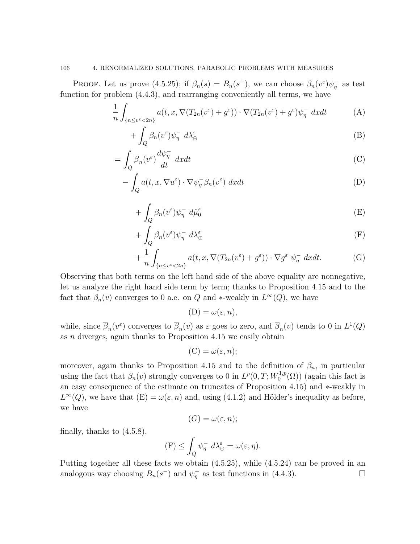**PROOF.** Let us prove (4.5.25); if  $\beta_n(s) = B_n(s^+)$ , we can choose  $\beta_n(v^{\varepsilon})\psi_n^-$  as test function for problem (4.4.3), and rearranging conveniently all terms, we have

$$
\frac{1}{n} \int_{\{n \le v^{\varepsilon} < 2n\}} a(t, x, \nabla (T_{2n}(v^{\varepsilon}) + g^{\varepsilon})) \cdot \nabla (T_{2n}(v^{\varepsilon}) + g^{\varepsilon}) \psi_{\eta}^{-} dx dt \tag{A}
$$

$$
+ \int_{Q} \beta_{n}(v^{\varepsilon}) \psi_{\eta}^{-} d\lambda_{\ominus}^{\varepsilon} \tag{B}
$$

$$
= \int_{Q} \overline{\beta}_{n}(v^{\varepsilon}) \frac{d\psi_{\eta}^{-}}{dt} dx dt
$$
 (C)

$$
-\int_{Q} a(t, x, \nabla u^{\varepsilon}) \cdot \nabla \psi_{\eta}^{-} \beta_{n}(v^{\varepsilon}) dx dt
$$
 (D)

$$
+ \int_{Q} \beta_n(v^{\varepsilon}) \psi_{\eta}^{-} d\hat{\mu}_{0}^{\varepsilon} \tag{E}
$$

$$
+\int_{Q} \beta_{n}(v^{\varepsilon})\psi_{\eta}^{-} d\lambda_{\oplus}^{\varepsilon} \tag{F}
$$

$$
+\frac{1}{n}\int_{\{n\leq v^{\varepsilon}<2n\}}a(t,x,\nabla(T_{2n}(v^{\varepsilon})+g^{\varepsilon}))\cdot\nabla g^{\varepsilon}\,\,\psi_{\eta}^{-}\,dxdt.\tag{G}
$$

Observing that both terms on the left hand side of the above equality are nonnegative, let us analyze the right hand side term by term; thanks to Proposition 4.15 and to the fact that  $\beta_n(v)$  converges to 0 a.e. on Q and \*-weakly in  $L^{\infty}(Q)$ , we have

 $(D) = \omega(\varepsilon, n),$ 

while, since  $\overline{\beta}_n(v^{\varepsilon})$  converges to  $\overline{\beta}_n(v)$  as  $\varepsilon$  goes to zero, and  $\overline{\beta}_n(v)$  tends to 0 in  $L^1(Q)$ as n diverges, again thanks to Proposition 4.15 we easily obtain

$$
(\mathcal{C}) = \omega(\varepsilon, n);
$$

moreover, again thanks to Proposition 4.15 and to the definition of  $\beta_n$ , in particular using the fact that  $\beta_n(v)$  strongly converges to 0 in  $L^p(0,T;W_0^{1,p})$  $\binom{1,p}{0}$  (again this fact is an easy consequence of the estimate on truncates of Proposition 4.15) and ∗-weakly in  $L^{\infty}(Q)$ , we have that  $(E) = \omega(\varepsilon, n)$  and, using (4.1.2) and Hölder's inequality as before, we have

$$
(G)=\omega(\varepsilon,n);
$$

finally, thanks to (4.5.8),

$$
(\mathcal{F}) \leq \int_{Q} \psi_{\eta}^{-} d\lambda_{\oplus}^{\varepsilon} = \omega(\varepsilon, \eta).
$$

Putting together all these facts we obtain (4.5.25), while (4.5.24) can be proved in an analogous way choosing  $B_n(s^-)$  and  $\psi^+_n$  as test functions in (4.4.3).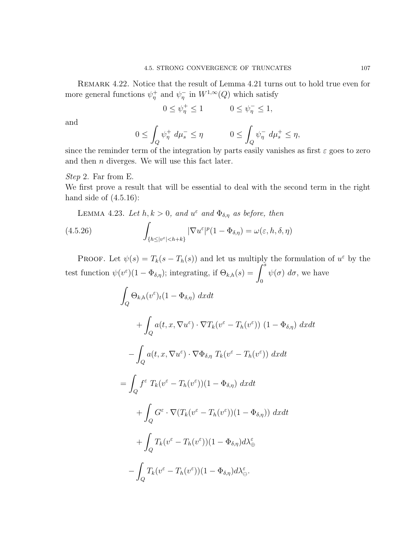REMARK 4.22. Notice that the result of Lemma 4.21 turns out to hold true even for more general functions  $\psi_{\eta}^+$  and  $\psi_{\eta}^-$  in  $W^{1,\infty}(Q)$  which satisfy

$$
0\leq \psi^+_\eta\leq 1 \qquad \qquad 0\leq \psi^-_\eta\leq 1,
$$

and

$$
0 \leq \int_Q \psi_\eta^+ d\mu_s^- \leq \eta \qquad 0 \leq \int_Q \psi_\eta^- d\mu_s^+ \leq \eta,
$$

since the reminder term of the integration by parts easily vanishes as first  $\varepsilon$  goes to zero and then  $n$  diverges. We will use this fact later.

#### Step 2. Far from E.

We first prove a result that will be essential to deal with the second term in the right hand side of  $(4.5.16)$ :

LEMMA 4.23. Let 
$$
h, k > 0
$$
, and  $u^{\varepsilon}$  and  $\Phi_{\delta, \eta}$  as before, then  
\n(4.5.26) 
$$
\int_{\{h \leq |v^{\varepsilon}| < h+k\}} |\nabla u^{\varepsilon}|^p (1 - \Phi_{\delta, \eta}) = \omega(\varepsilon, h, \delta, \eta)
$$

PROOF. Let  $\psi(s) = T_k(s - T_h(s))$  and let us multiply the formulation of  $u^{\varepsilon}$  by the test function  $\psi(v^{\varepsilon})(1-\Phi_{\delta,\eta})$ ; integrating, if  $\Theta_{k,h}(s) = \int_s^s$ 0  $\psi(\sigma) d\sigma$ , we have

$$
\int_{Q} \Theta_{k,h}(v^{\varepsilon})_{t} (1 - \Phi_{\delta,\eta}) dx dt
$$
\n
$$
+ \int_{Q} a(t, x, \nabla u^{\varepsilon}) \cdot \nabla T_{k}(v^{\varepsilon} - T_{h}(v^{\varepsilon})) (1 - \Phi_{\delta,\eta}) dx dt
$$
\n
$$
- \int_{Q} a(t, x, \nabla u^{\varepsilon}) \cdot \nabla \Phi_{\delta,\eta} T_{k}(v^{\varepsilon} - T_{h}(v^{\varepsilon})) dx dt
$$
\n
$$
= \int_{Q} f^{\varepsilon} T_{k}(v^{\varepsilon} - T_{h}(v^{\varepsilon})) (1 - \Phi_{\delta,\eta}) dx dt
$$
\n
$$
+ \int_{Q} G^{\varepsilon} \cdot \nabla (T_{k}(v^{\varepsilon} - T_{h}(v^{\varepsilon})) (1 - \Phi_{\delta,\eta})) dx dt
$$
\n
$$
+ \int_{Q} T_{k}(v^{\varepsilon} - T_{h}(v^{\varepsilon})) (1 - \Phi_{\delta,\eta}) d\lambda_{\oplus}^{\varepsilon}
$$
\n
$$
- \int_{Q} T_{k}(v^{\varepsilon} - T_{h}(v^{\varepsilon})) (1 - \Phi_{\delta,\eta}) d\lambda_{\ominus}^{\varepsilon}.
$$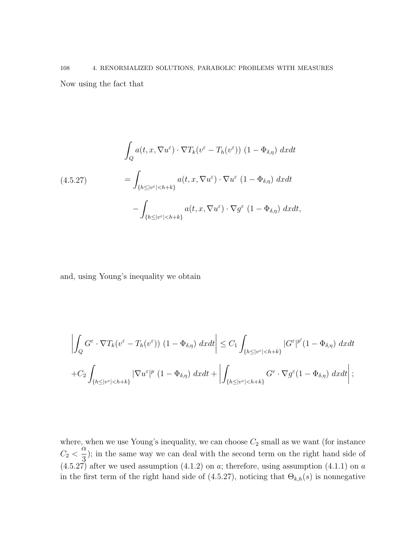# 108 4. RENORMALIZED SOLUTIONS, PARABOLIC PROBLEMS WITH MEASURES Now using the fact that

$$
\int_{Q} a(t, x, \nabla u^{\varepsilon}) \cdot \nabla T_{k}(v^{\varepsilon} - T_{h}(v^{\varepsilon})) (1 - \Phi_{\delta, \eta}) dx dt
$$
\n
$$
= \int_{\{h \leq |v^{\varepsilon}| < h + k\}} a(t, x, \nabla u^{\varepsilon}) \cdot \nabla u^{\varepsilon} (1 - \Phi_{\delta, \eta}) dx dt
$$
\n
$$
- \int_{\{h \leq |v^{\varepsilon}| < h + k\}} a(t, x, \nabla u^{\varepsilon}) \cdot \nabla g^{\varepsilon} (1 - \Phi_{\delta, \eta}) dx dt,
$$

and, using Young's inequality we obtain

$$
\left| \int_{Q} G^{\varepsilon} \cdot \nabla T_{k} (v^{\varepsilon} - T_{h}(v^{\varepsilon})) (1 - \Phi_{\delta,\eta}) dx dt \right| \leq C_{1} \int_{\{h \leq |v^{\varepsilon}| < h + k\}} |G^{\varepsilon}|^{p'} (1 - \Phi_{\delta,\eta}) dx dt
$$
  
+ 
$$
C_{2} \int_{\{h \leq |v^{\varepsilon}| < h + k\}} |\nabla u^{\varepsilon}|^{p} (1 - \Phi_{\delta,\eta}) dx dt + \left| \int_{\{h \leq |v^{\varepsilon}| < h + k\}} G^{\varepsilon} \cdot \nabla g^{\varepsilon} (1 - \Phi_{\delta,\eta}) dx dt \right|;
$$

where, when we use Young's inequality, we can choose  $C_2$  small as we want (for instance  $C_2$  < α 3 ); in the same way we can deal with the second term on the right hand side of  $(4.5.27)$  after we used assumption  $(4.1.2)$  on a; therefore, using assumption  $(4.1.1)$  on a in the first term of the right hand side of (4.5.27), noticing that  $\Theta_{k,h}(s)$  is nonnegative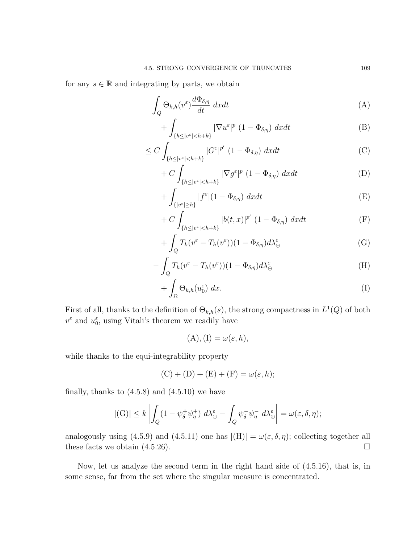for any  $s \in \mathbb{R}$  and integrating by parts, we obtain

$$
\int_{Q} \Theta_{k,h}(v^{\varepsilon}) \frac{d\Phi_{\delta,\eta}}{dt} dx dt \tag{A}
$$

$$
+\int_{\{h\leq |v^{\varepsilon}|
$$

$$
\leq C \int_{\{h \leq |v^{\varepsilon}| < h + k\}} |G^{\varepsilon}|^{p'} \left(1 - \Phi_{\delta, \eta}\right) dx dt \tag{C}
$$

$$
+ C \int_{\{h \le |v^{\varepsilon}| < h + k\}} |\nabla g^{\varepsilon}|^p (1 - \Phi_{\delta, \eta}) \, dx dt \tag{D}
$$

$$
+\int_{\{|v^{\varepsilon}| \ge h\}} |f^{\varepsilon}| (1 - \Phi_{\delta,\eta}) \, dx dt \tag{E}
$$

$$
+ C \int_{\{h \le |v^{\varepsilon}| < h + k\}} |b(t, x)|^{p'} \left(1 - \Phi_{\delta, \eta}\right) dx dt \tag{F}
$$

$$
+\int_{Q} T_{k}(v^{\varepsilon} - T_{h}(v^{\varepsilon}))(1 - \Phi_{\delta,\eta})d\lambda_{\oplus}^{\varepsilon}
$$
 (G)

$$
-\int_{Q} T_{k}(v^{\varepsilon} - T_{h}(v^{\varepsilon}))(1 - \Phi_{\delta,\eta}) d\lambda_{\ominus}^{\varepsilon}
$$
\n(H)

$$
+\int_{\Omega}\Theta_{k,h}(u_0^{\varepsilon})\;dx.\tag{I}
$$

First of all, thanks to the definition of  $\Theta_{k,h}(s)$ , the strong compactness in  $L^1(Q)$  of both  $v^{\varepsilon}$  and  $u_0^{\varepsilon}$ , using Vitali's theorem we readily have

$$
(A), (I) = \omega(\varepsilon, h),
$$

while thanks to the equi-integrability property

$$
(C) + (D) + (E) + (F) = \omega(\varepsilon, h);
$$

finally, thanks to  $(4.5.8)$  and  $(4.5.10)$  we have

$$
|(G)| \le k \left| \int_Q (1 - \psi_\delta^+ \psi_\eta^+) \ d\lambda_\oplus^\varepsilon - \int_Q \psi_\delta^- \psi_\eta^- \ d\lambda_\oplus^\varepsilon \right| = \omega(\varepsilon, \delta, \eta);
$$

analogously using (4.5.9) and (4.5.11) one has  $|(H)| = \omega(\varepsilon, \delta, \eta)$ ; collecting together all these facts we obtain  $(4.5.26)$ .

Now, let us analyze the second term in the right hand side of (4.5.16), that is, in some sense, far from the set where the singular measure is concentrated.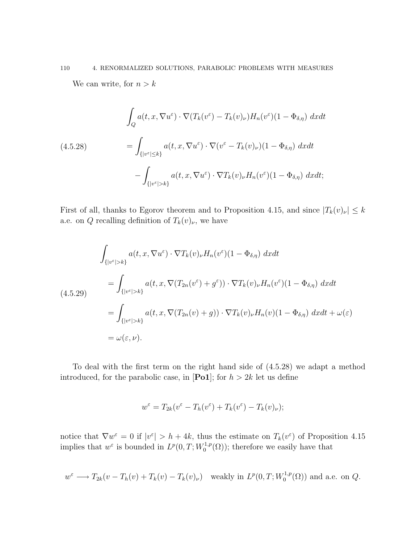# 110 4. RENORMALIZED SOLUTIONS, PARABOLIC PROBLEMS WITH MEASURES

We can write, for  $n > k$ 

$$
\int_{Q} a(t, x, \nabla u^{\varepsilon}) \cdot \nabla (T_{k}(v^{\varepsilon}) - T_{k}(v)_{\nu}) H_{n}(v^{\varepsilon})(1 - \Phi_{\delta,\eta}) \, dxdt
$$
\n
$$
= \int_{\{|v^{\varepsilon}| \le k\}} a(t, x, \nabla u^{\varepsilon}) \cdot \nabla (v^{\varepsilon} - T_{k}(v)_{\nu})(1 - \Phi_{\delta,\eta}) \, dxdt
$$
\n
$$
- \int_{\{|v^{\varepsilon}| > k\}} a(t, x, \nabla u^{\varepsilon}) \cdot \nabla T_{k}(v)_{\nu} H_{n}(v^{\varepsilon})(1 - \Phi_{\delta,\eta}) \, dxdt;
$$

First of all, thanks to Egorov theorem and to Proposition 4.15, and since  $|T_k(v)_\nu| \leq k$ a.e. on  $Q$  recalling definition of  $T_k(v)_{\nu}$ , we have

$$
\int_{\{|v^{\varepsilon}|>k\}} a(t, x, \nabla u^{\varepsilon}) \cdot \nabla T_k(v)_{\nu} H_n(v^{\varepsilon}) (1 - \Phi_{\delta,\eta}) \, dx dt
$$
\n
$$
= \int_{\{|v^{\varepsilon}|>k\}} a(t, x, \nabla (T_{2n}(v^{\varepsilon}) + g^{\varepsilon})) \cdot \nabla T_k(v)_{\nu} H_n(v^{\varepsilon}) (1 - \Phi_{\delta,\eta}) \, dx dt
$$
\n
$$
= \int_{\{|v^{\varepsilon}|>k\}} a(t, x, \nabla (T_{2n}(v) + g)) \cdot \nabla T_k(v)_{\nu} H_n(v) (1 - \Phi_{\delta,\eta}) \, dx dt + \omega(\varepsilon)
$$
\n
$$
= \omega(\varepsilon, \nu).
$$

To deal with the first term on the right hand side of (4.5.28) we adapt a method introduced, for the parabolic case, in [Po1]; for  $h > 2k$  let us define

$$
w^{\varepsilon} = T_{2k}(v^{\varepsilon} - T_h(v^{\varepsilon}) + T_k(v^{\varepsilon}) - T_k(v)_{\nu});
$$

notice that  $\nabla w^{\varepsilon} = 0$  if  $|v^{\varepsilon}| > h + 4k$ , thus the estimate on  $T_k(v^{\varepsilon})$  of Proposition 4.15 implies that  $w^{\varepsilon}$  is bounded in  $L^{p}(0,T;W_0^{1,p})$  $\mathcal{O}_0^{1,p}(\Omega)$ ; therefore we easily have that

$$
w^{\varepsilon} \longrightarrow T_{2k}(v - T_h(v) + T_k(v) - T_k(v)_{\nu})
$$
 weakly in  $L^p(0,T;W_0^{1,p}(\Omega))$  and a.e. on Q.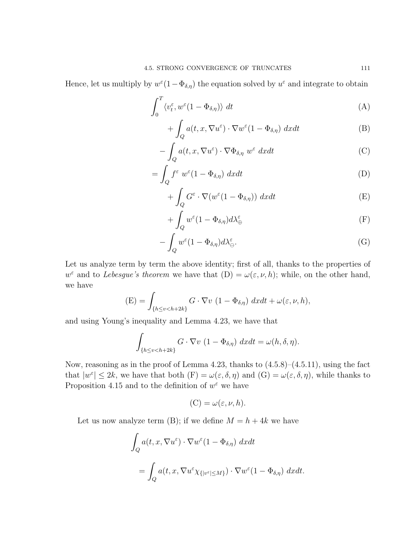Hence, let us multiply by  $w^{\varepsilon}(1-\Phi_{\delta,\eta})$  the equation solved by  $u^{\varepsilon}$  and integrate to obtain

$$
\int_0^T \langle v_t^{\varepsilon}, w^{\varepsilon} (1 - \Phi_{\delta, \eta}) \rangle dt \tag{A}
$$

$$
+\int_{Q} a(t, x, \nabla u^{\varepsilon}) \cdot \nabla w^{\varepsilon} (1-\Phi_{\delta,\eta}) dx dt \tag{B}
$$

$$
-\int_{Q} a(t, x, \nabla u^{\varepsilon}) \cdot \nabla \Phi_{\delta, \eta} w^{\varepsilon} dx dt
$$
 (C)

$$
= \int_{Q} f^{\varepsilon} w^{\varepsilon} (1 - \Phi_{\delta, \eta}) dx dt \tag{D}
$$

$$
+\int_{Q} G^{\varepsilon} \cdot \nabla (w^{\varepsilon} (1 - \Phi_{\delta,\eta})) \ dx dt \tag{E}
$$

$$
+\int_{Q} w^{\varepsilon} (1-\Phi_{\delta,\eta}) d\lambda_{\oplus}^{\varepsilon} \tag{F}
$$

$$
-\int_{Q} w^{\varepsilon} (1 - \Phi_{\delta,\eta}) d\lambda_{\ominus}^{\varepsilon}.
$$
 (G)

Let us analyze term by term the above identity; first of all, thanks to the properties of  $w^{\varepsilon}$  and to *Lebesgue's theorem* we have that  $(D) = \omega(\varepsilon, \nu, h)$ ; while, on the other hand, we have

$$
\text{(E)} = \int_{\{h \le v < h + 2k\}} G \cdot \nabla v \ (1 - \Phi_{\delta, \eta}) \ dx dt + \omega(\varepsilon, \nu, h),
$$

and using Young's inequality and Lemma 4.23, we have that

$$
\int_{\{h\leq v
$$

Now, reasoning as in the proof of Lemma 4.23, thanks to (4.5.8)–(4.5.11), using the fact that  $|w^{\varepsilon}| \leq 2k$ , we have that both  $(F) = \omega(\varepsilon, \delta, \eta)$  and  $(G) = \omega(\varepsilon, \delta, \eta)$ , while thanks to Proposition 4.15 and to the definition of  $w^{\varepsilon}$  we have

$$
(\mathcal{C}) = \omega(\varepsilon, \nu, h).
$$

Let us now analyze term (B); if we define  $M = h + 4k$  we have

$$
\int_{Q} a(t, x, \nabla u^{\varepsilon}) \cdot \nabla w^{\varepsilon} (1 - \Phi_{\delta, \eta}) dx dt
$$
  
= 
$$
\int_{Q} a(t, x, \nabla u^{\varepsilon} \chi_{\{|v^{\varepsilon}| \le M\}}) \cdot \nabla w^{\varepsilon} (1 - \Phi_{\delta, \eta}) dx dt.
$$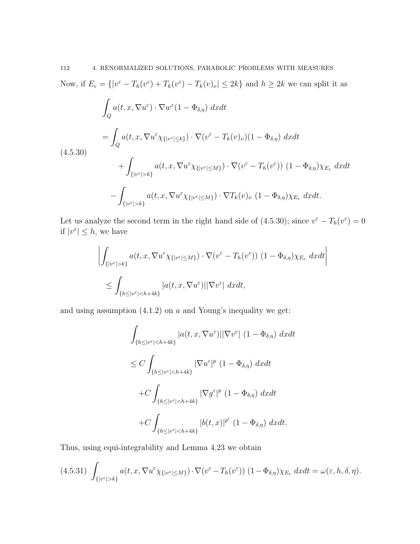Now, if  $E_{\varepsilon} = \{|v^{\varepsilon} - T_h(v^{\varepsilon}) + T_k(v^{\varepsilon}) - T_k(v)_{\nu}| \leq 2k\}$  and  $h \geq 2k$  we can split it as

$$
\int_{Q} a(t, x, \nabla u^{\varepsilon}) \cdot \nabla w^{\varepsilon} (1 - \Phi_{\delta,\eta}) \, dxdt
$$
\n
$$
= \int_{Q} a(t, x, \nabla u^{\varepsilon} \chi_{\{|v^{\varepsilon}| \leq k\}}) \cdot \nabla (v^{\varepsilon} - T_{k}(v)_{\nu}) (1 - \Phi_{\delta,\eta}) \, dxdt
$$
\n
$$
+ \int_{\{|v^{\varepsilon}| > k\}} a(t, x, \nabla u^{\varepsilon} \chi_{\{|v^{\varepsilon}| \leq M\}}) \cdot \nabla (v^{\varepsilon} - T_{h}(v^{\varepsilon})) (1 - \Phi_{\delta,\eta}) \chi_{E_{\varepsilon}} \, dxdt
$$
\n
$$
- \int_{\{|v^{\varepsilon}| > k\}} a(t, x, \nabla u^{\varepsilon} \chi_{\{|v^{\varepsilon}| \leq M\}}) \cdot \nabla T_{k}(v)_{\nu} (1 - \Phi_{\delta,\eta}) \chi_{E_{\varepsilon}} \, dxdt.
$$

Let us analyze the second term in the right hand side of (4.5.30); since  $v^{\epsilon} - T_h(v^{\epsilon}) = 0$ if  $|v^{\varepsilon}| \leq h$ , we have

$$
\left| \int_{\{|v^{\varepsilon}|>k\}} a(t, x, \nabla u^{\varepsilon} \chi_{\{|v^{\varepsilon}| \le M\}}) \cdot \nabla (v^{\varepsilon} - T_h(v^{\varepsilon})) (1 - \Phi_{\delta, \eta}) \chi_{E_{\varepsilon}} dxdt \right|
$$
  

$$
\le \int_{\{h \le |v^{\varepsilon}| < h + 4k\}} |a(t, x, \nabla u^{\varepsilon})| |\nabla v^{\varepsilon}| dxdt,
$$

and using assumption  $(4.1.2)$  on a and Young's inequality we get:

$$
\int_{\{h \le |v^{\varepsilon}| < h+4k\}} |a(t, x, \nabla u^{\varepsilon})| |\nabla v^{\varepsilon}| (1 - \Phi_{\delta, \eta}) dx dt
$$
\n
$$
\le C \int_{\{h \le |v^{\varepsilon}| < h+4k\}} |\nabla u^{\varepsilon}|^p (1 - \Phi_{\delta, \eta}) dx dt
$$
\n
$$
+ C \int_{\{h \le |v^{\varepsilon}| < h+4k\}} |\nabla g^{\varepsilon}|^p (1 - \Phi_{\delta, \eta}) dx dt
$$
\n
$$
+ C \int_{\{h \le |v^{\varepsilon}| < h+4k\}} |b(t, x)|^{p'} (1 - \Phi_{\delta, \eta}) dx dt.
$$

Thus, using equi-integrability and Lemma 4.23 we obtain

$$
(4.5.31) \int_{\{|v^{\varepsilon}|>k\}} a(t, x, \nabla u^{\varepsilon} \chi_{\{|v^{\varepsilon}| \le M\}}) \cdot \nabla (v^{\varepsilon} - T_h(v^{\varepsilon})) (1 - \Phi_{\delta, \eta}) \chi_{E_{\varepsilon}} dx dt = \omega(\varepsilon, h, \delta, \eta).
$$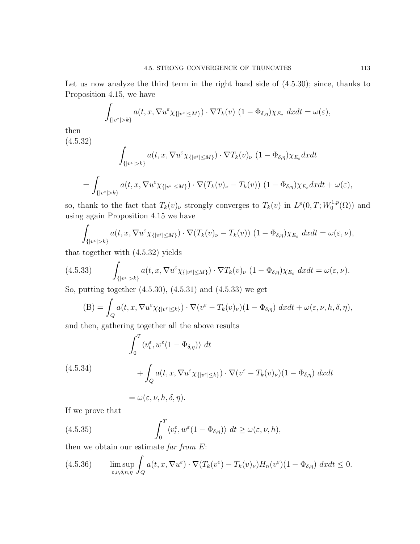Let us now analyze the third term in the right hand side of (4.5.30); since, thanks to Proposition 4.15, we have

$$
\int_{\{|v^{\varepsilon}|>k\}} a(t,x,\nabla u^{\varepsilon} \chi_{\{|v^{\varepsilon}|\leq M\}}) \cdot \nabla T_k(v) \ (1-\Phi_{\delta,\eta}) \chi_{E_{\varepsilon}} dx dt = \omega(\varepsilon),
$$

then

(4.5.32)  
\n
$$
\int_{\{|v^{\varepsilon}|>k\}} a(t, x, \nabla u^{\varepsilon} \chi_{\{|v^{\varepsilon}| \le M\}}) \cdot \nabla T_k(v)_{\nu} (1 - \Phi_{\delta, \eta}) \chi_{E_{\varepsilon}} dx dt
$$
\n
$$
= \int_{\{|v^{\varepsilon}|>k\}} a(t, x, \nabla u^{\varepsilon} \chi_{\{|v^{\varepsilon}| \le M\}}) \cdot \nabla (T_k(v)_{\nu} - T_k(v)) (1 - \Phi_{\delta, \eta}) \chi_{E_{\varepsilon}} dx dt + \omega(\varepsilon),
$$

so, thank to the fact that  $T_k(v)$ , strongly converges to  $T_k(v)$  in  $L^p(0,T;W_0^{1,p})$  $\binom{1,p}{0}$  and using again Proposition 4.15 we have

$$
\int_{\{|v^{\varepsilon}|>k\}} a(t,x,\nabla u^{\varepsilon} \chi_{\{|v^{\varepsilon}| \le M\}}) \cdot \nabla (T_k(v)_{\nu} - T_k(v)) (1 - \Phi_{\delta,\eta}) \chi_{E_{\varepsilon}} dx dt = \omega(\varepsilon,\nu),
$$

that together with (4.5.32) yields

(4.5.33) 
$$
\int_{\{|v^{\varepsilon}|>k\}} a(t,x,\nabla u^{\varepsilon} \chi_{\{|v^{\varepsilon}| \le M\}}) \cdot \nabla T_k(v)_{\nu} (1-\Phi_{\delta,\eta}) \chi_{E_{\varepsilon}} dx dt = \omega(\varepsilon,\nu).
$$

So, putting together (4.5.30), (4.5.31) and (4.5.33) we get

$$
(B) = \int_{Q} a(t, x, \nabla u^{\varepsilon} \chi_{\{|v^{\varepsilon}| \le k\}}) \cdot \nabla (v^{\varepsilon} - T_{k}(v)_{\nu})(1 - \Phi_{\delta, \eta}) dx dt + \omega(\varepsilon, \nu, h, \delta, \eta),
$$

and then, gathering together all the above results

(4.5.34)  

$$
\int_0^T \langle v_t^{\varepsilon}, w^{\varepsilon} (1 - \Phi_{\delta, \eta}) \rangle dt + \int_Q a(t, x, \nabla u^{\varepsilon} \chi_{\{|v^{\varepsilon}| \le k\}}) \cdot \nabla (v^{\varepsilon} - T_k(v)_{\nu}) (1 - \Phi_{\delta, \eta}) dx dt
$$

$$
=\omega(\varepsilon,\nu,h,\delta,\eta).
$$

If we prove that

(4.5.35) 
$$
\int_0^T \langle v_t^{\varepsilon}, w^{\varepsilon}(1-\Phi_{\delta,\eta})\rangle dt \geq \omega(\varepsilon,\nu,h),
$$

then we obtain our estimate far from  $E$ :

(4.5.36) 
$$
\limsup_{\varepsilon,\nu,\delta,n,\eta} \int_{Q} a(t,x,\nabla u^{\varepsilon}) \cdot \nabla (T_{k}(v^{\varepsilon}) - T_{k}(v)_{\nu}) H_{n}(v^{\varepsilon}) (1 - \Phi_{\delta,\eta}) dx dt \leq 0.
$$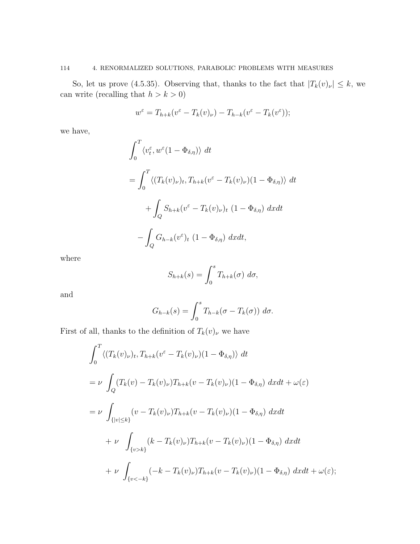### 114 4. RENORMALIZED SOLUTIONS, PARABOLIC PROBLEMS WITH MEASURES

So, let us prove (4.5.35). Observing that, thanks to the fact that  $|T_k(v)_\nu| \leq k$ , we can write (recalling that  $h>k>0)$ 

$$
w^{\varepsilon} = T_{h+k}(v^{\varepsilon} - T_k(v)_{\nu}) - T_{h-k}(v^{\varepsilon} - T_k(v^{\varepsilon}));
$$

we have,

$$
\int_0^T \langle v_t^{\varepsilon}, w^{\varepsilon} (1 - \Phi_{\delta, \eta}) \rangle dt
$$
  
= 
$$
\int_0^T \langle (T_k(v)_{\nu})_t, T_{h+k}(v^{\varepsilon} - T_k(v)_{\nu}) (1 - \Phi_{\delta, \eta}) \rangle dt
$$
  
+ 
$$
\int_Q S_{h+k}(v^{\varepsilon} - T_k(v)_{\nu})_t (1 - \Phi_{\delta, \eta}) dx dt
$$
  
- 
$$
\int_Q G_{h-k}(v^{\varepsilon})_t (1 - \Phi_{\delta, \eta}) dx dt,
$$

where

$$
S_{h+k}(s) = \int_0^s T_{h+k}(\sigma) \ d\sigma,
$$

and

$$
G_{h-k}(s) = \int_0^s T_{h-k}(\sigma - T_k(\sigma)) \ d\sigma.
$$

First of all, thanks to the definition of  $T_k(v)_\nu$  we have

$$
\int_0^T \langle (T_k(v)_\nu)_t, T_{h+k}(v^\varepsilon - T_k(v)_\nu)(1 - \Phi_{\delta,\eta}) \rangle dt
$$
  
\n
$$
= \nu \int_Q (T_k(v) - T_k(v)_\nu)T_{h+k}(v - T_k(v)_\nu)(1 - \Phi_{\delta,\eta}) dx dt + \omega(\varepsilon)
$$
  
\n
$$
= \nu \int_{\{|v| \le k\}} (v - T_k(v)_\nu)T_{h+k}(v - T_k(v)_\nu)(1 - \Phi_{\delta,\eta}) dx dt
$$
  
\n
$$
+ \nu \int_{\{v > k\}} (k - T_k(v)_\nu)T_{h+k}(v - T_k(v)_\nu)(1 - \Phi_{\delta,\eta}) dx dt
$$
  
\n
$$
+ \nu \int_{\{v < -k\}} (-k - T_k(v)_\nu)T_{h+k}(v - T_k(v)_\nu)(1 - \Phi_{\delta,\eta}) dx dt + \omega(\varepsilon);
$$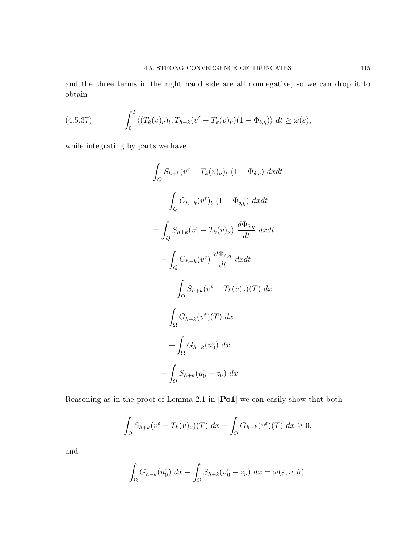and the three terms in the right hand side are all nonnegative, so we can drop it to obtain

(4.5.37) 
$$
\int_0^T \langle (T_k(v)_{\nu})_t, T_{h+k}(v^{\varepsilon} - T_k(v)_{\nu})(1 - \Phi_{\delta,\eta}) \rangle dt \ge \omega(\varepsilon),
$$

while integrating by parts we have

$$
\int_{Q} S_{h+k}(v^{\varepsilon} - T_{k}(v)_{\nu})_{t} (1 - \Phi_{\delta,\eta}) dx dt
$$

$$
- \int_{Q} G_{h-k}(v^{\varepsilon})_{t} (1 - \Phi_{\delta,\eta}) dx dt
$$

$$
= \int_{Q} S_{h+k}(v^{\varepsilon} - T_{k}(v)_{\nu}) \frac{d\Phi_{\delta,\eta}}{dt} dx dt
$$

$$
- \int_{Q} G_{h-k}(v^{\varepsilon}) \frac{d\Phi_{\delta,\eta}}{dt} dx dt
$$

$$
+ \int_{\Omega} S_{h+k}(v^{\varepsilon} - T_{k}(v)_{\nu})(T) dx
$$

$$
- \int_{\Omega} G_{h-k}(v^{\varepsilon})(T) dx
$$

$$
+ \int_{\Omega} G_{h-k}(u^{\varepsilon}) dx
$$

$$
- \int_{\Omega} S_{h+k}(u^{\varepsilon}) - z_{\nu}) dx
$$

Reasoning as in the proof of Lemma 2.1 in [Po1] we can easily show that both

$$
\int_{\Omega} S_{h+k}(v^{\varepsilon} - T_k(v)_{\nu})(T) dx - \int_{\Omega} G_{h-k}(v^{\varepsilon})(T) dx \ge 0,
$$

and

$$
\int_{\Omega} G_{h-k}(u_0^{\varepsilon}) dx - \int_{\Omega} S_{h+k}(u_0^{\varepsilon} - z_{\nu}) dx = \omega(\varepsilon, \nu, h).
$$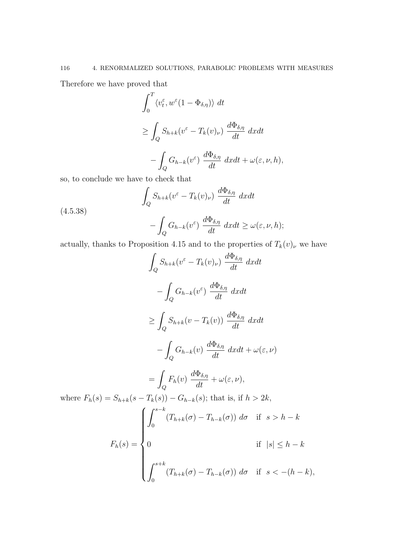Therefore we have proved that

$$
\int_0^T \langle v_t^{\varepsilon}, w^{\varepsilon} (1 - \Phi_{\delta, \eta}) \rangle dt
$$
  
\n
$$
\geq \int_Q S_{h+k} (v^{\varepsilon} - T_k(v)_{\nu}) \frac{d\Phi_{\delta, \eta}}{dt} dx dt
$$
  
\n
$$
- \int_Q G_{h-k} (v^{\varepsilon}) \frac{d\Phi_{\delta, \eta}}{dt} dx dt + \omega(\varepsilon, \nu, h),
$$

so, to conclude we have to check that

(4.5.38)  

$$
\int_{Q} S_{h+k}(v^{\varepsilon} - T_{k}(v)_{\nu}) \frac{d\Phi_{\delta,\eta}}{dt} dx dt
$$

$$
- \int_{Q} G_{h-k}(v^{\varepsilon}) \frac{d\Phi_{\delta,\eta}}{dt} dx dt \ge \omega(\varepsilon, \nu, h);
$$

actually, thanks to Proposition 4.15 and to the properties of  $T_k(v)_\nu$  we have

$$
\int_{Q} S_{h+k}(v^{\varepsilon} - T_{k}(v)_{\nu}) \frac{d\Phi_{\delta,\eta}}{dt} dx dt
$$

$$
- \int_{Q} G_{h-k}(v^{\varepsilon}) \frac{d\Phi_{\delta,\eta}}{dt} dx dt
$$

$$
\geq \int_{Q} S_{h+k}(v - T_{k}(v)) \frac{d\Phi_{\delta,\eta}}{dt} dx dt
$$

$$
- \int_{Q} G_{h-k}(v) \frac{d\Phi_{\delta,\eta}}{dt} dx dt + \omega(\varepsilon, \nu)
$$

$$
= \int_{Q} F_{h}(v) \frac{d\Phi_{\delta,\eta}}{dt} + \omega(\varepsilon, \nu),
$$
where  $F_{h}(s) = S_{h+k}(s - T_{k}(s)) - G_{h-k}(s)$ ; that is, if  $h > 2k$ ,
$$
F_{h}(s) = \begin{cases} \int_{0}^{s-k} (T_{h+k}(\sigma) - T_{h-k}(\sigma)) d\sigma & \text{if } s > h - k \\ 0 & \text{if } |s| \leq h - k \\ \int_{0}^{s+k} (T_{h+k}(\sigma) - T_{h-k}(\sigma)) d\sigma & \text{if } s < -(h - k), \end{cases}
$$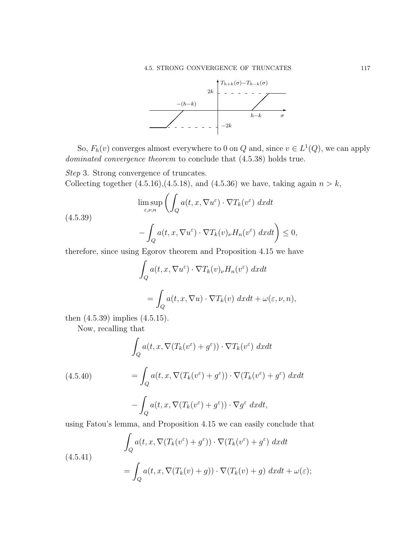

So,  $F_h(v)$  converges almost everywhere to 0 on Q and, since  $v \in L^1(Q)$ , we can apply dominated convergence theorem to conclude that  $(4.5.38)$  holds true.

Step 3. Strong convergence of truncates. Collecting together  $(4.5.16)$ , $(4.5.18)$ , and  $(4.5.36)$  we have, taking again  $n > k$ ,

$$
\limsup_{\varepsilon,\nu,n} \left( \int_Q a(t,x,\nabla u^{\varepsilon}) \cdot \nabla T_k(v^{\varepsilon}) \, dxdt \right)
$$

(4.5.39)

$$
-\int_{Q} a(t, x, \nabla u^{\varepsilon}) \cdot \nabla T_{k}(v)_{\nu} H_{n}(v^{\varepsilon}) dxdt\bigg) \leq 0,
$$

therefore, since using Egorov theorem and Proposition 4.15 we have

$$
\int_{Q} a(t, x, \nabla u^{\varepsilon}) \cdot \nabla T_{k}(v)_{\nu} H_{n}(v^{\varepsilon}) dx dt
$$

$$
= \int_{Q} a(t, x, \nabla u) \cdot \nabla T_{k}(v) dx dt + \omega(\varepsilon, \nu, n),
$$

then (4.5.39) implies (4.5.15).

Now, recalling that

$$
\int_{Q} a(t, x, \nabla (T_k(v^{\varepsilon}) + g^{\varepsilon})) \cdot \nabla T_k(v^{\varepsilon}) dx dt
$$

(4.5.40) 
$$
= \int_{Q} a(t, x, \nabla (T_k(v^{\varepsilon}) + g^{\varepsilon})) \cdot \nabla (T_k(v^{\varepsilon}) + g^{\varepsilon}) dx dt - \int_{Q} a(t, x, \nabla (T_k(v^{\varepsilon}) + g^{\varepsilon})) \cdot \nabla g^{\varepsilon} dx dt,
$$

using Fatou's lemma, and Proposition 4.15 we can easily conclude that

(4.5.41)  
\n
$$
\int_{Q} a(t, x, \nabla (T_k(v^{\varepsilon}) + g^{\varepsilon})) \cdot \nabla (T_k(v^{\varepsilon}) + g^{\varepsilon}) dx dt
$$
\n
$$
= \int_{Q} a(t, x, \nabla (T_k(v) + g)) \cdot \nabla (T_k(v) + g) dx dt + \omega(\varepsilon);
$$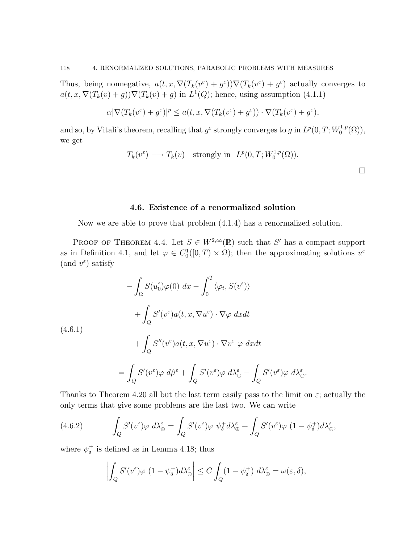Thus, being nonnegative,  $a(t, x, \nabla (T_k(v^{\varepsilon}) + g^{\varepsilon})) \nabla (T_k(v^{\varepsilon}) + g^{\varepsilon})$  actually converges to  $a(t, x, \nabla (T_k(v) + g)) \nabla (T_k(v) + g)$  in  $L^1(Q)$ ; hence, using assumption (4.1.1)

$$
\alpha |\nabla (T_k(v^\varepsilon)+g^\varepsilon)|^p\leq a(t,x,\nabla (T_k(v^\varepsilon)+g^\varepsilon))\cdot \nabla (T_k(v^\varepsilon)+g^\varepsilon),
$$

and so, by Vitali's theorem, recalling that  $g^{\varepsilon}$  strongly converges to g in  $L^p(0,T;W_0^{1,p})$  $\mathcal{L}_0^{1,p}(\Omega)$ ), we get

$$
T_k(v^{\varepsilon}) \longrightarrow T_k(v)
$$
 strongly in  $L^p(0,T;W_0^{1,p}(\Omega)).$ 

### 4.6. Existence of a renormalized solution

Now we are able to prove that problem (4.1.4) has a renormalized solution.

PROOF OF THEOREM 4.4. Let  $S \in W^{2,\infty}(\mathbb{R})$  such that S' has a compact support as in Definition 4.1, and let  $\varphi \in C_0^1([0,T) \times \Omega)$ ; then the approximating solutions  $u^{\varepsilon}$ (and  $v^{\varepsilon}$ ) satisfy

$$
-\int_{\Omega} S(u_0^{\varepsilon}) \varphi(0) dx - \int_0^T \langle \varphi_t, S(v^{\varepsilon}) \rangle
$$
  
+ 
$$
\int_Q S'(v^{\varepsilon}) a(t, x, \nabla u^{\varepsilon}) \cdot \nabla \varphi dx dt
$$
  
(4.6.1)  
+ 
$$
\int_Q S''(v^{\varepsilon}) a(t, x, \nabla u^{\varepsilon}) \cdot \nabla v^{\varepsilon} \varphi dx dt
$$
  
= 
$$
\int_Q S'(v^{\varepsilon}) \varphi d\hat{\mu}^{\varepsilon} + \int_Q S'(v^{\varepsilon}) \varphi d\lambda_{\oplus}^{\varepsilon} - \int_Q S'(v^{\varepsilon}) \varphi d\lambda_{\ominus}^{\varepsilon}.
$$

Thanks to Theorem 4.20 all but the last term easily pass to the limit on  $\varepsilon$ ; actually the only terms that give some problems are the last two. We can write

(4.6.2) 
$$
\int_{Q} S'(v^{\varepsilon}) \varphi \ d\lambda_{\oplus}^{\varepsilon} = \int_{Q} S'(v^{\varepsilon}) \varphi \ \psi_{\delta}^{+} d\lambda_{\oplus}^{\varepsilon} + \int_{Q} S'(v^{\varepsilon}) \varphi \ (1 - \psi_{\delta}^{+}) d\lambda_{\oplus}^{\varepsilon},
$$

where  $\psi_{\delta}^+$  $\frac{1}{\delta}$  is defined as in Lemma 4.18; thus

$$
\left| \int_{Q} S'(v^{\varepsilon}) \varphi \ (1 - \psi_{\delta}^{+}) d\lambda_{\oplus}^{\varepsilon} \right| \leq C \int_{Q} (1 - \psi_{\delta}^{+}) d\lambda_{\oplus}^{\varepsilon} = \omega(\varepsilon, \delta),
$$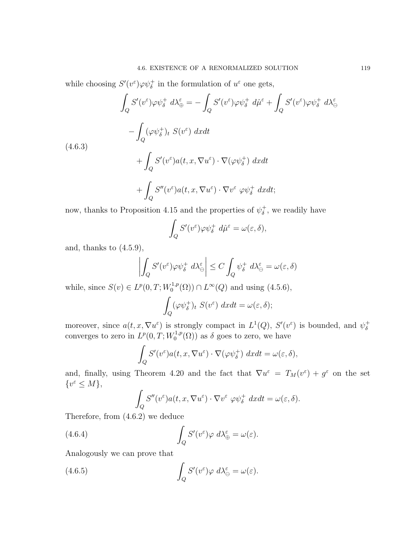while choosing  $S'(v^{\varepsilon})\varphi\psi_{\delta}^{+}$  in the formulation of  $u^{\varepsilon}$  one gets,

$$
\int_{Q} S'(v^{\varepsilon}) \varphi \psi_{\delta}^{+} d\lambda_{\oplus}^{\varepsilon} = -\int_{Q} S'(v^{\varepsilon}) \varphi \psi_{\delta}^{+} d\hat{\mu}^{\varepsilon} + \int_{Q} S'(v^{\varepsilon}) \varphi \psi_{\delta}^{+} d\lambda_{\ominus}^{\varepsilon}
$$
\n
$$
-\int_{Q} (\varphi \psi_{\delta}^{+})_{t} S(v^{\varepsilon}) dxdt
$$
\n(4.6.3)\n
$$
+\int_{Q} S'(v^{\varepsilon}) a(t, x, \nabla u^{\varepsilon}) \cdot \nabla(\varphi \psi_{\delta}^{+}) dxdt
$$
\n
$$
+\int_{Q} S''(v^{\varepsilon}) a(t, x, \nabla u^{\varepsilon}) \cdot \nabla v^{\varepsilon} \varphi \psi_{\delta}^{+} dxdt;
$$

now, thanks to Proposition 4.15 and the properties of  $\psi_{\delta}^+$  $\phi_{\delta}^{+}$ , we readily have

$$
\int_{Q} S'(v^{\varepsilon}) \varphi \psi_{\delta}^{+} d\hat{\mu}^{\varepsilon} = \omega(\varepsilon, \delta),
$$

and, thanks to  $(4.5.9)$ ,

$$
\left| \int_{Q} S'(v^{\varepsilon}) \varphi \psi_{\delta}^{+} d\lambda_{\ominus}^{\varepsilon} \right| \leq C \int_{Q} \psi_{\delta}^{+} d\lambda_{\ominus}^{\varepsilon} = \omega(\varepsilon, \delta)
$$

while, since  $S(v) \in L^p(0,T;W_0^{1,p})$  $L^{1,p}(\Omega) \cap L^{\infty}(Q)$  and using  $(4.5.6)$ ,

$$
\int_{Q} (\varphi \psi_{\delta}^{+})_{t} S(v^{\varepsilon}) dx dt = \omega(\varepsilon, \delta);
$$

moreover, since  $a(t, x, \nabla u^{\varepsilon})$  is strongly compact in  $L^1(Q)$ ,  $S'(v^{\varepsilon})$  is bounded, and  $\psi_{\delta}^+$ δ converges to zero in  $L^p(0,T;W_0^{1,p})$  $\delta_0^{1,p}(\Omega)$  as  $\delta$  goes to zero, we have

$$
\int_{Q} S'(v^{\varepsilon}) a(t, x, \nabla u^{\varepsilon}) \cdot \nabla (\varphi \psi_{\delta}^{+}) dx dt = \omega(\varepsilon, \delta),
$$

and, finally, using Theorem 4.20 and the fact that  $\nabla u^{\varepsilon} = T_M(v^{\varepsilon}) + g^{\varepsilon}$  on the set  $\{v^{\varepsilon} \leq M\},\$ 

$$
\int_{Q} S''(v^{\varepsilon}) a(t, x, \nabla u^{\varepsilon}) \cdot \nabla v^{\varepsilon} \varphi \psi_{\delta}^{+} dx dt = \omega(\varepsilon, \delta).
$$

Therefore, from (4.6.2) we deduce

(4.6.4) 
$$
\int_{Q} S'(v^{\varepsilon}) \varphi \ d\lambda_{\oplus}^{\varepsilon} = \omega(\varepsilon).
$$

Analogously we can prove that

(4.6.5) 
$$
\int_{Q} S'(v^{\varepsilon}) \varphi \ d\lambda_{\ominus}^{\varepsilon} = \omega(\varepsilon).
$$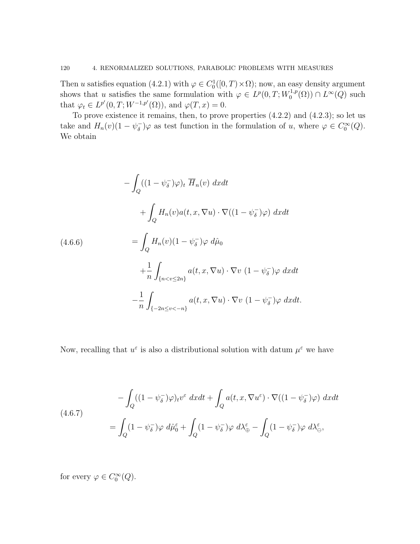Then u satisfies equation (4.2.1) with  $\varphi \in C_0^1([0, T) \times \Omega)$ ; now, an easy density argument shows that u satisfies the same formulation with  $\varphi \in L^p(0,T;W_0^{1,p})$  $L_0^{1,p}(\Omega) \cap L^{\infty}(Q)$  such that  $\varphi_t \in L^{p'}(0,T;W^{-1,p'}(\Omega))$ , and  $\varphi(T,x) = 0$ .

To prove existence it remains, then, to prove properties (4.2.2) and (4.2.3); so let us take and  $H_n(v)(1-\psi_{\delta}^-)$  $(\overline{\delta})\varphi$  as test function in the formulation of u, where  $\varphi \in C_0^{\infty}(Q)$ . We obtain

$$
-\int_{Q} ((1 - \psi_{\delta}^{-})\varphi)_{t} \overline{H}_{n}(v) dxdt
$$
  
+ 
$$
\int_{Q} H_{n}(v)a(t, x, \nabla u) \cdot \nabla ((1 - \psi_{\delta}^{-})\varphi) dxdt
$$
  
= 
$$
\int_{Q} H_{n}(v)(1 - \psi_{\delta}^{-})\varphi d\hat{\mu}_{0}
$$
  
+ 
$$
\frac{1}{n} \int_{\{n < v \le 2n\}} a(t, x, \nabla u) \cdot \nabla v (1 - \psi_{\delta}^{-})\varphi dxdt
$$
  
- 
$$
\frac{1}{n} \int_{\{-2n \le v < -n\}} a(t, x, \nabla u) \cdot \nabla v (1 - \psi_{\delta}^{-})\varphi dxdt.
$$

Now, recalling that  $u^{\varepsilon}$  is also a distributional solution with datum  $\mu^{\varepsilon}$  we have

(4.6.7)  
\n
$$
-\int_{Q} ((1 - \psi_{\delta}^{-})\varphi)_{t} v^{\varepsilon} dxdt + \int_{Q} a(t, x, \nabla u^{\varepsilon}) \cdot \nabla ((1 - \psi_{\delta}^{-})\varphi) dxdt
$$
\n
$$
= \int_{Q} (1 - \psi_{\delta}^{-})\varphi d\mathring{\mu}_{0}^{\varepsilon} + \int_{Q} (1 - \psi_{\delta}^{-})\varphi d\mathring{\lambda}_{\oplus}^{\varepsilon} - \int_{Q} (1 - \psi_{\delta}^{-})\varphi d\mathring{\lambda}_{\ominus}^{\varepsilon},
$$

for every  $\varphi \in C_0^{\infty}(Q)$ .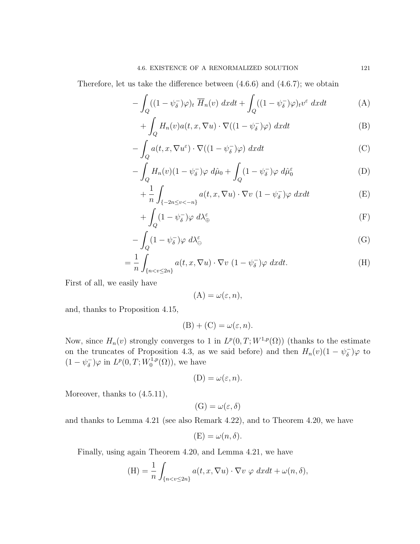Therefore, let us take the difference between (4.6.6) and (4.6.7); we obtain

$$
-\int_{Q} ((1-\psi_{\delta}^{-})\varphi)_{t} \overline{H}_{n}(v) dxdt + \int_{Q} ((1-\psi_{\delta}^{-})\varphi)_{t}v^{\varepsilon} dxdt \tag{A}
$$

$$
+\int_{Q} H_{n}(v)a(t,x,\nabla u) \cdot \nabla ((1-\psi_{\delta}^{-})\varphi) dxdt
$$
 (B)

$$
-\int_{Q} a(t, x, \nabla u^{\varepsilon}) \cdot \nabla ((1 - \psi_{\delta}^{-})\varphi) dx dt
$$
 (C)

$$
-\int_{Q} H_n(v)(1-\psi_{\delta}^-)\varphi \ d\hat{\mu}_0 + \int_{Q} (1-\psi_{\delta}^-)\varphi \ d\hat{\mu}_0^{\varepsilon} \tag{D}
$$

$$
+\frac{1}{n}\int_{\{-2n\leq v<-n\}} a(t,x,\nabla u)\cdot \nabla v\ (1-\psi_{\delta}^-)\varphi\ dxdt\tag{E}
$$

$$
+\int_{Q} (1-\psi_{\delta}^{-})\varphi \ d\lambda_{\oplus}^{\varepsilon} \tag{F}
$$

$$
-\int_{Q} (1 - \psi_{\delta}^{-}) \varphi \, d\lambda_{\ominus}^{\varepsilon} \tag{G}
$$

$$
= \frac{1}{n} \int_{\{n < v \le 2n\}} a(t, x, \nabla u) \cdot \nabla v \ (1 - \psi_{\delta}^{-}) \varphi \ dx dt. \tag{H}
$$

First of all, we easily have

$$
(\mathbf{A}) = \omega(\varepsilon, n),
$$

and, thanks to Proposition 4.15,

$$
(B) + (C) = \omega(\varepsilon, n).
$$

Now, since  $H_n(v)$  strongly converges to 1 in  $L^p(0,T;W^{1,p}(\Omega))$  (thanks to the estimate on the truncates of Proposition 4.3, as we said before) and then  $H_n(v)(1 - \psi_{\delta}^-)$  $(\overline{\delta})\varphi$  to  $(1 - \psi_{\delta}^{-})$  $\bar{\delta}$ ) $\varphi$  in  $L^p(0,T;W_0^{1,p})$  $\binom{1,p}{0}$ , we have

$$
(D) = \omega(\varepsilon, n).
$$

Moreover, thanks to  $(4.5.11)$ ,

$$
(\mathrm{G})=\omega(\varepsilon,\delta)
$$

and thanks to Lemma 4.21 (see also Remark 4.22), and to Theorem 4.20, we have

$$
(\mathbf{E}) = \omega(n, \delta).
$$

Finally, using again Theorem 4.20, and Lemma 4.21, we have

$$
(\mathbf{H}) = \frac{1}{n} \int_{\{n < v \le 2n\}} a(t, x, \nabla u) \cdot \nabla v \, \varphi \, dx dt + \omega(n, \delta),
$$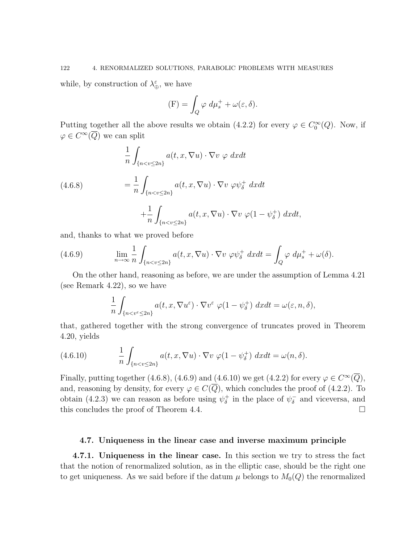while, by construction of  $\lambda_{\oplus}^{\varepsilon}$ , we have

$$
(\mathcal{F}) = \int_{Q} \varphi \, d\mu_s^+ + \omega(\varepsilon, \delta).
$$

Putting together all the above results we obtain (4.2.2) for every  $\varphi \in C_0^{\infty}(Q)$ . Now, if  $\varphi \in C^{\infty}(\overline{Q})$  we can split

(4.6.8)  
\n
$$
\frac{1}{n} \int_{\{n < v \le 2n\}} a(t, x, \nabla u) \cdot \nabla v \varphi \, dxdt
$$
\n
$$
= \frac{1}{n} \int_{\{n < v \le 2n\}} a(t, x, \nabla u) \cdot \nabla v \varphi \psi_{\delta}^{+} \, dxdt
$$
\n
$$
+ \frac{1}{n} \int_{\{n < v \le 2n\}} a(t, x, \nabla u) \cdot \nabla v \varphi (1 - \psi_{\delta}^{+}) \, dxdt,
$$

and, thanks to what we proved before

(4.6.9) 
$$
\lim_{n \to \infty} \frac{1}{n} \int_{\{n < v \le 2n\}} a(t, x, \nabla u) \cdot \nabla v \, \varphi \psi_{\delta}^+ \, dx dt = \int_Q \varphi \, d\mu_s^+ + \omega(\delta).
$$

On the other hand, reasoning as before, we are under the assumption of Lemma 4.21 (see Remark 4.22), so we have

$$
\frac{1}{n} \int_{\{n < v^{\varepsilon} \leq 2n\}} a(t, x, \nabla u^{\varepsilon}) \cdot \nabla v^{\varepsilon} \varphi(1 - \psi_{\delta}^{+}) \, dx dt = \omega(\varepsilon, n, \delta),
$$

that, gathered together with the strong convergence of truncates proved in Theorem 4.20, yields

(4.6.10) 
$$
\frac{1}{n} \int_{\{n < v \le 2n\}} a(t, x, \nabla u) \cdot \nabla v \, \varphi(1 - \psi_{\delta}^+) \, dx dt = \omega(n, \delta).
$$

Finally, putting together (4.6.8), (4.6.9) and (4.6.10) we get (4.2.2) for every  $\varphi \in C^{\infty}(\overline{Q})$ , and, reasoning by density, for every  $\varphi \in C(\overline{Q})$ , which concludes the proof of (4.2.2). To obtain (4.2.3) we can reason as before using  $\psi_{\delta}^+$  $_{\delta}^+$  in the place of  $\psi_{\delta}^ \bar{\delta}$  and viceversa, and this concludes the proof of Theorem 4.4.

#### 4.7. Uniqueness in the linear case and inverse maximum principle

4.7.1. Uniqueness in the linear case. In this section we try to stress the fact that the notion of renormalized solution, as in the elliptic case, should be the right one to get uniqueness. As we said before if the datum  $\mu$  belongs to  $M_0(Q)$  the renormalized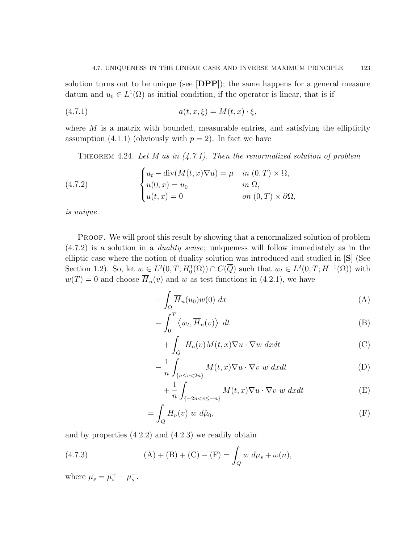solution turns out to be unique (see [DPP]); the same happens for a general measure datum and  $u_0 \in L^1(\Omega)$  as initial condition, if the operator is linear, that is if

(4.7.1) 
$$
a(t, x, \xi) = M(t, x) \cdot \xi,
$$

where  $M$  is a matrix with bounded, measurable entries, and satisfying the ellipticity assumption (4.1.1) (obviously with  $p = 2$ ). In fact we have

THEOREM 4.24. Let M as in  $(4.7.1)$ . Then the renormalized solution of problem

(4.7.2) 
$$
\begin{cases} u_t - \operatorname{div}(M(t, x)\nabla u) = \mu & \text{in } (0, T) \times \Omega, \\ u(0, x) = u_0 & \text{in } \Omega, \\ u(t, x) = 0 & \text{on } (0, T) \times \partial\Omega, \end{cases}
$$

is unique.

PROOF. We will proof this result by showing that a renormalized solution of problem  $(4.7.2)$  is a solution in a *duality sense*; uniqueness will follow immediately as in the elliptic case where the notion of duality solution was introduced and studied in [S] (See Section 1.2). So, let  $w \in L^2(0,T; H_0^1(\Omega)) \cap C(\overline{Q})$  such that  $w_t \in L^2(0,T; H^{-1}(\Omega))$  with  $w(T) = 0$  and choose  $\overline{H}_n(v)$  and w as test functions in (4.2.1), we have

$$
-\int_{\Omega} \overline{H}_n(u_0)w(0) dx
$$
 (A)

$$
-\int_0^T \langle w_t, \overline{H}_n(v) \rangle dt
$$
 (B)

$$
+ \int_{Q} H_{n}(v)M(t,x)\nabla u \cdot \nabla w \,dxdt \tag{C}
$$

$$
-\frac{1}{n}\int_{\{n\leq v<2n\}}M(t,x)\nabla u\cdot\nabla v\ w\ dxdt\tag{D}
$$

$$
+\frac{1}{n}\int_{\{-2n (E)
$$

$$
= \int_{Q} H_n(v) \ w \ d\hat{\mu}_0,
$$
 (F)

and by properties (4.2.2) and (4.2.3) we readily obtain

(4.7.3) 
$$
(A) + (B) + (C) - (F) = \int_{Q} w \, d\mu_{s} + \omega(n),
$$

where  $\mu_s = \mu_s^+ - \mu_s^-$ .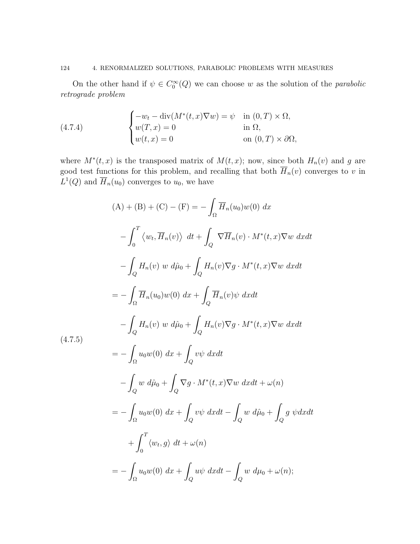### 124 4. RENORMALIZED SOLUTIONS, PARABOLIC PROBLEMS WITH MEASURES

On the other hand if  $\psi \in C_0^{\infty}(Q)$  we can choose w as the solution of the *parabolic* retrograde problem

(4.7.4) 
$$
\begin{cases}\n-w_t - \operatorname{div}(M^*(t, x)\nabla w) = \psi & \text{in } (0, T) \times \Omega, \\
w(T, x) = 0 & \text{in } \Omega, \\
w(t, x) = 0 & \text{on } (0, T) \times \partial\Omega,\n\end{cases}
$$

where  $M^*(t, x)$  is the transposed matrix of  $M(t, x)$ ; now, since both  $H_n(v)$  and g are good test functions for this problem, and recalling that both  $\overline{H}_n(v)$  converges to v in  $L^1(Q)$  and  $\overline{H}_n(u_0)$  converges to  $u_0$ , we have

$$
(A) + (B) + (C) - (F) = -\int_{\Omega} \overline{H}_n(u_0)w(0) dx
$$
  

$$
-\int_0^T \langle w_t, \overline{H}_n(v) \rangle dt + \int_Q \nabla \overline{H}_n(v) \cdot M^*(t, x) \nabla w dx dt
$$
  

$$
-\int_Q H_n(v) w d\hat{\mu}_0 + \int_Q H_n(v) \nabla g \cdot M^*(t, x) \nabla w dx dt
$$
  

$$
= -\int_{\Omega} \overline{H}_n(u_0)w(0) dx + \int_Q \overline{H}_n(v)\psi dx dt
$$
  

$$
-\int_Q H_n(v) w d\hat{\mu}_0 + \int_Q H_n(v) \nabla g \cdot M^*(t, x) \nabla w dx dt
$$
  

$$
= -\int_{\Omega} u_0 w(0) dx + \int_Q v\psi dx dt
$$
  

$$
-\int_Q w d\hat{\mu}_0 + \int_Q \nabla g \cdot M^*(t, x) \nabla w dx dt + \omega(n)
$$
  

$$
= -\int_{\Omega} u_0 w(0) dx + \int_Q v\psi dx dt - \int_Q w d\hat{\mu}_0 + \int_Q g \psi dx dt
$$
  

$$
+ \int_0^T \langle w_t, g \rangle dt + \omega(n)
$$
  

$$
= -\int_{\Omega} u_0 w(0) dx + \int_Q u\psi dx dt - \int_Q w d\mu_0 + \omega(n);
$$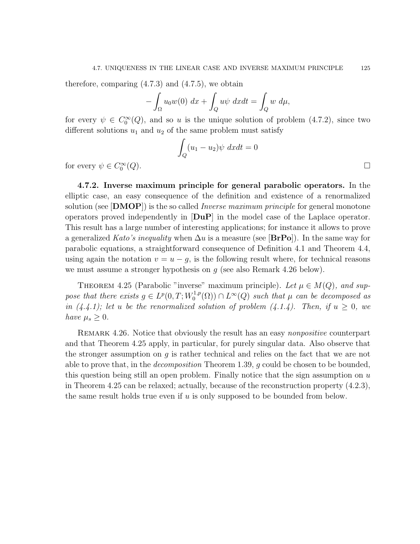therefore, comparing  $(4.7.3)$  and  $(4.7.5)$ , we obtain

$$
-\int_{\Omega} u_0 w(0) \, dx + \int_Q u\psi \, dx dt = \int_Q w \, d\mu,
$$

for every  $\psi \in C_0^{\infty}(Q)$ , and so u is the unique solution of problem (4.7.2), since two different solutions  $u_1$  and  $u_2$  of the same problem must satisfy

$$
\int_{Q} (u_1 - u_2)\psi \, dxdt = 0
$$
\n
$$
(Q). \qquad \qquad \Box
$$

for every  $\psi \in C_0^{\infty}$ 

4.7.2. Inverse maximum principle for general parabolic operators. In the elliptic case, an easy consequence of the definition and existence of a renormalized solution (see  $[DMOP]$ ) is the so called *Inverse maximum principle* for general monotone operators proved independently in  $\text{[DuP]}$  in the model case of the Laplace operator. This result has a large number of interesting applications; for instance it allows to prove a generalized Kato's inequality when  $\Delta u$  is a measure (see [BrPo]). In the same way for parabolic equations, a straightforward consequence of Definition 4.1 and Theorem 4.4, using again the notation  $v = u - g$ , is the following result where, for technical reasons we must assume a stronger hypothesis on  $g$  (see also Remark 4.26 below).

THEOREM 4.25 (Parabolic "inverse" maximum principle). Let  $\mu \in M(Q)$ , and suppose that there exists  $g \in L^p(0,T;W_0^{1,p})$  $L_0^{1,p}(\Omega) \cap L^{\infty}(Q)$  such that  $\mu$  can be decomposed as in (4.4.1); let u be the renormalized solution of problem (4.1.4). Then, if  $u \geq 0$ , we have  $\mu_s \geq 0$ .

REMARK 4.26. Notice that obviously the result has an easy *nonpositive* counterpart and that Theorem 4.25 apply, in particular, for purely singular data. Also observe that the stronger assumption on  $g$  is rather technical and relies on the fact that we are not able to prove that, in the *decomposition* Theorem 1.39, g could be chosen to be bounded, this question being still an open problem. Finally notice that the sign assumption on  $u$ in Theorem 4.25 can be relaxed; actually, because of the reconstruction property (4.2.3), the same result holds true even if  $u$  is only supposed to be bounded from below.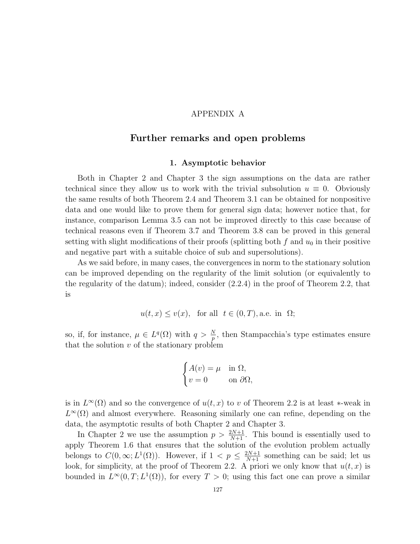#### APPENDIX A

## Further remarks and open problems

#### 1. Asymptotic behavior

Both in Chapter 2 and Chapter 3 the sign assumptions on the data are rather technical since they allow us to work with the trivial subsolution  $u \equiv 0$ . Obviously the same results of both Theorem 2.4 and Theorem 3.1 can be obtained for nonpositive data and one would like to prove them for general sign data; however notice that, for instance, comparison Lemma 3.5 can not be improved directly to this case because of technical reasons even if Theorem 3.7 and Theorem 3.8 can be proved in this general setting with slight modifications of their proofs (splitting both f and  $u_0$  in their positive and negative part with a suitable choice of sub and supersolutions).

As we said before, in many cases, the convergences in norm to the stationary solution can be improved depending on the regularity of the limit solution (or equivalently to the regularity of the datum); indeed, consider (2.2.4) in the proof of Theorem 2.2, that is

$$
u(t, x) \le v(x)
$$
, for all  $t \in (0, T)$ , a.e. in  $\Omega$ ;

so, if, for instance,  $\mu \in L^q(\Omega)$  with  $q > \frac{N}{p}$ , then Stampacchia's type estimates ensure that the solution  $v$  of the stationary problem

$$
\begin{cases} A(v) = \mu & \text{in } \Omega, \\ v = 0 & \text{on } \partial\Omega, \end{cases}
$$

is in  $L^{\infty}(\Omega)$  and so the convergence of  $u(t, x)$  to v of Theorem 2.2 is at least \*-weak in  $L^{\infty}(\Omega)$  and almost everywhere. Reasoning similarly one can refine, depending on the data, the asymptotic results of both Chapter 2 and Chapter 3.

In Chapter 2 we use the assumption  $p > \frac{2N+1}{N+1}$ . This bound is essentially used to apply Theorem 1.6 that ensures that the solution of the evolution problem actually belongs to  $C(0,\infty; L^1(\Omega))$ . However, if  $1 < p \leq \frac{2N+1}{N+1}$  something can be said; let us look, for simplicity, at the proof of Theorem 2.2. A priori we only know that  $u(t, x)$  is bounded in  $L^{\infty}(0,T; L^{1}(\Omega))$ , for every  $T > 0$ ; using this fact one can prove a similar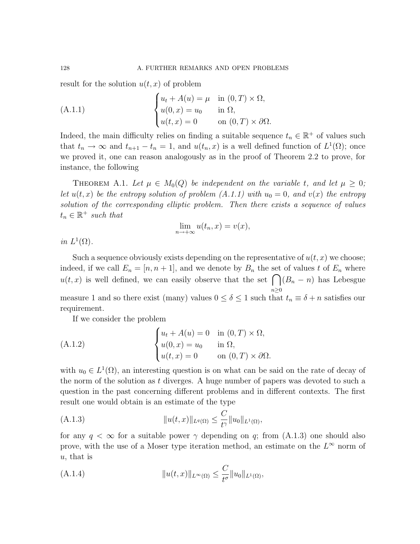result for the solution  $u(t, x)$  of problem

(A.1.1) 
$$
\begin{cases} u_t + A(u) = \mu & \text{in } (0, T) \times \Omega, \\ u(0, x) = u_0 & \text{in } \Omega, \\ u(t, x) = 0 & \text{on } (0, T) \times \partial\Omega. \end{cases}
$$

Indeed, the main difficulty relies on finding a suitable sequence  $t_n \in \mathbb{R}^+$  of values such that  $t_n \to \infty$  and  $t_{n+1} - t_n = 1$ , and  $u(t_n, x)$  is a well defined function of  $L^1(\Omega)$ ; once we proved it, one can reason analogously as in the proof of Theorem 2.2 to prove, for instance, the following

THEOREM A.1. Let  $\mu \in M_0(Q)$  be independent on the variable t, and let  $\mu \geq 0$ ; let  $u(t, x)$  be the entropy solution of problem  $(A.1.1)$  with  $u_0 = 0$ , and  $v(x)$  the entropy solution of the corresponding elliptic problem. Then there exists a sequence of values  $t_n \in \mathbb{R}^+$  such that

$$
\lim_{n \to +\infty} u(t_n, x) = v(x),
$$

in  $L^1(\Omega)$ .

Such a sequence obviously exists depending on the representative of  $u(t, x)$  we choose; indeed, if we call  $E_n = [n, n + 1]$ , and we denote by  $B_n$  the set of values t of  $E_n$  where  $u(t, x)$  is well defined, we can easily observe that the set  $\bigcap (B_n - n)$  has Lebesgue  $n\geq 0$ measure 1 and so there exist (many) values  $0 \le \delta \le 1$  such that  $t_n \equiv \delta + n$  satisfies our requirement.

If we consider the problem

(A.1.2) 
$$
\begin{cases} u_t + A(u) = 0 & \text{in } (0, T) \times \Omega, \\ u(0, x) = u_0 & \text{in } \Omega, \\ u(t, x) = 0 & \text{on } (0, T) \times \partial\Omega. \end{cases}
$$

with  $u_0 \in L^1(\Omega)$ , an interesting question is on what can be said on the rate of decay of the norm of the solution as t diverges. A huge number of papers was devoted to such a question in the past concerning different problems and in different contexts. The first result one would obtain is an estimate of the type

(A.1.3) 
$$
||u(t,x)||_{L^q(\Omega)} \leq \frac{C}{t^{\gamma}}||u_0||_{L^1(\Omega)},
$$

for any  $q < \infty$  for a suitable power  $\gamma$  depending on q; from (A.1.3) one should also prove, with the use of a Moser type iteration method, an estimate on the  $L^{\infty}$  norm of u, that is

(A.1.4) 
$$
||u(t,x)||_{L^{\infty}(\Omega)} \leq \frac{C}{t^{\sigma}}||u_0||_{L^1(\Omega)},
$$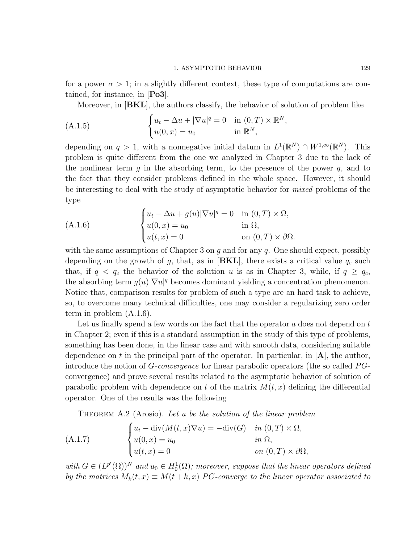for a power  $\sigma > 1$ ; in a slightly different context, these type of computations are contained, for instance, in [Po3].

Moreover, in [BKL], the authors classify, the behavior of solution of problem like

(A.1.5) 
$$
\begin{cases} u_t - \Delta u + |\nabla u|^q = 0 & \text{in } (0, T) \times \mathbb{R}^N, \\ u(0, x) = u_0 & \text{in } \mathbb{R}^N, \end{cases}
$$

depending on  $q > 1$ , with a nonnegative initial datum in  $L^1(\mathbb{R}^N) \cap W^{1,\infty}(\mathbb{R}^N)$ . This problem is quite different from the one we analyzed in Chapter 3 due to the lack of the nonlinear term q in the absorbing term, to the presence of the power  $q$ , and to the fact that they consider problems defined in the whole space. However, it should be interesting to deal with the study of asymptotic behavior for *mixed* problems of the type

(A.1.6) 
$$
\begin{cases} u_t - \Delta u + g(u) |\nabla u|^q = 0 & \text{in } (0, T) \times \Omega, \\ u(0, x) = u_0 & \text{in } \Omega, \\ u(t, x) = 0 & \text{on } (0, T) \times \partial \Omega. \end{cases}
$$

with the same assumptions of Chapter 3 on  $q$  and for any  $q$ . One should expect, possibly depending on the growth of g, that, as in  $[BKL]$ , there exists a critical value  $q_c$  such that, if  $q < q_c$  the behavior of the solution u is as in Chapter 3, while, if  $q \ge q_c$ , the absorbing term  $g(u)|\nabla u|^q$  becomes dominant yielding a concentration phenomenon. Notice that, comparison results for problem of such a type are an hard task to achieve, so, to overcome many technical difficulties, one may consider a regularizing zero order term in problem (A.1.6).

Let us finally spend a few words on the fact that the operator  $a$  does not depend on  $t$ in Chapter 2; even if this is a standard assumption in the study of this type of problems, something has been done, in the linear case and with smooth data, considering suitable dependence on t in the principal part of the operator. In particular, in  $[A]$ , the author, introduce the notion of  $G$ -convergence for linear parabolic operators (the so called  $PG$ convergence) and prove several results related to the asymptotic behavior of solution of parabolic problem with dependence on t of the matrix  $M(t, x)$  defining the differential operator. One of the results was the following

THEOREM A.2 (Arosio). Let u be the solution of the linear problem

(A.1.7) 
$$
\begin{cases} u_t - \operatorname{div}(M(t, x)\nabla u) = -\operatorname{div}(G) & \text{in } (0, T) \times \Omega, \\ u(0, x) = u_0 & \text{in } \Omega, \\ u(t, x) = 0 & \text{on } (0, T) \times \partial\Omega, \end{cases}
$$

with  $G \in (L^{p'}(\Omega))^N$  and  $u_0 \in H_0^1(\Omega)$ ; moreover, suppose that the linear operators defined by the matrices  $M_k(t, x) \equiv M(t + k, x)$  PG-converge to the linear operator associated to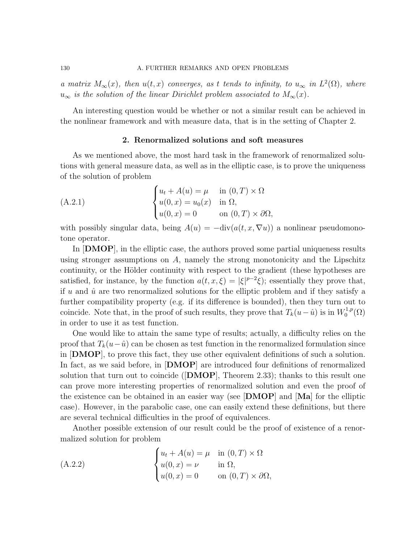a matrix  $M_{\infty}(x)$ , then  $u(t,x)$  converges, as t tends to infinity, to  $u_{\infty}$  in  $L^2(\Omega)$ , where  $u_{\infty}$  is the solution of the linear Dirichlet problem associated to  $M_{\infty}(x)$ .

An interesting question would be whether or not a similar result can be achieved in the nonlinear framework and with measure data, that is in the setting of Chapter 2.

#### 2. Renormalized solutions and soft measures

As we mentioned above, the most hard task in the framework of renormalized solutions with general measure data, as well as in the elliptic case, is to prove the uniqueness of the solution of problem

(A.2.1) 
$$
\begin{cases} u_t + A(u) = \mu & \text{in } (0, T) \times \Omega \\ u(0, x) = u_0(x) & \text{in } \Omega, \\ u(0, x) = 0 & \text{on } (0, T) \times \partial\Omega, \end{cases}
$$

with possibly singular data, being  $A(u) = -\text{div}(a(t, x, \nabla u))$  a nonlinear pseudomonotone operator.

In  $[DMOP]$ , in the elliptic case, the authors proved some partial uniqueness results using stronger assumptions on  $A$ , namely the strong monotonicity and the Lipschitz continuity, or the Hölder continuity with respect to the gradient (these hypotheses are satisfied, for instance, by the function  $a(t, x, \xi) = |\xi|^{p-2}\xi$ ; essentially they prove that, if u and  $\hat{u}$  are two renormalized solutions for the elliptic problem and if they satisfy a further compatibility property (e.g. if its difference is bounded), then they turn out to coincide. Note that, in the proof of such results, they prove that  $T_k(u - \hat{u})$  is in  $W_0^{1,p}$  $\binom{1,p}{0}$ in order to use it as test function.

One would like to attain the same type of results; actually, a difficulty relies on the proof that  $T_k(u-\hat{u})$  can be chosen as test function in the renormalized formulation since in [DMOP], to prove this fact, they use other equivalent definitions of such a solution. In fact, as we said before, in **DMOP** are introduced four definitions of renormalized solution that turn out to coincide ( $\text{[DMOP]}$ , Theorem 2.33); thanks to this result one can prove more interesting properties of renormalized solution and even the proof of the existence can be obtained in an easier way (see  $[DMOP]$  and  $[Ma]$  for the elliptic case). However, in the parabolic case, one can easily extend these definitions, but there are several technical difficulties in the proof of equivalences.

Another possible extension of our result could be the proof of existence of a renormalized solution for problem

(A.2.2) 
$$
\begin{cases} u_t + A(u) = \mu & \text{in } (0, T) \times \Omega \\ u(0, x) = \nu & \text{in } \Omega, \\ u(0, x) = 0 & \text{on } (0, T) \times \partial\Omega, \end{cases}
$$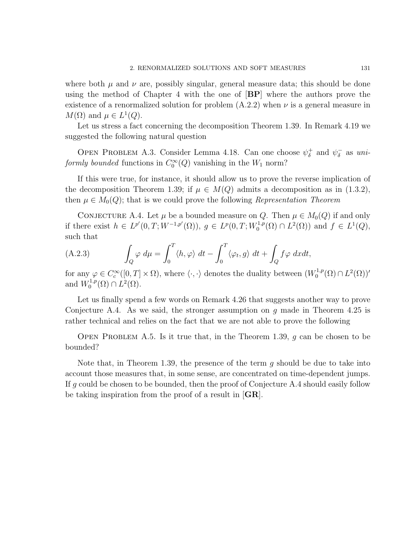where both  $\mu$  and  $\nu$  are, possibly singular, general measure data; this should be done using the method of Chapter 4 with the one of [BP] where the authors prove the existence of a renormalized solution for problem  $(A.2.2)$  when  $\nu$  is a general measure in  $M(\Omega)$  and  $\mu \in L^1(Q)$ .

Let us stress a fact concerning the decomposition Theorem 1.39. In Remark 4.19 we suggested the following natural question

OPEN PROBLEM A.3. Consider Lemma 4.18. Can one choose  $\psi_{\delta}^+$  $\phi_{\delta}^+$  and  $\psi_{\delta}^ \overline{\delta}$  as uniformly bounded functions in  $C_0^{\infty}(Q)$  vanishing in the  $W_1$  norm?

If this were true, for instance, it should allow us to prove the reverse implication of the decomposition Theorem 1.39; if  $\mu \in M(Q)$  admits a decomposition as in (1.3.2), then  $\mu \in M_0(Q)$ ; that is we could prove the following Representation Theorem

CONJECTURE A.4. Let  $\mu$  be a bounded measure on Q. Then  $\mu \in M_0(Q)$  if and only if there exist  $h \in L^{p'}(0,T;W^{-1,p'}(\Omega)), g \in L^{p}(0,T;W_0^{1,p'}).$  $L^{1,p}(\Omega) \cap L^{2}(\Omega)$  and  $f \in L^{1}(Q)$ , such that

(A.2.3) 
$$
\int_{Q} \varphi \, d\mu = \int_{0}^{T} \langle h, \varphi \rangle \, dt - \int_{0}^{T} \langle \varphi_{t}, g \rangle \, dt + \int_{Q} f \varphi \, dxdt,
$$

for any  $\varphi \in C_c^{\infty}([0,T] \times \Omega)$ , where  $\langle \cdot, \cdot \rangle$  denotes the duality between  $(W_0^{1,p})$  $L^{1,p}(\Omega)\cap L^2(\Omega)$ <sup>'</sup> and  $W_0^{1,p}$  $L^{1,p}(\Omega)\cap L^2(\Omega).$ 

Let us finally spend a few words on Remark 4.26 that suggests another way to prove Conjecture A.4. As we said, the stronger assumption on q made in Theorem 4.25 is rather technical and relies on the fact that we are not able to prove the following

OPEN PROBLEM A.5. Is it true that, in the Theorem 1.39, q can be chosen to be bounded?

Note that, in Theorem 1.39, the presence of the term  $g$  should be due to take into account those measures that, in some sense, are concentrated on time-dependent jumps. If g could be chosen to be bounded, then the proof of Conjecture A.4 should easily follow be taking inspiration from the proof of a result in [GR].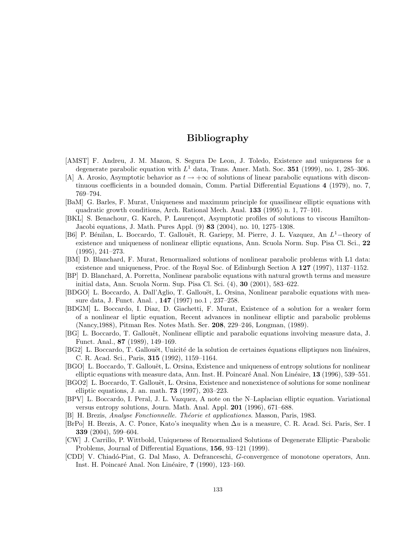## Bibliography

- [AMST] F. Andreu, J. M. Mazon, S. Segura De Leon, J. Toledo, Existence and uniqueness for a degenerate parabolic equation with  $L^1$  data, Trans. Amer. Math. Soc. 351 (1999), no. 1, 285-306.
- [A] A. Arosio, Asymptotic behavior as  $t \to +\infty$  of solutions of linear parabolic equations with discontinuous coefficients in a bounded domain, Comm. Partial Differential Equations 4 (1979), no. 7, 769–794.
- [BaM] G. Barles, F. Murat, Uniqueness and maximum principle for quasilinear elliptic equations with quadratic growth conditions, Arch. Rational Mech. Anal. 133 (1995) n. 1, 77–101.
- [BKL] S. Benachour, G. Karch, P. Laurençot, Asymptotic profiles of solutions to viscous Hamilton-Jacobi equations, J. Math. Pures Appl. (9) 83 (2004), no. 10, 1275–1308.
- [B6] P. Bénilan, L. Boccardo, T. Gallouët, R. Gariepy, M. Pierre, J. L. Vazquez, An L<sup>1</sup>-theory of existence and uniqueness of nonlinear elliptic equations, Ann. Scuola Norm. Sup. Pisa Cl. Sci., 22 (1995), 241–273.
- [BM] D. Blanchard, F. Murat, Renormalized solutions of nonlinear parabolic problems with L1 data: existence and uniqueness, Proc. of the Royal Soc. of Edinburgh Section A 127 (1997), 1137–1152.
- [BP] D. Blanchard, A. Porretta, Nonlinear parabolic equations with natural growth terms and measure initial data, Ann. Scuola Norm. Sup. Pisa Cl. Sci. (4), 30 (2001), 583–622.
- [BDGO] L. Boccardo, A. Dall'Aglio, T. Gallouët, L. Orsina, Nonlinear parabolic equations with measure data, J. Funct. Anal. , 147 (1997) no.1 , 237–258.
- [BDGM] L. Boccardo, I. Diaz, D. Giachetti, F. Murat, Existence of a solution for a weaker form of a nonlinear el liptic equation, Recent advances in nonlinear elliptic and parabolic problems (Nancy,1988), Pitman Res. Notes Math. Ser. 208, 229–246, Longman, (1989).
- [BG] L. Boccardo, T. Gallouët, Nonlinear elliptic and parabolic equations involving measure data, J. Funct. Anal., 87 (1989), 149–169.
- [BG2] L. Boccardo, T. Gallouët, Unicité de la solution de certaines équations elliptiques non linéaires, C. R. Acad. Sci., Paris, 315 (1992), 1159–1164.
- [BGO] L. Boccardo, T. Gallouët, L. Orsina, Existence and uniqueness of entropy solutions for nonlinear elliptic equations with measure data, Ann. Inst. H. Poincaré Anal. Non Linéaire, 13 (1996), 539–551.
- [BGO2] L. Boccardo, T. Gallouët, L. Orsina, Existence and nonexistence of solutions for some nonlinear elliptic equations, J. an. math. 73 (1997), 203–223.
- [BPV] L. Boccardo, I. Peral, J. L. Vazquez, A note on the N–Laplacian elliptic equation. Variational versus entropy solutions, Journ. Math. Anal. Appl. 201 (1996), 671–688.
- [B] H. Brezis, *Analyse Fonctionnelle. Théorie et applicationes*. Masson, Paris, 1983.
- [BrPo] H. Brezis, A. C. Ponce, Kato's inequality when ∆u is a measure, C. R. Acad. Sci. Paris, Ser. I 339 (2004), 599–604.
- [CW] J. Carrillo, P. Wittbold, Uniqueness of Renormalized Solutions of Degenerate Elliptic–Parabolic Problems, Journal of Differential Equations, 156, 93–121 (1999).
- [CDD] V. Chiad´o-Piat, G. Dal Maso, A. Defranceschi, G-convergence of monotone operators, Ann. Inst. H. Poincaré Anal. Non Linéaire, 7 (1990), 123–160.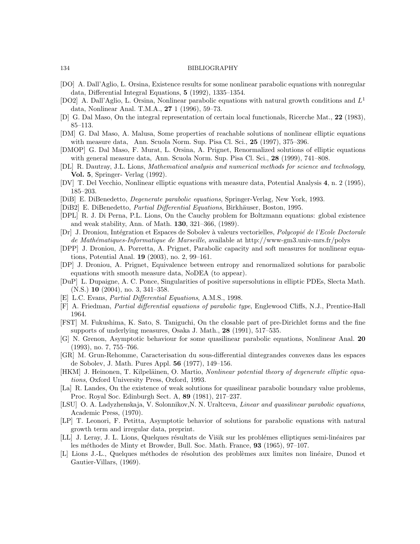#### 134 BIBLIOGRAPHY

- [DO] A. Dall'Aglio, L. Orsina, Existence results for some nonlinear parabolic equations with nonregular data, Differential Integral Equations, 5 (1992), 1335–1354.
- [DO2] A. Dall'Aglio, L. Orsina, Nonlinear parabolic equations with natural growth conditions and  $L^1$ data, Nonlinear Anal. T.M.A., 27 1 (1996), 59–73.
- [D] G. Dal Maso, On the integral representation of certain local functionals, Ricerche Mat., 22 (1983), 85–113.
- [DM] G. Dal Maso, A. Malusa, Some properties of reachable solutions of nonlinear elliptic equations with measure data, Ann. Scuola Norm. Sup. Pisa Cl. Sci., 25 (1997), 375–396.
- [DMOP] G. Dal Maso, F. Murat, L. Orsina, A. Prignet, Renormalized solutions of elliptic equations with general measure data, Ann. Scuola Norm. Sup. Pisa Cl. Sci., 28 (1999), 741–808.
- [DL] R. Dautray, J.L. Lions, Mathematical analysis and numerical methods for science and technology, Vol. 5, Springer- Verlag (1992).
- [DV] T. Del Vecchio, Nonlinear elliptic equations with measure data, Potential Analysis 4, n. 2 (1995), 185–203.
- [DiB] E. DiBenedetto, Degenerate parabolic equations, Springer-Verlag, New York, 1993.
- [DiB2] E. DiBenedetto, *Partial Differential Equations*, Birkhäuser, Boston, 1995.
- [DPL] R. J. Di Perna, P.L. Lions, On the Cauchy problem for Boltzmann equations: global existence and weak stability, Ann. of Math. 130, 321–366, (1989).
- [Dr] J. Droniou, Intégration et Espaces de Sobolev à valeurs vectorielles, Polycopié de l'Ecole Doctorale de Math´ematiques-Informatique de Marseille, available at http://www-gm3.univ-mrs.fr/polys
- [DPP] J. Droniou, A. Porretta, A. Prignet, Parabolic capacity and soft measures for nonlinear equations, Potential Anal. 19 (2003), no. 2, 99–161.
- [DP] J. Droniou, A. Prignet, Equivalence between entropy and renormalized solutions for parabolic equations with smooth measure data, NoDEA (to appear).
- [DuP] L. Dupaigne, A. C. Ponce, Singularities of positive supersolutions in elliptic PDEs, Slecta Math.  $(N.S.)$  10  $(2004)$ , no. 3, 341–358.
- [E] L.C. Evans, Partial Differential Equations, A.M.S., 1998.
- [F] A. Friedman, Partial differential equations of parabolic type, Englewood Cliffs, N.J., Prentice-Hall 1964.
- [FST] M. Fukushima, K. Sato, S. Taniguchi, On the closable part of pre-Dirichlet forms and the fine supports of underlying measures, Osaka J. Math., 28 (1991), 517–535.
- [G] N. Grenon, Asymptotic behaviour for some quasilinear parabolic equations, Nonlinear Anal. 20 (1993), no. 7, 755–766.
- [GR] M. Grun-Rehomme, Caracterisation du sous-differential dintegrandes convexes dans les espaces de Sobolev, J. Math. Pures Appl. 56 (1977), 149–156.
- [HKM] J. Heinonen, T. Kilpeläinen, O. Martio, Nonlinear potential theory of degenerate elliptic equations, Oxford University Press, Oxford, 1993.
- [La] R. Landes, On the existence of weak solutions for quasilinear parabolic boundary value problems, Proc. Royal Soc. Edinburgh Sect. A, 89 (1981), 217–237.
- [LSU] O. A. Ladyzhenskaja, V. Solonnikov, N. N. Uraltceva, Linear and quasilinear parabolic equations, Academic Press, (1970).
- [LP] T. Leonori, F. Petitta, Asymptotic behavior of solutions for parabolic equations with natural growth term and irregular data, preprint.
- [LL] J. Leray, J. L. Lions, Quelques résultats de Višik sur les problémes elliptiques semi-linéaires par les méthodes de Minty et Browder, Bull. Soc. Math. France, 93 (1965), 97-107.
- [L] Lions J.-L., Quelques méthodes de résolution des problèmes aux limites non linéaire, Dunod et Gautier-Villars, (1969).